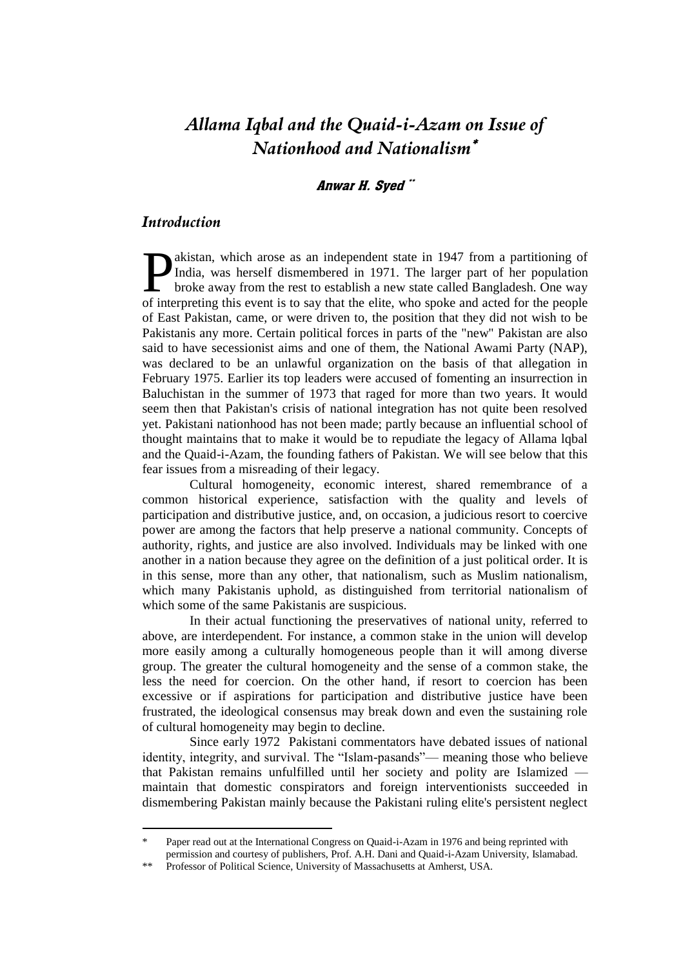# *Allama Iqbal and the Quaid-i-Azam on Issue of Nationhood and Nationalism*

#### Anwar H. Syed "

### *Introduction*

<u>.</u>

akistan, which arose as an independent state in 1947 from a partitioning of India, was herself dismembered in 1971. The larger part of her population broke away from the rest to establish a new state called Bangladesh. One way **D**akistan, which arose as an independent state in 1947 from a partitioning of India, was herself dismembered in 1971. The larger part of her population broke away from the rest to establish a new state called Bangladesh. of East Pakistan, came, or were driven to, the position that they did not wish to be Pakistanis any more. Certain political forces in parts of the "new" Pakistan are also said to have secessionist aims and one of them, the National Awami Party (NAP), was declared to be an unlawful organization on the basis of that allegation in February 1975. Earlier its top leaders were accused of fomenting an insurrection in Baluchistan in the summer of 1973 that raged for more than two years. It would seem then that Pakistan's crisis of national integration has not quite been resolved yet. Pakistani nationhood has not been made; partly because an influential school of thought maintains that to make it would be to repudiate the legacy of Allama lqbal and the Quaid-i-Azam, the founding fathers of Pakistan. We will see below that this fear issues from a misreading of their legacy.

Cultural homogeneity, economic interest, shared remembrance of a common historical experience, satisfaction with the quality and levels of participation and distributive justice, and, on occasion, a judicious resort to coercive power are among the factors that help preserve a national community. Concepts of authority, rights, and justice are also involved. Individuals may be linked with one another in a nation because they agree on the definition of a just political order. It is in this sense, more than any other, that nationalism, such as Muslim nationalism, which many Pakistanis uphold, as distinguished from territorial nationalism of which some of the same Pakistanis are suspicious.

In their actual functioning the preservatives of national unity, referred to above, are interdependent. For instance, a common stake in the union will develop more easily among a culturally homogeneous people than it will among diverse group. The greater the cultural homogeneity and the sense of a common stake, the less the need for coercion. On the other hand, if resort to coercion has been excessive or if aspirations for participation and distributive justice have been frustrated, the ideological consensus may break down and even the sustaining role of cultural homogeneity may begin to decline.

Since early 1972 Pakistani commentators have debated issues of national identity, integrity, and survival. The "Islam-pasands"— meaning those who believe that Pakistan remains unfulfilled until her society and polity are Islamized maintain that domestic conspirators and foreign interventionists succeeded in dismembering Pakistan mainly because the Pakistani ruling elite's persistent neglect

Paper read out at the International Congress on Quaid-i-Azam in 1976 and being reprinted with permission and courtesy of publishers, Prof. A.H. Dani and Quaid-i-Azam University, Islamabad.

<sup>\*\*</sup> Professor of Political Science, University of Massachusetts at Amherst, USA.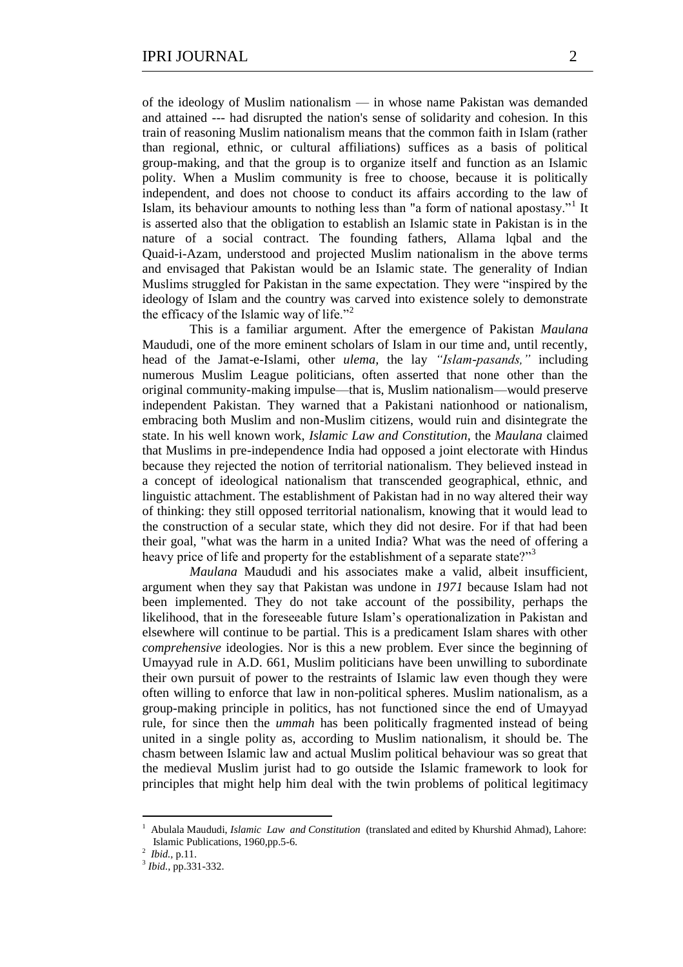of the ideology of Muslim nationalism — in whose name Pakistan was demanded and attained --- had disrupted the nation's sense of solidarity and cohesion. In this train of reasoning Muslim nationalism means that the common faith in Islam (rather than regional, ethnic, or cultural affiliations) suffices as a basis of political group-making, and that the group is to organize itself and function as an Islamic polity. When a Muslim community is free to choose, because it is politically independent, and does not choose to conduct its affairs according to the law of Islam, its behaviour amounts to nothing less than "a form of national apostasy."<sup>1</sup> It is asserted also that the obligation to establish an Islamic state in Pakistan is in the nature of a social contract. The founding fathers, Allama lqbal and the Quaid-i-Azam, understood and projected Muslim nationalism in the above terms and envisaged that Pakistan would be an Islamic state. The generality of Indian Muslims struggled for Pakistan in the same expectation. They were "inspired by the ideology of Islam and the country was carved into existence solely to demonstrate the efficacy of the Islamic way of life."<sup>2</sup>

This is a familiar argument. After the emergence of Pakistan *Maulana*  Maududi, one of the more eminent scholars of Islam in our time and, until recently, head of the Jamat-e-Islami, other *ulema*, the lay *"Islam-pasands*," including numerous Muslim League politicians, often asserted that none other than the original community-making impulse—that is, Muslim nationalism—would preserve independent Pakistan. They warned that a Pakistani nationhood or nationalism, embracing both Muslim and non-Muslim citizens, would ruin and disintegrate the state. In his well known work, *Islamic Law and Constitution,* the *Maulana* claimed that Muslims in pre-independence India had opposed a joint electorate with Hindus because they rejected the notion of territorial nationalism. They believed instead in a concept of ideological nationalism that transcended geographical, ethnic, and linguistic attachment. The establishment of Pakistan had in no way altered their way of thinking: they still opposed territorial nationalism, knowing that it would lead to the construction of a secular state, which they did not desire. For if that had been their goal, "what was the harm in a united India? What was the need of offering a heavy price of life and property for the establishment of a separate state?"<sup>3</sup>

*Maulana* Maududi and his associates make a valid, albeit insufficient, argument when they say that Pakistan was undone in *1971* because Islam had not been implemented. They do not take account of the possibility, perhaps the likelihood, that in the foreseeable future Islam's operationalization in Pakistan and elsewhere will continue to be partial. This is a predicament Islam shares with other *comprehensive* ideologies. Nor is this a new problem. Ever since the beginning of Umayyad rule in A.D. 661, Muslim politicians have been unwilling to subordinate their own pursuit of power to the restraints of Islamic law even though they were often willing to enforce that law in non-political spheres. Muslim nationalism, as a group-making principle in politics, has not functioned since the end of Umayyad rule, for since then the *ummah* has been politically fragmented instead of being united in a single polity as, according to Muslim nationalism, it should be. The chasm between Islamic law and actual Muslim political behaviour was so great that the medieval Muslim jurist had to go outside the Islamic framework to look for principles that might help him deal with the twin problems of political legitimacy

<sup>1</sup> Abulala Maududi, *Islamic Law and Constitution* (translated and edited by Khurshid Ahmad), Lahore: Islamic Publications, 1960,pp.5-6.

<sup>2</sup>  *Ibid.,* p.11.

<sup>3</sup> *Ibid.,* pp.331-332.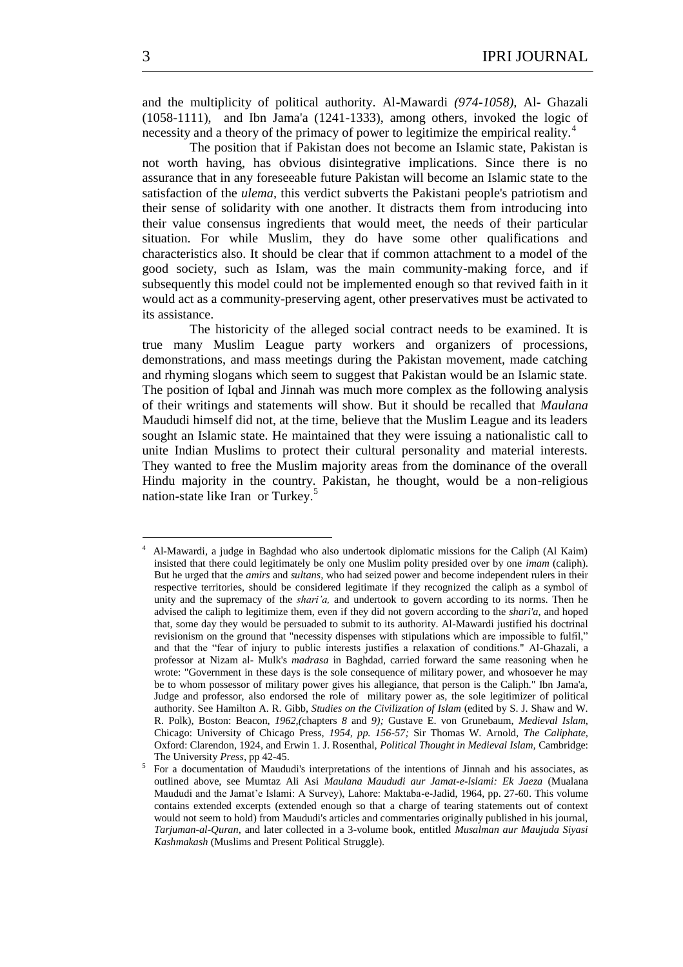and the multiplicity of political authority. Al-Mawardi *(974-1058),* Al- Ghazali (1058-1111), and Ibn Jama'a (1241-1333), among others, invoked the logic of necessity and a theory of the primacy of power to legitimize the empirical reality.<sup>4</sup>

The position that if Pakistan does not become an Islamic state, Pakistan is not worth having, has obvious disintegrative implications. Since there is no assurance that in any foreseeable future Pakistan will become an Islamic state to the satisfaction of the *ulema,* this verdict subverts the Pakistani people's patriotism and their sense of solidarity with one another. It distracts them from introducing into their value consensus ingredients that would meet, the needs of their particular situation. For while Muslim, they do have some other qualifications and characteristics also. It should be clear that if common attachment to a model of the good society, such as Islam, was the main community-making force, and if subsequently this model could not be implemented enough so that revived faith in it would act as a community-preserving agent, other preservatives must be activated to its assistance.

The historicity of the alleged social contract needs to be examined. It is true many Muslim League party workers and organizers of processions, demonstrations, and mass meetings during the Pakistan movement, made catching and rhyming slogans which seem to suggest that Pakistan would be an Islamic state. The position of Iqbal and Jinnah was much more complex as the following analysis of their writings and statements will show. But it should be recalled that *Maulana*  Maududi himself did not, at the time, believe that the Muslim League and its leaders sought an Islamic state. He maintained that they were issuing a nationalistic call to unite Indian Muslims to protect their cultural personality and material interests. They wanted to free the Muslim majority areas from the dominance of the overall Hindu majority in the country. Pakistan, he thought, would be a non-religious nation-state like Iran or Turkey.<sup>5</sup>

<sup>4</sup> Al-Mawardi, a judge in Baghdad who also undertook diplomatic missions for the Caliph (Al Kaim) insisted that there could legitimately be only one Muslim polity presided over by one *imam* (caliph). But he urged that the *amirs* and *sultans,* who had seized power and become independent rulers in their respective territories, should be considered legitimate if they recognized the caliph as a symbol of unity and the supremacy of the *shari'a,* and undertook to govern according to its norms. Then he advised the caliph to legitimize them, even if they did not govern according to the *shari'a,* and hoped that, some day they would be persuaded to submit to its authority. Al-Mawardi justified his doctrinal revisionism on the ground that "necessity dispenses with stipulations which are impossible to fulfil," and that the "fear of injury to public interests justifies a relaxation of conditions." Al-Ghazali, a professor at Nizam al- Mulk's *madrasa* in Baghdad, carried forward the same reasoning when he wrote: "Government in these days is the sole consequence of military power, and whosoever he may be to whom possessor of military power gives his allegiance, that person is the Caliph." Ibn Jama'a, Judge and professor, also endorsed the role of military power as, the sole legitimizer of political authority. See Hamilton A. R. Gibb, *Studies on the Civilization of Islam* (edited by S. J. Shaw and W. R. Polk), Boston: Beacon, *1962,(*chapters *8* and *9);* Gustave E. von Grunebaum, *Medieval Islam,*  Chicago: University of Chicago Press, *1954, pp. 156-57;* Sir Thomas W. Arnold, *The Caliphate,*  Oxford: Clarendon, 1924, and Erwin 1. J. Rosenthal, *Political Thought in Medieval Islam,* Cambridge: The University *Press,* pp 42-45.

<sup>5</sup> For a documentation of Maududi's interpretations of the intentions of Jinnah and his associates, as outlined above, see Mumtaz Ali Asi *Maulana Maududi aur Jamat-e-lslami: Ek Jaeza* (Mualana Maududi and the Jamat'e Islami: A Survey), Lahore: Maktaba-e-Jadid, 1964, pp. 27-60. This volume contains extended excerpts (extended enough so that a charge of tearing statements out of context would not seem to hold) from Maududi's articles and commentaries originally published in his journal, *Tarjuman-al-Quran,* and later collected in a 3-volume book, entitled *Musalman aur Maujuda Siyasi Kashmakash* (Muslims and Present Political Struggle).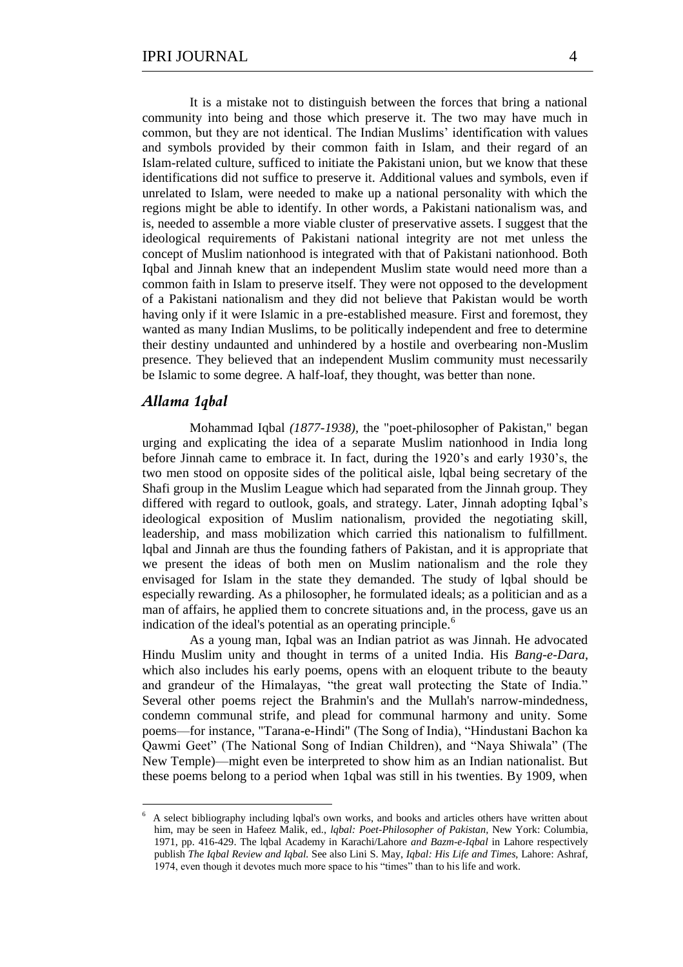It is a mistake not to distinguish between the forces that bring a national community into being and those which preserve it. The two may have much in common, but they are not identical. The Indian Muslims' identification with values and symbols provided by their common faith in Islam, and their regard of an Islam-related culture, sufficed to initiate the Pakistani union, but we know that these identifications did not suffice to preserve it. Additional values and symbols, even if unrelated to Islam, were needed to make up a national personality with which the regions might be able to identify. In other words, a Pakistani nationalism was, and is, needed to assemble a more viable cluster of preservative assets. I suggest that the ideological requirements of Pakistani national integrity are not met unless the concept of Muslim nationhood is integrated with that of Pakistani nationhood. Both Iqbal and Jinnah knew that an independent Muslim state would need more than a common faith in Islam to preserve itself. They were not opposed to the development of a Pakistani nationalism and they did not believe that Pakistan would be worth having only if it were Islamic in a pre-established measure. First and foremost, they wanted as many Indian Muslims, to be politically independent and free to determine their destiny undaunted and unhindered by a hostile and overbearing non-Muslim presence. They believed that an independent Muslim community must necessarily be Islamic to some degree. A half-loaf, they thought, was better than none.

## *Allama 1qbal*

<u>.</u>

Mohammad Iqbal *(1877-1938),* the "poet-philosopher of Pakistan," began urging and explicating the idea of a separate Muslim nationhood in India long before Jinnah came to embrace it. In fact, during the 1920's and early 1930's, the two men stood on opposite sides of the political aisle, lqbal being secretary of the Shafi group in the Muslim League which had separated from the Jinnah group. They differed with regard to outlook, goals, and strategy. Later, Jinnah adopting Iqbal's ideological exposition of Muslim nationalism, provided the negotiating skill, leadership, and mass mobilization which carried this nationalism to fulfillment. lqbal and Jinnah are thus the founding fathers of Pakistan, and it is appropriate that we present the ideas of both men on Muslim nationalism and the role they envisaged for Islam in the state they demanded. The study of lqbal should be especially rewarding. As a philosopher, he formulated ideals; as a politician and as a man of affairs, he applied them to concrete situations and, in the process, gave us an indication of the ideal's potential as an operating principle.<sup>6</sup>

As a young man, Iqbal was an Indian patriot as was Jinnah. He advocated Hindu Muslim unity and thought in terms of a united India. His *Bang-e-Dara,*  which also includes his early poems, opens with an eloquent tribute to the beauty and grandeur of the Himalayas, "the great wall protecting the State of India." Several other poems reject the Brahmin's and the Mullah's narrow-mindedness, condemn communal strife, and plead for communal harmony and unity. Some poems—for instance, "Tarana-e-Hindi" (The Song of India), "Hindustani Bachon ka Qawmi Geet" (The National Song of Indian Children), and "Naya Shiwala" (The New Temple)—might even be interpreted to show him as an Indian nationalist. But these poems belong to a period when 1qbal was still in his twenties. By 1909, when

<sup>6</sup> A select bibliography including lqbal's own works, and books and articles others have written about him, may be seen in Hafeez Malik, ed., *lqbal: Poet-Philosopher of Pakistan,* New York: Columbia, 1971, pp. 416-429. The lqbal Academy in Karachi/Lahore *and Bazm-e-Iqbal* in Lahore respectively publish *The Iqbal Review and Iqbal.* See also Lini S. May, *Iqbal: His Life and Times,* Lahore: Ashraf, 1974, even though it devotes much more space to his "times" than to his life and work.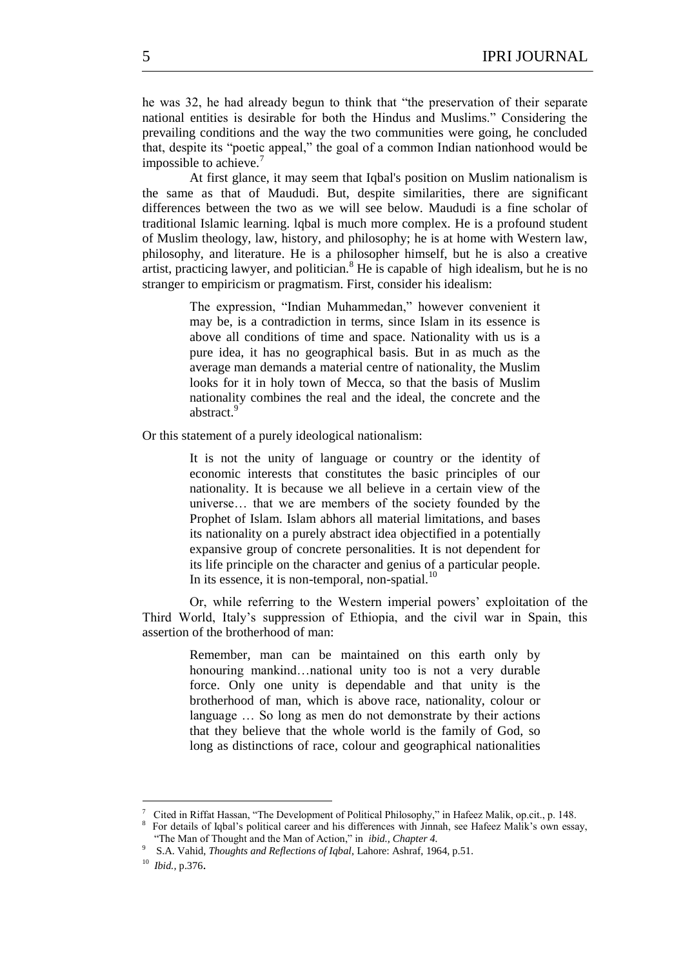he was 32, he had already begun to think that "the preservation of their separate national entities is desirable for both the Hindus and Muslims." Considering the prevailing conditions and the way the two communities were going, he concluded that, despite its "poetic appeal," the goal of a common Indian nationhood would be impossible to achieve.<sup>7</sup>

At first glance, it may seem that Iqbal's position on Muslim nationalism is the same as that of Maududi. But, despite similarities, there are significant differences between the two as we will see below. Maududi is a fine scholar of traditional Islamic learning. lqbal is much more complex. He is a profound student of Muslim theology, law, history, and philosophy; he is at home with Western law, philosophy, and literature. He is a philosopher himself, but he is also a creative artist, practicing lawyer, and politician.<sup>8</sup> He is capable of high idealism, but he is no stranger to empiricism or pragmatism. First, consider his idealism:

> The expression, "Indian Muhammedan," however convenient it may be, is a contradiction in terms, since Islam in its essence is above all conditions of time and space. Nationality with us is a pure idea, it has no geographical basis. But in as much as the average man demands a material centre of nationality, the Muslim looks for it in holy town of Mecca, so that the basis of Muslim nationality combines the real and the ideal, the concrete and the abstract.<sup>9</sup>

Or this statement of a purely ideological nationalism:

It is not the unity of language or country or the identity of economic interests that constitutes the basic principles of our nationality. It is because we all believe in a certain view of the universe… that we are members of the society founded by the Prophet of Islam. Islam abhors all material limitations, and bases its nationality on a purely abstract idea objectified in a potentially expansive group of concrete personalities. It is not dependent for its life principle on the character and genius of a particular people. In its essence, it is non-temporal, non-spatial. $^{10}$ 

Or, while referring to the Western imperial powers' exploitation of the Third World, Italy's suppression of Ethiopia, and the civil war in Spain, this assertion of the brotherhood of man:

> Remember, man can be maintained on this earth only by honouring mankind…national unity too is not a very durable force. Only one unity is dependable and that unity is the brotherhood of man, which is above race, nationality, colour or language … So long as men do not demonstrate by their actions that they believe that the whole world is the family of God, so long as distinctions of race, colour and geographical nationalities

<sup>&</sup>lt;sup>7</sup> Cited in Riffat Hassan, "The Development of Political Philosophy," in Hafeez Malik, op.cit., p. 148.

<sup>8</sup> For details of Iqbal's political career and his differences with Jinnah, see Hafeez Malik's own essay, ―The Man of Thought and the Man of Action,‖ in *ibid., Chapter 4.*

<sup>9</sup> S.A. Vahid, *Thoughts and Reflections of Iqbal*, Lahore: Ashraf, 1964, p.51.

<sup>10</sup> *Ibid.,* p.376.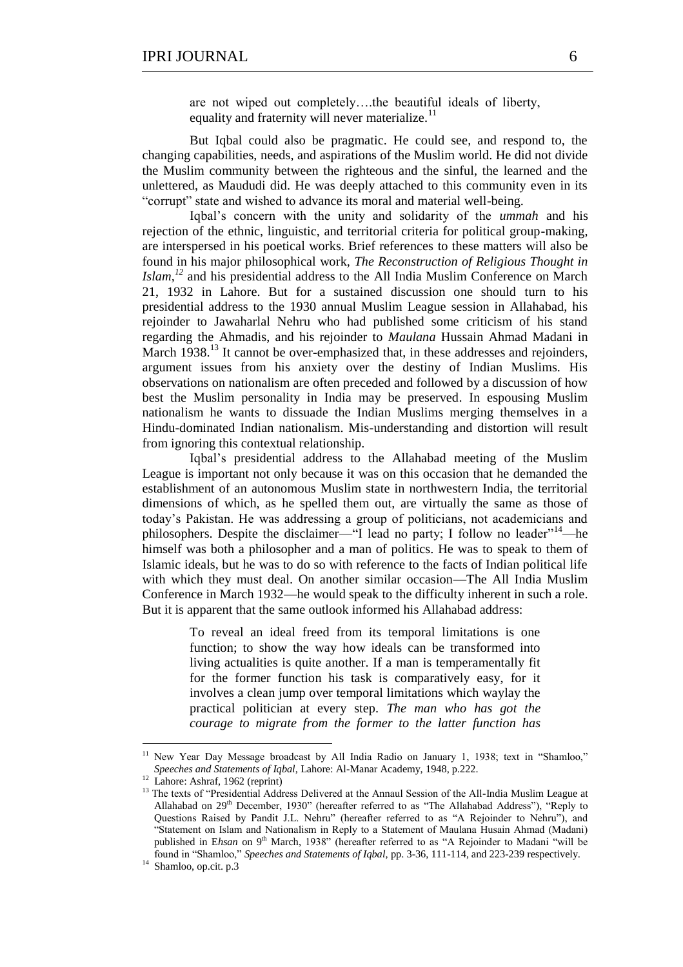are not wiped out completely….the beautiful ideals of liberty, equality and fraternity will never materialize.<sup>11</sup>

But Iqbal could also be pragmatic. He could see, and respond to, the changing capabilities, needs, and aspirations of the Muslim world. He did not divide the Muslim community between the righteous and the sinful, the learned and the unlettered, as Maududi did. He was deeply attached to this community even in its "corrupt" state and wished to advance its moral and material well-being.

Iqbal's concern with the unity and solidarity of the *ummah* and his rejection of the ethnic, linguistic, and territorial criteria for political group-making, are interspersed in his poetical works. Brief references to these matters will also be found in his major philosophical work, *The Reconstruction of Religious Thought in Islam,<sup>12</sup>* and his presidential address to the All India Muslim Conference on March 21, 1932 in Lahore. But for a sustained discussion one should turn to his presidential address to the 1930 annual Muslim League session in Allahabad, his rejoinder to Jawaharlal Nehru who had published some criticism of his stand regarding the Ahmadis, and his rejoinder to *Maulana* Hussain Ahmad Madani in March 1938.<sup>13</sup> It cannot be over-emphasized that, in these addresses and rejoinders, argument issues from his anxiety over the destiny of Indian Muslims. His observations on nationalism are often preceded and followed by a discussion of how best the Muslim personality in India may be preserved. In espousing Muslim nationalism he wants to dissuade the Indian Muslims merging themselves in a Hindu-dominated Indian nationalism. Mis-understanding and distortion will result from ignoring this contextual relationship.

Iqbal's presidential address to the Allahabad meeting of the Muslim League is important not only because it was on this occasion that he demanded the establishment of an autonomous Muslim state in northwestern India, the territorial dimensions of which, as he spelled them out, are virtually the same as those of today's Pakistan. He was addressing a group of politicians, not academicians and philosophers. Despite the disclaimer—"I lead no party; I follow no leader"<sup>14</sup>—he himself was both a philosopher and a man of politics. He was to speak to them of Islamic ideals, but he was to do so with reference to the facts of Indian political life with which they must deal. On another similar occasion—The All India Muslim Conference in March 1932—he would speak to the difficulty inherent in such a role. But it is apparent that the same outlook informed his Allahabad address:

> To reveal an ideal freed from its temporal limitations is one function; to show the way how ideals can be transformed into living actualities is quite another. If a man is temperamentally fit for the former function his task is comparatively easy, for it involves a clean jump over temporal limitations which waylay the practical politician at every step. *The man who has got the courage to migrate from the former to the latter function has*

New Year Day Message broadcast by All India Radio on January 1, 1938; text in "Shamloo," *Speeches and Statements of Iqbal*, Lahore: Al-Manar Academy, 1948, p.222.

<sup>&</sup>lt;sup>12</sup> Lahore: Ashraf, 1962 (reprint)

<sup>&</sup>lt;sup>13</sup> The texts of "Presidential Address Delivered at the Annaul Session of the All-India Muslim League at Allahabad on 29<sup>th</sup> December, 1930" (hereafter referred to as "The Allahabad Address"), "Reply to Questions Raised by Pandit J.L. Nehru" (hereafter referred to as "A Rejoinder to Nehru"), and ―Statement on Islam and Nationalism in Reply to a Statement of Maulana Husain Ahmad (Madani) published in Ehsan on 9<sup>th</sup> March, 1938" (hereafter referred to as "A Rejoinder to Madani "will be found in "Shamloo," *Speeches and Statements of Iqbal*, pp. 3-36, 111-114, and 223-239 respectively.

<sup>&</sup>lt;sup>14</sup> Shamloo, op.cit. p.3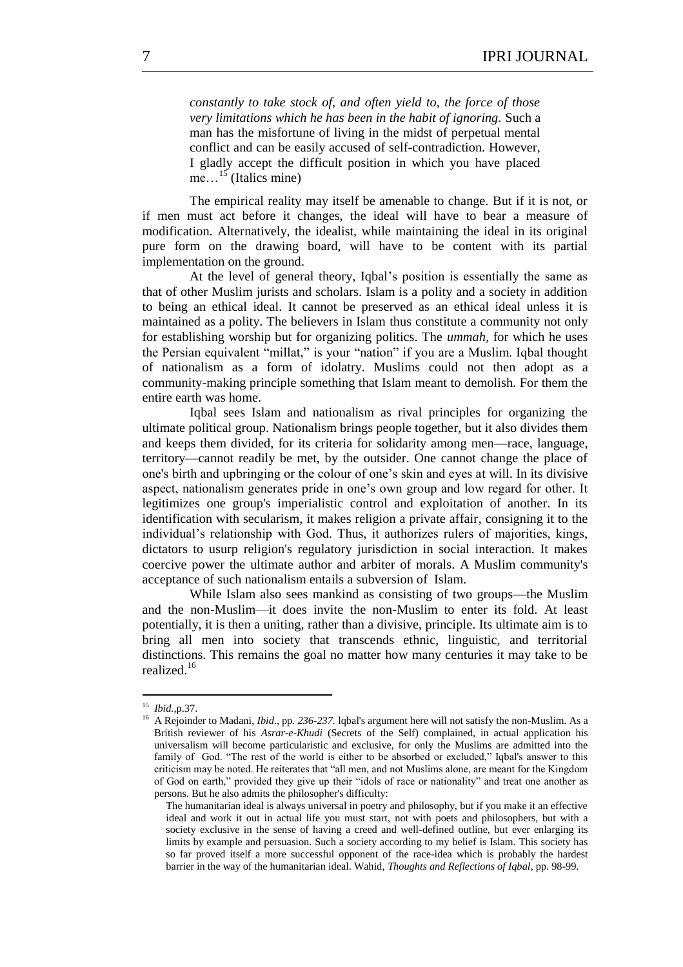*constantly to take stock of, and often yield to, the force of those very limitations which he has been in the habit of ignoring.* Such a man has the misfortune of living in the midst of perpetual mental conflict and can be easily accused of self-contradiction. However, I gladly accept the difficult position in which you have placed me...<sup>15</sup> (Italics mine)

The empirical reality may itself be amenable to change. But if it is not, or if men must act before it changes, the ideal will have to bear a measure of modification. Alternatively, the idealist, while maintaining the ideal in its original pure form on the drawing board, will have to be content with its partial implementation on the ground.

At the level of general theory, Iqbal's position is essentially the same as that of other Muslim jurists and scholars. Islam is a polity and a society in addition to being an ethical ideal. It cannot be preserved as an ethical ideal unless it is maintained as a polity. The believers in Islam thus constitute a community not only for establishing worship but for organizing politics. The *ummah,* for which he uses the Persian equivalent "millat," is your "nation" if you are a Muslim. Iqbal thought of nationalism as a form of idolatry. Muslims could not then adopt as a community-making principle something that Islam meant to demolish. For them the entire earth was home.

Iqbal sees Islam and nationalism as rival principles for organizing the ultimate political group. Nationalism brings people together, but it also divides them and keeps them divided, for its criteria for solidarity among men—race, language, territory—cannot readily be met, by the outsider. One cannot change the place of one's birth and upbringing or the colour of one's skin and eyes at will. In its divisive aspect, nationalism generates pride in one's own group and low regard for other. It legitimizes one group's imperialistic control and exploitation of another. In its identification with secularism, it makes religion a private affair, consigning it to the individual's relationship with God. Thus, it authorizes rulers of majorities, kings, dictators to usurp religion's regulatory jurisdiction in social interaction. It makes coercive power the ultimate author and arbiter of morals. A Muslim community's acceptance of such nationalism entails a subversion of Islam.

While Islam also sees mankind as consisting of two groups—the Muslim and the non-Muslim—it does invite the non-Muslim to enter its fold. At least potentially, it is then a uniting, rather than a divisive, principle. Its ultimate aim is to bring all men into society that transcends ethnic, linguistic, and territorial distinctions. This remains the goal no matter how many centuries it may take to be realized.<sup>16</sup>

 15  *Ibid.,*p.37.

<sup>&</sup>lt;sup>16</sup> A Rejoinder to Madani, *Ibid.*, pp. 236-237. lqbal's argument here will not satisfy the non-Muslim. As a British reviewer of his *Asrar-e-Khudi* (Secrets of the Self) complained, in actual application his universalism will become particularistic and exclusive, for only the Muslims are admitted into the family of God. "The rest of the world is either to be absorbed or excluded," Iqbal's answer to this criticism may be noted. He reiterates that "all men, and not Muslims alone, are meant for the Kingdom of God on earth," provided they give up their "idols of race or nationality" and treat one another as persons. But he also admits the philosopher's difficulty:

The humanitarian ideal is always universal in poetry and philosophy, but if you make it an effective ideal and work it out in actual life you must start, not with poets and philosophers, but with a society exclusive in the sense of having a creed and well-defined outline, but ever enlarging its limits by example and persuasion. Such a society according to my belief is Islam. This society has so far proved itself a more successful opponent of the race-idea which is probably the hardest barrier in the way of the humanitarian ideal. Wahid, *Thoughts and Reflections of Iqbal*, pp. 98-99.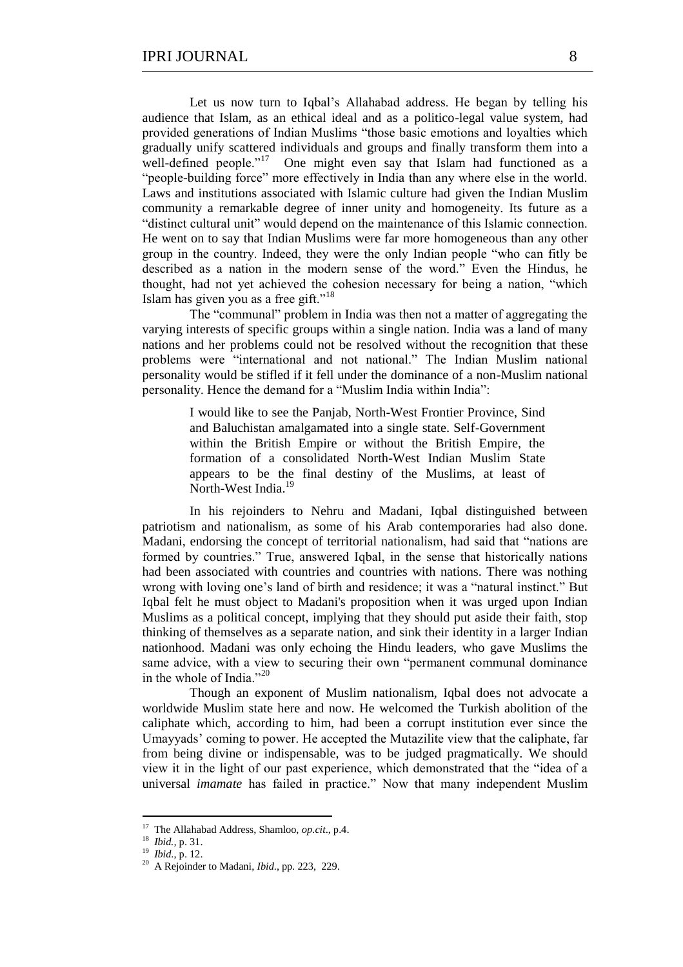Let us now turn to Iqbal's Allahabad address. He began by telling his audience that Islam, as an ethical ideal and as a politico-legal value system, had provided generations of Indian Muslims "those basic emotions and loyalties which gradually unify scattered individuals and groups and finally transform them into a well-defined people."<sup>17</sup> One might even say that Islam had functioned as a "people-building force" more effectively in India than any where else in the world. Laws and institutions associated with Islamic culture had given the Indian Muslim community a remarkable degree of inner unity and homogeneity. Its future as a ―distinct cultural unit‖ would depend on the maintenance of this Islamic connection. He went on to say that Indian Muslims were far more homogeneous than any other group in the country. Indeed, they were the only Indian people ―who can fitly be described as a nation in the modern sense of the word." Even the Hindus, he thought, had not yet achieved the cohesion necessary for being a nation, "which Islam has given you as a free gift."<sup>18</sup>

The "communal" problem in India was then not a matter of aggregating the varying interests of specific groups within a single nation. India was a land of many nations and her problems could not be resolved without the recognition that these problems were "international and not national." The Indian Muslim national personality would be stifled if it fell under the dominance of a non-Muslim national personality. Hence the demand for a "Muslim India within India":

> I would like to see the Panjab, North-West Frontier Province, Sind and Baluchistan amalgamated into a single state. Self-Government within the British Empire or without the British Empire, the formation of a consolidated North-West Indian Muslim State appears to be the final destiny of the Muslims, at least of North-West India.<sup>19</sup>

In his rejoinders to Nehru and Madani, Iqbal distinguished between patriotism and nationalism, as some of his Arab contemporaries had also done. Madani, endorsing the concept of territorial nationalism, had said that "nations are formed by countries." True, answered Iqbal, in the sense that historically nations had been associated with countries and countries with nations. There was nothing wrong with loving one's land of birth and residence; it was a "natural instinct." But Iqbal felt he must object to Madani's proposition when it was urged upon Indian Muslims as a political concept, implying that they should put aside their faith, stop thinking of themselves as a separate nation, and sink their identity in a larger Indian nationhood. Madani was only echoing the Hindu leaders, who gave Muslims the same advice, with a view to securing their own "permanent communal dominance" in the whole of India."20

Though an exponent of Muslim nationalism, Iqbal does not advocate a worldwide Muslim state here and now. He welcomed the Turkish abolition of the caliphate which, according to him, had been a corrupt institution ever since the Umayyads' coming to power. He accepted the Mutazilite view that the caliphate, far from being divine or indispensable, was to be judged pragmatically. We should view it in the light of our past experience, which demonstrated that the "idea of a universal *imamate* has failed in practice." Now that many independent Muslim

<sup>17</sup> The Allahabad Address, Shamloo, *op.cit*., p.4.

<sup>18</sup> *Ibid.,* p. 31.

<sup>19</sup> *Ibid*., p. 12.

<sup>20</sup> A Rejoinder to Madani, *Ibid*., pp*.* 223, 229.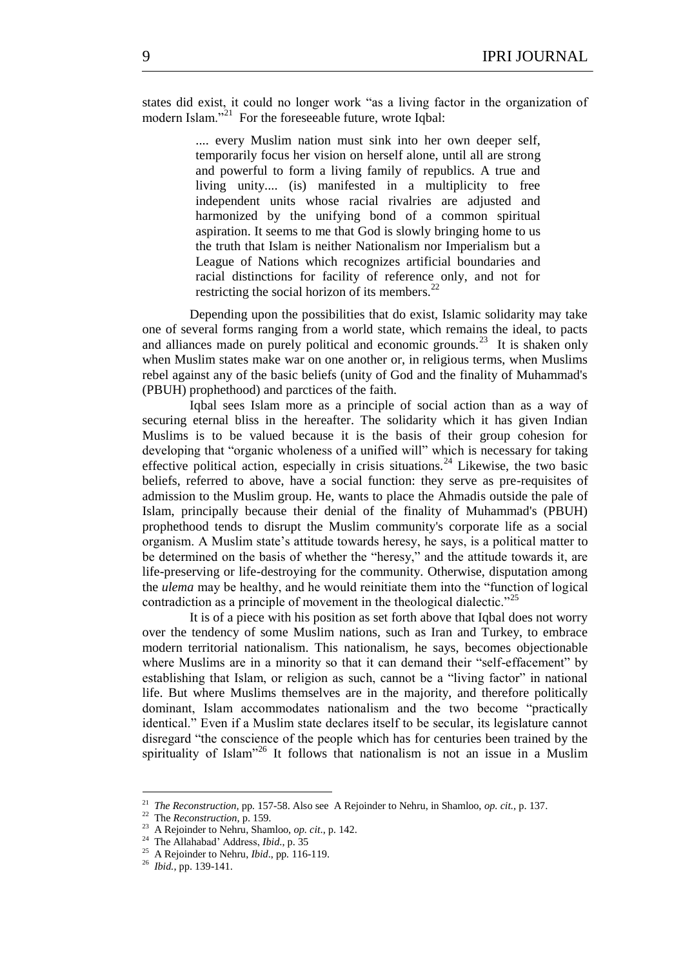states did exist, it could no longer work "as a living factor in the organization of modern Islam."<sup>21</sup> For the foreseeable future, wrote Iqbal:

> .... every Muslim nation must sink into her own deeper self, temporarily focus her vision on herself alone, until all are strong and powerful to form a living family of republics. A true and living unity.... (is) manifested in a multiplicity to free independent units whose racial rivalries are adjusted and harmonized by the unifying bond of a common spiritual aspiration. It seems to me that God is slowly bringing home to us the truth that Islam is neither Nationalism nor Imperialism but a League of Nations which recognizes artificial boundaries and racial distinctions for facility of reference only, and not for restricting the social horizon of its members.<sup>2</sup>

Depending upon the possibilities that do exist, Islamic solidarity may take one of several forms ranging from a world state, which remains the ideal, to pacts and alliances made on purely political and economic grounds.<sup>23</sup> It is shaken only when Muslim states make war on one another or, in religious terms, when Muslims rebel against any of the basic beliefs (unity of God and the finality of Muhammad's (PBUH) prophethood) and parctices of the faith.

Iqbal sees Islam more as a principle of social action than as a way of securing eternal bliss in the hereafter. The solidarity which it has given Indian Muslims is to be valued because it is the basis of their group cohesion for developing that "organic wholeness of a unified will" which is necessary for taking effective political action, especially in crisis situations.<sup>24</sup> Likewise, the two basic beliefs, referred to above, have a social function: they serve as pre-requisites of admission to the Muslim group. He, wants to place the Ahmadis outside the pale of Islam, principally because their denial of the finality of Muhammad's (PBUH) prophethood tends to disrupt the Muslim community's corporate life as a social organism. A Muslim state's attitude towards heresy, he says, is a political matter to be determined on the basis of whether the "heresy," and the attitude towards it, are life-preserving or life-destroying for the community. Otherwise, disputation among the *ulema* may be healthy, and he would reinitiate them into the "function of logical contradiction as a principle of movement in the theological dialectic.<sup> $25$ </sup>

It is of a piece with his position as set forth above that Iqbal does not worry over the tendency of some Muslim nations, such as Iran and Turkey, to embrace modern territorial nationalism. This nationalism, he says, becomes objectionable where Muslims are in a minority so that it can demand their "self-effacement" by establishing that Islam, or religion as such, cannot be a "living factor" in national life. But where Muslims themselves are in the majority, and therefore politically dominant, Islam accommodates nationalism and the two become "practically identical." Even if a Muslim state declares itself to be secular, its legislature cannot disregard "the conscience of the people which has for centuries been trained by the spirituality of Islam<sup>326</sup> It follows that nationalism is not an issue in a Muslim

 21  *The Reconstruction,* pp*.* 157-58. Also see A Rejoinder to Nehru, in Shamloo, *op. cit.,* p. 137.

<sup>22</sup> The *Reconstruction,* p. 159*.*

<sup>23</sup> A Rejoinder to Nehru, Shamloo, *op. cit*., p*.* 142.

<sup>24</sup> The Allahabad' Address, *Ibid*., p. 35

<sup>25</sup> A Rejoinder to Nehru, *Ibid*., pp*.* 116-119.

<sup>26</sup> *Ibid.*, pp. 139-141.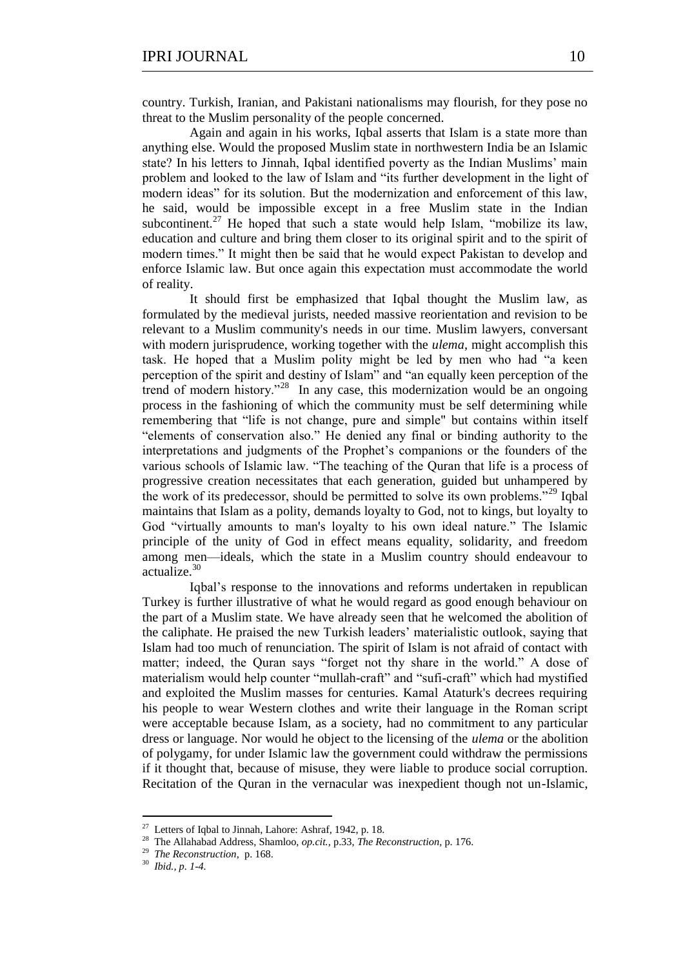country. Turkish, Iranian, and Pakistani nationalisms may flourish, for they pose no threat to the Muslim personality of the people concerned.

Again and again in his works, Iqbal asserts that Islam is a state more than anything else. Would the proposed Muslim state in northwestern India be an Islamic state? In his letters to Jinnah, Iqbal identified poverty as the Indian Muslims' main problem and looked to the law of Islam and "its further development in the light of modern ideas" for its solution. But the modernization and enforcement of this law, he said, would be impossible except in a free Muslim state in the Indian subcontinent.<sup>27</sup> He hoped that such a state would help Islam, "mobilize its law, education and culture and bring them closer to its original spirit and to the spirit of modern times." It might then be said that he would expect Pakistan to develop and enforce Islamic law. But once again this expectation must accommodate the world of reality.

It should first be emphasized that Iqbal thought the Muslim law, as formulated by the medieval jurists, needed massive reorientation and revision to be relevant to a Muslim community's needs in our time. Muslim lawyers, conversant with modern jurisprudence, working together with the *ulema,* might accomplish this task. He hoped that a Muslim polity might be led by men who had "a keen perception of the spirit and destiny of Islam" and "an equally keen perception of the trend of modern history."<sup>28</sup> In any case, this modernization would be an ongoing process in the fashioning of which the community must be self determining while remembering that "life is not change, pure and simple" but contains within itself ―elements of conservation also.‖ He denied any final or binding authority to the interpretations and judgments of the Prophet's companions or the founders of the various schools of Islamic law. "The teaching of the Quran that life is a process of progressive creation necessitates that each generation, guided but unhampered by the work of its predecessor, should be permitted to solve its own problems.<sup>29</sup> Iqbal maintains that Islam as a polity, demands loyalty to God, not to kings, but loyalty to God "virtually amounts to man's loyalty to his own ideal nature." The Islamic principle of the unity of God in effect means equality, solidarity, and freedom among men—ideals, which the state in a Muslim country should endeavour to actualize.<sup>30</sup>

Iqbal's response to the innovations and reforms undertaken in republican Turkey is further illustrative of what he would regard as good enough behaviour on the part of a Muslim state. We have already seen that he welcomed the abolition of the caliphate. He praised the new Turkish leaders' materialistic outlook, saying that Islam had too much of renunciation. The spirit of Islam is not afraid of contact with matter; indeed, the Quran says "forget not thy share in the world." A dose of materialism would help counter "mullah-craft" and "sufi-craft" which had mystified and exploited the Muslim masses for centuries. Kamal Ataturk's decrees requiring his people to wear Western clothes and write their language in the Roman script were acceptable because Islam, as a society, had no commitment to any particular dress or language. Nor would he object to the licensing of the *ulema* or the abolition of polygamy, for under Islamic law the government could withdraw the permissions if it thought that, because of misuse, they were liable to produce social corruption. Recitation of the Quran in the vernacular was inexpedient though not un-Islamic,

<sup>&</sup>lt;sup>27</sup> Letters of Iqbal to Jinnah, Lahore: Ashraf, 1942, p. 18.

<sup>28</sup> The Allahabad Address, Shamloo, *op.cit.,* p.33, *The Reconstruction,* p. 176.

<sup>29</sup>  *The Reconstruction,* p. 168.

<sup>30</sup>  *Ibid., p. 1-4.*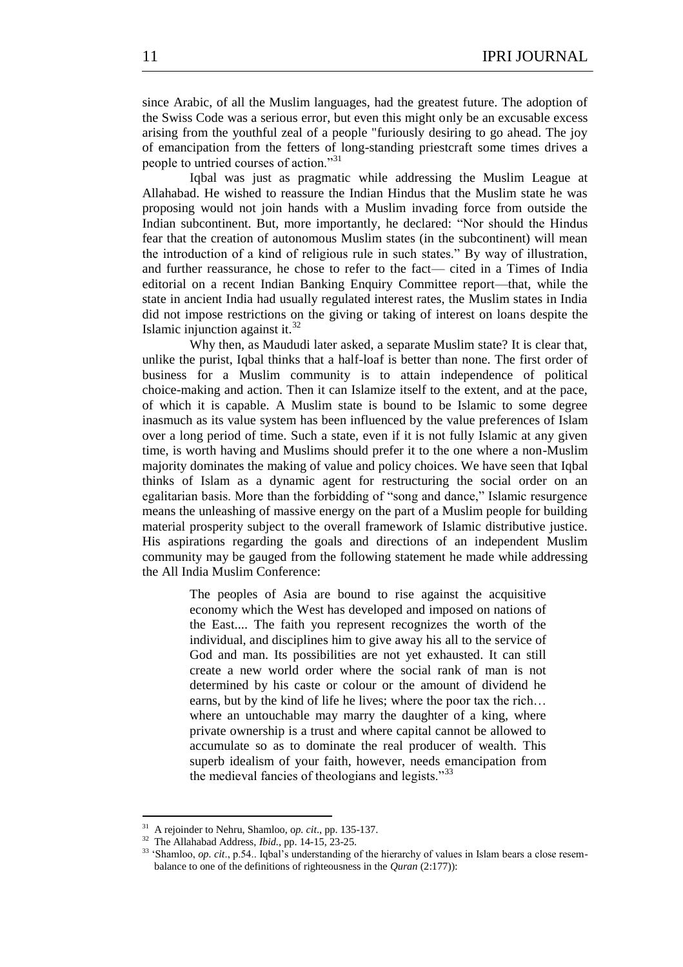since Arabic, of all the Muslim languages, had the greatest future. The adoption of the Swiss Code was a serious error, but even this might only be an excusable excess arising from the youthful zeal of a people "furiously desiring to go ahead. The joy of emancipation from the fetters of long-standing priestcraft some times drives a people to untried courses of action."31

Iqbal was just as pragmatic while addressing the Muslim League at Allahabad. He wished to reassure the Indian Hindus that the Muslim state he was proposing would not join hands with a Muslim invading force from outside the Indian subcontinent. But, more importantly, he declared: "Nor should the Hindus fear that the creation of autonomous Muslim states (in the subcontinent) will mean the introduction of a kind of religious rule in such states.‖ By way of illustration, and further reassurance, he chose to refer to the fact— cited in a Times of India editorial on a recent Indian Banking Enquiry Committee report—that, while the state in ancient India had usually regulated interest rates, the Muslim states in India did not impose restrictions on the giving or taking of interest on loans despite the Islamic injunction against it.<sup>32</sup>

Why then, as Maududi later asked, a separate Muslim state? It is clear that, unlike the purist, Iqbal thinks that a half-loaf is better than none. The first order of business for a Muslim community is to attain independence of political choice-making and action. Then it can Islamize itself to the extent, and at the pace, of which it is capable. A Muslim state is bound to be Islamic to some degree inasmuch as its value system has been influenced by the value preferences of Islam over a long period of time. Such a state, even if it is not fully Islamic at any given time, is worth having and Muslims should prefer it to the one where a non-Muslim majority dominates the making of value and policy choices. We have seen that Iqbal thinks of Islam as a dynamic agent for restructuring the social order on an egalitarian basis. More than the forbidding of "song and dance," Islamic resurgence means the unleashing of massive energy on the part of a Muslim people for building material prosperity subject to the overall framework of Islamic distributive justice. His aspirations regarding the goals and directions of an independent Muslim community may be gauged from the following statement he made while addressing the All India Muslim Conference:

> The peoples of Asia are bound to rise against the acquisitive economy which the West has developed and imposed on nations of the East.... The faith you represent recognizes the worth of the individual, and disciplines him to give away his all to the service of God and man. Its possibilities are not yet exhausted. It can still create a new world order where the social rank of man is not determined by his caste or colour or the amount of dividend he earns, but by the kind of life he lives; where the poor tax the rich… where an untouchable may marry the daughter of a king, where private ownership is a trust and where capital cannot be allowed to accumulate so as to dominate the real producer of wealth. This superb idealism of your faith, however, needs emancipation from the medieval fancies of theologians and legists. $\frac{333}{2}$

<sup>31</sup> A rejoinder to Nehru, Shamloo, o*p. cit*., pp. 135-137.

<sup>32</sup> The Allahabad Address, *Ibid.,* pp. 14-15, 23-25.

<sup>&</sup>lt;sup>33</sup> 'Shamloo, *op. cit.*, p.54.. Iqbal's understanding of the hierarchy of values in Islam bears a close resembalance to one of the definitions of righteousness in the *Quran* (2:177)):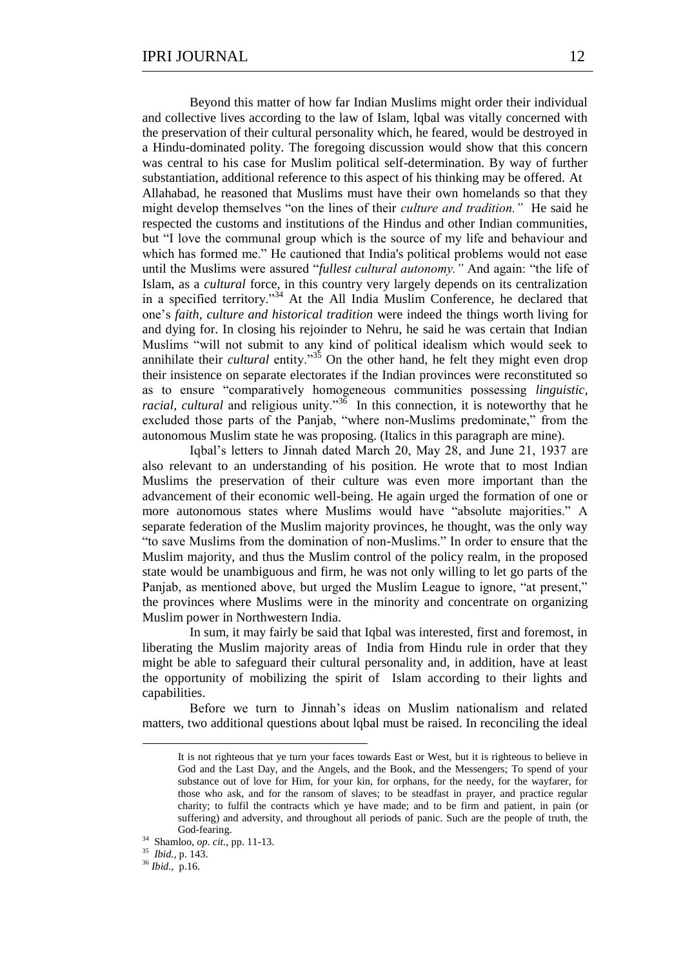Beyond this matter of how far Indian Muslims might order their individual and collective lives according to the law of Islam, lobal was vitally concerned with the preservation of their cultural personality which, he feared, would be destroyed in a Hindu-dominated polity. The foregoing discussion would show that this concern was central to his case for Muslim political self-determination. By way of further substantiation, additional reference to this aspect of his thinking may be offered. At Allahabad, he reasoned that Muslims must have their own homelands so that they might develop themselves "on the lines of their *culture and tradition*." He said he respected the customs and institutions of the Hindus and other Indian communities, but "I love the communal group which is the source of my life and behaviour and which has formed me." He cautioned that India's political problems would not ease until the Muslims were assured "*fullest cultural autonomy*." And again: "the life of Islam, as a *cultural* force, in this country very largely depends on its centralization in a specified territory.<sup>34</sup> At the All India Muslim Conference, he declared that one's *faith, culture and historical tradition* were indeed the things worth living for and dying for. In closing his rejoinder to Nehru, he said he was certain that Indian Muslims "will not submit to any kind of political idealism which would seek to annihilate their *cultural* entity.<sup>35</sup> On the other hand, he felt they might even drop their insistence on separate electorates if the Indian provinces were reconstituted so as to ensure "comparatively homogeneous communities possessing *linguistic*, *racial, cultural* and religious unity."<sup>36</sup> In this connection, it is noteworthy that he excluded those parts of the Panjab, "where non-Muslims predominate," from the autonomous Muslim state he was proposing. (Italics in this paragraph are mine).

Iqbal's letters to Jinnah dated March 20, May 28, and June 21, 1937 are also relevant to an understanding of his position. He wrote that to most Indian Muslims the preservation of their culture was even more important than the advancement of their economic well-being. He again urged the formation of one or more autonomous states where Muslims would have "absolute majorities." A separate federation of the Muslim majority provinces, he thought, was the only way "to save Muslims from the domination of non-Muslims." In order to ensure that the Muslim majority, and thus the Muslim control of the policy realm, in the proposed state would be unambiguous and firm, he was not only willing to let go parts of the Panjab, as mentioned above, but urged the Muslim League to ignore, "at present," the provinces where Muslims were in the minority and concentrate on organizing Muslim power in Northwestern India.

In sum, it may fairly be said that Iqbal was interested, first and foremost, in liberating the Muslim majority areas of India from Hindu rule in order that they might be able to safeguard their cultural personality and, in addition, have at least the opportunity of mobilizing the spirit of Islam according to their lights and capabilities.

Before we turn to Jinnah's ideas on Muslim nationalism and related matters, two additional questions about lqbal must be raised. In reconciling the ideal

35 *Ibid.,* p. 143.

It is not righteous that ye turn your faces towards East or West, but it is righteous to believe in God and the Last Day, and the Angels, and the Book, and the Messengers; To spend of your substance out of love for Him, for your kin, for orphans, for the needy, for the wayfarer, for those who ask, and for the ransom of slaves; to be steadfast in prayer, and practice regular charity; to fulfil the contracts which ye have made; and to be firm and patient, in pain (or suffering) and adversity, and throughout all periods of panic. Such are the people of truth, the God-fearing.

<sup>34</sup> Shamloo, *op. cit.,* pp. 11-13.

<sup>36</sup> *Ibid.,* p.16.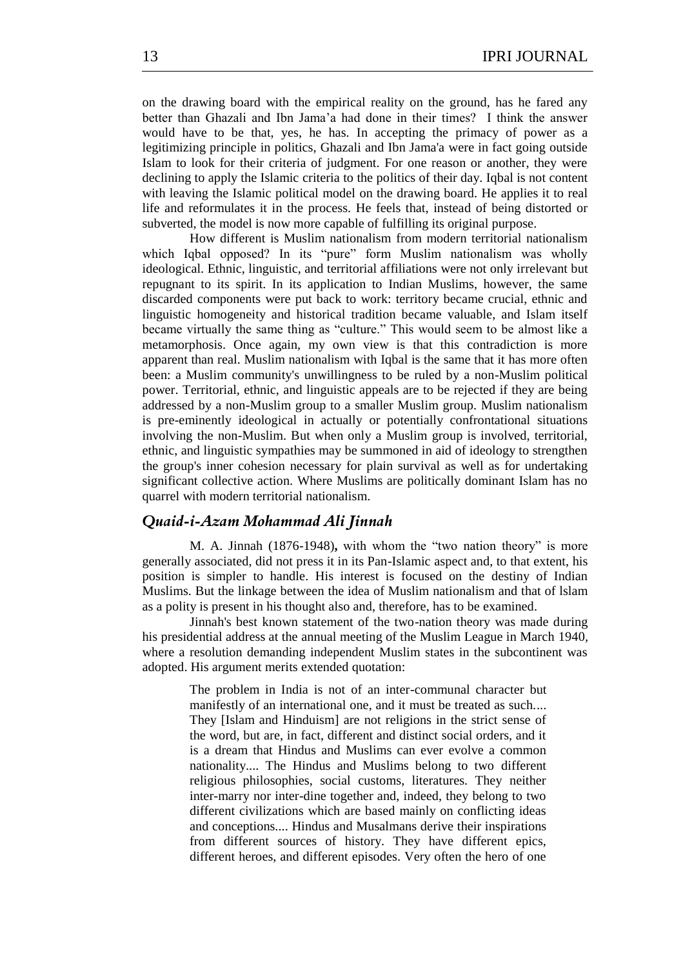on the drawing board with the empirical reality on the ground, has he fared any better than Ghazali and Ibn Jama'a had done in their times? I think the answer would have to be that, yes, he has. In accepting the primacy of power as a legitimizing principle in politics, Ghazali and Ibn Jama'a were in fact going outside Islam to look for their criteria of judgment. For one reason or another, they were declining to apply the Islamic criteria to the politics of their day. Iqbal is not content with leaving the Islamic political model on the drawing board. He applies it to real life and reformulates it in the process. He feels that, instead of being distorted or subverted, the model is now more capable of fulfilling its original purpose.

How different is Muslim nationalism from modern territorial nationalism which Iqbal opposed? In its "pure" form Muslim nationalism was wholly ideological. Ethnic, linguistic, and territorial affiliations were not only irrelevant but repugnant to its spirit. In its application to Indian Muslims, however, the same discarded components were put back to work: territory became crucial, ethnic and linguistic homogeneity and historical tradition became valuable, and Islam itself became virtually the same thing as "culture." This would seem to be almost like a metamorphosis. Once again, my own view is that this contradiction is more apparent than real. Muslim nationalism with Iqbal is the same that it has more often been: a Muslim community's unwillingness to be ruled by a non-Muslim political power. Territorial, ethnic, and linguistic appeals are to be rejected if they are being addressed by a non-Muslim group to a smaller Muslim group. Muslim nationalism is pre-eminently ideological in actually or potentially confrontational situations involving the non-Muslim. But when only a Muslim group is involved, territorial, ethnic, and linguistic sympathies may be summoned in aid of ideology to strengthen the group's inner cohesion necessary for plain survival as well as for undertaking significant collective action. Where Muslims are politically dominant Islam has no quarrel with modern territorial nationalism.

## *Quaid-i-Azam Mohammad Ali Jinnah*

M. A. Jinnah (1876-1948), with whom the "two nation theory" is more generally associated, did not press it in its Pan-Islamic aspect and, to that extent, his position is simpler to handle. His interest is focused on the destiny of Indian Muslims. But the linkage between the idea of Muslim nationalism and that of lslam as a polity is present in his thought also and, therefore, has to be examined.

Jinnah's best known statement of the two-nation theory was made during his presidential address at the annual meeting of the Muslim League in March 1940*,*  where a resolution demanding independent Muslim states in the subcontinent was adopted. His argument merits extended quotation:

> The problem in India is not of an inter-communal character but manifestly of an international one, and it must be treated as such.... They [Islam and Hinduism] are not religions in the strict sense of the word, but are, in fact, different and distinct social orders, and it is a dream that Hindus and Muslims can ever evolve a common nationality.... The Hindus and Muslims belong to two different religious philosophies, social customs, literatures. They neither inter-marry nor inter-dine together and, indeed, they belong to two different civilizations which are based mainly on conflicting ideas and conceptions.... Hindus and Musalmans derive their inspirations from different sources of history. They have different epics, different heroes, and different episodes. Very often the hero of one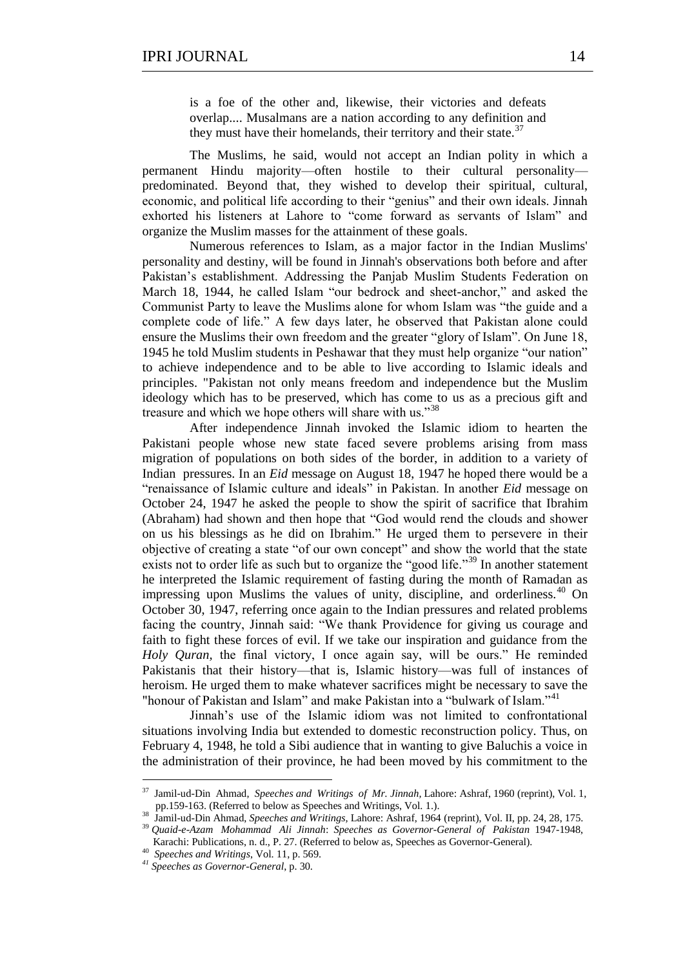is a foe of the other and, likewise, their victories and defeats overlap.... Musalmans are a nation according to any definition and they must have their homelands, their territory and their state.<sup>37</sup>

The Muslims, he said, would not accept an Indian polity in which a permanent Hindu majority—often hostile to their cultural personality predominated. Beyond that, they wished to develop their spiritual, cultural, economic, and political life according to their "genius" and their own ideals. Jinnah exhorted his listeners at Lahore to "come forward as servants of Islam" and organize the Muslim masses for the attainment of these goals.

Numerous references to Islam, as a major factor in the Indian Muslims' personality and destiny, will be found in Jinnah's observations both before and after Pakistan's establishment. Addressing the Panjab Muslim Students Federation on March 18, 1944, he called Islam "our bedrock and sheet-anchor," and asked the Communist Party to leave the Muslims alone for whom Islam was "the guide and a complete code of life." A few days later, he observed that Pakistan alone could ensure the Muslims their own freedom and the greater "glory of Islam". On June 18, 1945 he told Muslim students in Peshawar that they must help organize "our nation" to achieve independence and to be able to live according to Islamic ideals and principles. "Pakistan not only means freedom and independence but the Muslim ideology which has to be preserved, which has come to us as a precious gift and treasure and which we hope others will share with us."<sup>38</sup>

After independence Jinnah invoked the Islamic idiom to hearten the Pakistani people whose new state faced severe problems arising from mass migration of populations on both sides of the border, in addition to a variety of Indian pressures. In an *Eid* message on August 18, 1947 he hoped there would be a ―renaissance of Islamic culture and ideals‖ in Pakistan. In another *Eid* message on October 24, 1947 he asked the people to show the spirit of sacrifice that Ibrahim (Abraham) had shown and then hope that "God would rend the clouds and shower on us his blessings as he did on Ibrahim." He urged them to persevere in their objective of creating a state "of our own concept" and show the world that the state exists not to order life as such but to organize the "good life."<sup>39</sup> In another statement he interpreted the Islamic requirement of fasting during the month of Ramadan as impressing upon Muslims the values of unity, discipline, and orderliness. $40$  On October 30, 1947, referring once again to the Indian pressures and related problems facing the country, Jinnah said: "We thank Providence for giving us courage and faith to fight these forces of evil. If we take our inspiration and guidance from the *Holy Quran,* the final victory, I once again say, will be ours." He reminded Pakistanis that their history—that is, Islamic history—was full of instances of heroism. He urged them to make whatever sacrifices might be necessary to save the "honour of Pakistan and Islam" and make Pakistan into a "bulwark of Islam."<sup>41</sup>

Jinnah's use of the Islamic idiom was not limited to confrontational situations involving India but extended to domestic reconstruction policy. Thus, on February 4, 1948, he told a Sibi audience that in wanting to give Baluchis a voice in the administration of their province, he had been moved by his commitment to the

1

<sup>37</sup> Jamil-ud-Din Ahmad, *Speeches and Writings of Mr. Jinnah,* Lahore: Ashraf, 1960 (reprint), Vol. 1, pp.159-163. (Referred to below as Speeches and Writings, Vol. 1.). 38 Jamil-ud-Din Ahmad, *Speeches and Writings,* Lahore: Ashraf, 1964 (reprint), Vol. II, pp. 24, 28, 175.

<sup>39</sup> *Quaid-e-Azam Mohammad Ali Jinnah*: *Speeches as Governor-General of Pakistan* 1947-1948, Karachi: Publications, n. d., P. 27. (Referred to below as, Speeches as Governor-General).

<sup>40</sup> *Speeches and Writings*, Vol. 11, p. 569.

*<sup>41</sup> Speeches as Governor-General*, p. 30.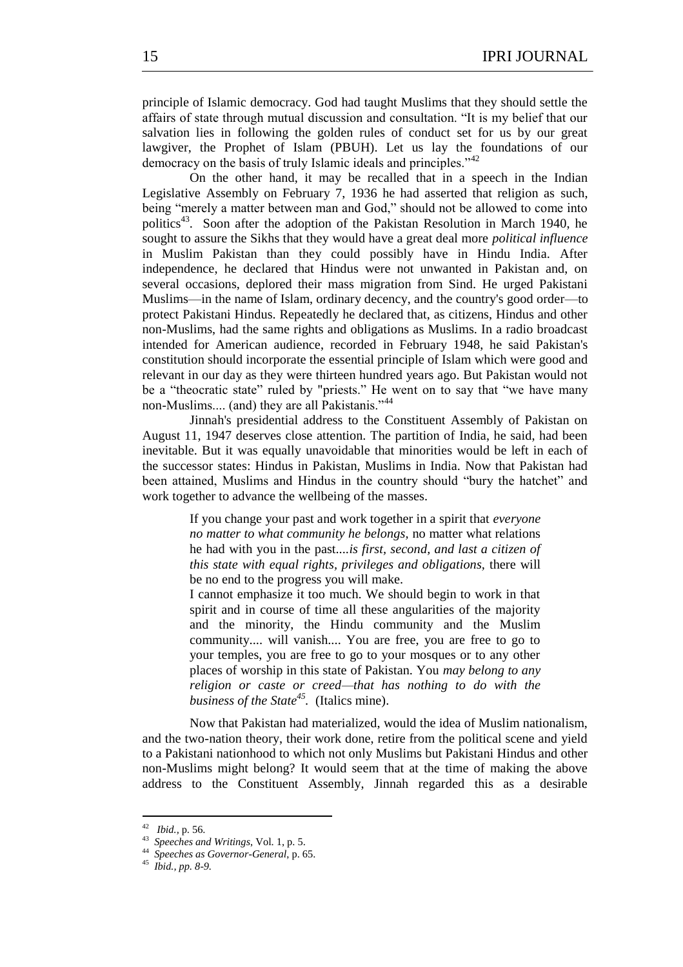principle of Islamic democracy. God had taught Muslims that they should settle the affairs of state through mutual discussion and consultation. "It is my belief that our salvation lies in following the golden rules of conduct set for us by our great lawgiver, the Prophet of Islam (PBUH). Let us lay the foundations of our democracy on the basis of truly Islamic ideals and principles."<sup>42</sup>

On the other hand, it may be recalled that in a speech in the Indian Legislative Assembly on February 7, 1936 he had asserted that religion as such, being "merely a matter between man and God," should not be allowed to come into politics<sup>43</sup>. Soon after the adoption of the Pakistan Resolution in March 1940, he sought to assure the Sikhs that they would have a great deal more *political influence* in Muslim Pakistan than they could possibly have in Hindu India. After independence, he declared that Hindus were not unwanted in Pakistan and, on several occasions, deplored their mass migration from Sind. He urged Pakistani Muslims—in the name of Islam, ordinary decency, and the country's good order—to protect Pakistani Hindus. Repeatedly he declared that, as citizens, Hindus and other non-Muslims, had the same rights and obligations as Muslims. In a radio broadcast intended for American audience, recorded in February 1948, he said Pakistan's constitution should incorporate the essential principle of Islam which were good and relevant in our day as they were thirteen hundred years ago. But Pakistan would not be a "theocratic state" ruled by "priests." He went on to say that "we have many non-Muslims.... (and) they are all Pakistanis."<sup>44</sup>

Jinnah's presidential address to the Constituent Assembly of Pakistan on August 11, 1947 deserves close attention. The partition of India, he said, had been inevitable. But it was equally unavoidable that minorities would be left in each of the successor states: Hindus in Pakistan, Muslims in India. Now that Pakistan had been attained, Muslims and Hindus in the country should "bury the hatchet" and work together to advance the wellbeing of the masses.

> If you change your past and work together in a spirit that *everyone no matter to what community he belongs,* no matter what relations he had with you in the past....*is first, second, and last a citizen of this state with equal rights, privileges and obligations,* there will be no end to the progress you will make.

> I cannot emphasize it too much. We should begin to work in that spirit and in course of time all these angularities of the majority and the minority, the Hindu community and the Muslim community.... will vanish.... You are free, you are free to go to your temples, you are free to go to your mosques or to any other places of worship in this state of Pakistan. You *may belong to any religion or caste or creed—that has nothing to do with the business of the State<sup>45</sup> .* (Italics mine).

Now that Pakistan had materialized, would the idea of Muslim nationalism, and the two-nation theory, their work done, retire from the political scene and yield to a Pakistani nationhood to which not only Muslims but Pakistani Hindus and other non-Muslims might belong? It would seem that at the time of making the above address to the Constituent Assembly, Jinnah regarded this as a desirable

<sup>42</sup> *Ibid.,* p. 56.

<sup>43</sup> *Speeches and Writings*, Vol. 1, p. 5.

<sup>44</sup> *Speeches as Governor-General*, p. 65.

<sup>45</sup> *Ibid., pp. 8-9.*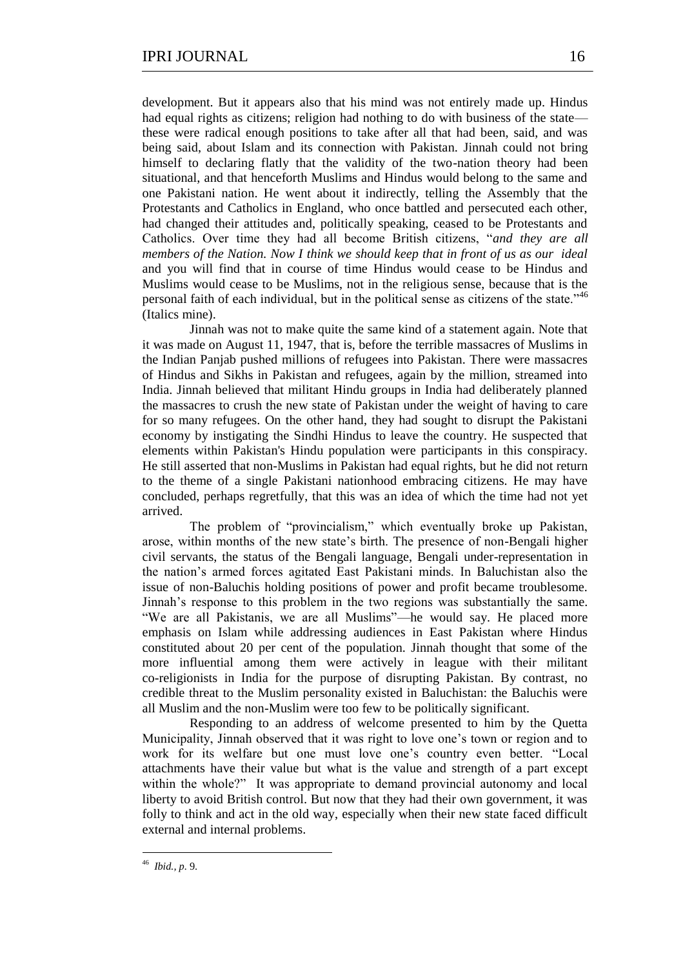development. But it appears also that his mind was not entirely made up. Hindus had equal rights as citizens; religion had nothing to do with business of the state these were radical enough positions to take after all that had been, said, and was being said, about Islam and its connection with Pakistan. Jinnah could not bring himself to declaring flatly that the validity of the two-nation theory had been situational, and that henceforth Muslims and Hindus would belong to the same and one Pakistani nation. He went about it indirectly, telling the Assembly that the Protestants and Catholics in England, who once battled and persecuted each other, had changed their attitudes and, politically speaking, ceased to be Protestants and Catholics. Over time they had all become British citizens, "and they are all *members of the Nation. Now I think we should keep that in front of us as our ideal*  and you will find that in course of time Hindus would cease to be Hindus and Muslims would cease to be Muslims, not in the religious sense, because that is the personal faith of each individual, but in the political sense as citizens of the state.<sup> $46$ </sup> (Italics mine).

Jinnah was not to make quite the same kind of a statement again. Note that it was made on August 11, 1947, that is, before the terrible massacres of Muslims in the Indian Panjab pushed millions of refugees into Pakistan. There were massacres of Hindus and Sikhs in Pakistan and refugees, again by the million, streamed into India. Jinnah believed that militant Hindu groups in India had deliberately planned the massacres to crush the new state of Pakistan under the weight of having to care for so many refugees. On the other hand, they had sought to disrupt the Pakistani economy by instigating the Sindhi Hindus to leave the country. He suspected that elements within Pakistan's Hindu population were participants in this conspiracy. He still asserted that non-Muslims in Pakistan had equal rights, but he did not return to the theme of a single Pakistani nationhood embracing citizens. He may have concluded, perhaps regretfully, that this was an idea of which the time had not yet arrived.

The problem of "provincialism," which eventually broke up Pakistan, arose, within months of the new state's birth. The presence of non-Bengali higher civil servants, the status of the Bengali language, Bengali under-representation in the nation's armed forces agitated East Pakistani minds. In Baluchistan also the issue of non-Baluchis holding positions of power and profit became troublesome. Jinnah's response to this problem in the two regions was substantially the same. "We are all Pakistanis, we are all Muslims"—he would say. He placed more emphasis on Islam while addressing audiences in East Pakistan where Hindus constituted about 20 per cent of the population. Jinnah thought that some of the more influential among them were actively in league with their militant co-religionists in India for the purpose of disrupting Pakistan. By contrast, no credible threat to the Muslim personality existed in Baluchistan: the Baluchis were all Muslim and the non-Muslim were too few to be politically significant.

Responding to an address of welcome presented to him by the Quetta Municipality, Jinnah observed that it was right to love one's town or region and to work for its welfare but one must love one's country even better. "Local attachments have their value but what is the value and strength of a part except within the whole?" It was appropriate to demand provincial autonomy and local liberty to avoid British control. But now that they had their own government, it was folly to think and act in the old way, especially when their new state faced difficult external and internal problems.

<sup>46</sup> *Ibid., p.* 9.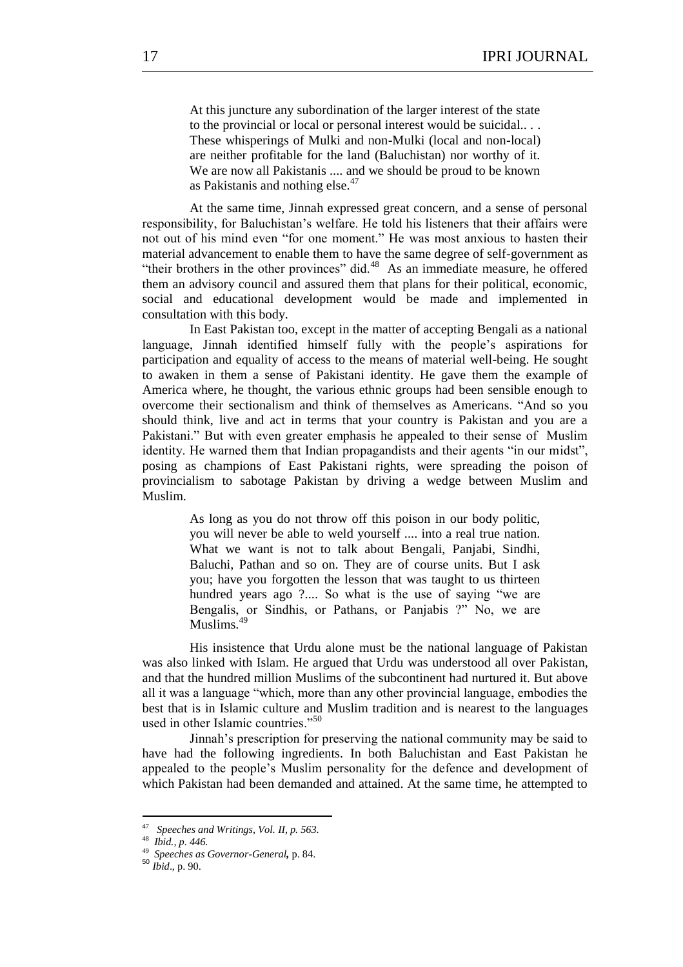At this juncture any subordination of the larger interest of the state to the provincial or local or personal interest would be suicidal.. . . These whisperings of Mulki and non-Mulki (local and non-local) are neither profitable for the land (Baluchistan) nor worthy of it. We are now all Pakistanis .... and we should be proud to be known as Pakistanis and nothing else.<sup>47</sup>

At the same time, Jinnah expressed great concern, and a sense of personal responsibility, for Baluchistan's welfare. He told his listeners that their affairs were not out of his mind even "for one moment." He was most anxious to hasten their material advancement to enable them to have the same degree of self-government as "their brothers in the other provinces" did.<sup>48</sup> As an immediate measure, he offered them an advisory council and assured them that plans for their political, economic, social and educational development would be made and implemented in consultation with this body.

In East Pakistan too, except in the matter of accepting Bengali as a national language, Jinnah identified himself fully with the people's aspirations for participation and equality of access to the means of material well-being. He sought to awaken in them a sense of Pakistani identity. He gave them the example of America where, he thought, the various ethnic groups had been sensible enough to overcome their sectionalism and think of themselves as Americans. "And so you should think, live and act in terms that your country is Pakistan and you are a Pakistani." But with even greater emphasis he appealed to their sense of Muslim identity. He warned them that Indian propagandists and their agents "in our midst", posing as champions of East Pakistani rights, were spreading the poison of provincialism to sabotage Pakistan by driving a wedge between Muslim and Muslim.

> As long as you do not throw off this poison in our body politic, you will never be able to weld yourself .... into a real true nation. What we want is not to talk about Bengali, Panjabi, Sindhi, Baluchi, Pathan and so on. They are of course units. But I ask you; have you forgotten the lesson that was taught to us thirteen hundred years ago ?.... So what is the use of saying "we are Bengalis, or Sindhis, or Pathans, or Panjabis ?" No, we are Muslims.<sup>49</sup>

His insistence that Urdu alone must be the national language of Pakistan was also linked with Islam. He argued that Urdu was understood all over Pakistan, and that the hundred million Muslims of the subcontinent had nurtured it. But above all it was a language "which, more than any other provincial language, embodies the best that is in Islamic culture and Muslim tradition and is nearest to the languages used in other Islamic countries<sup>"50</sup>

Jinnah's prescription for preserving the national community may be said to have had the following ingredients. In both Baluchistan and East Pakistan he appealed to the people's Muslim personality for the defence and development of which Pakistan had been demanded and attained. At the same time, he attempted to

<u>.</u>

<sup>50</sup> *Ibid*., p. 90.

<sup>47</sup> *Speeches and Writings, Vol. II, p. 563.*

<sup>48</sup> *Ibid., p. 446.*

<sup>49</sup>  *Speeches as Governor-General,* p. 84.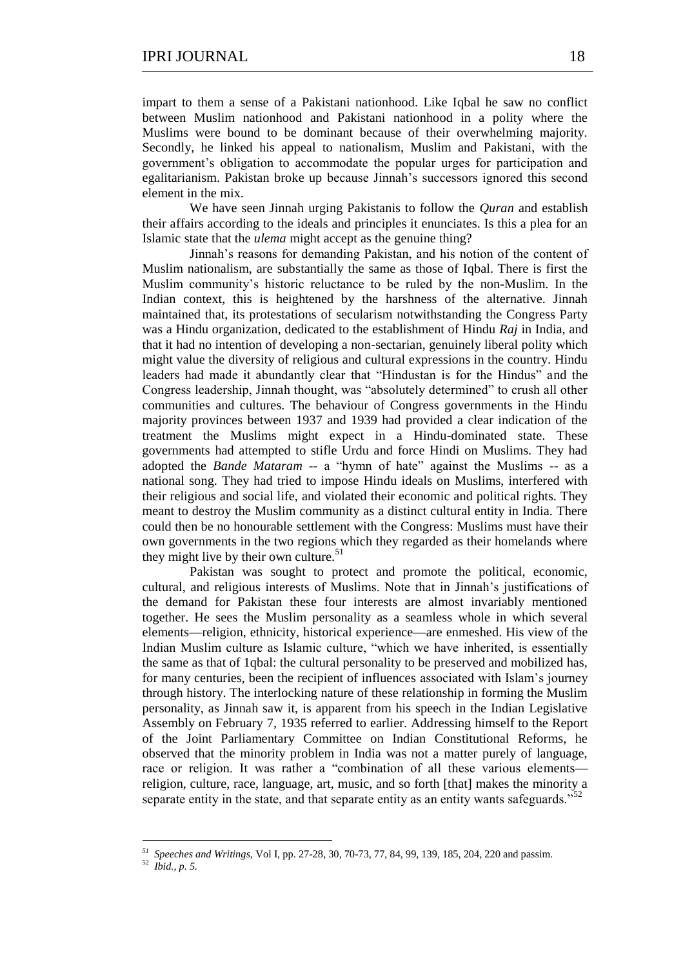impart to them a sense of a Pakistani nationhood. Like Iqbal he saw no conflict between Muslim nationhood and Pakistani nationhood in a polity where the Muslims were bound to be dominant because of their overwhelming majority. Secondly, he linked his appeal to nationalism, Muslim and Pakistani, with the government's obligation to accommodate the popular urges for participation and egalitarianism. Pakistan broke up because Jinnah's successors ignored this second element in the mix.

We have seen Jinnah urging Pakistanis to follow the *Quran* and establish their affairs according to the ideals and principles it enunciates. Is this a plea for an Islamic state that the *ulema* might accept as the genuine thing?

Jinnah's reasons for demanding Pakistan, and his notion of the content of Muslim nationalism, are substantially the same as those of Iqbal. There is first the Muslim community's historic reluctance to be ruled by the non-Muslim. In the Indian context, this is heightened by the harshness of the alternative. Jinnah maintained that, its protestations of secularism notwithstanding the Congress Party was a Hindu organization, dedicated to the establishment of Hindu *Raj* in India, and that it had no intention of developing a non-sectarian, genuinely liberal polity which might value the diversity of religious and cultural expressions in the country. Hindu leaders had made it abundantly clear that "Hindustan is for the Hindus" and the Congress leadership, Jinnah thought, was "absolutely determined" to crush all other communities and cultures. The behaviour of Congress governments in the Hindu majority provinces between 1937 and 1939 had provided a clear indication of the treatment the Muslims might expect in a Hindu-dominated state. These governments had attempted to stifle Urdu and force Hindi on Muslims. They had adopted the *Bande Mataram* -- a "hymn of hate" against the Muslims -- as a national song. They had tried to impose Hindu ideals on Muslims, interfered with their religious and social life, and violated their economic and political rights. They meant to destroy the Muslim community as a distinct cultural entity in India. There could then be no honourable settlement with the Congress: Muslims must have their own governments in the two regions which they regarded as their homelands where they might live by their own culture.<sup>51</sup>

Pakistan was sought to protect and promote the political, economic, cultural, and religious interests of Muslims. Note that in Jinnah's justifications of the demand for Pakistan these four interests are almost invariably mentioned together. He sees the Muslim personality as a seamless whole in which several elements—religion, ethnicity, historical experience—are enmeshed. His view of the Indian Muslim culture as Islamic culture, "which we have inherited, is essentially the same as that of 1qbal: the cultural personality to be preserved and mobilized has, for many centuries, been the recipient of influences associated with Islam's journey through history. The interlocking nature of these relationship in forming the Muslim personality, as Jinnah saw it, is apparent from his speech in the Indian Legislative Assembly on February 7, 1935 referred to earlier. Addressing himself to the Report of the Joint Parliamentary Committee on Indian Constitutional Reforms, he observed that the minority problem in India was not a matter purely of language, race or religion. It was rather a "combination of all these various elements religion, culture, race, language, art, music, and so forth [that] makes the minority a separate entity in the state, and that separate entity as an entity wants safeguards."

1

*<sup>51</sup> Speeches and Writings,* Vol I, pp. 27-28, 30, 70-73, 77, 84, 99, 139, 185, 204, 220 and passim.

<sup>52</sup> *Ibid., p. 5.*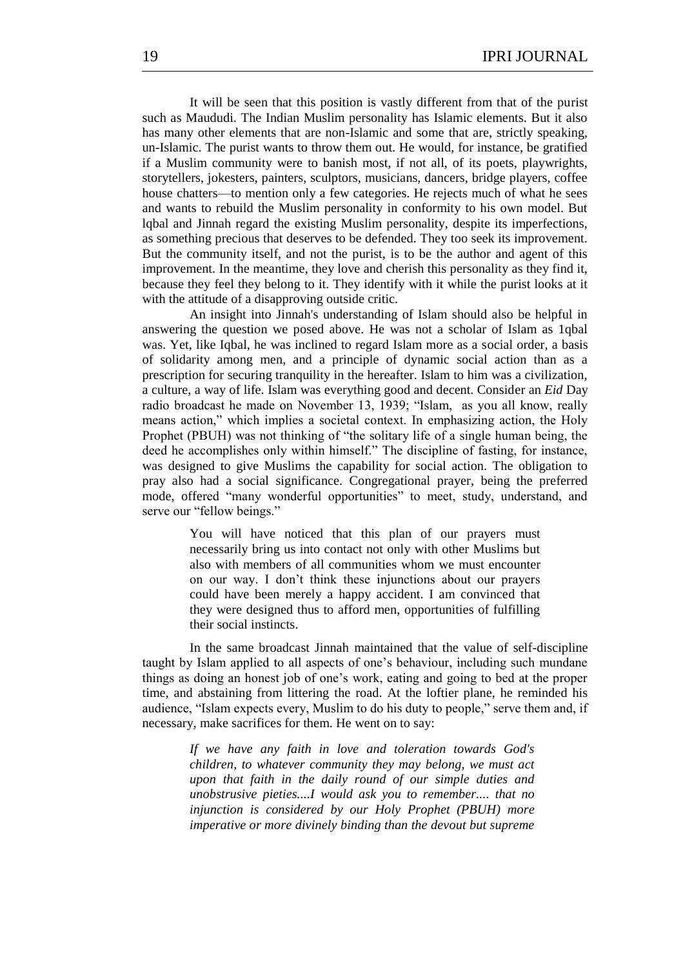It will be seen that this position is vastly different from that of the purist such as Maududi. The Indian Muslim personality has Islamic elements. But it also has many other elements that are non-Islamic and some that are, strictly speaking, un-Islamic. The purist wants to throw them out. He would, for instance, be gratified if a Muslim community were to banish most, if not all, of its poets, playwrights, storytellers, jokesters, painters, sculptors, musicians, dancers, bridge players, coffee house chatters—to mention only a few categories. He rejects much of what he sees and wants to rebuild the Muslim personality in conformity to his own model. But lqbal and Jinnah regard the existing Muslim personality, despite its imperfections, as something precious that deserves to be defended. They too seek its improvement. But the community itself, and not the purist, is to be the author and agent of this improvement. In the meantime, they love and cherish this personality as they find it, because they feel they belong to it. They identify with it while the purist looks at it with the attitude of a disapproving outside critic.

An insight into Jinnah's understanding of Islam should also be helpful in answering the question we posed above. He was not a scholar of Islam as 1qbal was. Yet, like Iqbal, he was inclined to regard Islam more as a social order, a basis of solidarity among men, and a principle of dynamic social action than as a prescription for securing tranquility in the hereafter. Islam to him was a civilization, a culture, a way of life. Islam was everything good and decent. Consider an *Eid* Day radio broadcast he made on November 13, 1939; "Islam, as you all know, really means action," which implies a societal context. In emphasizing action, the Holy Prophet (PBUH) was not thinking of "the solitary life of a single human being, the deed he accomplishes only within himself." The discipline of fasting, for instance, was designed to give Muslims the capability for social action. The obligation to pray also had a social significance. Congregational prayer, being the preferred mode, offered "many wonderful opportunities" to meet, study, understand, and serve our "fellow beings."

> You will have noticed that this plan of our prayers must necessarily bring us into contact not only with other Muslims but also with members of all communities whom we must encounter on our way. I don't think these injunctions about our prayers could have been merely a happy accident. I am convinced that they were designed thus to afford men, opportunities of fulfilling their social instincts.

In the same broadcast Jinnah maintained that the value of self-discipline taught by Islam applied to all aspects of one's behaviour, including such mundane things as doing an honest job of one's work, eating and going to bed at the proper time, and abstaining from littering the road. At the loftier plane, he reminded his audience, "Islam expects every, Muslim to do his duty to people," serve them and, if necessary, make sacrifices for them. He went on to say:

> *If we have any faith in love and toleration towards God's children, to whatever community they may belong, we must act upon that faith in the daily round of our simple duties and unobstrusive pieties....I would ask you to remember.... that no injunction is considered by our Holy Prophet (PBUH) more imperative or more divinely binding than the devout but supreme*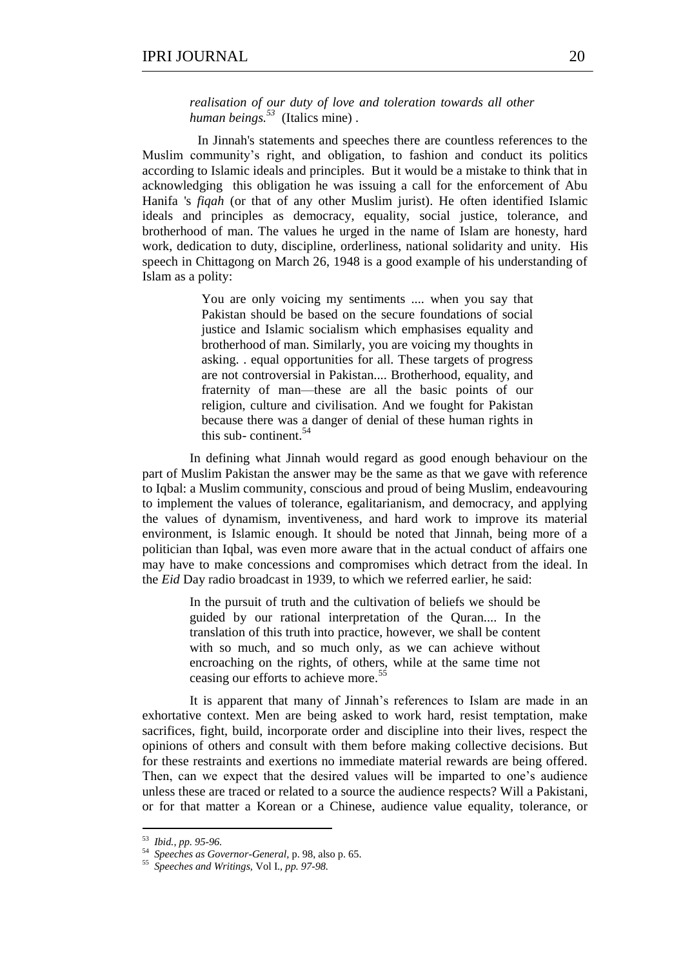*realisation of our duty of love and toleration towards all other human beings.<sup>53</sup>* (Italics mine) .

In Jinnah's statements and speeches there are countless references to the Muslim community's right, and obligation, to fashion and conduct its politics according to Islamic ideals and principles. But it would be a mistake to think that in acknowledging this obligation he was issuing a call for the enforcement of Abu Hanifa 's *fiqah* (or that of any other Muslim jurist). He often identified Islamic ideals and principles as democracy, equality, social justice, tolerance, and brotherhood of man. The values he urged in the name of Islam are honesty, hard work, dedication to duty, discipline, orderliness, national solidarity and unity. His speech in Chittagong on March 26, 1948 is a good example of his understanding of Islam as a polity:

> You are only voicing my sentiments .... when you say that Pakistan should be based on the secure foundations of social justice and Islamic socialism which emphasises equality and brotherhood of man. Similarly, you are voicing my thoughts in asking. . equal opportunities for all. These targets of progress are not controversial in Pakistan.... Brotherhood, equality, and fraternity of man—these are all the basic points of our religion, culture and civilisation. And we fought for Pakistan because there was a danger of denial of these human rights in this sub-continent.<sup>54</sup>

In defining what Jinnah would regard as good enough behaviour on the part of Muslim Pakistan the answer may be the same as that we gave with reference to Iqbal: a Muslim community, conscious and proud of being Muslim, endeavouring to implement the values of tolerance, egalitarianism, and democracy, and applying the values of dynamism, inventiveness, and hard work to improve its material environment, is Islamic enough. It should be noted that Jinnah, being more of a politician than Iqbal, was even more aware that in the actual conduct of affairs one may have to make concessions and compromises which detract from the ideal. In the *Eid* Day radio broadcast in 1939, to which we referred earlier, he said:

> In the pursuit of truth and the cultivation of beliefs we should be guided by our rational interpretation of the Quran.... In the translation of this truth into practice, however, we shall be content with so much, and so much only, as we can achieve without encroaching on the rights, of others, while at the same time not ceasing our efforts to achieve more.<sup>55</sup>

It is apparent that many of Jinnah's references to Islam are made in an exhortative context. Men are being asked to work hard, resist temptation, make sacrifices, fight, build, incorporate order and discipline into their lives, respect the opinions of others and consult with them before making collective decisions. But for these restraints and exertions no immediate material rewards are being offered. Then, can we expect that the desired values will be imparted to one's audience unless these are traced or related to a source the audience respects? Will a Pakistani, or for that matter a Korean or a Chinese, audience value equality, tolerance, or

 53 *Ibid., pp. 95-96.*

<sup>54</sup> *Speeches as Governor-General,* p. 98, also p. 65.

<sup>55</sup> *Speeches and Writings,* Vol I.*, pp. 97-98.*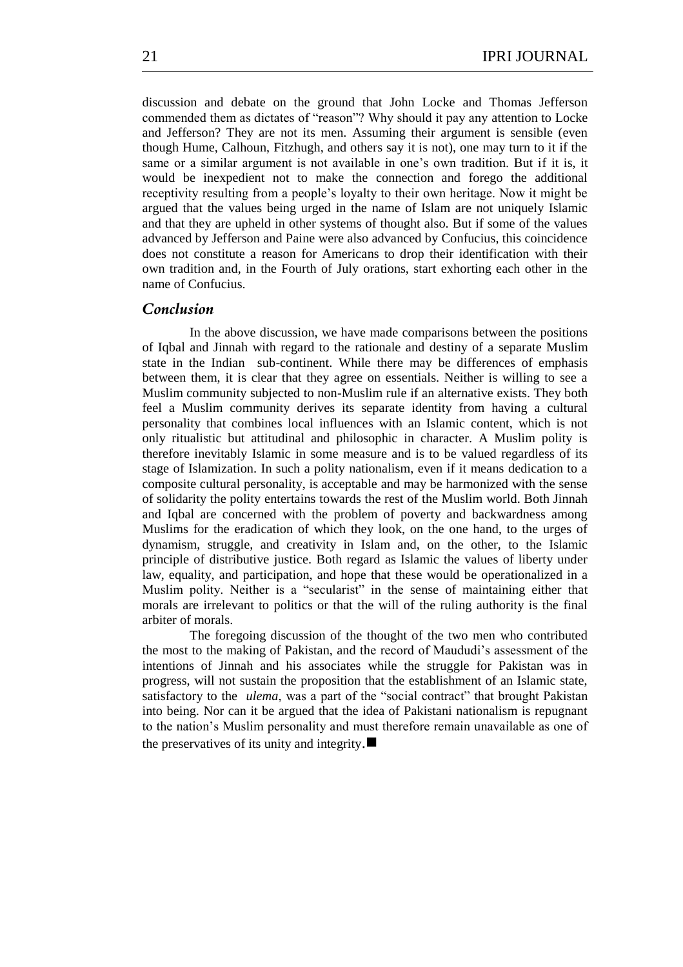discussion and debate on the ground that John Locke and Thomas Jefferson commended them as dictates of "reason"? Why should it pay any attention to Locke and Jefferson? They are not its men. Assuming their argument is sensible (even though Hume, Calhoun, Fitzhugh, and others say it is not), one may turn to it if the same or a similar argument is not available in one's own tradition. But if it is, it would be inexpedient not to make the connection and forego the additional receptivity resulting from a people's loyalty to their own heritage. Now it might be argued that the values being urged in the name of Islam are not uniquely Islamic and that they are upheld in other systems of thought also. But if some of the values advanced by Jefferson and Paine were also advanced by Confucius, this coincidence does not constitute a reason for Americans to drop their identification with their own tradition and, in the Fourth of July orations, start exhorting each other in the name of Confucius.

#### *Conclusion*

In the above discussion, we have made comparisons between the positions of Iqbal and Jinnah with regard to the rationale and destiny of a separate Muslim state in the Indian sub-continent. While there may be differences of emphasis between them, it is clear that they agree on essentials. Neither is willing to see a Muslim community subjected to non-Muslim rule if an alternative exists. They both feel a Muslim community derives its separate identity from having a cultural personality that combines local influences with an Islamic content, which is not only ritualistic but attitudinal and philosophic in character. A Muslim polity is therefore inevitably Islamic in some measure and is to be valued regardless of its stage of Islamization. In such a polity nationalism, even if it means dedication to a composite cultural personality, is acceptable and may be harmonized with the sense of solidarity the polity entertains towards the rest of the Muslim world. Both Jinnah and Iqbal are concerned with the problem of poverty and backwardness among Muslims for the eradication of which they look, on the one hand, to the urges of dynamism, struggle, and creativity in Islam and, on the other, to the Islamic principle of distributive justice. Both regard as Islamic the values of liberty under law, equality, and participation, and hope that these would be operationalized in a Muslim polity. Neither is a "secularist" in the sense of maintaining either that morals are irrelevant to politics or that the will of the ruling authority is the final arbiter of morals.

The foregoing discussion of the thought of the two men who contributed the most to the making of Pakistan, and the record of Maududi's assessment of the intentions of Jinnah and his associates while the struggle for Pakistan was in progress, will not sustain the proposition that the establishment of an Islamic state, satisfactory to the *ulema*, was a part of the "social contract" that brought Pakistan into being. Nor can it be argued that the idea of Pakistani nationalism is repugnant to the nation's Muslim personality and must therefore remain unavailable as one of the preservatives of its unity and integrity. $\blacksquare$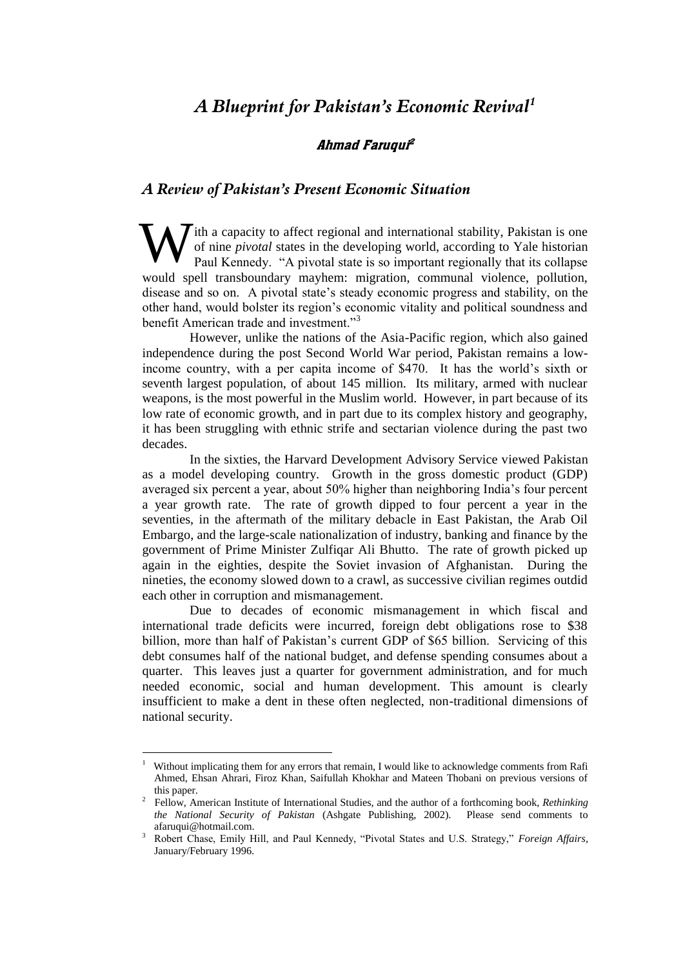## *A Blueprint for Pakistan's Economic Revival<sup>1</sup>*

#### Ahmad Faruqui 2

#### *A Review of Pakistan's Present Economic Situation*

 $\mathcal{T}$ ith a capacity to affect regional and international stability. Pakistan is one of nine *pivotal* states in the developing world, according to Yale historian Paul Kennedy. "A pivotal state is so important regionally that its collapse would spell transboundary mayhem: migration, communal violence, pollution, disease and so on. A pivotal state's steady economic progress and stability, on the other hand, would bolster its region's economic vitality and political soundness and benefit American trade and investment."<sup>3</sup> W

However, unlike the nations of the Asia-Pacific region, which also gained independence during the post Second World War period, Pakistan remains a lowincome country, with a per capita income of \$470. It has the world's sixth or seventh largest population, of about 145 million. Its military, armed with nuclear weapons, is the most powerful in the Muslim world. However, in part because of its low rate of economic growth, and in part due to its complex history and geography, it has been struggling with ethnic strife and sectarian violence during the past two decades.

In the sixties, the Harvard Development Advisory Service viewed Pakistan as a model developing country. Growth in the gross domestic product (GDP) averaged six percent a year, about 50% higher than neighboring India's four percent a year growth rate. The rate of growth dipped to four percent a year in the seventies, in the aftermath of the military debacle in East Pakistan, the Arab Oil Embargo, and the large-scale nationalization of industry, banking and finance by the government of Prime Minister Zulfiqar Ali Bhutto. The rate of growth picked up again in the eighties, despite the Soviet invasion of Afghanistan. During the nineties, the economy slowed down to a crawl, as successive civilian regimes outdid each other in corruption and mismanagement.

Due to decades of economic mismanagement in which fiscal and international trade deficits were incurred, foreign debt obligations rose to \$38 billion, more than half of Pakistan's current GDP of \$65 billion. Servicing of this debt consumes half of the national budget, and defense spending consumes about a quarter. This leaves just a quarter for government administration, and for much needed economic, social and human development. This amount is clearly insufficient to make a dent in these often neglected, non-traditional dimensions of national security.

1

<sup>1</sup> Without implicating them for any errors that remain, I would like to acknowledge comments from Rafi Ahmed, Ehsan Ahrari, Firoz Khan, Saifullah Khokhar and Mateen Thobani on previous versions of this paper.

<sup>2</sup> Fellow, American Institute of International Studies, and the author of a forthcoming book, *Rethinking the National Security of Pakistan* (Ashgate Publishing, 2002). Please send comments to afaruqui@hotmail.com.

<sup>3</sup> Robert Chase, Emily Hill, and Paul Kennedy, "Pivotal States and U.S. Strategy," Foreign Affairs, January/February 1996.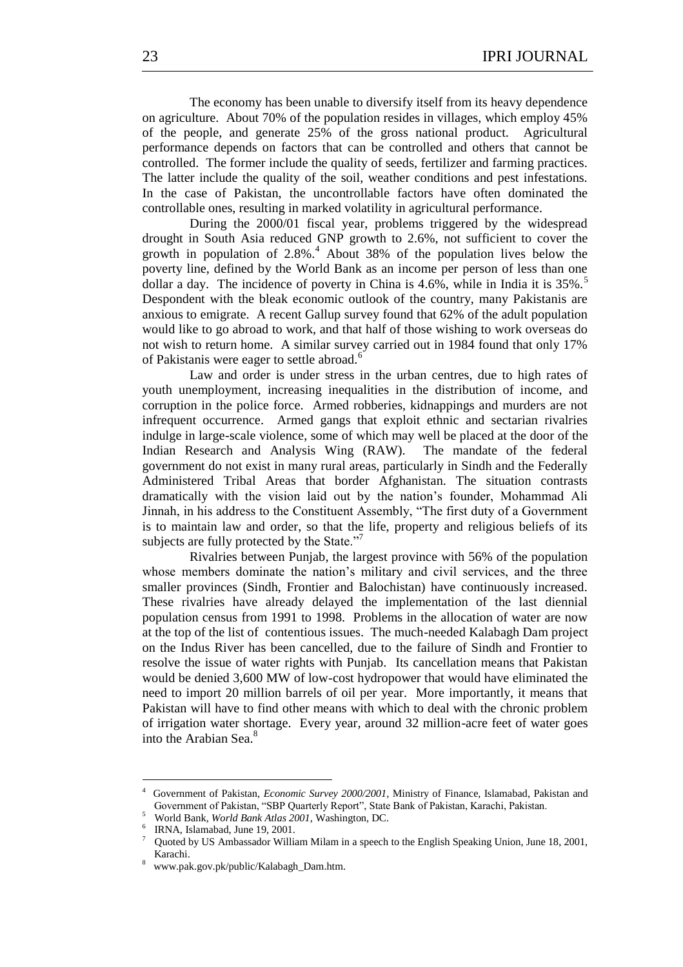The economy has been unable to diversify itself from its heavy dependence on agriculture. About 70% of the population resides in villages, which employ 45% of the people, and generate 25% of the gross national product. Agricultural performance depends on factors that can be controlled and others that cannot be controlled. The former include the quality of seeds, fertilizer and farming practices. The latter include the quality of the soil, weather conditions and pest infestations. In the case of Pakistan, the uncontrollable factors have often dominated the controllable ones, resulting in marked volatility in agricultural performance.

During the 2000/01 fiscal year, problems triggered by the widespread drought in South Asia reduced GNP growth to 2.6%, not sufficient to cover the growth in population of  $2.8\%$ .<sup>4</sup> About 38% of the population lives below the poverty line, defined by the World Bank as an income per person of less than one dollar a day. The incidence of poverty in China is  $4.6\%$ , while in India it is  $35\%$ .<sup>5</sup> Despondent with the bleak economic outlook of the country, many Pakistanis are anxious to emigrate. A recent Gallup survey found that 62% of the adult population would like to go abroad to work, and that half of those wishing to work overseas do not wish to return home. A similar survey carried out in 1984 found that only 17% of Pakistanis were eager to settle abroad.<sup>6</sup>

Law and order is under stress in the urban centres, due to high rates of youth unemployment, increasing inequalities in the distribution of income, and corruption in the police force. Armed robberies, kidnappings and murders are not infrequent occurrence. Armed gangs that exploit ethnic and sectarian rivalries indulge in large-scale violence, some of which may well be placed at the door of the Indian Research and Analysis Wing (RAW). The mandate of the federal government do not exist in many rural areas, particularly in Sindh and the Federally Administered Tribal Areas that border Afghanistan. The situation contrasts dramatically with the vision laid out by the nation's founder, Mohammad Ali Jinnah, in his address to the Constituent Assembly, "The first duty of a Government is to maintain law and order, so that the life, property and religious beliefs of its subjects are fully protected by the State."<sup>7</sup>

Rivalries between Punjab, the largest province with 56% of the population whose members dominate the nation's military and civil services, and the three smaller provinces (Sindh, Frontier and Balochistan) have continuously increased. These rivalries have already delayed the implementation of the last diennial population census from 1991 to 1998. Problems in the allocation of water are now at the top of the list of contentious issues. The much-needed Kalabagh Dam project on the Indus River has been cancelled, due to the failure of Sindh and Frontier to resolve the issue of water rights with Punjab. Its cancellation means that Pakistan would be denied 3,600 MW of low-cost hydropower that would have eliminated the need to import 20 million barrels of oil per year. More importantly, it means that Pakistan will have to find other means with which to deal with the chronic problem of irrigation water shortage. Every year, around 32 million-acre feet of water goes into the Arabian Sea.<sup>8</sup>

1

<sup>4</sup> Government of Pakistan, *Economic Survey 2000/2001,* Ministry of Finance, Islamabad, Pakistan and Government of Pakistan, "SBP Quarterly Report", State Bank of Pakistan, Karachi, Pakistan.

<sup>5</sup> World Bank, *World Bank Atlas 2001,* Washington, DC.

<sup>&</sup>lt;sup>6</sup> IRNA, Islamabad, June 19, 2001.

Quoted by US Ambassador William Milam in a speech to the English Speaking Union, June 18, 2001, Karachi.

<sup>8</sup> www.pak.gov.pk/public/Kalabagh\_Dam.htm.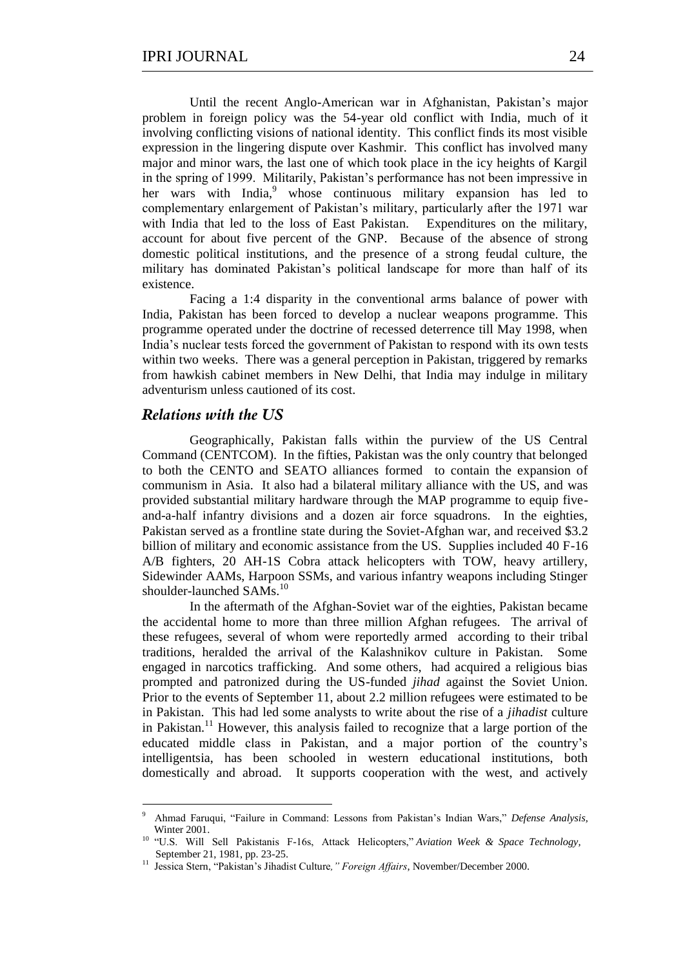Until the recent Anglo-American war in Afghanistan, Pakistan's major problem in foreign policy was the 54-year old conflict with India, much of it involving conflicting visions of national identity. This conflict finds its most visible expression in the lingering dispute over Kashmir. This conflict has involved many major and minor wars, the last one of which took place in the icy heights of Kargil in the spring of 1999. Militarily, Pakistan's performance has not been impressive in her wars with  $India<sub>2</sub><sup>9</sup>$  whose continuous military expansion has led to complementary enlargement of Pakistan's military, particularly after the 1971 war with India that led to the loss of East Pakistan. Expenditures on the military, account for about five percent of the GNP. Because of the absence of strong domestic political institutions, and the presence of a strong feudal culture, the military has dominated Pakistan's political landscape for more than half of its existence.

Facing a 1:4 disparity in the conventional arms balance of power with India, Pakistan has been forced to develop a nuclear weapons programme. This programme operated under the doctrine of recessed deterrence till May 1998, when India's nuclear tests forced the government of Pakistan to respond with its own tests within two weeks. There was a general perception in Pakistan, triggered by remarks from hawkish cabinet members in New Delhi, that India may indulge in military adventurism unless cautioned of its cost.

#### *Relations with the US*

<u>.</u>

Geographically, Pakistan falls within the purview of the US Central Command (CENTCOM). In the fifties, Pakistan was the only country that belonged to both the CENTO and SEATO alliances formed to contain the expansion of communism in Asia. It also had a bilateral military alliance with the US, and was provided substantial military hardware through the MAP programme to equip fiveand-a-half infantry divisions and a dozen air force squadrons. In the eighties, Pakistan served as a frontline state during the Soviet-Afghan war, and received \$3.2 billion of military and economic assistance from the US. Supplies included 40 F-16 A/B fighters, 20 AH-1S Cobra attack helicopters with TOW, heavy artillery, Sidewinder AAMs, Harpoon SSMs, and various infantry weapons including Stinger shoulder-launched SAMs.<sup>10</sup>

In the aftermath of the Afghan-Soviet war of the eighties, Pakistan became the accidental home to more than three million Afghan refugees. The arrival of these refugees, several of whom were reportedly armed according to their tribal traditions, heralded the arrival of the Kalashnikov culture in Pakistan. Some engaged in narcotics trafficking. And some others, had acquired a religious bias prompted and patronized during the US-funded *jihad* against the Soviet Union. Prior to the events of September 11, about 2.2 million refugees were estimated to be in Pakistan. This had led some analysts to write about the rise of a *jihadist* culture in Pakistan.<sup>11</sup> However, this analysis failed to recognize that a large portion of the educated middle class in Pakistan, and a major portion of the country's intelligentsia, has been schooled in western educational institutions, both domestically and abroad. It supports cooperation with the west, and actively

<sup>&</sup>lt;sup>9</sup> Ahmad Faruqui, "Failure in Command: Lessons from Pakistan's Indian Wars," Defense Analysis, Winter 2001.

<sup>&</sup>lt;sup>10</sup> "U.S. Will Sell Pakistanis F-16s, Attack Helicopters," Aviation Week & Space Technology, September 21, 1981, pp. 23-25.

<sup>&</sup>lt;sup>11</sup> Jessica Stern, "Pakistan's Jihadist Culture," Foreign Affairs, November/December 2000.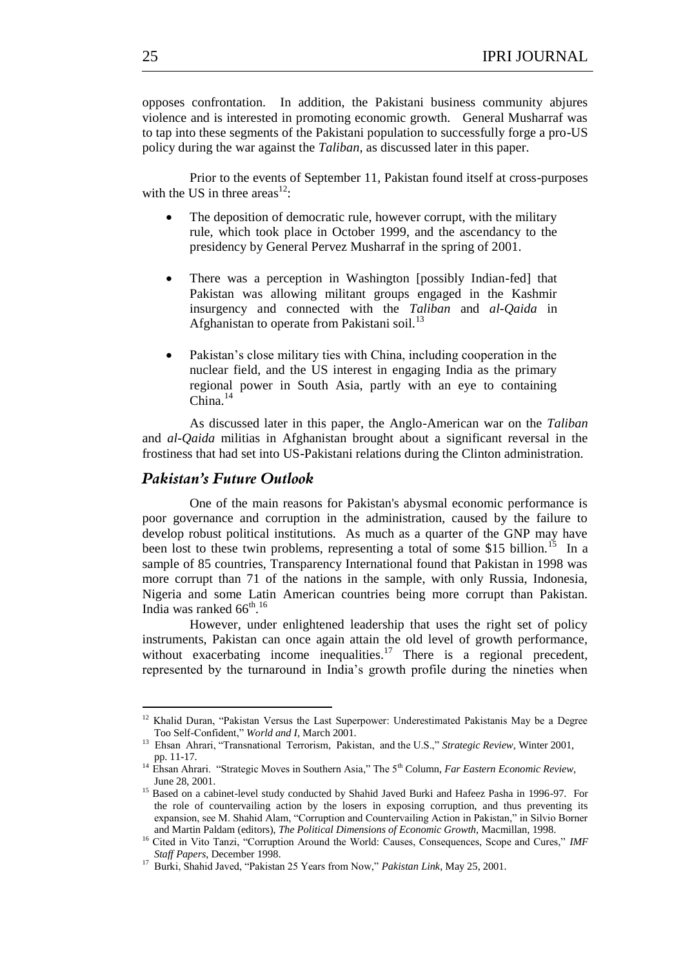opposes confrontation. In addition, the Pakistani business community abjures violence and is interested in promoting economic growth. General Musharraf was to tap into these segments of the Pakistani population to successfully forge a pro-US policy during the war against the *Taliban,* as discussed later in this paper.

Prior to the events of September 11, Pakistan found itself at cross-purposes with the US in three areas<sup>12</sup>:

- The deposition of democratic rule, however corrupt, with the military rule, which took place in October 1999, and the ascendancy to the presidency by General Pervez Musharraf in the spring of 2001.
- There was a perception in Washington [possibly Indian-fed] that Pakistan was allowing militant groups engaged in the Kashmir insurgency and connected with the *Taliban* and *al-Qaida* in Afghanistan to operate from Pakistani soil.<sup>13</sup>
- Pakistan's close military ties with China, including cooperation in the nuclear field, and the US interest in engaging India as the primary regional power in South Asia, partly with an eye to containing  $China$ <sup>14</sup>

As discussed later in this paper, the Anglo-American war on the *Taliban*  and *al-Qaida* militias in Afghanistan brought about a significant reversal in the frostiness that had set into US-Pakistani relations during the Clinton administration.

## *Pakistan's Future Outlook*

1

One of the main reasons for Pakistan's abysmal economic performance is poor governance and corruption in the administration, caused by the failure to develop robust political institutions. As much as a quarter of the GNP may have been lost to these twin problems, representing a total of some \$15 billion.<sup>15</sup> In a sample of 85 countries, Transparency International found that Pakistan in 1998 was more corrupt than 71 of the nations in the sample, with only Russia, Indonesia, Nigeria and some Latin American countries being more corrupt than Pakistan. India was ranked 66<sup>th</sup>.<sup>16</sup>

However, under enlightened leadership that uses the right set of policy instruments, Pakistan can once again attain the old level of growth performance, without exacerbating income inequalities.<sup>17</sup> There is a regional precedent, represented by the turnaround in India's growth profile during the nineties when

 $12$  Khalid Duran, "Pakistan Versus the Last Superpower: Underestimated Pakistanis May be a Degree Too Self-Confident," *World and I*, March 2001.

<sup>&</sup>lt;sup>13</sup> Ehsan Ahrari, "Transnational Terrorism, Pakistan, and the U.S.," Strategic Review, Winter 2001, pp. 11-17.

<sup>&</sup>lt;sup>14</sup> Ehsan Ahrari. "Strategic Moves in Southern Asia," The 5<sup>th</sup> Column, *Far Eastern Economic Review*, June 28, 2001.

<sup>&</sup>lt;sup>15</sup> Based on a cabinet-level study conducted by Shahid Javed Burki and Hafeez Pasha in 1996-97. For the role of countervailing action by the losers in exposing corruption, and thus preventing its expansion, see M. Shahid Alam, "Corruption and Countervailing Action in Pakistan," in Silvio Borner and Martin Paldam (editors), *The Political Dimensions of Economic Growth,* Macmillan, 1998.

<sup>&</sup>lt;sup>16</sup> Cited in Vito Tanzi, "Corruption Around the World: Causes, Consequences, Scope and Cures," *IMF Staff Papers*, December 1998.

<sup>&</sup>lt;sup>17</sup> Burki, Shahid Javed, "Pakistan 25 Years from Now," Pakistan Link, May 25, 2001.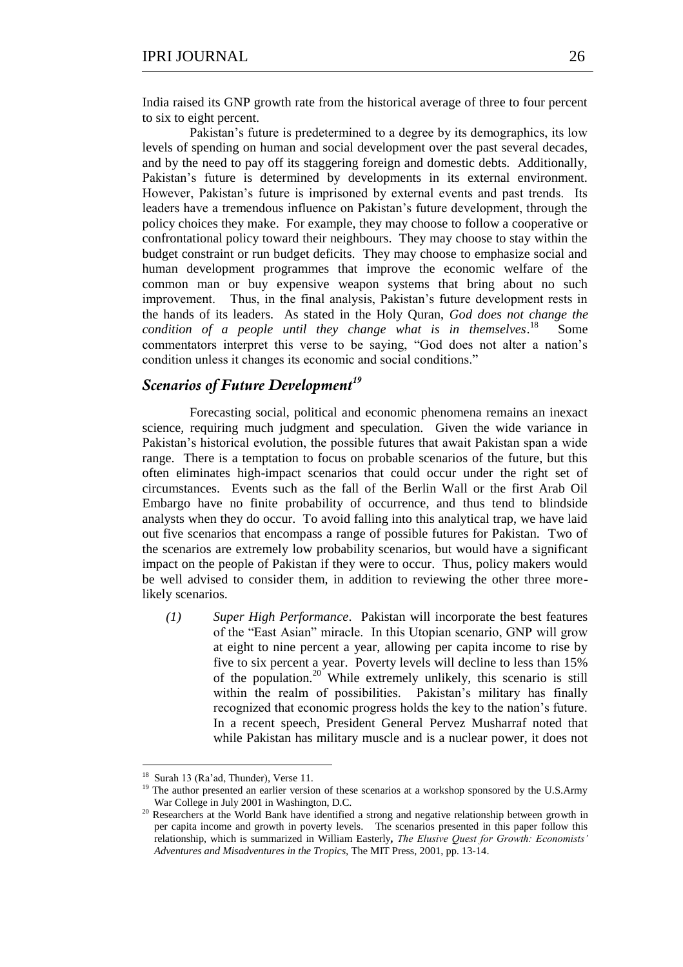India raised its GNP growth rate from the historical average of three to four percent to six to eight percent.

Pakistan's future is predetermined to a degree by its demographics, its low levels of spending on human and social development over the past several decades, and by the need to pay off its staggering foreign and domestic debts. Additionally, Pakistan's future is determined by developments in its external environment. However, Pakistan's future is imprisoned by external events and past trends. Its leaders have a tremendous influence on Pakistan's future development, through the policy choices they make. For example, they may choose to follow a cooperative or confrontational policy toward their neighbours. They may choose to stay within the budget constraint or run budget deficits. They may choose to emphasize social and human development programmes that improve the economic welfare of the common man or buy expensive weapon systems that bring about no such improvement. Thus, in the final analysis, Pakistan's future development rests in the hands of its leaders. As stated in the Holy Quran, *God does not change the condition of a people until they change what is in themselves*. 18 Some commentators interpret this verse to be saying, "God does not alter a nation's condition unless it changes its economic and social conditions."

## *Scenarios of Future Development<sup>19</sup>*

Forecasting social, political and economic phenomena remains an inexact science, requiring much judgment and speculation. Given the wide variance in Pakistan's historical evolution, the possible futures that await Pakistan span a wide range. There is a temptation to focus on probable scenarios of the future, but this often eliminates high-impact scenarios that could occur under the right set of circumstances. Events such as the fall of the Berlin Wall or the first Arab Oil Embargo have no finite probability of occurrence, and thus tend to blindside analysts when they do occur. To avoid falling into this analytical trap, we have laid out five scenarios that encompass a range of possible futures for Pakistan. Two of the scenarios are extremely low probability scenarios, but would have a significant impact on the people of Pakistan if they were to occur. Thus, policy makers would be well advised to consider them, in addition to reviewing the other three morelikely scenarios.

*(1) Super High Performance*. Pakistan will incorporate the best features of the "East Asian" miracle. In this Utopian scenario, GNP will grow at eight to nine percent a year, allowing per capita income to rise by five to six percent a year. Poverty levels will decline to less than 15% of the population.<sup>20</sup> While extremely unlikely, this scenario is still within the realm of possibilities. Pakistan's military has finally recognized that economic progress holds the key to the nation's future. In a recent speech, President General Pervez Musharraf noted that while Pakistan has military muscle and is a nuclear power, it does not

<sup>18</sup> Surah 13 (Ra'ad, Thunder), Verse 11.

<sup>&</sup>lt;sup>19</sup> The author presented an earlier version of these scenarios at a workshop sponsored by the U.S.Army War College in July 2001 in Washington, D.C.

<sup>&</sup>lt;sup>20</sup> Researchers at the World Bank have identified a strong and negative relationship between growth in per capita income and growth in poverty levels. The scenarios presented in this paper follow this relationship, which is summarized in William Easterly*, The Elusive Quest for Growth: Economists' Adventures and Misadventures in the Tropics,* The MIT Press, 2001, pp. 13-14.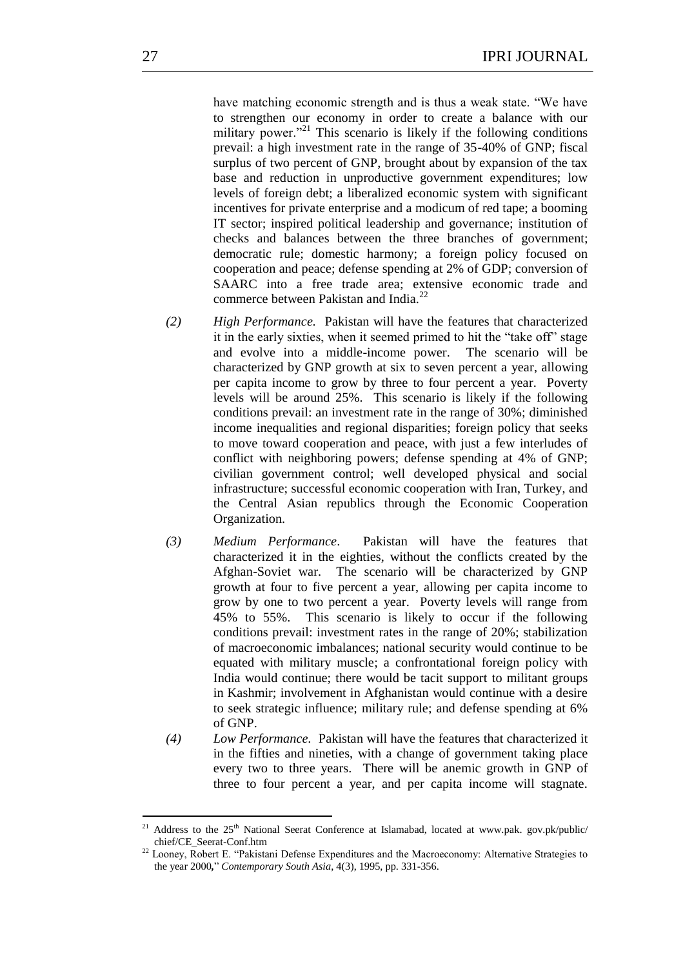have matching economic strength and is thus a weak state. "We have to strengthen our economy in order to create a balance with our military power."<sup>21</sup> This scenario is likely if the following conditions prevail: a high investment rate in the range of 35-40% of GNP; fiscal surplus of two percent of GNP, brought about by expansion of the tax base and reduction in unproductive government expenditures; low levels of foreign debt; a liberalized economic system with significant incentives for private enterprise and a modicum of red tape; a booming IT sector; inspired political leadership and governance; institution of checks and balances between the three branches of government; democratic rule; domestic harmony; a foreign policy focused on cooperation and peace; defense spending at 2% of GDP; conversion of SAARC into a free trade area; extensive economic trade and commerce between Pakistan and India.<sup>22</sup>

- *(2) High Performance.* Pakistan will have the features that characterized it in the early sixties, when it seemed primed to hit the "take off" stage and evolve into a middle-income power. The scenario will be characterized by GNP growth at six to seven percent a year, allowing per capita income to grow by three to four percent a year. Poverty levels will be around 25%. This scenario is likely if the following conditions prevail: an investment rate in the range of 30%; diminished income inequalities and regional disparities; foreign policy that seeks to move toward cooperation and peace, with just a few interludes of conflict with neighboring powers; defense spending at 4% of GNP; civilian government control; well developed physical and social infrastructure; successful economic cooperation with Iran, Turkey, and the Central Asian republics through the Economic Cooperation Organization.
- *(3) Medium Performance*. Pakistan will have the features that characterized it in the eighties, without the conflicts created by the Afghan-Soviet war. The scenario will be characterized by GNP growth at four to five percent a year, allowing per capita income to grow by one to two percent a year. Poverty levels will range from 45% to 55%. This scenario is likely to occur if the following conditions prevail: investment rates in the range of 20%; stabilization of macroeconomic imbalances; national security would continue to be equated with military muscle; a confrontational foreign policy with India would continue; there would be tacit support to militant groups in Kashmir; involvement in Afghanistan would continue with a desire to seek strategic influence; military rule; and defense spending at 6% of GNP.
- *(4) Low Performance.* Pakistan will have the features that characterized it in the fifties and nineties, with a change of government taking place every two to three years. There will be anemic growth in GNP of three to four percent a year, and per capita income will stagnate.

Address to the 25<sup>th</sup> National Seerat Conference at Islamabad, located at www.pak. gov.pk/public/ chief/CE\_Seerat-Conf.htm

<sup>&</sup>lt;sup>22</sup> Looney, Robert E. "Pakistani Defense Expenditures and the Macroeconomy: Alternative Strategies to the year 2000*,*‖ *Contemporary South Asia*, 4(3), 1995, pp. 331-356.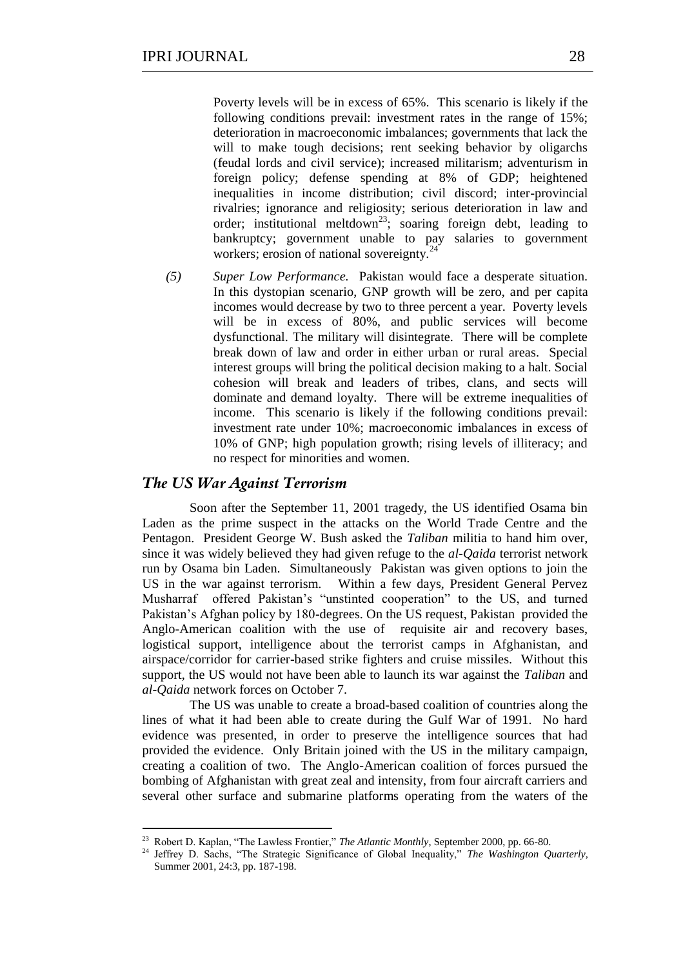Poverty levels will be in excess of 65%. This scenario is likely if the following conditions prevail: investment rates in the range of 15%; deterioration in macroeconomic imbalances; governments that lack the will to make tough decisions; rent seeking behavior by oligarchs (feudal lords and civil service); increased militarism; adventurism in foreign policy; defense spending at 8% of GDP; heightened inequalities in income distribution; civil discord; inter-provincial rivalries; ignorance and religiosity; serious deterioration in law and order; institutional meltdown<sup>23</sup>; soaring foreign debt, leading to bankruptcy; government unable to pay salaries to government workers; erosion of national sovereignty.<sup>2</sup>

*(5) Super Low Performance.* Pakistan would face a desperate situation. In this dystopian scenario, GNP growth will be zero, and per capita incomes would decrease by two to three percent a year. Poverty levels will be in excess of 80%, and public services will become dysfunctional. The military will disintegrate. There will be complete break down of law and order in either urban or rural areas. Special interest groups will bring the political decision making to a halt. Social cohesion will break and leaders of tribes, clans, and sects will dominate and demand loyalty. There will be extreme inequalities of income. This scenario is likely if the following conditions prevail: investment rate under 10%; macroeconomic imbalances in excess of 10% of GNP; high population growth; rising levels of illiteracy; and no respect for minorities and women.

#### *The US War Against Terrorism*

<u>.</u>

Soon after the September 11, 2001 tragedy, the US identified Osama bin Laden as the prime suspect in the attacks on the World Trade Centre and the Pentagon. President George W. Bush asked the *Taliban* militia to hand him over, since it was widely believed they had given refuge to the *al-Qaida* terrorist network run by Osama bin Laden. Simultaneously Pakistan was given options to join the US in the war against terrorism. Within a few days, President General Pervez Musharraf offered Pakistan's "unstinted cooperation" to the US, and turned Pakistan's Afghan policy by 180-degrees. On the US request, Pakistan provided the Anglo-American coalition with the use of requisite air and recovery bases, logistical support, intelligence about the terrorist camps in Afghanistan, and airspace/corridor for carrier-based strike fighters and cruise missiles. Without this support, the US would not have been able to launch its war against the *Taliban* and *al-Qaida* network forces on October 7.

The US was unable to create a broad-based coalition of countries along the lines of what it had been able to create during the Gulf War of 1991. No hard evidence was presented, in order to preserve the intelligence sources that had provided the evidence. Only Britain joined with the US in the military campaign, creating a coalition of two. The Anglo-American coalition of forces pursued the bombing of Afghanistan with great zeal and intensity, from four aircraft carriers and several other surface and submarine platforms operating from the waters of the

<sup>&</sup>lt;sup>23</sup> Robert D. Kaplan, "The Lawless Frontier," *The Atlantic Monthly*, September 2000, pp. 66-80.

<sup>&</sup>lt;sup>24</sup> Jeffrey D. Sachs, "The Strategic Significance of Global Inequality," *The Washington Quarterly*, Summer 2001, 24:3, pp. 187-198.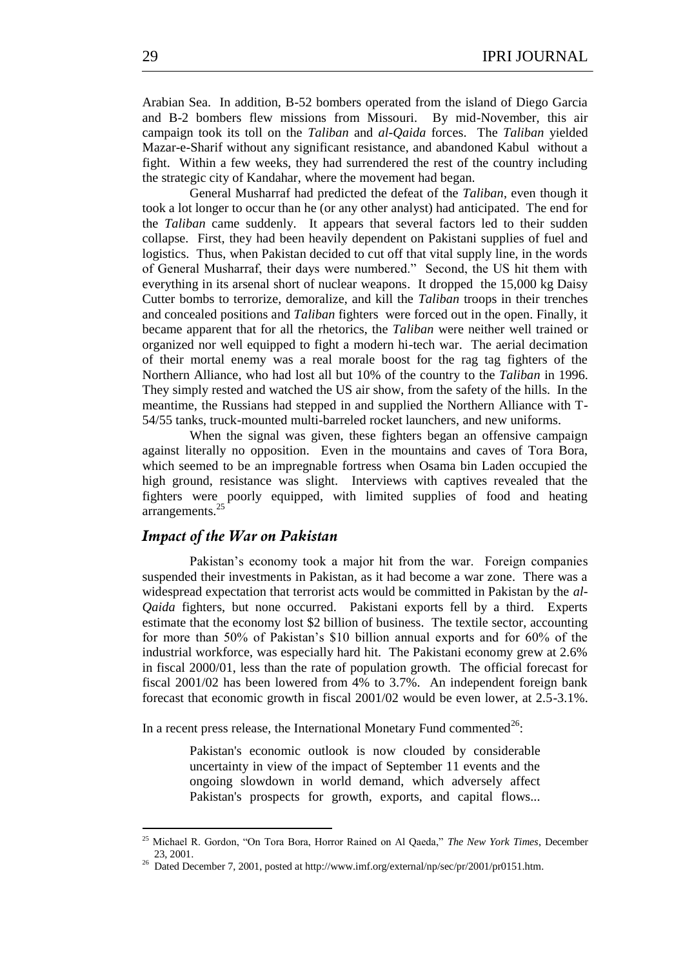Arabian Sea. In addition, B-52 bombers operated from the island of Diego Garcia and B-2 bombers flew missions from Missouri. By mid-November, this air campaign took its toll on the *Taliban* and *al-Qaida* forces. The *Taliban* yielded Mazar-e-Sharif without any significant resistance, and abandoned Kabul without a fight. Within a few weeks, they had surrendered the rest of the country including the strategic city of Kandahar, where the movement had began.

General Musharraf had predicted the defeat of the *Taliban*, even though it took a lot longer to occur than he (or any other analyst) had anticipated. The end for the *Taliban* came suddenly. It appears that several factors led to their sudden collapse. First, they had been heavily dependent on Pakistani supplies of fuel and logistics. Thus, when Pakistan decided to cut off that vital supply line, in the words of General Musharraf, their days were numbered." Second, the US hit them with everything in its arsenal short of nuclear weapons. It dropped the 15,000 kg Daisy Cutter bombs to terrorize, demoralize, and kill the *Taliban* troops in their trenches and concealed positions and *Taliban* fighters were forced out in the open. Finally, it became apparent that for all the rhetorics, the *Taliban* were neither well trained or organized nor well equipped to fight a modern hi-tech war. The aerial decimation of their mortal enemy was a real morale boost for the rag tag fighters of the Northern Alliance, who had lost all but 10% of the country to the *Taliban* in 1996. They simply rested and watched the US air show, from the safety of the hills. In the meantime, the Russians had stepped in and supplied the Northern Alliance with T-54/55 tanks, truck-mounted multi-barreled rocket launchers, and new uniforms.

When the signal was given, these fighters began an offensive campaign against literally no opposition. Even in the mountains and caves of Tora Bora, which seemed to be an impregnable fortress when Osama bin Laden occupied the high ground, resistance was slight. Interviews with captives revealed that the fighters were poorly equipped, with limited supplies of food and heating arrangements.<sup>25</sup>

#### *Impact of the War on Pakistan*

<u>.</u>

Pakistan's economy took a major hit from the war. Foreign companies suspended their investments in Pakistan, as it had become a war zone. There was a widespread expectation that terrorist acts would be committed in Pakistan by the *al-Qaida* fighters, but none occurred. Pakistani exports fell by a third. Experts estimate that the economy lost \$2 billion of business. The textile sector, accounting for more than 50% of Pakistan's \$10 billion annual exports and for 60% of the industrial workforce, was especially hard hit. The Pakistani economy grew at 2.6% in fiscal 2000/01, less than the rate of population growth. The official forecast for fiscal 2001/02 has been lowered from 4% to 3.7%. An independent foreign bank forecast that economic growth in fiscal 2001/02 would be even lower, at 2.5-3.1%.

In a recent press release, the International Monetary Fund commented<sup>26</sup>:

Pakistan's economic outlook is now clouded by considerable uncertainty in view of the impact of September 11 events and the ongoing slowdown in world demand, which adversely affect Pakistan's prospects for growth, exports, and capital flows...

Michael R. Gordon, "On Tora Bora, Horror Rained on Al Qaeda," The New York Times, December 23, 2001.

<sup>&</sup>lt;sup>26</sup> Dated December 7, 2001, posted at http://www.imf.org/external/np/sec/pr/2001/pr0151.htm.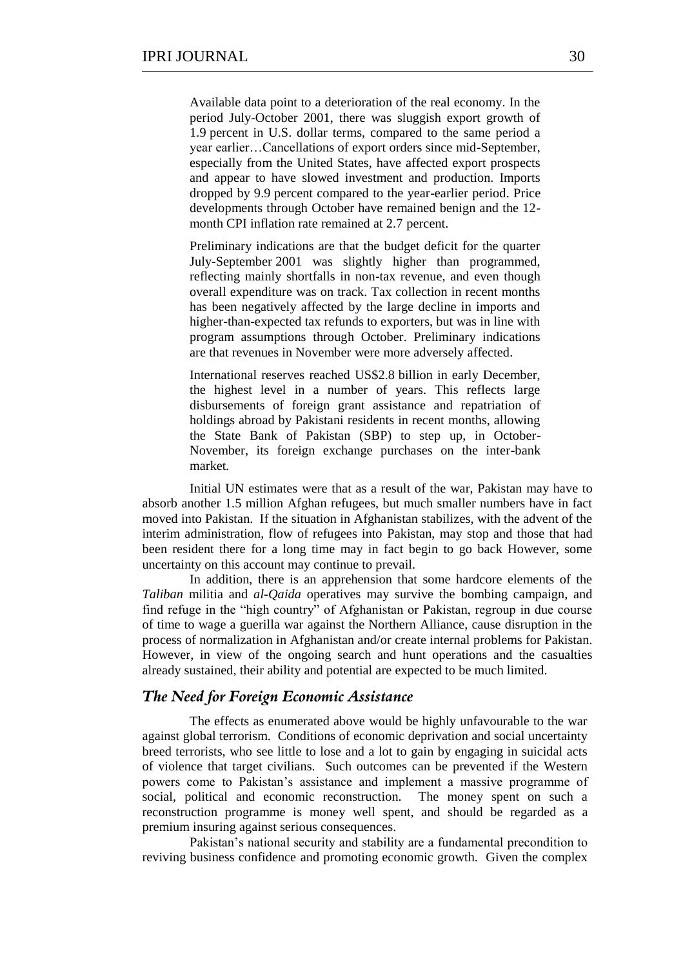Available data point to a deterioration of the real economy. In the period July-October 2001, there was sluggish export growth of 1.9 percent in U.S. dollar terms, compared to the same period a year earlier…Cancellations of export orders since mid-September, especially from the United States, have affected export prospects and appear to have slowed investment and production. Imports dropped by 9.9 percent compared to the year-earlier period. Price developments through October have remained benign and the 12 month CPI inflation rate remained at 2.7 percent.

Preliminary indications are that the budget deficit for the quarter July-September 2001 was slightly higher than programmed, reflecting mainly shortfalls in non-tax revenue, and even though overall expenditure was on track. Tax collection in recent months has been negatively affected by the large decline in imports and higher-than-expected tax refunds to exporters, but was in line with program assumptions through October. Preliminary indications are that revenues in November were more adversely affected.

International reserves reached US\$2.8 billion in early December, the highest level in a number of years. This reflects large disbursements of foreign grant assistance and repatriation of holdings abroad by Pakistani residents in recent months, allowing the State Bank of Pakistan (SBP) to step up, in October-November, its foreign exchange purchases on the inter-bank market*.* 

Initial UN estimates were that as a result of the war, Pakistan may have to absorb another 1.5 million Afghan refugees, but much smaller numbers have in fact moved into Pakistan. If the situation in Afghanistan stabilizes, with the advent of the interim administration, flow of refugees into Pakistan, may stop and those that had been resident there for a long time may in fact begin to go back However, some uncertainty on this account may continue to prevail*.*

In addition, there is an apprehension that some hardcore elements of the *Taliban* militia and *al-Qaida* operatives may survive the bombing campaign, and find refuge in the "high country" of Afghanistan or Pakistan, regroup in due course of time to wage a guerilla war against the Northern Alliance, cause disruption in the process of normalization in Afghanistan and/or create internal problems for Pakistan. However, in view of the ongoing search and hunt operations and the casualties already sustained, their ability and potential are expected to be much limited.

#### *The Need for Foreign Economic Assistance*

The effects as enumerated above would be highly unfavourable to the war against global terrorism. Conditions of economic deprivation and social uncertainty breed terrorists, who see little to lose and a lot to gain by engaging in suicidal acts of violence that target civilians. Such outcomes can be prevented if the Western powers come to Pakistan's assistance and implement a massive programme of social, political and economic reconstruction. The money spent on such a reconstruction programme is money well spent, and should be regarded as a premium insuring against serious consequences.

Pakistan's national security and stability are a fundamental precondition to reviving business confidence and promoting economic growth. Given the complex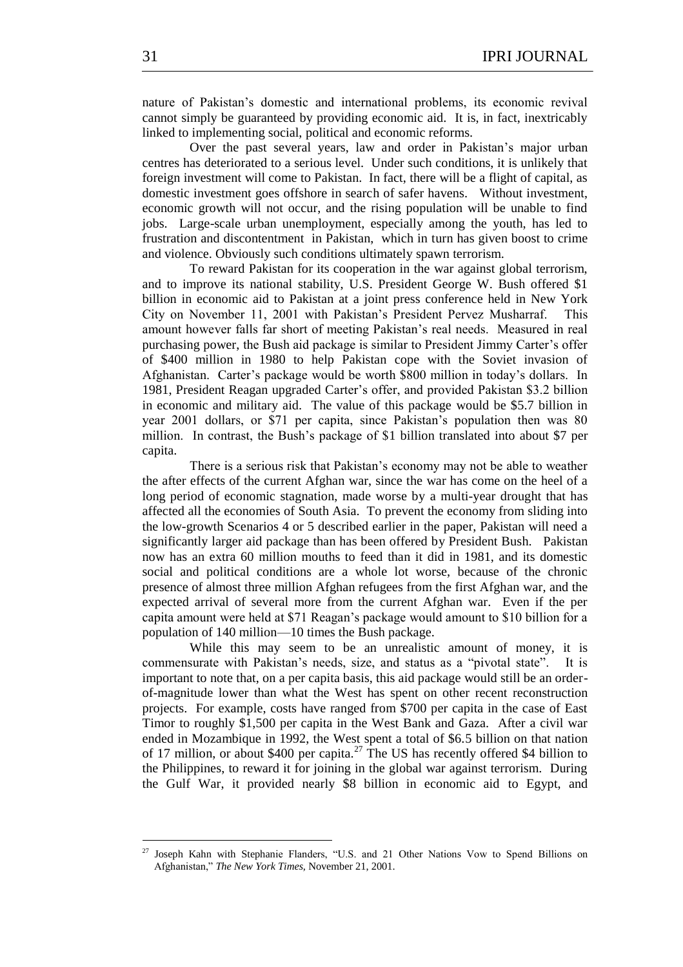nature of Pakistan's domestic and international problems, its economic revival cannot simply be guaranteed by providing economic aid. It is, in fact, inextricably linked to implementing social, political and economic reforms.

Over the past several years, law and order in Pakistan's major urban centres has deteriorated to a serious level. Under such conditions, it is unlikely that foreign investment will come to Pakistan. In fact, there will be a flight of capital, as domestic investment goes offshore in search of safer havens. Without investment, economic growth will not occur, and the rising population will be unable to find jobs. Large-scale urban unemployment, especially among the youth, has led to frustration and discontentment in Pakistan, which in turn has given boost to crime and violence. Obviously such conditions ultimately spawn terrorism.

To reward Pakistan for its cooperation in the war against global terrorism, and to improve its national stability, U.S. President George W. Bush offered \$1 billion in economic aid to Pakistan at a joint press conference held in New York City on November 11, 2001 with Pakistan's President Pervez Musharraf. This amount however falls far short of meeting Pakistan's real needs. Measured in real purchasing power, the Bush aid package is similar to President Jimmy Carter's offer of \$400 million in 1980 to help Pakistan cope with the Soviet invasion of Afghanistan. Carter's package would be worth \$800 million in today's dollars. In 1981, President Reagan upgraded Carter's offer, and provided Pakistan \$3.2 billion in economic and military aid. The value of this package would be \$5.7 billion in year 2001 dollars, or \$71 per capita, since Pakistan's population then was 80 million. In contrast, the Bush's package of \$1 billion translated into about \$7 per capita.

There is a serious risk that Pakistan's economy may not be able to weather the after effects of the current Afghan war, since the war has come on the heel of a long period of economic stagnation, made worse by a multi-year drought that has affected all the economies of South Asia. To prevent the economy from sliding into the low-growth Scenarios 4 or 5 described earlier in the paper, Pakistan will need a significantly larger aid package than has been offered by President Bush. Pakistan now has an extra 60 million mouths to feed than it did in 1981, and its domestic social and political conditions are a whole lot worse, because of the chronic presence of almost three million Afghan refugees from the first Afghan war, and the expected arrival of several more from the current Afghan war. Even if the per capita amount were held at \$71 Reagan's package would amount to \$10 billion for a population of 140 million—10 times the Bush package.

While this may seem to be an unrealistic amount of money, it is commensurate with Pakistan's needs, size, and status as a "pivotal state". It is important to note that, on a per capita basis, this aid package would still be an orderof-magnitude lower than what the West has spent on other recent reconstruction projects. For example, costs have ranged from \$700 per capita in the case of East Timor to roughly \$1,500 per capita in the West Bank and Gaza. After a civil war ended in Mozambique in 1992, the West spent a total of \$6.5 billion on that nation of 17 million, or about \$400 per capita.<sup>27</sup> The US has recently offered \$4 billion to the Philippines, to reward it for joining in the global war against terrorism. During the Gulf War, it provided nearly \$8 billion in economic aid to Egypt, and

1

Joseph Kahn with Stephanie Flanders, "U.S. and 21 Other Nations Vow to Spend Billions on Afghanistan,‖ *The New York Times,* November 21, 2001.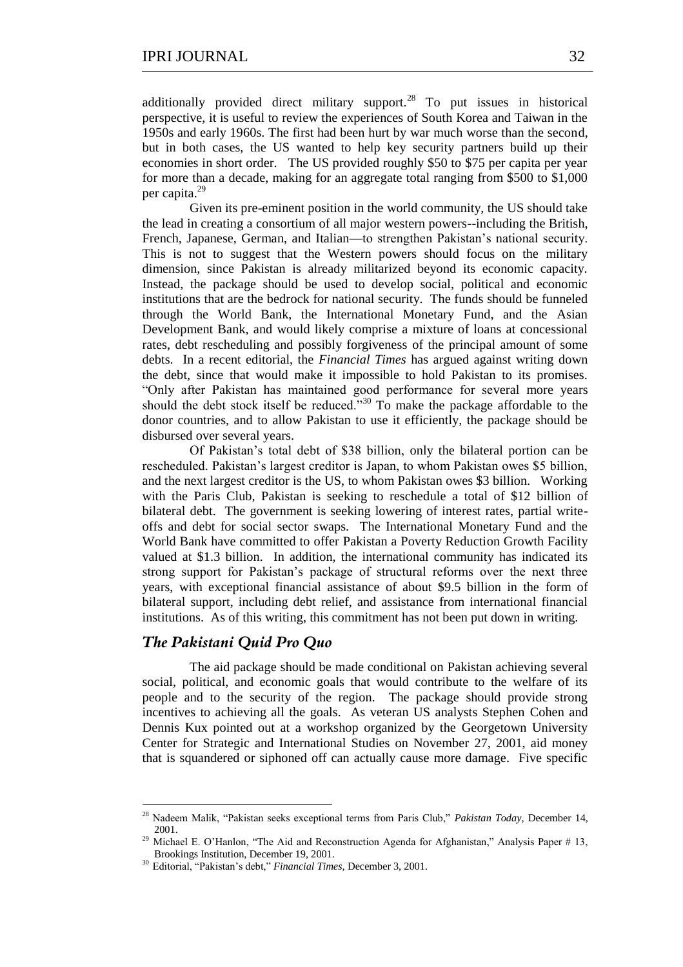additionally provided direct military support.<sup>28</sup> To put issues in historical perspective, it is useful to review the experiences of South Korea and Taiwan in the 1950s and early 1960s. The first had been hurt by war much worse than the second, but in both cases, the US wanted to help key security partners build up their economies in short order. The US provided roughly \$50 to \$75 per capita per year for more than a decade, making for an aggregate total ranging from \$500 to \$1,000 per capita. 29

Given its pre-eminent position in the world community, the US should take the lead in creating a consortium of all major western powers--including the British, French, Japanese, German, and Italian—to strengthen Pakistan's national security. This is not to suggest that the Western powers should focus on the military dimension, since Pakistan is already militarized beyond its economic capacity. Instead, the package should be used to develop social, political and economic institutions that are the bedrock for national security. The funds should be funneled through the World Bank, the International Monetary Fund, and the Asian Development Bank, and would likely comprise a mixture of loans at concessional rates, debt rescheduling and possibly forgiveness of the principal amount of some debts. In a recent editorial, the *Financial Times* has argued against writing down the debt, since that would make it impossible to hold Pakistan to its promises. ―Only after Pakistan has maintained good performance for several more years should the debt stock itself be reduced.<sup>330</sup> To make the package affordable to the donor countries, and to allow Pakistan to use it efficiently, the package should be disbursed over several years.

Of Pakistan's total debt of \$38 billion, only the bilateral portion can be rescheduled. Pakistan's largest creditor is Japan, to whom Pakistan owes \$5 billion, and the next largest creditor is the US, to whom Pakistan owes \$3 billion. Working with the Paris Club, Pakistan is seeking to reschedule a total of \$12 billion of bilateral debt. The government is seeking lowering of interest rates, partial writeoffs and debt for social sector swaps. The International Monetary Fund and the World Bank have committed to offer Pakistan a Poverty Reduction Growth Facility valued at \$1.3 billion. In addition, the international community has indicated its strong support for Pakistan's package of structural reforms over the next three years, with exceptional financial assistance of about \$9.5 billion in the form of bilateral support, including debt relief, and assistance from international financial institutions. As of this writing, this commitment has not been put down in writing.

#### *The Pakistani Quid Pro Quo*

<u>.</u>

The aid package should be made conditional on Pakistan achieving several social, political, and economic goals that would contribute to the welfare of its people and to the security of the region. The package should provide strong incentives to achieving all the goals. As veteran US analysts Stephen Cohen and Dennis Kux pointed out at a workshop organized by the Georgetown University Center for Strategic and International Studies on November 27, 2001, aid money that is squandered or siphoned off can actually cause more damage. Five specific

<sup>&</sup>lt;sup>28</sup> Nadeem Malik, "Pakistan seeks exceptional terms from Paris Club," *Pakistan Today*, December 14, 2001.

Michael E. O'Hanlon, "The Aid and Reconstruction Agenda for Afghanistan," Analysis Paper # 13, Brookings Institution, December 19, 2001.

<sup>&</sup>lt;sup>30</sup> Editorial, "Pakistan's debt," Financial Times, December 3, 2001.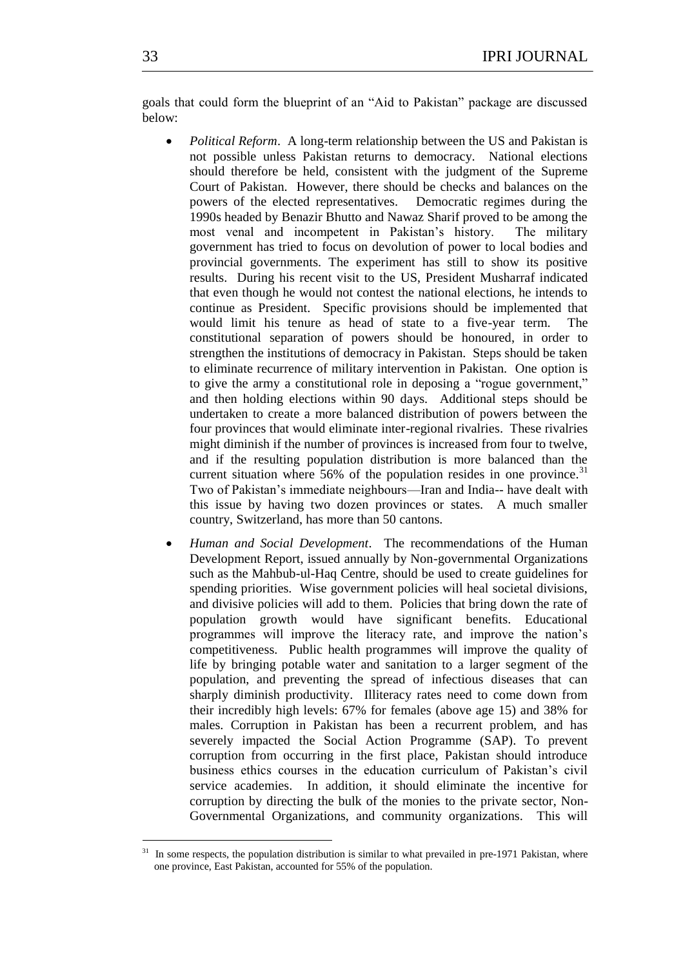goals that could form the blueprint of an "Aid to Pakistan" package are discussed below:

- *Political Reform*. A long-term relationship between the US and Pakistan is not possible unless Pakistan returns to democracy. National elections should therefore be held, consistent with the judgment of the Supreme Court of Pakistan. However, there should be checks and balances on the powers of the elected representatives. Democratic regimes during the 1990s headed by Benazir Bhutto and Nawaz Sharif proved to be among the most venal and incompetent in Pakistan's history. The military government has tried to focus on devolution of power to local bodies and provincial governments. The experiment has still to show its positive results. During his recent visit to the US, President Musharraf indicated that even though he would not contest the national elections, he intends to continue as President. Specific provisions should be implemented that would limit his tenure as head of state to a five-year term. The constitutional separation of powers should be honoured, in order to strengthen the institutions of democracy in Pakistan. Steps should be taken to eliminate recurrence of military intervention in Pakistan. One option is to give the army a constitutional role in deposing a "rogue government," and then holding elections within 90 days. Additional steps should be undertaken to create a more balanced distribution of powers between the four provinces that would eliminate inter-regional rivalries. These rivalries might diminish if the number of provinces is increased from four to twelve, and if the resulting population distribution is more balanced than the current situation where  $56\%$  of the population resides in one province.<sup>31</sup> Two of Pakistan's immediate neighbours—Iran and India-- have dealt with this issue by having two dozen provinces or states. A much smaller country, Switzerland, has more than 50 cantons.
- *Human and Social Development*. The recommendations of the Human Development Report, issued annually by Non-governmental Organizations such as the Mahbub-ul-Haq Centre, should be used to create guidelines for spending priorities. Wise government policies will heal societal divisions, and divisive policies will add to them. Policies that bring down the rate of population growth would have significant benefits. Educational programmes will improve the literacy rate, and improve the nation's competitiveness. Public health programmes will improve the quality of life by bringing potable water and sanitation to a larger segment of the population, and preventing the spread of infectious diseases that can sharply diminish productivity. Illiteracy rates need to come down from their incredibly high levels: 67% for females (above age 15) and 38% for males. Corruption in Pakistan has been a recurrent problem, and has severely impacted the Social Action Programme (SAP). To prevent corruption from occurring in the first place, Pakistan should introduce business ethics courses in the education curriculum of Pakistan's civil service academies. In addition, it should eliminate the incentive for corruption by directing the bulk of the monies to the private sector, Non-Governmental Organizations, and community organizations. This will

1

<sup>31</sup> In some respects, the population distribution is similar to what prevailed in pre-1971 Pakistan, where one province, East Pakistan, accounted for 55% of the population.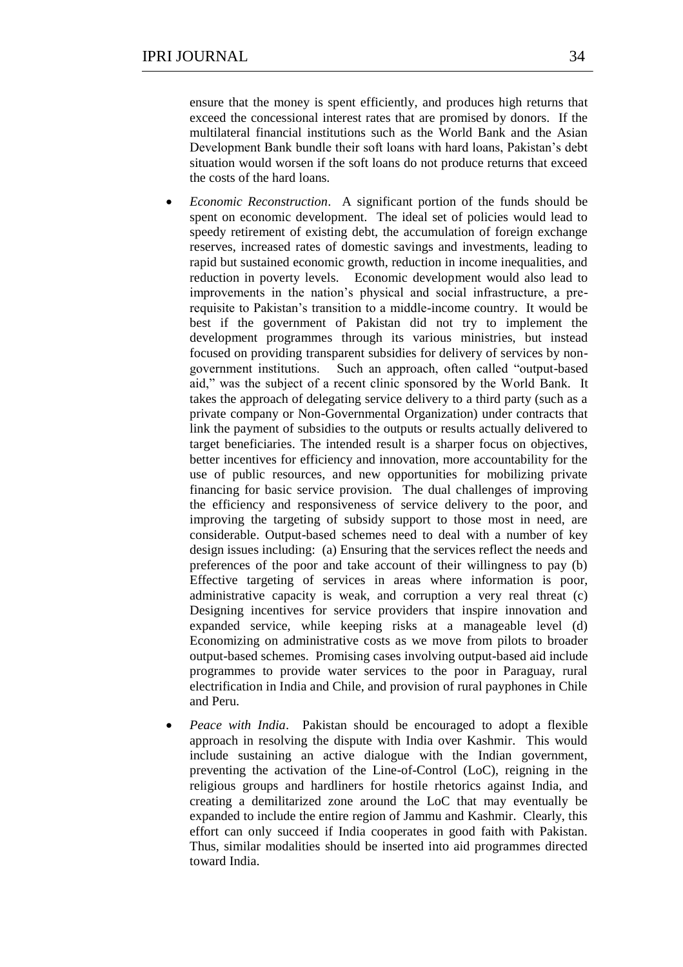ensure that the money is spent efficiently, and produces high returns that exceed the concessional interest rates that are promised by donors. If the multilateral financial institutions such as the World Bank and the Asian Development Bank bundle their soft loans with hard loans, Pakistan's debt situation would worsen if the soft loans do not produce returns that exceed the costs of the hard loans.

- *Economic Reconstruction*. A significant portion of the funds should be spent on economic development. The ideal set of policies would lead to speedy retirement of existing debt, the accumulation of foreign exchange reserves, increased rates of domestic savings and investments, leading to rapid but sustained economic growth, reduction in income inequalities, and reduction in poverty levels. Economic development would also lead to improvements in the nation's physical and social infrastructure, a prerequisite to Pakistan's transition to a middle-income country. It would be best if the government of Pakistan did not try to implement the development programmes through its various ministries, but instead focused on providing transparent subsidies for delivery of services by nongovernment institutions. Such an approach, often called "output-based" aid," was the subject of a recent clinic sponsored by the World Bank. It takes the approach of delegating service delivery to a third party (such as a private company or Non-Governmental Organization) under contracts that link the payment of subsidies to the outputs or results actually delivered to target beneficiaries. The intended result is a sharper focus on objectives, better incentives for efficiency and innovation, more accountability for the use of public resources, and new opportunities for mobilizing private financing for basic service provision. The dual challenges of improving the efficiency and responsiveness of service delivery to the poor, and improving the targeting of subsidy support to those most in need, are considerable. Output-based schemes need to deal with a number of key design issues including: (a) Ensuring that the services reflect the needs and preferences of the poor and take account of their willingness to pay (b) Effective targeting of services in areas where information is poor, administrative capacity is weak, and corruption a very real threat (c) Designing incentives for service providers that inspire innovation and expanded service, while keeping risks at a manageable level (d) Economizing on administrative costs as we move from pilots to broader output-based schemes. Promising cases involving output-based aid include programmes to provide water services to the poor in Paraguay, rural electrification in India and Chile, and provision of rural payphones in Chile and Peru.
- *Peace with India*. Pakistan should be encouraged to adopt a flexible approach in resolving the dispute with India over Kashmir. This would include sustaining an active dialogue with the Indian government, preventing the activation of the Line-of-Control (LoC), reigning in the religious groups and hardliners for hostile rhetorics against India, and creating a demilitarized zone around the LoC that may eventually be expanded to include the entire region of Jammu and Kashmir. Clearly, this effort can only succeed if India cooperates in good faith with Pakistan. Thus, similar modalities should be inserted into aid programmes directed toward India.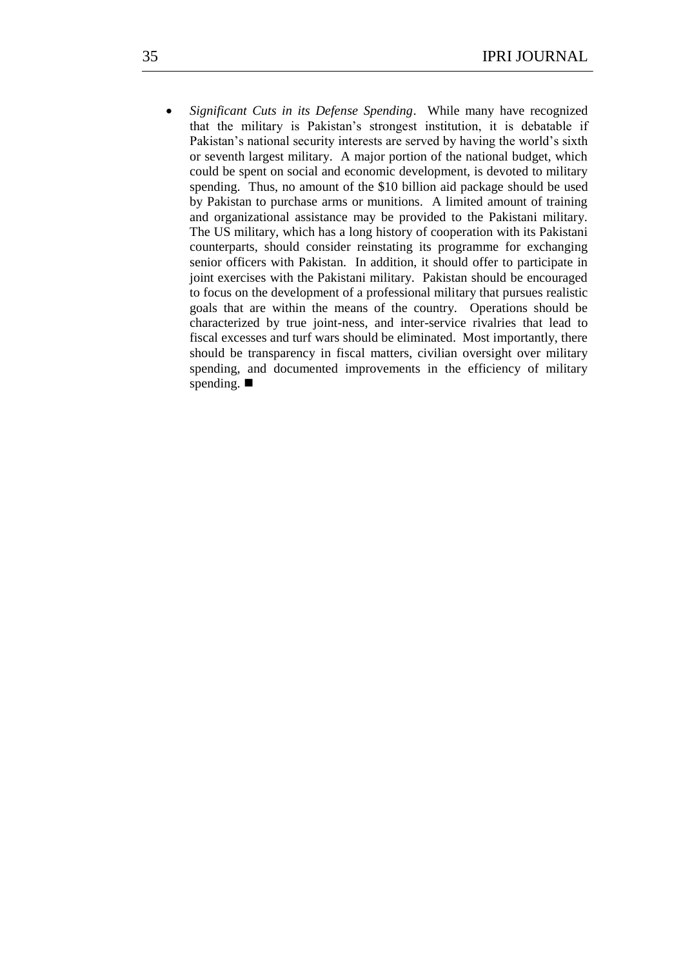*Significant Cuts in its Defense Spending*. While many have recognized that the military is Pakistan's strongest institution, it is debatable if Pakistan's national security interests are served by having the world's sixth or seventh largest military. A major portion of the national budget, which could be spent on social and economic development, is devoted to military spending. Thus, no amount of the \$10 billion aid package should be used by Pakistan to purchase arms or munitions. A limited amount of training and organizational assistance may be provided to the Pakistani military. The US military, which has a long history of cooperation with its Pakistani counterparts, should consider reinstating its programme for exchanging senior officers with Pakistan. In addition, it should offer to participate in joint exercises with the Pakistani military. Pakistan should be encouraged to focus on the development of a professional military that pursues realistic goals that are within the means of the country. Operations should be characterized by true joint-ness, and inter-service rivalries that lead to fiscal excesses and turf wars should be eliminated. Most importantly, there should be transparency in fiscal matters, civilian oversight over military spending, and documented improvements in the efficiency of military spending.  $\blacksquare$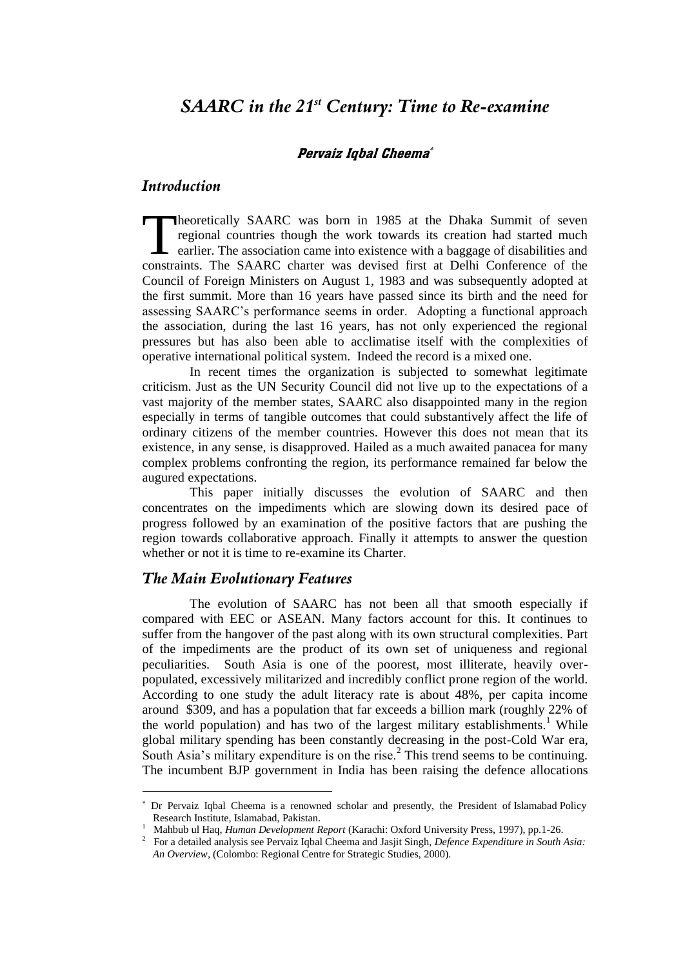## Pervaiz Iqbal Cheema

### *Introduction*

heoretically SAARC was born in 1985 at the Dhaka Summit of seven regional countries though the work towards its creation had started much  $\Box$  earlier. The association came into existence with a baggage of disabilities and Theoretically SAARC was born in 1985 at the Dhaka Summit of seven regional countries though the work towards its creation had started much earlier. The association came into existence with a baggage of disabilities and con Council of Foreign Ministers on August 1, 1983 and was subsequently adopted at the first summit. More than 16 years have passed since its birth and the need for assessing SAARC's performance seems in order. Adopting a functional approach the association, during the last 16 years, has not only experienced the regional pressures but has also been able to acclimatise itself with the complexities of operative international political system. Indeed the record is a mixed one.

In recent times the organization is subjected to somewhat legitimate criticism. Just as the UN Security Council did not live up to the expectations of a vast majority of the member states, SAARC also disappointed many in the region especially in terms of tangible outcomes that could substantively affect the life of ordinary citizens of the member countries. However this does not mean that its existence, in any sense, is disapproved. Hailed as a much awaited panacea for many complex problems confronting the region, its performance remained far below the augured expectations.

This paper initially discusses the evolution of SAARC and then concentrates on the impediments which are slowing down its desired pace of progress followed by an examination of the positive factors that are pushing the region towards collaborative approach. Finally it attempts to answer the question whether or not it is time to re-examine its Charter.

## *The Main Evolutionary Features*

1

The evolution of SAARC has not been all that smooth especially if compared with EEC or ASEAN. Many factors account for this. It continues to suffer from the hangover of the past along with its own structural complexities. Part of the impediments are the product of its own set of uniqueness and regional peculiarities. South Asia is one of the poorest, most illiterate, heavily overpopulated, excessively militarized and incredibly conflict prone region of the world. According to one study the adult literacy rate is about 48%, per capita income around \$309, and has a population that far exceeds a billion mark (roughly 22% of the world population) and has two of the largest military establishments.<sup>1</sup> While global military spending has been constantly decreasing in the post-Cold War era, South Asia's military expenditure is on the rise. $2$  This trend seems to be continuing. The incumbent BJP government in India has been raising the defence allocations

 Dr Pervaiz Iqbal Cheema is a renowned scholar and presently, the President of Islamabad Policy Research Institute, Islamabad, Pakistan.

<sup>&</sup>lt;sup>1</sup> Mahbub ul Haq, Human Development Report (Karachi: Oxford University Press, 1997), pp.1-26.

<sup>2</sup> For a detailed analysis see Pervaiz Iqbal Cheema and Jasjit Singh, *Defence Expenditure in South Asia: An Overview,* (Colombo: Regional Centre for Strategic Studies, 2000).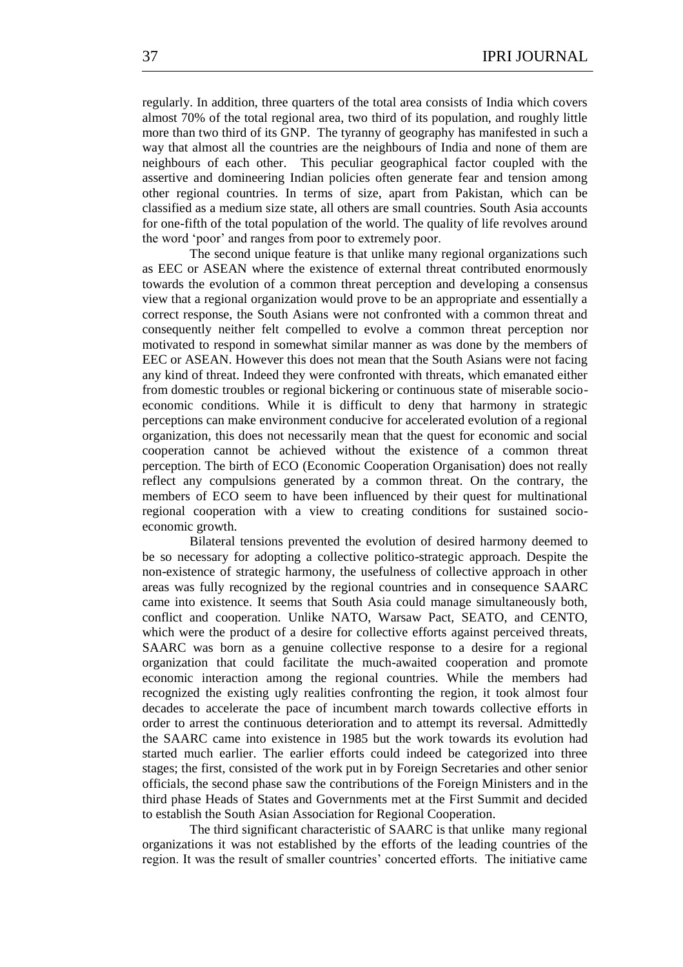regularly. In addition, three quarters of the total area consists of India which covers almost 70% of the total regional area, two third of its population, and roughly little more than two third of its GNP. The tyranny of geography has manifested in such a way that almost all the countries are the neighbours of India and none of them are neighbours of each other. This peculiar geographical factor coupled with the assertive and domineering Indian policies often generate fear and tension among other regional countries. In terms of size, apart from Pakistan, which can be classified as a medium size state, all others are small countries. South Asia accounts for one-fifth of the total population of the world. The quality of life revolves around the word 'poor' and ranges from poor to extremely poor.

The second unique feature is that unlike many regional organizations such as EEC or ASEAN where the existence of external threat contributed enormously towards the evolution of a common threat perception and developing a consensus view that a regional organization would prove to be an appropriate and essentially a correct response, the South Asians were not confronted with a common threat and consequently neither felt compelled to evolve a common threat perception nor motivated to respond in somewhat similar manner as was done by the members of EEC or ASEAN. However this does not mean that the South Asians were not facing any kind of threat. Indeed they were confronted with threats, which emanated either from domestic troubles or regional bickering or continuous state of miserable socioeconomic conditions. While it is difficult to deny that harmony in strategic perceptions can make environment conducive for accelerated evolution of a regional organization, this does not necessarily mean that the quest for economic and social cooperation cannot be achieved without the existence of a common threat perception. The birth of ECO (Economic Cooperation Organisation) does not really reflect any compulsions generated by a common threat. On the contrary, the members of ECO seem to have been influenced by their quest for multinational regional cooperation with a view to creating conditions for sustained socioeconomic growth.

Bilateral tensions prevented the evolution of desired harmony deemed to be so necessary for adopting a collective politico-strategic approach. Despite the non-existence of strategic harmony, the usefulness of collective approach in other areas was fully recognized by the regional countries and in consequence SAARC came into existence. It seems that South Asia could manage simultaneously both, conflict and cooperation. Unlike NATO, Warsaw Pact, SEATO, and CENTO, which were the product of a desire for collective efforts against perceived threats, SAARC was born as a genuine collective response to a desire for a regional organization that could facilitate the much-awaited cooperation and promote economic interaction among the regional countries. While the members had recognized the existing ugly realities confronting the region, it took almost four decades to accelerate the pace of incumbent march towards collective efforts in order to arrest the continuous deterioration and to attempt its reversal. Admittedly the SAARC came into existence in 1985 but the work towards its evolution had started much earlier. The earlier efforts could indeed be categorized into three stages; the first, consisted of the work put in by Foreign Secretaries and other senior officials, the second phase saw the contributions of the Foreign Ministers and in the third phase Heads of States and Governments met at the First Summit and decided to establish the South Asian Association for Regional Cooperation.

The third significant characteristic of SAARC is that unlike many regional organizations it was not established by the efforts of the leading countries of the region. It was the result of smaller countries' concerted efforts. The initiative came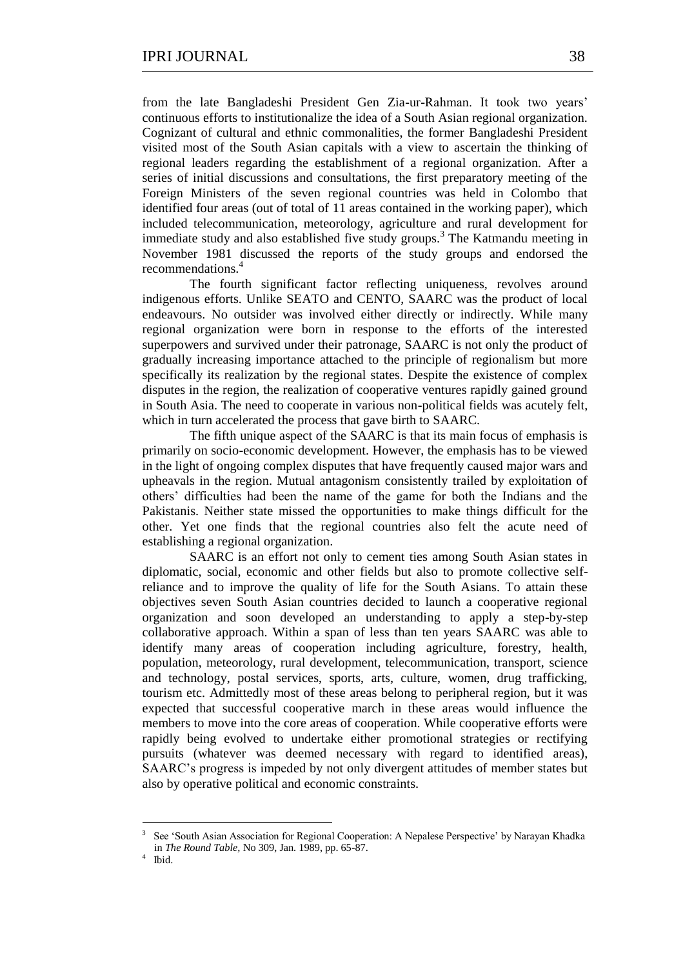from the late Bangladeshi President Gen Zia-ur-Rahman. It took two years' continuous efforts to institutionalize the idea of a South Asian regional organization. Cognizant of cultural and ethnic commonalities, the former Bangladeshi President visited most of the South Asian capitals with a view to ascertain the thinking of regional leaders regarding the establishment of a regional organization. After a series of initial discussions and consultations, the first preparatory meeting of the Foreign Ministers of the seven regional countries was held in Colombo that identified four areas (out of total of 11 areas contained in the working paper), which included telecommunication, meteorology, agriculture and rural development for immediate study and also established five study groups.<sup>3</sup> The Katmandu meeting in November 1981 discussed the reports of the study groups and endorsed the recommendations.<sup>4</sup>

The fourth significant factor reflecting uniqueness, revolves around indigenous efforts. Unlike SEATO and CENTO, SAARC was the product of local endeavours. No outsider was involved either directly or indirectly. While many regional organization were born in response to the efforts of the interested superpowers and survived under their patronage, SAARC is not only the product of gradually increasing importance attached to the principle of regionalism but more specifically its realization by the regional states. Despite the existence of complex disputes in the region, the realization of cooperative ventures rapidly gained ground in South Asia. The need to cooperate in various non-political fields was acutely felt, which in turn accelerated the process that gave birth to SAARC.

The fifth unique aspect of the SAARC is that its main focus of emphasis is primarily on socio-economic development. However, the emphasis has to be viewed in the light of ongoing complex disputes that have frequently caused major wars and upheavals in the region. Mutual antagonism consistently trailed by exploitation of others' difficulties had been the name of the game for both the Indians and the Pakistanis. Neither state missed the opportunities to make things difficult for the other. Yet one finds that the regional countries also felt the acute need of establishing a regional organization.

SAARC is an effort not only to cement ties among South Asian states in diplomatic, social, economic and other fields but also to promote collective selfreliance and to improve the quality of life for the South Asians. To attain these objectives seven South Asian countries decided to launch a cooperative regional organization and soon developed an understanding to apply a step-by-step collaborative approach. Within a span of less than ten years SAARC was able to identify many areas of cooperation including agriculture, forestry, health, population, meteorology, rural development, telecommunication, transport, science and technology, postal services, sports, arts, culture, women, drug trafficking, tourism etc. Admittedly most of these areas belong to peripheral region, but it was expected that successful cooperative march in these areas would influence the members to move into the core areas of cooperation. While cooperative efforts were rapidly being evolved to undertake either promotional strategies or rectifying pursuits (whatever was deemed necessary with regard to identified areas), SAARC's progress is impeded by not only divergent attitudes of member states but also by operative political and economic constraints.

1

<sup>3</sup> See 'South Asian Association for Regional Cooperation: A Nepalese Perspective' by Narayan Khadka in *The Round Table,* No 309, Jan. 1989, pp. 65-87.

<sup>4</sup> Ibid.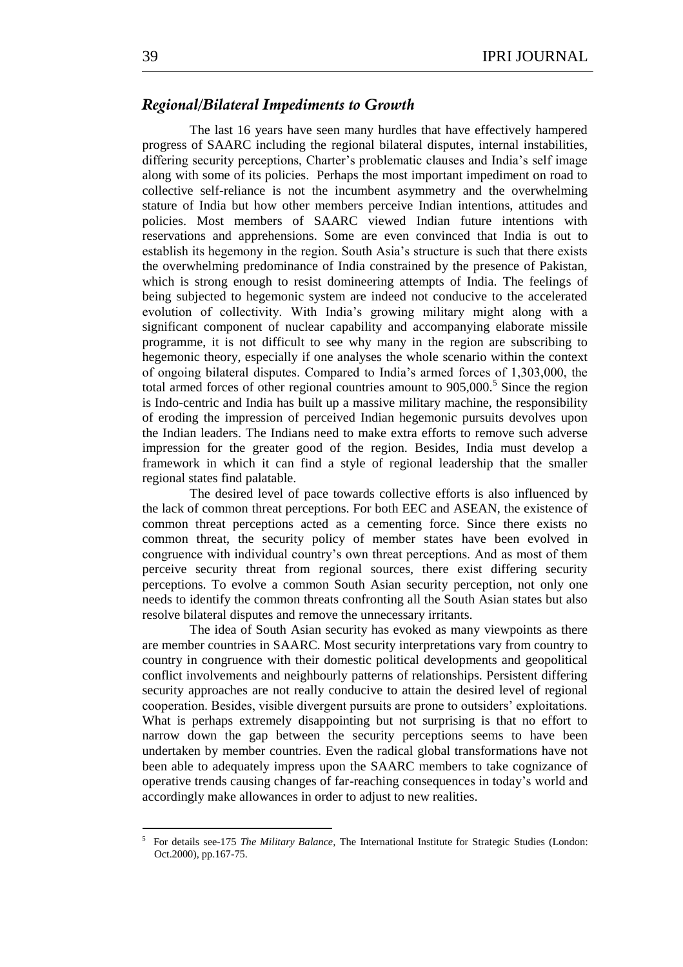## *Regional/Bilateral Impediments to Growth*

The last 16 years have seen many hurdles that have effectively hampered progress of SAARC including the regional bilateral disputes, internal instabilities, differing security perceptions, Charter's problematic clauses and India's self image along with some of its policies. Perhaps the most important impediment on road to collective self-reliance is not the incumbent asymmetry and the overwhelming stature of India but how other members perceive Indian intentions, attitudes and policies. Most members of SAARC viewed Indian future intentions with reservations and apprehensions. Some are even convinced that India is out to establish its hegemony in the region. South Asia's structure is such that there exists the overwhelming predominance of India constrained by the presence of Pakistan, which is strong enough to resist domineering attempts of India. The feelings of being subjected to hegemonic system are indeed not conducive to the accelerated evolution of collectivity. With India's growing military might along with a significant component of nuclear capability and accompanying elaborate missile programme, it is not difficult to see why many in the region are subscribing to hegemonic theory, especially if one analyses the whole scenario within the context of ongoing bilateral disputes. Compared to India's armed forces of 1,303,000, the total armed forces of other regional countries amount to  $905,000$ .<sup>5</sup> Since the region is Indo-centric and India has built up a massive military machine, the responsibility of eroding the impression of perceived Indian hegemonic pursuits devolves upon the Indian leaders. The Indians need to make extra efforts to remove such adverse impression for the greater good of the region. Besides, India must develop a framework in which it can find a style of regional leadership that the smaller regional states find palatable.

The desired level of pace towards collective efforts is also influenced by the lack of common threat perceptions. For both EEC and ASEAN, the existence of common threat perceptions acted as a cementing force. Since there exists no common threat, the security policy of member states have been evolved in congruence with individual country's own threat perceptions. And as most of them perceive security threat from regional sources, there exist differing security perceptions. To evolve a common South Asian security perception, not only one needs to identify the common threats confronting all the South Asian states but also resolve bilateral disputes and remove the unnecessary irritants.

The idea of South Asian security has evoked as many viewpoints as there are member countries in SAARC. Most security interpretations vary from country to country in congruence with their domestic political developments and geopolitical conflict involvements and neighbourly patterns of relationships. Persistent differing security approaches are not really conducive to attain the desired level of regional cooperation. Besides, visible divergent pursuits are prone to outsiders' exploitations. What is perhaps extremely disappointing but not surprising is that no effort to narrow down the gap between the security perceptions seems to have been undertaken by member countries. Even the radical global transformations have not been able to adequately impress upon the SAARC members to take cognizance of operative trends causing changes of far-reaching consequences in today's world and accordingly make allowances in order to adjust to new realities.

<sup>5</sup> For details see-175 *The Military Balance,* The International Institute for Strategic Studies (London: Oct.2000), pp.167-75.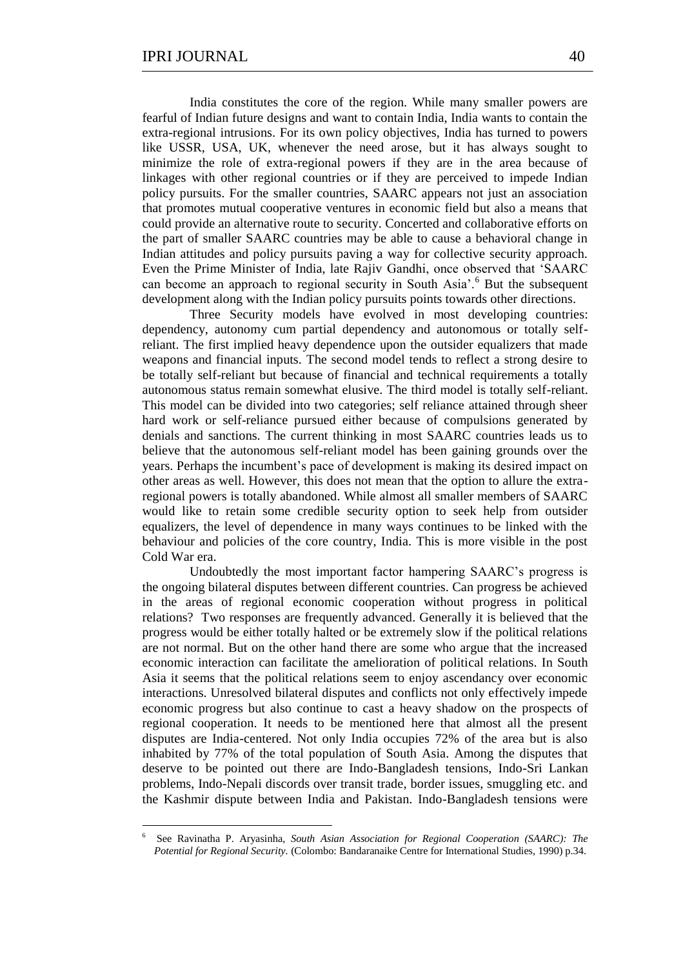<u>.</u>

India constitutes the core of the region. While many smaller powers are fearful of Indian future designs and want to contain India, India wants to contain the extra-regional intrusions. For its own policy objectives, India has turned to powers like USSR, USA, UK, whenever the need arose, but it has always sought to minimize the role of extra-regional powers if they are in the area because of linkages with other regional countries or if they are perceived to impede Indian policy pursuits. For the smaller countries, SAARC appears not just an association that promotes mutual cooperative ventures in economic field but also a means that could provide an alternative route to security. Concerted and collaborative efforts on the part of smaller SAARC countries may be able to cause a behavioral change in Indian attitudes and policy pursuits paving a way for collective security approach. Even the Prime Minister of India, late Rajiv Gandhi, once observed that ‗SAARC can become an approach to regional security in South Asia'.<sup>6</sup> But the subsequent development along with the Indian policy pursuits points towards other directions.

Three Security models have evolved in most developing countries: dependency, autonomy cum partial dependency and autonomous or totally selfreliant. The first implied heavy dependence upon the outsider equalizers that made weapons and financial inputs. The second model tends to reflect a strong desire to be totally self-reliant but because of financial and technical requirements a totally autonomous status remain somewhat elusive. The third model is totally self-reliant. This model can be divided into two categories; self reliance attained through sheer hard work or self-reliance pursued either because of compulsions generated by denials and sanctions. The current thinking in most SAARC countries leads us to believe that the autonomous self-reliant model has been gaining grounds over the years. Perhaps the incumbent's pace of development is making its desired impact on other areas as well. However, this does not mean that the option to allure the extraregional powers is totally abandoned. While almost all smaller members of SAARC would like to retain some credible security option to seek help from outsider equalizers, the level of dependence in many ways continues to be linked with the behaviour and policies of the core country, India. This is more visible in the post Cold War era.

Undoubtedly the most important factor hampering SAARC's progress is the ongoing bilateral disputes between different countries. Can progress be achieved in the areas of regional economic cooperation without progress in political relations? Two responses are frequently advanced. Generally it is believed that the progress would be either totally halted or be extremely slow if the political relations are not normal. But on the other hand there are some who argue that the increased economic interaction can facilitate the amelioration of political relations. In South Asia it seems that the political relations seem to enjoy ascendancy over economic interactions. Unresolved bilateral disputes and conflicts not only effectively impede economic progress but also continue to cast a heavy shadow on the prospects of regional cooperation. It needs to be mentioned here that almost all the present disputes are India-centered. Not only India occupies 72% of the area but is also inhabited by 77% of the total population of South Asia. Among the disputes that deserve to be pointed out there are Indo-Bangladesh tensions, Indo-Sri Lankan problems, Indo-Nepali discords over transit trade, border issues, smuggling etc. and the Kashmir dispute between India and Pakistan. Indo-Bangladesh tensions were

<sup>6</sup> See Ravinatha P. Aryasinha, *South Asian Association for Regional Cooperation (SAARC): The Potential for Regional Security.* (Colombo: Bandaranaike Centre for International Studies, 1990) p.34.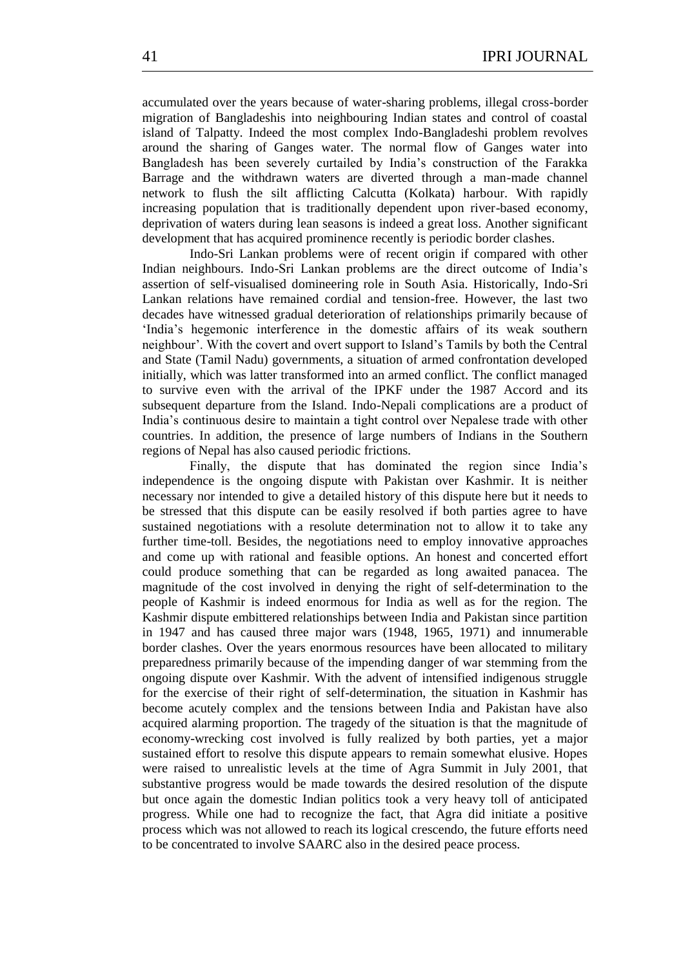accumulated over the years because of water-sharing problems, illegal cross-border migration of Bangladeshis into neighbouring Indian states and control of coastal island of Talpatty. Indeed the most complex Indo-Bangladeshi problem revolves around the sharing of Ganges water. The normal flow of Ganges water into Bangladesh has been severely curtailed by India's construction of the Farakka Barrage and the withdrawn waters are diverted through a man-made channel network to flush the silt afflicting Calcutta (Kolkata) harbour. With rapidly increasing population that is traditionally dependent upon river-based economy, deprivation of waters during lean seasons is indeed a great loss. Another significant development that has acquired prominence recently is periodic border clashes.

Indo-Sri Lankan problems were of recent origin if compared with other Indian neighbours. Indo-Sri Lankan problems are the direct outcome of India's assertion of self-visualised domineering role in South Asia. Historically, Indo-Sri Lankan relations have remained cordial and tension-free. However, the last two decades have witnessed gradual deterioration of relationships primarily because of ‗India's hegemonic interference in the domestic affairs of its weak southern neighbour'. With the covert and overt support to Island's Tamils by both the Central and State (Tamil Nadu) governments, a situation of armed confrontation developed initially, which was latter transformed into an armed conflict. The conflict managed to survive even with the arrival of the IPKF under the 1987 Accord and its subsequent departure from the Island. Indo-Nepali complications are a product of India's continuous desire to maintain a tight control over Nepalese trade with other countries. In addition, the presence of large numbers of Indians in the Southern regions of Nepal has also caused periodic frictions.

Finally, the dispute that has dominated the region since India's independence is the ongoing dispute with Pakistan over Kashmir. It is neither necessary nor intended to give a detailed history of this dispute here but it needs to be stressed that this dispute can be easily resolved if both parties agree to have sustained negotiations with a resolute determination not to allow it to take any further time-toll. Besides, the negotiations need to employ innovative approaches and come up with rational and feasible options. An honest and concerted effort could produce something that can be regarded as long awaited panacea. The magnitude of the cost involved in denying the right of self-determination to the people of Kashmir is indeed enormous for India as well as for the region. The Kashmir dispute embittered relationships between India and Pakistan since partition in 1947 and has caused three major wars (1948, 1965, 1971) and innumerable border clashes. Over the years enormous resources have been allocated to military preparedness primarily because of the impending danger of war stemming from the ongoing dispute over Kashmir. With the advent of intensified indigenous struggle for the exercise of their right of self-determination, the situation in Kashmir has become acutely complex and the tensions between India and Pakistan have also acquired alarming proportion. The tragedy of the situation is that the magnitude of economy-wrecking cost involved is fully realized by both parties, yet a major sustained effort to resolve this dispute appears to remain somewhat elusive. Hopes were raised to unrealistic levels at the time of Agra Summit in July 2001, that substantive progress would be made towards the desired resolution of the dispute but once again the domestic Indian politics took a very heavy toll of anticipated progress. While one had to recognize the fact, that Agra did initiate a positive process which was not allowed to reach its logical crescendo, the future efforts need to be concentrated to involve SAARC also in the desired peace process.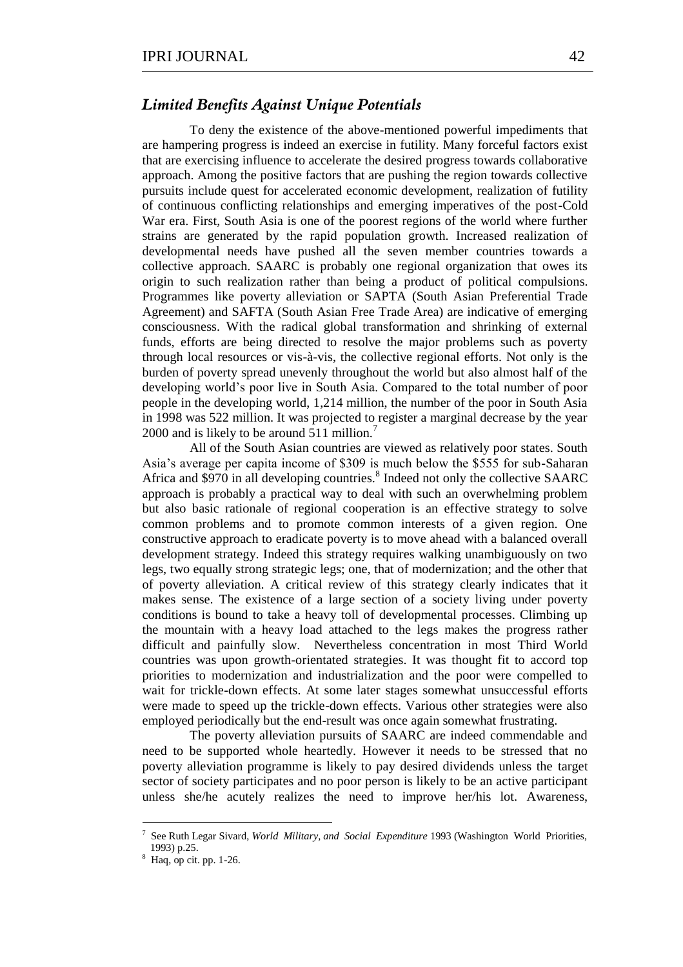### *Limited Benefits Against Unique Potentials*

To deny the existence of the above-mentioned powerful impediments that are hampering progress is indeed an exercise in futility. Many forceful factors exist that are exercising influence to accelerate the desired progress towards collaborative approach. Among the positive factors that are pushing the region towards collective pursuits include quest for accelerated economic development, realization of futility of continuous conflicting relationships and emerging imperatives of the post-Cold War era. First, South Asia is one of the poorest regions of the world where further strains are generated by the rapid population growth. Increased realization of developmental needs have pushed all the seven member countries towards a collective approach. SAARC is probably one regional organization that owes its origin to such realization rather than being a product of political compulsions. Programmes like poverty alleviation or SAPTA (South Asian Preferential Trade Agreement) and SAFTA (South Asian Free Trade Area) are indicative of emerging consciousness. With the radical global transformation and shrinking of external funds, efforts are being directed to resolve the major problems such as poverty through local resources or vis-à-vis, the collective regional efforts. Not only is the burden of poverty spread unevenly throughout the world but also almost half of the developing world's poor live in South Asia. Compared to the total number of poor people in the developing world, 1,214 million, the number of the poor in South Asia in 1998 was 522 million. It was projected to register a marginal decrease by the year 2000 and is likely to be around 511 million.<sup>7</sup>

All of the South Asian countries are viewed as relatively poor states. South Asia's average per capita income of \$309 is much below the \$555 for sub-Saharan Africa and \$970 in all developing countries.<sup>8</sup> Indeed not only the collective SAARC approach is probably a practical way to deal with such an overwhelming problem but also basic rationale of regional cooperation is an effective strategy to solve common problems and to promote common interests of a given region. One constructive approach to eradicate poverty is to move ahead with a balanced overall development strategy. Indeed this strategy requires walking unambiguously on two legs, two equally strong strategic legs; one, that of modernization; and the other that of poverty alleviation. A critical review of this strategy clearly indicates that it makes sense. The existence of a large section of a society living under poverty conditions is bound to take a heavy toll of developmental processes. Climbing up the mountain with a heavy load attached to the legs makes the progress rather difficult and painfully slow. Nevertheless concentration in most Third World countries was upon growth-orientated strategies. It was thought fit to accord top priorities to modernization and industrialization and the poor were compelled to wait for trickle-down effects. At some later stages somewhat unsuccessful efforts were made to speed up the trickle-down effects. Various other strategies were also employed periodically but the end-result was once again somewhat frustrating.

The poverty alleviation pursuits of SAARC are indeed commendable and need to be supported whole heartedly. However it needs to be stressed that no poverty alleviation programme is likely to pay desired dividends unless the target sector of society participates and no poor person is likely to be an active participant unless she/he acutely realizes the need to improve her/his lot. Awareness,

1

<sup>7</sup> See Ruth Legar Sivard, *World Military, and Social Expenditure* 1993 (Washington World Priorities, 1993) p.25.

<sup>8</sup> Haq, op cit. pp. 1-26.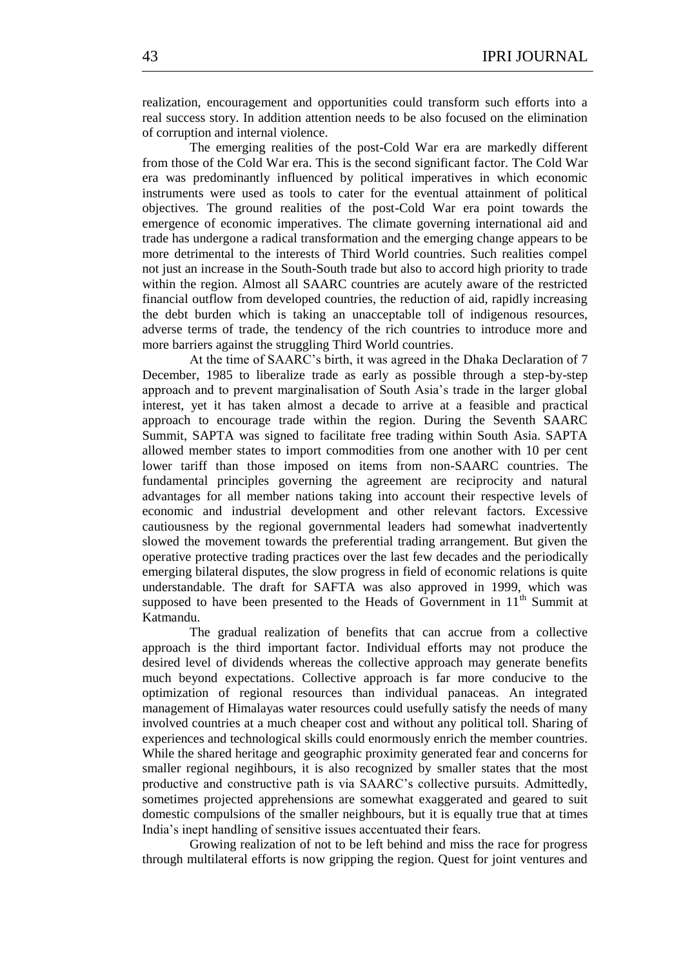realization, encouragement and opportunities could transform such efforts into a real success story. In addition attention needs to be also focused on the elimination of corruption and internal violence.

The emerging realities of the post-Cold War era are markedly different from those of the Cold War era. This is the second significant factor. The Cold War era was predominantly influenced by political imperatives in which economic instruments were used as tools to cater for the eventual attainment of political objectives. The ground realities of the post-Cold War era point towards the emergence of economic imperatives. The climate governing international aid and trade has undergone a radical transformation and the emerging change appears to be more detrimental to the interests of Third World countries. Such realities compel not just an increase in the South-South trade but also to accord high priority to trade within the region. Almost all SAARC countries are acutely aware of the restricted financial outflow from developed countries, the reduction of aid, rapidly increasing the debt burden which is taking an unacceptable toll of indigenous resources, adverse terms of trade, the tendency of the rich countries to introduce more and more barriers against the struggling Third World countries.

At the time of SAARC's birth, it was agreed in the Dhaka Declaration of 7 December, 1985 to liberalize trade as early as possible through a step-by-step approach and to prevent marginalisation of South Asia's trade in the larger global interest, yet it has taken almost a decade to arrive at a feasible and practical approach to encourage trade within the region. During the Seventh SAARC Summit, SAPTA was signed to facilitate free trading within South Asia. SAPTA allowed member states to import commodities from one another with 10 per cent lower tariff than those imposed on items from non-SAARC countries. The fundamental principles governing the agreement are reciprocity and natural advantages for all member nations taking into account their respective levels of economic and industrial development and other relevant factors. Excessive cautiousness by the regional governmental leaders had somewhat inadvertently slowed the movement towards the preferential trading arrangement. But given the operative protective trading practices over the last few decades and the periodically emerging bilateral disputes, the slow progress in field of economic relations is quite understandable. The draft for SAFTA was also approved in 1999, which was supposed to have been presented to the Heads of Government in  $11<sup>th</sup>$  Summit at Katmandu.

The gradual realization of benefits that can accrue from a collective approach is the third important factor. Individual efforts may not produce the desired level of dividends whereas the collective approach may generate benefits much beyond expectations. Collective approach is far more conducive to the optimization of regional resources than individual panaceas. An integrated management of Himalayas water resources could usefully satisfy the needs of many involved countries at a much cheaper cost and without any political toll. Sharing of experiences and technological skills could enormously enrich the member countries. While the shared heritage and geographic proximity generated fear and concerns for smaller regional negihbours, it is also recognized by smaller states that the most productive and constructive path is via SAARC's collective pursuits. Admittedly, sometimes projected apprehensions are somewhat exaggerated and geared to suit domestic compulsions of the smaller neighbours, but it is equally true that at times India's inept handling of sensitive issues accentuated their fears.

Growing realization of not to be left behind and miss the race for progress through multilateral efforts is now gripping the region. Quest for joint ventures and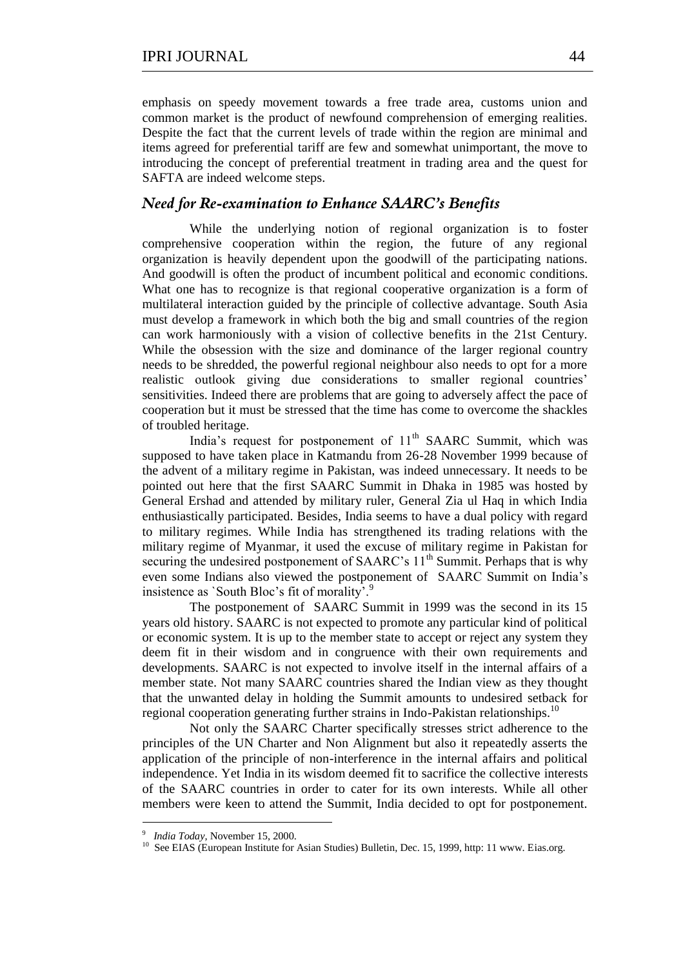emphasis on speedy movement towards a free trade area, customs union and common market is the product of newfound comprehension of emerging realities. Despite the fact that the current levels of trade within the region are minimal and items agreed for preferential tariff are few and somewhat unimportant, the move to introducing the concept of preferential treatment in trading area and the quest for SAFTA are indeed welcome steps.

## *Need for Re-examination to Enhance SAARC's Benefits*

While the underlying notion of regional organization is to foster comprehensive cooperation within the region, the future of any regional organization is heavily dependent upon the goodwill of the participating nations. And goodwill is often the product of incumbent political and economic conditions. What one has to recognize is that regional cooperative organization is a form of multilateral interaction guided by the principle of collective advantage. South Asia must develop a framework in which both the big and small countries of the region can work harmoniously with a vision of collective benefits in the 21st Century. While the obsession with the size and dominance of the larger regional country needs to be shredded, the powerful regional neighbour also needs to opt for a more realistic outlook giving due considerations to smaller regional countries' sensitivities. Indeed there are problems that are going to adversely affect the pace of cooperation but it must be stressed that the time has come to overcome the shackles of troubled heritage.

India's request for postponement of  $11<sup>th</sup>$  SAARC Summit, which was supposed to have taken place in Katmandu from 26-28 November 1999 because of the advent of a military regime in Pakistan, was indeed unnecessary. It needs to be pointed out here that the first SAARC Summit in Dhaka in 1985 was hosted by General Ershad and attended by military ruler, General Zia ul Haq in which India enthusiastically participated. Besides, India seems to have a dual policy with regard to military regimes. While India has strengthened its trading relations with the military regime of Myanmar, it used the excuse of military regime in Pakistan for securing the undesired postponement of SAARC's 11<sup>th</sup> Summit. Perhaps that is why even some Indians also viewed the postponement of SAARC Summit on India's insistence as 'South Bloc's fit of morality'.<sup>9</sup>

The postponement of SAARC Summit in 1999 was the second in its 15 years old history. SAARC is not expected to promote any particular kind of political or economic system. It is up to the member state to accept or reject any system they deem fit in their wisdom and in congruence with their own requirements and developments. SAARC is not expected to involve itself in the internal affairs of a member state. Not many SAARC countries shared the Indian view as they thought that the unwanted delay in holding the Summit amounts to undesired setback for regional cooperation generating further strains in Indo-Pakistan relationships.<sup>10</sup>

Not only the SAARC Charter specifically stresses strict adherence to the principles of the UN Charter and Non Alignment but also it repeatedly asserts the application of the principle of non-interference in the internal affairs and political independence. Yet India in its wisdom deemed fit to sacrifice the collective interests of the SAARC countries in order to cater for its own interests. While all other members were keen to attend the Summit, India decided to opt for postponement.

1

<sup>9</sup> *India Today,* November 15, 2000.

<sup>&</sup>lt;sup>10</sup> See EIAS (European Institute for Asian Studies) Bulletin, Dec. 15, 1999, http: 11 www. Eias.org.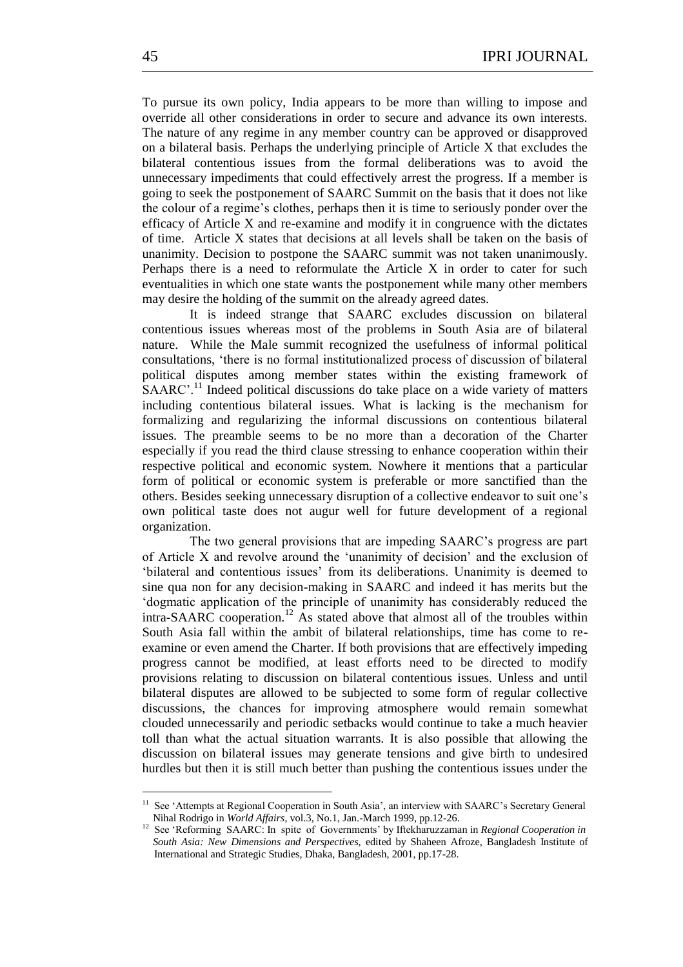To pursue its own policy, India appears to be more than willing to impose and override all other considerations in order to secure and advance its own interests. The nature of any regime in any member country can be approved or disapproved on a bilateral basis. Perhaps the underlying principle of Article X that excludes the bilateral contentious issues from the formal deliberations was to avoid the unnecessary impediments that could effectively arrest the progress. If a member is going to seek the postponement of SAARC Summit on the basis that it does not like the colour of a regime's clothes, perhaps then it is time to seriously ponder over the efficacy of Article X and re-examine and modify it in congruence with the dictates of time. Article X states that decisions at all levels shall be taken on the basis of unanimity. Decision to postpone the SAARC summit was not taken unanimously. Perhaps there is a need to reformulate the Article X in order to cater for such eventualities in which one state wants the postponement while many other members may desire the holding of the summit on the already agreed dates.

It is indeed strange that SAARC excludes discussion on bilateral contentious issues whereas most of the problems in South Asia are of bilateral nature. While the Male summit recognized the usefulness of informal political consultations, ‗there is no formal institutionalized process of discussion of bilateral political disputes among member states within the existing framework of  $SAARC'$ <sup>11</sup> Indeed political discussions do take place on a wide variety of matters including contentious bilateral issues. What is lacking is the mechanism for formalizing and regularizing the informal discussions on contentious bilateral issues. The preamble seems to be no more than a decoration of the Charter especially if you read the third clause stressing to enhance cooperation within their respective political and economic system. Nowhere it mentions that a particular form of political or economic system is preferable or more sanctified than the others. Besides seeking unnecessary disruption of a collective endeavor to suit one's own political taste does not augur well for future development of a regional organization.

The two general provisions that are impeding SAARC's progress are part of Article  $X$  and revolve around the 'unanimity of decision' and the exclusion of ‗bilateral and contentious issues' from its deliberations. Unanimity is deemed to sine qua non for any decision-making in SAARC and indeed it has merits but the ‗dogmatic application of the principle of unanimity has considerably reduced the  $intra-SAARC$  cooperation.<sup>12</sup> As stated above that almost all of the troubles within South Asia fall within the ambit of bilateral relationships, time has come to reexamine or even amend the Charter. If both provisions that are effectively impeding progress cannot be modified, at least efforts need to be directed to modify provisions relating to discussion on bilateral contentious issues. Unless and until bilateral disputes are allowed to be subjected to some form of regular collective discussions, the chances for improving atmosphere would remain somewhat clouded unnecessarily and periodic setbacks would continue to take a much heavier toll than what the actual situation warrants. It is also possible that allowing the discussion on bilateral issues may generate tensions and give birth to undesired hurdles but then it is still much better than pushing the contentious issues under the

 11 See ‗Attempts at Regional Cooperation in South Asia', an interview with SAARC's Secretary General Nihal Rodrigo in *World Affairs*, vol.3, No.1, Jan.-March 1999, pp.12-26.

<sup>&</sup>lt;sup>12</sup> See 'Reforming SAARC: In spite of Governments' by Iftekharuzzaman in *Regional Cooperation in South Asia: New Dimensions and Perspectives,* edited by Shaheen Afroze, Bangladesh Institute of International and Strategic Studies, Dhaka, Bangladesh, 2001, pp.17-28.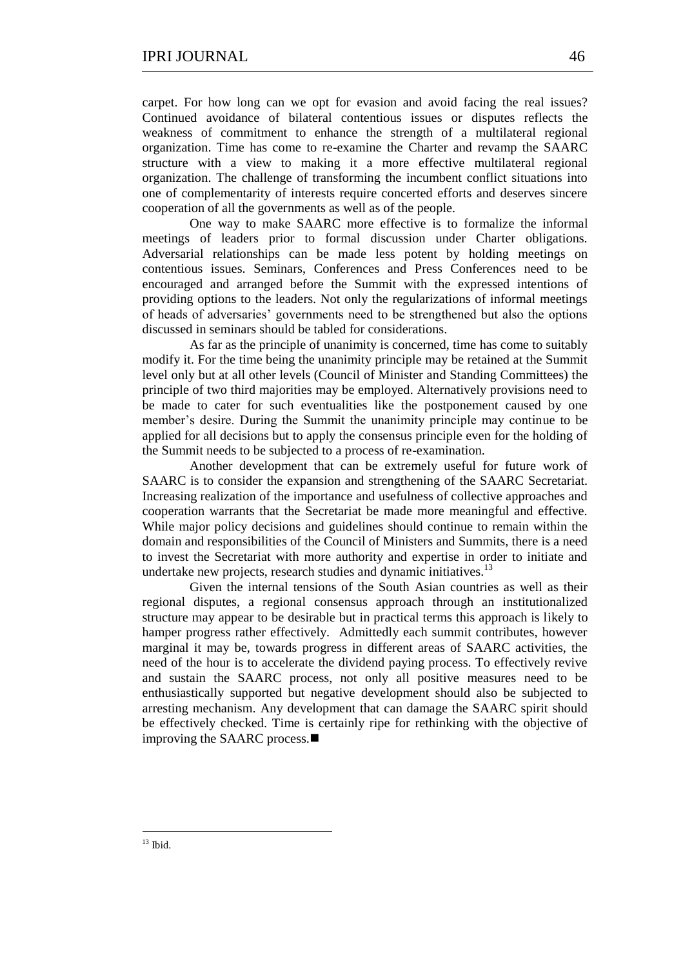carpet. For how long can we opt for evasion and avoid facing the real issues? Continued avoidance of bilateral contentious issues or disputes reflects the weakness of commitment to enhance the strength of a multilateral regional organization. Time has come to re-examine the Charter and revamp the SAARC structure with a view to making it a more effective multilateral regional organization. The challenge of transforming the incumbent conflict situations into one of complementarity of interests require concerted efforts and deserves sincere cooperation of all the governments as well as of the people.

One way to make SAARC more effective is to formalize the informal meetings of leaders prior to formal discussion under Charter obligations. Adversarial relationships can be made less potent by holding meetings on contentious issues. Seminars, Conferences and Press Conferences need to be encouraged and arranged before the Summit with the expressed intentions of providing options to the leaders. Not only the regularizations of informal meetings of heads of adversaries' governments need to be strengthened but also the options discussed in seminars should be tabled for considerations.

As far as the principle of unanimity is concerned, time has come to suitably modify it. For the time being the unanimity principle may be retained at the Summit level only but at all other levels (Council of Minister and Standing Committees) the principle of two third majorities may be employed. Alternatively provisions need to be made to cater for such eventualities like the postponement caused by one member's desire. During the Summit the unanimity principle may continue to be applied for all decisions but to apply the consensus principle even for the holding of the Summit needs to be subjected to a process of re-examination.

Another development that can be extremely useful for future work of SAARC is to consider the expansion and strengthening of the SAARC Secretariat. Increasing realization of the importance and usefulness of collective approaches and cooperation warrants that the Secretariat be made more meaningful and effective. While major policy decisions and guidelines should continue to remain within the domain and responsibilities of the Council of Ministers and Summits, there is a need to invest the Secretariat with more authority and expertise in order to initiate and undertake new projects, research studies and dynamic initiatives.<sup>13</sup>

Given the internal tensions of the South Asian countries as well as their regional disputes, a regional consensus approach through an institutionalized structure may appear to be desirable but in practical terms this approach is likely to hamper progress rather effectively. Admittedly each summit contributes, however marginal it may be, towards progress in different areas of SAARC activities, the need of the hour is to accelerate the dividend paying process. To effectively revive and sustain the SAARC process, not only all positive measures need to be enthusiastically supported but negative development should also be subjected to arresting mechanism. Any development that can damage the SAARC spirit should be effectively checked. Time is certainly ripe for rethinking with the objective of improving the SAARC process.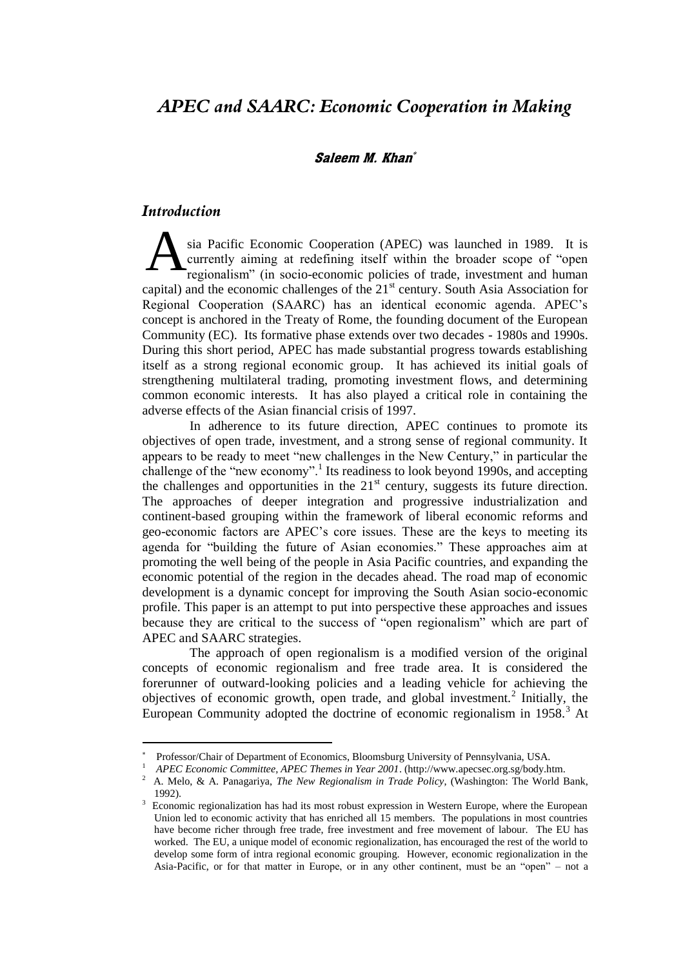# *APEC and SAARC: Economic Cooperation in Making*

### Saleem M. Khan

## *Introduction*

1

sia Pacific Economic Cooperation (APEC) was launched in 1989. It is currently aiming at redefining itself within the broader scope of "open regionalism" (in socio-economic policies of trade, investment and human capital) and the economic challenges of the  $21<sup>st</sup>$  century. South Asia Association for Regional Cooperation (SAARC) has an identical economic agenda. APEC's concept is anchored in the Treaty of Rome, the founding document of the European Community (EC). Its formative phase extends over two decades - 1980s and 1990s. During this short period, APEC has made substantial progress towards establishing itself as a strong regional economic group. It has achieved its initial goals of strengthening multilateral trading, promoting investment flows, and determining common economic interests. It has also played a critical role in containing the adverse effects of the Asian financial crisis of 1997. A

In adherence to its future direction, APEC continues to promote its objectives of open trade, investment, and a strong sense of regional community. It appears to be ready to meet "new challenges in the New Century," in particular the challenge of the "new economy".<sup>1</sup> Its readiness to look beyond 1990s, and accepting the challenges and opportunities in the  $21<sup>st</sup>$  century, suggests its future direction. The approaches of deeper integration and progressive industrialization and continent-based grouping within the framework of liberal economic reforms and geo-economic factors are APEC's core issues. These are the keys to meeting its agenda for "building the future of Asian economies." These approaches aim at promoting the well being of the people in Asia Pacific countries, and expanding the economic potential of the region in the decades ahead. The road map of economic development is a dynamic concept for improving the South Asian socio-economic profile. This paper is an attempt to put into perspective these approaches and issues because they are critical to the success of "open regionalism" which are part of APEC and SAARC strategies.

The approach of open regionalism is a modified version of the original concepts of economic regionalism and free trade area. It is considered the forerunner of outward-looking policies and a leading vehicle for achieving the objectives of economic growth, open trade, and global investment.<sup>2</sup> Initially, the European Community adopted the doctrine of economic regionalism in  $1958$ <sup>3</sup> At

<sup>\*</sup> Professor/Chair of Department of Economics, Bloomsburg University of Pennsylvania, USA.

<sup>1</sup> *APEC Economic Committee, APEC Themes in Year 2001*. (http://www.apecsec.org.sg/body.htm.

<sup>2</sup> A. Melo, & A. Panagariya, *The New Regionalism in Trade Policy*, (Washington: The World Bank, 1992).

<sup>3</sup> Economic regionalization has had its most robust expression in Western Europe, where the European Union led to economic activity that has enriched all 15 members. The populations in most countries have become richer through free trade, free investment and free movement of labour. The EU has worked. The EU, a unique model of economic regionalization, has encouraged the rest of the world to develop some form of intra regional economic grouping. However, economic regionalization in the Asia-Pacific, or for that matter in Europe, or in any other continent, must be an "open" – not a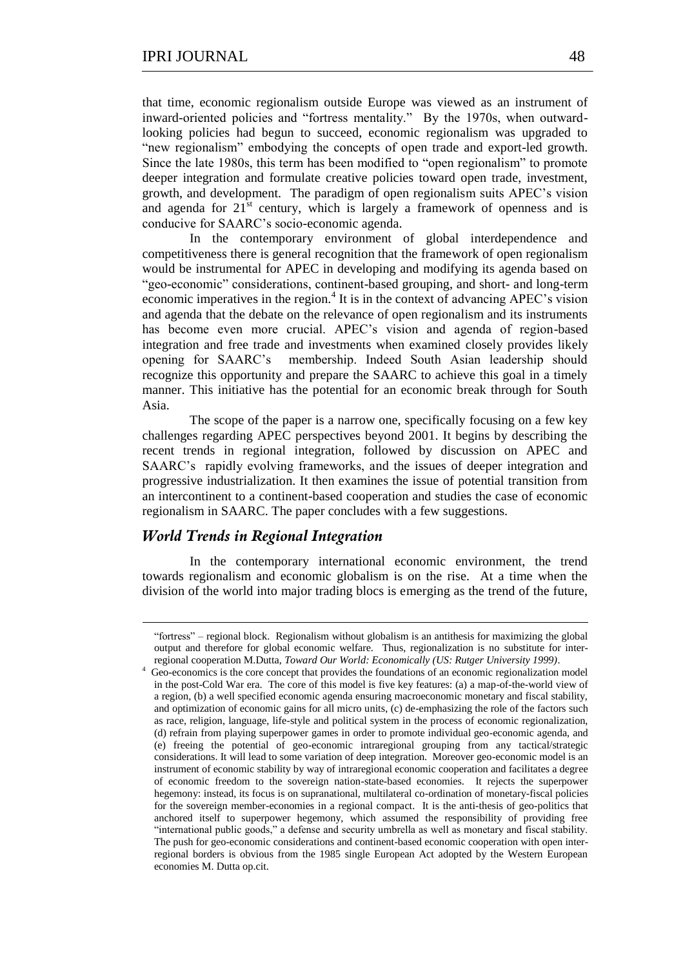that time, economic regionalism outside Europe was viewed as an instrument of inward-oriented policies and "fortress mentality." By the 1970s, when outwardlooking policies had begun to succeed, economic regionalism was upgraded to "new regionalism" embodying the concepts of open trade and export-led growth. Since the late 1980s, this term has been modified to "open regionalism" to promote deeper integration and formulate creative policies toward open trade, investment, growth, and development. The paradigm of open regionalism suits APEC's vision and agenda for  $21<sup>st</sup>$  century, which is largely a framework of openness and is conducive for SAARC's socio-economic agenda.

In the contemporary environment of global interdependence and competitiveness there is general recognition that the framework of open regionalism would be instrumental for APEC in developing and modifying its agenda based on ―geo-economic‖ considerations, continent-based grouping, and short- and long-term economic imperatives in the region.<sup>4</sup> It is in the context of advancing APEC's vision and agenda that the debate on the relevance of open regionalism and its instruments has become even more crucial. APEC's vision and agenda of region-based integration and free trade and investments when examined closely provides likely opening for SAARC's membership. Indeed South Asian leadership should recognize this opportunity and prepare the SAARC to achieve this goal in a timely manner. This initiative has the potential for an economic break through for South Asia.

The scope of the paper is a narrow one, specifically focusing on a few key challenges regarding APEC perspectives beyond 2001. It begins by describing the recent trends in regional integration, followed by discussion on APEC and SAARC's rapidly evolving frameworks, and the issues of deeper integration and progressive industrialization. It then examines the issue of potential transition from an intercontinent to a continent-based cooperation and studies the case of economic regionalism in SAARC. The paper concludes with a few suggestions.

### *World Trends in Regional Integration*

<u>.</u>

4

In the contemporary international economic environment, the trend towards regionalism and economic globalism is on the rise. At a time when the division of the world into major trading blocs is emerging as the trend of the future,

<sup>―</sup>fortress‖ – regional block. Regionalism without globalism is an antithesis for maximizing the global output and therefore for global economic welfare. Thus, regionalization is no substitute for interregional cooperation M.Dutta, *Toward Our World: Economically (US: Rutger University 1999)*.

Geo-economics is the core concept that provides the foundations of an economic regionalization model in the post-Cold War era. The core of this model is five key features: (a) a map-of-the-world view of a region, (b) a well specified economic agenda ensuring macroeconomic monetary and fiscal stability, and optimization of economic gains for all micro units, (c) de-emphasizing the role of the factors such as race, religion, language, life-style and political system in the process of economic regionalization, (d) refrain from playing superpower games in order to promote individual geo-economic agenda, and (e) freeing the potential of geo-economic intraregional grouping from any tactical/strategic considerations. It will lead to some variation of deep integration. Moreover geo-economic model is an instrument of economic stability by way of intraregional economic cooperation and facilitates a degree of economic freedom to the sovereign nation-state-based economies. It rejects the superpower hegemony: instead, its focus is on supranational, multilateral co-ordination of monetary-fiscal policies for the sovereign member-economies in a regional compact. It is the anti-thesis of geo-politics that anchored itself to superpower hegemony, which assumed the responsibility of providing free ―international public goods,‖ a defense and security umbrella as well as monetary and fiscal stability. The push for geo-economic considerations and continent-based economic cooperation with open interregional borders is obvious from the 1985 single European Act adopted by the Western European economies M. Dutta op.cit.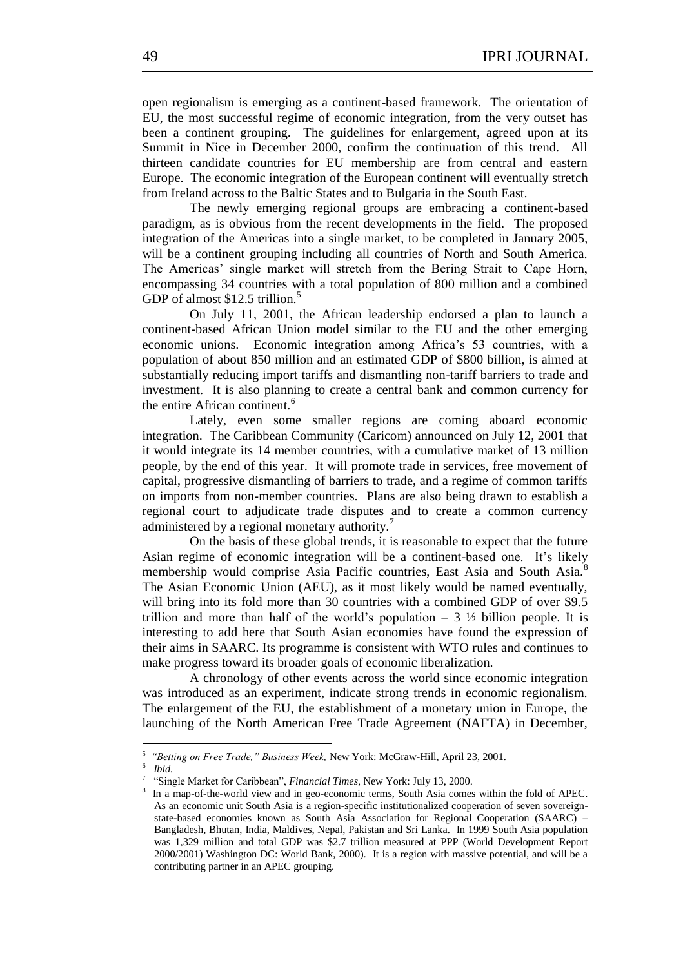open regionalism is emerging as a continent-based framework. The orientation of EU, the most successful regime of economic integration, from the very outset has been a continent grouping. The guidelines for enlargement, agreed upon at its Summit in Nice in December 2000, confirm the continuation of this trend. All thirteen candidate countries for EU membership are from central and eastern Europe. The economic integration of the European continent will eventually stretch from Ireland across to the Baltic States and to Bulgaria in the South East.

The newly emerging regional groups are embracing a continent-based paradigm, as is obvious from the recent developments in the field. The proposed integration of the Americas into a single market, to be completed in January 2005, will be a continent grouping including all countries of North and South America. The Americas' single market will stretch from the Bering Strait to Cape Horn, encompassing 34 countries with a total population of 800 million and a combined GDP of almost  $$12.5$  trillion.<sup>5</sup>

On July 11, 2001, the African leadership endorsed a plan to launch a continent-based African Union model similar to the EU and the other emerging economic unions. Economic integration among Africa's 53 countries, with a population of about 850 million and an estimated GDP of \$800 billion, is aimed at substantially reducing import tariffs and dismantling non-tariff barriers to trade and investment. It is also planning to create a central bank and common currency for the entire African continent.<sup>6</sup>

Lately, even some smaller regions are coming aboard economic integration. The Caribbean Community (Caricom) announced on July 12, 2001 that it would integrate its 14 member countries, with a cumulative market of 13 million people, by the end of this year. It will promote trade in services, free movement of capital, progressive dismantling of barriers to trade, and a regime of common tariffs on imports from non-member countries. Plans are also being drawn to establish a regional court to adjudicate trade disputes and to create a common currency administered by a regional monetary authority.<sup>7</sup>

On the basis of these global trends, it is reasonable to expect that the future Asian regime of economic integration will be a continent-based one. It's likely membership would comprise Asia Pacific countries, East Asia and South Asia.<sup>8</sup> The Asian Economic Union (AEU), as it most likely would be named eventually, will bring into its fold more than 30 countries with a combined GDP of over \$9.5 trillion and more than half of the world's population  $-3\frac{1}{2}$  billion people. It is interesting to add here that South Asian economies have found the expression of their aims in SAARC. Its programme is consistent with WTO rules and continues to make progress toward its broader goals of economic liberalization.

A chronology of other events across the world since economic integration was introduced as an experiment, indicate strong trends in economic regionalism. The enlargement of the EU, the establishment of a monetary union in Europe, the launching of the North American Free Trade Agreement (NAFTA) in December,

<sup>5</sup> *―Betting on Free Trade,‖ Business Week,* New York: McGraw-Hill, April 23, 2001.

<sup>6</sup> *Ibid.* 

<sup>7</sup> ―Single Market for Caribbean‖, *Financial Times*, New York: July 13, 2000.

<sup>8</sup> In a map-of-the-world view and in geo-economic terms, South Asia comes within the fold of APEC. As an economic unit South Asia is a region-specific institutionalized cooperation of seven sovereignstate-based economies known as South Asia Association for Regional Cooperation (SAARC) – Bangladesh, Bhutan, India, Maldives, Nepal, Pakistan and Sri Lanka. In 1999 South Asia population was 1,329 million and total GDP was \$2.7 trillion measured at PPP (World Development Report 2000/2001) Washington DC: World Bank, 2000)*.* It is a region with massive potential, and will be a contributing partner in an APEC grouping.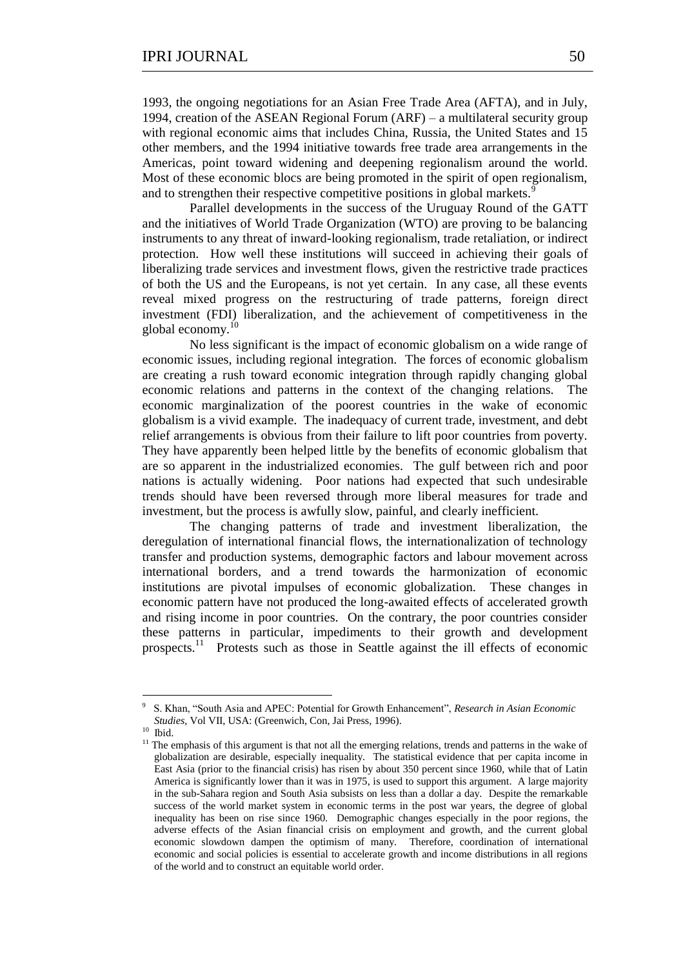1993, the ongoing negotiations for an Asian Free Trade Area (AFTA), and in July, 1994, creation of the ASEAN Regional Forum (ARF) – a multilateral security group with regional economic aims that includes China, Russia, the United States and 15 other members, and the 1994 initiative towards free trade area arrangements in the Americas, point toward widening and deepening regionalism around the world. Most of these economic blocs are being promoted in the spirit of open regionalism, and to strengthen their respective competitive positions in global markets.

Parallel developments in the success of the Uruguay Round of the GATT and the initiatives of World Trade Organization (WTO) are proving to be balancing instruments to any threat of inward-looking regionalism, trade retaliation, or indirect protection. How well these institutions will succeed in achieving their goals of liberalizing trade services and investment flows, given the restrictive trade practices of both the US and the Europeans, is not yet certain. In any case, all these events reveal mixed progress on the restructuring of trade patterns, foreign direct investment (FDI) liberalization, and the achievement of competitiveness in the global economy.<sup>10</sup>

No less significant is the impact of economic globalism on a wide range of economic issues, including regional integration. The forces of economic globalism are creating a rush toward economic integration through rapidly changing global economic relations and patterns in the context of the changing relations. The economic marginalization of the poorest countries in the wake of economic globalism is a vivid example. The inadequacy of current trade, investment, and debt relief arrangements is obvious from their failure to lift poor countries from poverty. They have apparently been helped little by the benefits of economic globalism that are so apparent in the industrialized economies. The gulf between rich and poor nations is actually widening. Poor nations had expected that such undesirable trends should have been reversed through more liberal measures for trade and investment, but the process is awfully slow, painful, and clearly inefficient.

The changing patterns of trade and investment liberalization, the deregulation of international financial flows, the internationalization of technology transfer and production systems, demographic factors and labour movement across international borders, and a trend towards the harmonization of economic institutions are pivotal impulses of economic globalization. These changes in economic pattern have not produced the long-awaited effects of accelerated growth and rising income in poor countries. On the contrary, the poor countries consider these patterns in particular, impediments to their growth and development prospects.<sup>11</sup> Protests such as those in Seattle against the ill effects of economic

<sup>9</sup> S. Khan, "South Asia and APEC: Potential for Growth Enhancement", *Research in Asian Economic Studies*, Vol VII, USA: (Greenwich, Con, Jai Press, 1996).

<sup>10</sup> Ibid.

<sup>&</sup>lt;sup>11</sup> The emphasis of this argument is that not all the emerging relations, trends and patterns in the wake of globalization are desirable, especially inequality. The statistical evidence that per capita income in East Asia (prior to the financial crisis) has risen by about 350 percent since 1960, while that of Latin America is significantly lower than it was in 1975, is used to support this argument. A large majority in the sub-Sahara region and South Asia subsists on less than a dollar a day. Despite the remarkable success of the world market system in economic terms in the post war years, the degree of global inequality has been on rise since 1960. Demographic changes especially in the poor regions, the adverse effects of the Asian financial crisis on employment and growth, and the current global economic slowdown dampen the optimism of many. Therefore, coordination of international economic and social policies is essential to accelerate growth and income distributions in all regions of the world and to construct an equitable world order.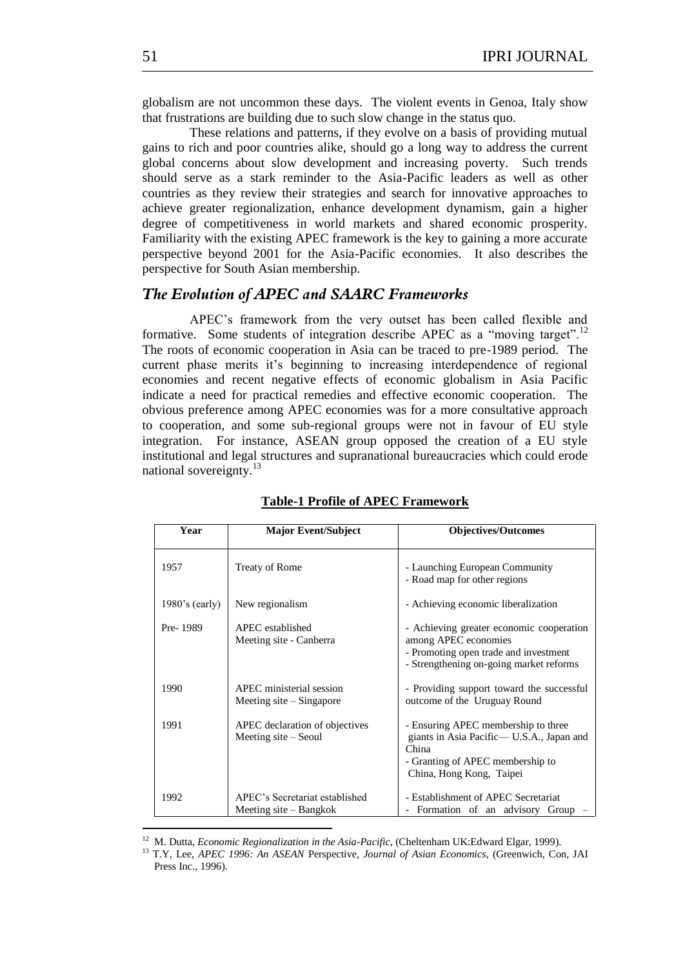globalism are not uncommon these days. The violent events in Genoa, Italy show that frustrations are building due to such slow change in the status quo.

These relations and patterns, if they evolve on a basis of providing mutual gains to rich and poor countries alike, should go a long way to address the current global concerns about slow development and increasing poverty. Such trends should serve as a stark reminder to the Asia-Pacific leaders as well as other countries as they review their strategies and search for innovative approaches to achieve greater regionalization, enhance development dynamism, gain a higher degree of competitiveness in world markets and shared economic prosperity. Familiarity with the existing APEC framework is the key to gaining a more accurate perspective beyond 2001 for the Asia-Pacific economies. It also describes the perspective for South Asian membership.

## *The Evolution of APEC and SAARC Frameworks*

APEC's framework from the very outset has been called flexible and formative. Some students of integration describe APEC as a "moving target".<sup>12</sup> The roots of economic cooperation in Asia can be traced to pre-1989 period. The current phase merits it's beginning to increasing interdependence of regional economies and recent negative effects of economic globalism in Asia Pacific indicate a need for practical remedies and effective economic cooperation. The obvious preference among APEC economies was for a more consultative approach to cooperation, and some sub-regional groups were not in favour of EU style integration. For instance, ASEAN group opposed the creation of a EU style institutional and legal structures and supranational bureaucracies which could erode national sovereignty. $13$ 

| Year              | <b>Major Event/Subject</b>                               | <b>Objectives/Outcomes</b>                                                                                                                                |
|-------------------|----------------------------------------------------------|-----------------------------------------------------------------------------------------------------------------------------------------------------------|
| 1957              | <b>Treaty of Rome</b>                                    | - Launching European Community<br>- Road map for other regions                                                                                            |
| $1980$ 's (early) | New regionalism                                          | - Achieving economic liberalization                                                                                                                       |
| Pre-1989          | APEC established<br>Meeting site - Canberra              | - Achieving greater economic cooperation<br>among APEC economies<br>- Promoting open trade and investment<br>- Strengthening on-going market reforms      |
| 1990              | APEC ministerial session<br>Meeting site $-$ Singapore   | - Providing support toward the successful<br>outcome of the Uruguay Round                                                                                 |
| 1991              | APEC declaration of objectives<br>Meeting site – Seoul   | - Ensuring APEC membership to three<br>giants in Asia Pacific— U.S.A., Japan and<br>China<br>- Granting of APEC membership to<br>China, Hong Kong, Taipei |
| 1992              | APEC's Secretariat established<br>Meeting site – Bangkok | - Establishment of APEC Secretariat<br>Formation of an advisory Group                                                                                     |

#### **Table-1 Profile of APEC Framework**

<sup>&</sup>lt;sup>12</sup> M. Dutta, *Economic Regionalization in the Asia-Pacific*, (Cheltenham UK:Edward Elgar, 1999).

<sup>13</sup> T.Y, Lee, *APEC 1996: An ASEAN* Perspective, *Journal of Asian Economics,* (Greenwich, Con, JAI Press Inc., 1996).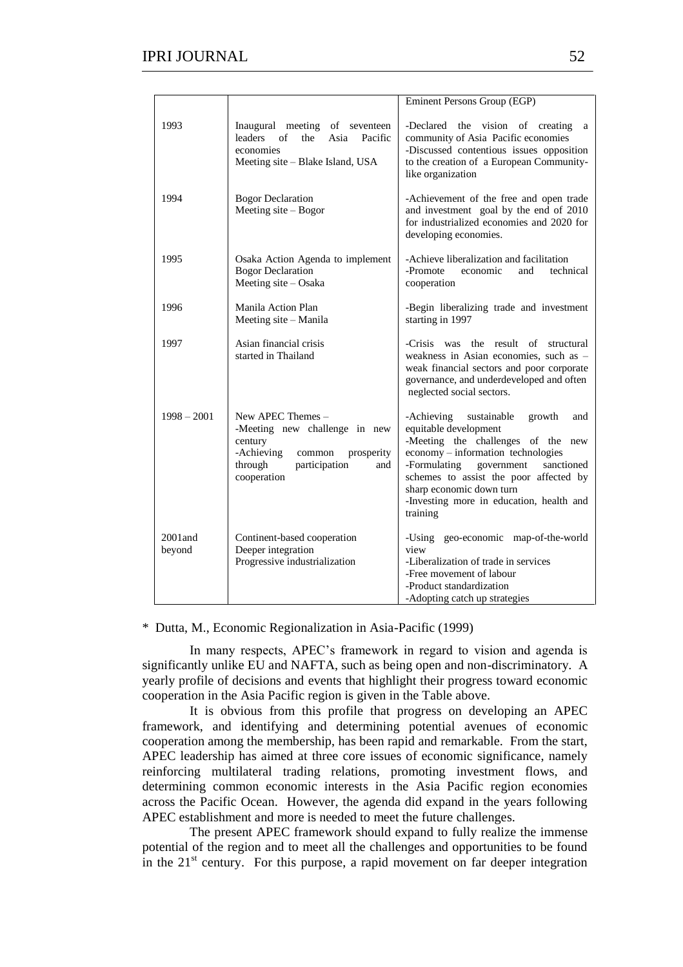|                      |                                                                                                                                                       | Eminent Persons Group (EGP)                                                                                                                                                                                                                                                                                               |
|----------------------|-------------------------------------------------------------------------------------------------------------------------------------------------------|---------------------------------------------------------------------------------------------------------------------------------------------------------------------------------------------------------------------------------------------------------------------------------------------------------------------------|
| 1993                 | Inaugural meeting of seventeen<br>leaders<br>of<br>the<br>Asia Pacific<br>economies<br>Meeting site – Blake Island, USA                               | -Declared the vision of creating<br>a<br>community of Asia Pacific economies<br>-Discussed contentious issues opposition<br>to the creation of a European Community-<br>like organization                                                                                                                                 |
| 1994                 | <b>Bogor Declaration</b><br>Meeting site $-$ Bogor                                                                                                    | -Achievement of the free and open trade<br>and investment goal by the end of 2010<br>for industrialized economies and 2020 for<br>developing economies.                                                                                                                                                                   |
| 1995                 | Osaka Action Agenda to implement<br><b>Bogor Declaration</b><br>Meeting site - Osaka                                                                  | -Achieve liberalization and facilitation<br>technical<br>-Promote<br>economic<br>and<br>cooperation                                                                                                                                                                                                                       |
| 1996                 | Manila Action Plan<br>Meeting site – Manila                                                                                                           | -Begin liberalizing trade and investment<br>starting in 1997                                                                                                                                                                                                                                                              |
| 1997                 | Asian financial crisis<br>started in Thailand                                                                                                         | -Crisis was the result of structural<br>weakness in Asian economies, such as -<br>weak financial sectors and poor corporate<br>governance, and underdeveloped and often<br>neglected social sectors.                                                                                                                      |
| $1998 - 2001$        | New APEC Themes -<br>-Meeting new challenge in new<br>century<br>-Achieving<br>common<br>prosperity<br>through<br>participation<br>and<br>cooperation | -Achieving<br>sustainable<br>growth<br>and<br>equitable development<br>-Meeting the challenges of the new<br>economy - information technologies<br>-Formulating<br>government<br>sanctioned<br>schemes to assist the poor affected by<br>sharp economic down turn<br>-Investing more in education, health and<br>training |
| $2001$ and<br>beyond | Continent-based cooperation<br>Deeper integration<br>Progressive industrialization                                                                    | -Using geo-economic map-of-the-world<br>view<br>-Liberalization of trade in services<br>-Free movement of labour<br>-Product standardization<br>-Adopting catch up strategies                                                                                                                                             |

\* Dutta, M., Economic Regionalization in Asia-Pacific (1999)

In many respects, APEC's framework in regard to vision and agenda is significantly unlike EU and NAFTA, such as being open and non-discriminatory. A yearly profile of decisions and events that highlight their progress toward economic cooperation in the Asia Pacific region is given in the Table above.

It is obvious from this profile that progress on developing an APEC framework, and identifying and determining potential avenues of economic cooperation among the membership, has been rapid and remarkable. From the start, APEC leadership has aimed at three core issues of economic significance, namely reinforcing multilateral trading relations, promoting investment flows, and determining common economic interests in the Asia Pacific region economies across the Pacific Ocean. However, the agenda did expand in the years following APEC establishment and more is needed to meet the future challenges.

The present APEC framework should expand to fully realize the immense potential of the region and to meet all the challenges and opportunities to be found in the  $21<sup>st</sup>$  century. For this purpose, a rapid movement on far deeper integration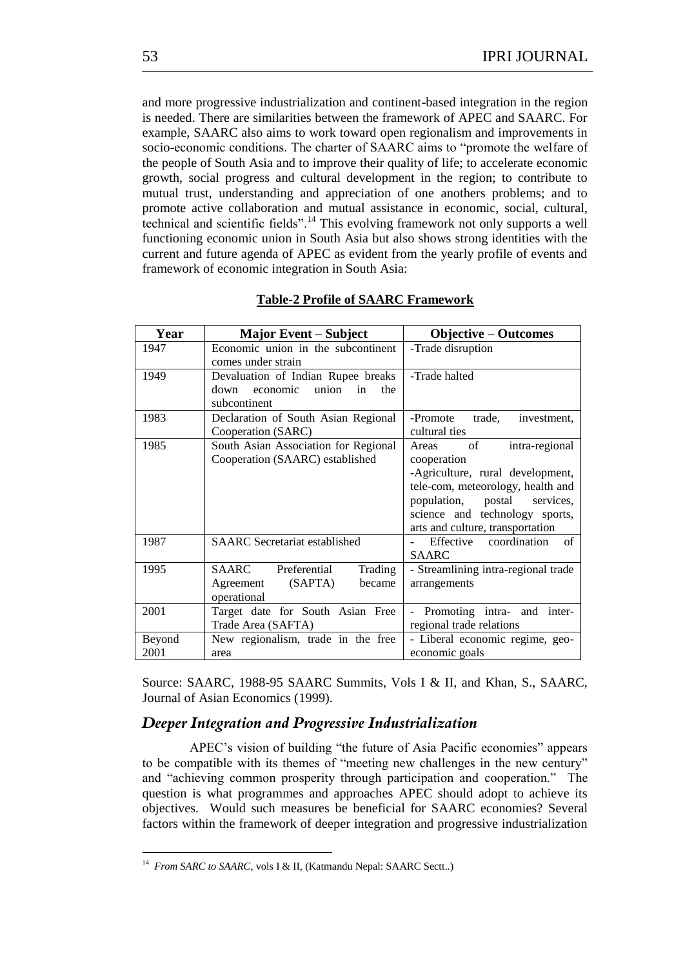and more progressive industrialization and continent-based integration in the region is needed. There are similarities between the framework of APEC and SAARC. For example, SAARC also aims to work toward open regionalism and improvements in socio-economic conditions. The charter of SAARC aims to "promote the welfare of the people of South Asia and to improve their quality of life; to accelerate economic growth, social progress and cultural development in the region; to contribute to mutual trust, understanding and appreciation of one anothers problems; and to promote active collaboration and mutual assistance in economic, social, cultural, technical and scientific fields".<sup>14</sup> This evolving framework not only supports a well functioning economic union in South Asia but also shows strong identities with the current and future agenda of APEC as evident from the yearly profile of events and framework of economic integration in South Asia:

| Year           | <b>Major Event – Subject</b>                                                                 | <b>Objective – Outcomes</b>                                                                                                                                                                                                       |
|----------------|----------------------------------------------------------------------------------------------|-----------------------------------------------------------------------------------------------------------------------------------------------------------------------------------------------------------------------------------|
| 1947           | Economic union in the subcontinent<br>comes under strain                                     | -Trade disruption                                                                                                                                                                                                                 |
| 1949           | Devaluation of Indian Rupee breaks<br>economic<br>union<br>the<br>down<br>in<br>subcontinent | -Trade halted                                                                                                                                                                                                                     |
| 1983           | Declaration of South Asian Regional<br>Cooperation (SARC)                                    | -Promote<br>trade,<br>investment,<br>cultural ties                                                                                                                                                                                |
| 1985           | South Asian Association for Regional<br>Cooperation (SAARC) established                      | of<br>Areas<br>intra-regional<br>cooperation<br>-Agriculture, rural development,<br>tele-com, meteorology, health and<br>population,<br>postal<br>services,<br>science and technology sports,<br>arts and culture, transportation |
| 1987           | <b>SAARC</b> Secretariat established                                                         | Effective coordination<br>$\sigma$ f<br><b>SAARC</b>                                                                                                                                                                              |
| 1995           | Preferential<br>SAARC<br>Trading<br>Agreement<br>(SAPTA)<br>became<br>operational            | - Streamlining intra-regional trade<br>arrangements                                                                                                                                                                               |
| 2001           | Target date for South Asian Free<br>Trade Area (SAFTA)                                       | Promoting intra- and inter-<br>regional trade relations                                                                                                                                                                           |
| Beyond<br>2001 | New regionalism, trade in the free<br>area                                                   | - Liberal economic regime, geo-<br>economic goals                                                                                                                                                                                 |

### **Table-2 Profile of SAARC Framework**

Source: SAARC, 1988-95 SAARC Summits, Vols I & II, and Khan, S., SAARC, Journal of Asian Economics (1999).

## *Deeper Integration and Progressive Industrialization*

APEC's vision of building "the future of Asia Pacific economies" appears to be compatible with its themes of "meeting new challenges in the new century" and "achieving common prosperity through participation and cooperation." The question is what programmes and approaches APEC should adopt to achieve its objectives. Would such measures be beneficial for SAARC economies? Several factors within the framework of deeper integration and progressive industrialization

<sup>&</sup>lt;sup>14</sup> From SARC to SAARC, vols I & II, (Katmandu Nepal: SAARC Sectt..)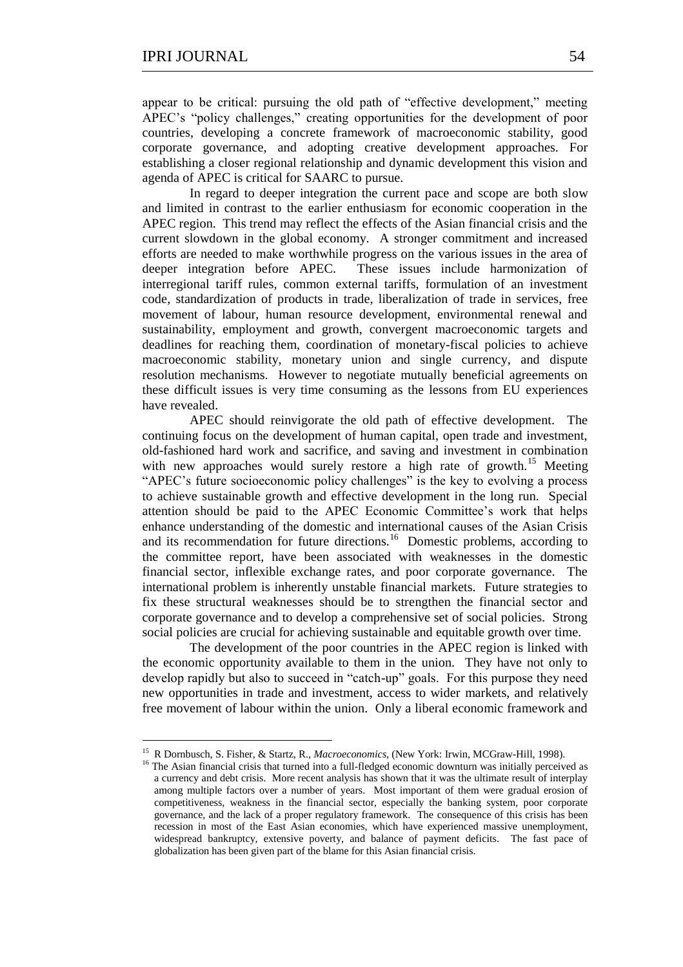<u>.</u>

appear to be critical: pursuing the old path of "effective development," meeting APEC's "policy challenges," creating opportunities for the development of poor countries, developing a concrete framework of macroeconomic stability, good corporate governance, and adopting creative development approaches. For establishing a closer regional relationship and dynamic development this vision and agenda of APEC is critical for SAARC to pursue.

In regard to deeper integration the current pace and scope are both slow and limited in contrast to the earlier enthusiasm for economic cooperation in the APEC region. This trend may reflect the effects of the Asian financial crisis and the current slowdown in the global economy. A stronger commitment and increased efforts are needed to make worthwhile progress on the various issues in the area of deeper integration before APEC. These issues include harmonization of interregional tariff rules, common external tariffs, formulation of an investment code, standardization of products in trade, liberalization of trade in services, free movement of labour, human resource development, environmental renewal and sustainability, employment and growth, convergent macroeconomic targets and deadlines for reaching them, coordination of monetary-fiscal policies to achieve macroeconomic stability, monetary union and single currency, and dispute resolution mechanisms. However to negotiate mutually beneficial agreements on these difficult issues is very time consuming as the lessons from EU experiences have revealed.

APEC should reinvigorate the old path of effective development. The continuing focus on the development of human capital, open trade and investment, old-fashioned hard work and sacrifice, and saving and investment in combination with new approaches would surely restore a high rate of growth.<sup>15</sup> Meeting "APEC's future socioeconomic policy challenges" is the key to evolving a process to achieve sustainable growth and effective development in the long run. Special attention should be paid to the APEC Economic Committee's work that helps enhance understanding of the domestic and international causes of the Asian Crisis and its recommendation for future directions.<sup>16</sup> Domestic problems, according to the committee report, have been associated with weaknesses in the domestic financial sector, inflexible exchange rates, and poor corporate governance. The international problem is inherently unstable financial markets. Future strategies to fix these structural weaknesses should be to strengthen the financial sector and corporate governance and to develop a comprehensive set of social policies. Strong social policies are crucial for achieving sustainable and equitable growth over time.

The development of the poor countries in the APEC region is linked with the economic opportunity available to them in the union. They have not only to develop rapidly but also to succeed in "catch-up" goals. For this purpose they need new opportunities in trade and investment, access to wider markets, and relatively free movement of labour within the union. Only a liberal economic framework and

<sup>15</sup> R Dornbusch, S. Fisher, & Startz, R., *Macroeconomics*, (New York: Irwin, MCGraw-Hill, 1998).

<sup>&</sup>lt;sup>16</sup> The Asian financial crisis that turned into a full-fledged economic downturn was initially perceived as a currency and debt crisis. More recent analysis has shown that it was the ultimate result of interplay among multiple factors over a number of years. Most important of them were gradual erosion of competitiveness, weakness in the financial sector, especially the banking system, poor corporate governance, and the lack of a proper regulatory framework. The consequence of this crisis has been recession in most of the East Asian economies, which have experienced massive unemployment, widespread bankruptcy, extensive poverty, and balance of payment deficits. The fast pace of globalization has been given part of the blame for this Asian financial crisis.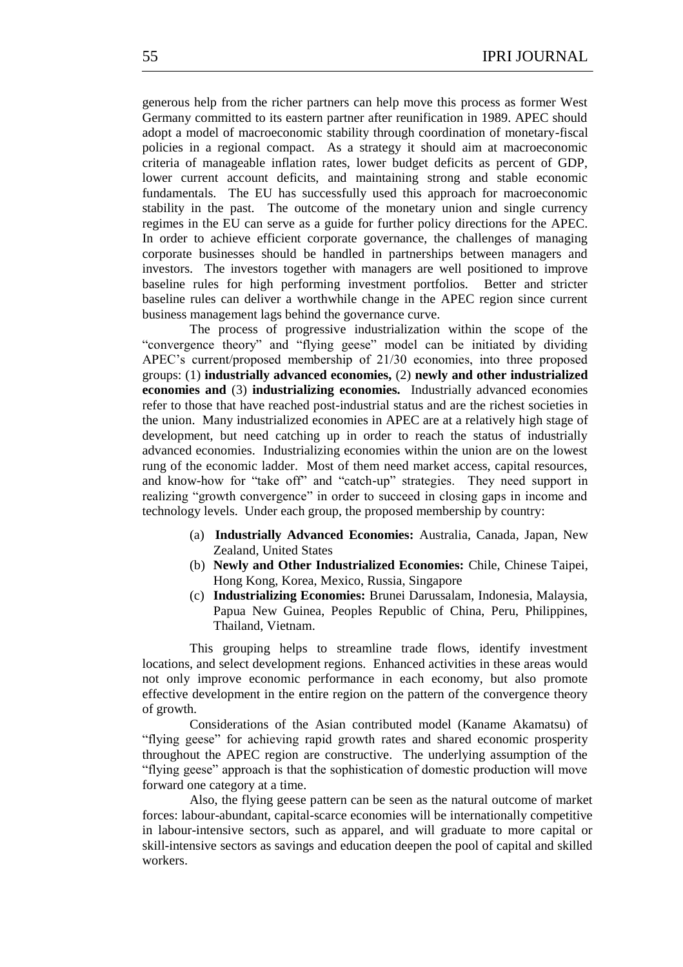generous help from the richer partners can help move this process as former West Germany committed to its eastern partner after reunification in 1989. APEC should adopt a model of macroeconomic stability through coordination of monetary-fiscal policies in a regional compact. As a strategy it should aim at macroeconomic criteria of manageable inflation rates, lower budget deficits as percent of GDP, lower current account deficits, and maintaining strong and stable economic fundamentals. The EU has successfully used this approach for macroeconomic stability in the past. The outcome of the monetary union and single currency regimes in the EU can serve as a guide for further policy directions for the APEC. In order to achieve efficient corporate governance, the challenges of managing corporate businesses should be handled in partnerships between managers and investors. The investors together with managers are well positioned to improve baseline rules for high performing investment portfolios. Better and stricter baseline rules can deliver a worthwhile change in the APEC region since current business management lags behind the governance curve.

The process of progressive industrialization within the scope of the "convergence theory" and "flying geese" model can be initiated by dividing APEC's current/proposed membership of 21/30 economies, into three proposed groups: (1) **industrially advanced economies,** (2) **newly and other industrialized economies and** (3) **industrializing economies.** Industrially advanced economies refer to those that have reached post-industrial status and are the richest societies in the union. Many industrialized economies in APEC are at a relatively high stage of development, but need catching up in order to reach the status of industrially advanced economies. Industrializing economies within the union are on the lowest rung of the economic ladder. Most of them need market access, capital resources, and know-how for "take off" and "catch-up" strategies. They need support in realizing "growth convergence" in order to succeed in closing gaps in income and technology levels. Under each group, the proposed membership by country:

- (a) **Industrially Advanced Economies:** Australia, Canada, Japan, New Zealand, United States
- (b) **Newly and Other Industrialized Economies:** Chile, Chinese Taipei, Hong Kong, Korea, Mexico, Russia, Singapore
- (c) **Industrializing Economies:** Brunei Darussalam, Indonesia, Malaysia, Papua New Guinea, Peoples Republic of China, Peru, Philippines, Thailand, Vietnam.

This grouping helps to streamline trade flows, identify investment locations, and select development regions. Enhanced activities in these areas would not only improve economic performance in each economy, but also promote effective development in the entire region on the pattern of the convergence theory of growth.

Considerations of the Asian contributed model (Kaname Akamatsu) of ―flying geese‖ for achieving rapid growth rates and shared economic prosperity throughout the APEC region are constructive. The underlying assumption of the ―flying geese‖ approach is that the sophistication of domestic production will move forward one category at a time.

Also, the flying geese pattern can be seen as the natural outcome of market forces: labour-abundant, capital-scarce economies will be internationally competitive in labour-intensive sectors, such as apparel, and will graduate to more capital or skill-intensive sectors as savings and education deepen the pool of capital and skilled workers.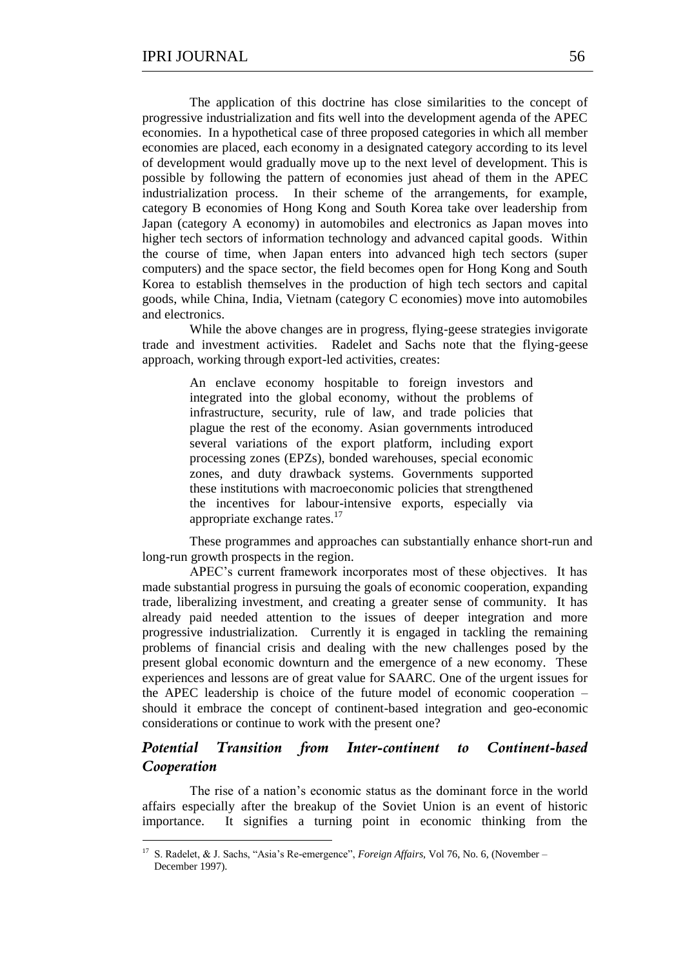The application of this doctrine has close similarities to the concept of progressive industrialization and fits well into the development agenda of the APEC economies. In a hypothetical case of three proposed categories in which all member economies are placed, each economy in a designated category according to its level of development would gradually move up to the next level of development. This is possible by following the pattern of economies just ahead of them in the APEC industrialization process. In their scheme of the arrangements, for example, category B economies of Hong Kong and South Korea take over leadership from Japan (category A economy) in automobiles and electronics as Japan moves into higher tech sectors of information technology and advanced capital goods. Within the course of time, when Japan enters into advanced high tech sectors (super computers) and the space sector, the field becomes open for Hong Kong and South Korea to establish themselves in the production of high tech sectors and capital goods, while China, India, Vietnam (category C economies) move into automobiles and electronics.

While the above changes are in progress, flying-geese strategies invigorate trade and investment activities. Radelet and Sachs note that the flying-geese approach, working through export-led activities, creates:

> An enclave economy hospitable to foreign investors and integrated into the global economy, without the problems of infrastructure, security, rule of law, and trade policies that plague the rest of the economy. Asian governments introduced several variations of the export platform, including export processing zones (EPZs), bonded warehouses, special economic zones, and duty drawback systems. Governments supported these institutions with macroeconomic policies that strengthened the incentives for labour-intensive exports, especially via appropriate exchange rates.<sup>17</sup>

These programmes and approaches can substantially enhance short-run and long-run growth prospects in the region.

APEC's current framework incorporates most of these objectives. It has made substantial progress in pursuing the goals of economic cooperation, expanding trade, liberalizing investment, and creating a greater sense of community. It has already paid needed attention to the issues of deeper integration and more progressive industrialization. Currently it is engaged in tackling the remaining problems of financial crisis and dealing with the new challenges posed by the present global economic downturn and the emergence of a new economy. These experiences and lessons are of great value for SAARC. One of the urgent issues for the APEC leadership is choice of the future model of economic cooperation – should it embrace the concept of continent-based integration and geo-economic considerations or continue to work with the present one?

## *Potential Transition from Inter-continent to Continent-based Cooperation*

The rise of a nation's economic status as the dominant force in the world affairs especially after the breakup of the Soviet Union is an event of historic importance. It signifies a turning point in economic thinking from the

1

<sup>&</sup>lt;sup>17</sup> S. Radelet, & J. Sachs, "Asia's Re-emergence", *Foreign Affairs*, Vol 76, No. 6, (November – December 1997).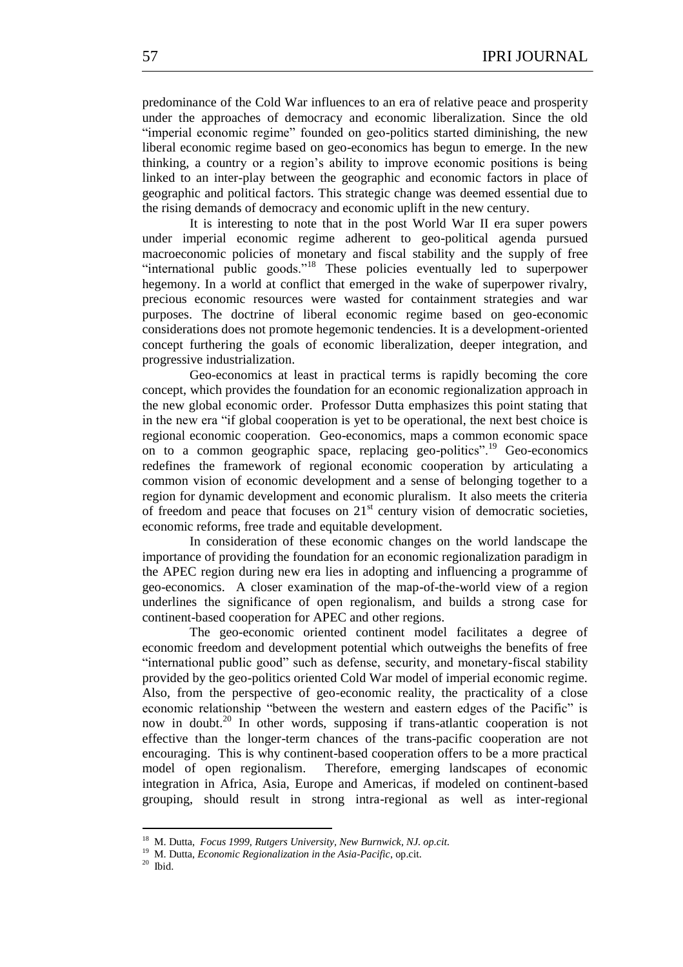predominance of the Cold War influences to an era of relative peace and prosperity under the approaches of democracy and economic liberalization. Since the old "imperial economic regime" founded on geo-politics started diminishing, the new liberal economic regime based on geo-economics has begun to emerge. In the new thinking, a country or a region's ability to improve economic positions is being linked to an inter-play between the geographic and economic factors in place of geographic and political factors. This strategic change was deemed essential due to the rising demands of democracy and economic uplift in the new century.

It is interesting to note that in the post World War II era super powers under imperial economic regime adherent to geo-political agenda pursued macroeconomic policies of monetary and fiscal stability and the supply of free "international public goods."<sup>18</sup> These policies eventually led to superpower hegemony. In a world at conflict that emerged in the wake of superpower rivalry, precious economic resources were wasted for containment strategies and war purposes. The doctrine of liberal economic regime based on geo-economic considerations does not promote hegemonic tendencies. It is a development-oriented concept furthering the goals of economic liberalization, deeper integration, and progressive industrialization.

Geo-economics at least in practical terms is rapidly becoming the core concept, which provides the foundation for an economic regionalization approach in the new global economic order. Professor Dutta emphasizes this point stating that in the new era "if global cooperation is yet to be operational, the next best choice is regional economic cooperation. Geo-economics, maps a common economic space on to a common geographic space, replacing geo-politics".<sup>19</sup> Geo-economics redefines the framework of regional economic cooperation by articulating a common vision of economic development and a sense of belonging together to a region for dynamic development and economic pluralism. It also meets the criteria of freedom and peace that focuses on  $21<sup>st</sup>$  century vision of democratic societies, economic reforms, free trade and equitable development.

In consideration of these economic changes on the world landscape the importance of providing the foundation for an economic regionalization paradigm in the APEC region during new era lies in adopting and influencing a programme of geo-economics. A closer examination of the map-of-the-world view of a region underlines the significance of open regionalism, and builds a strong case for continent-based cooperation for APEC and other regions.

The geo-economic oriented continent model facilitates a degree of economic freedom and development potential which outweighs the benefits of free ―international public good‖ such as defense, security, and monetary-fiscal stability provided by the geo-politics oriented Cold War model of imperial economic regime. Also, from the perspective of geo-economic reality, the practicality of a close economic relationship "between the western and eastern edges of the Pacific" is now in doubt.<sup>20</sup> In other words, supposing if trans-atlantic cooperation is not effective than the longer-term chances of the trans-pacific cooperation are not encouraging. This is why continent-based cooperation offers to be a more practical model of open regionalism. Therefore, emerging landscapes of economic integration in Africa, Asia, Europe and Americas, if modeled on continent-based grouping, should result in strong intra-regional as well as inter-regional

<sup>18</sup> M. Dutta, *Focus 1999, Rutgers University, New Burnwick, NJ. op.cit.*

<sup>19</sup> M. Dutta, *Economic Regionalization in the Asia-Pacific*, op.cit.

 $20$  Ibid.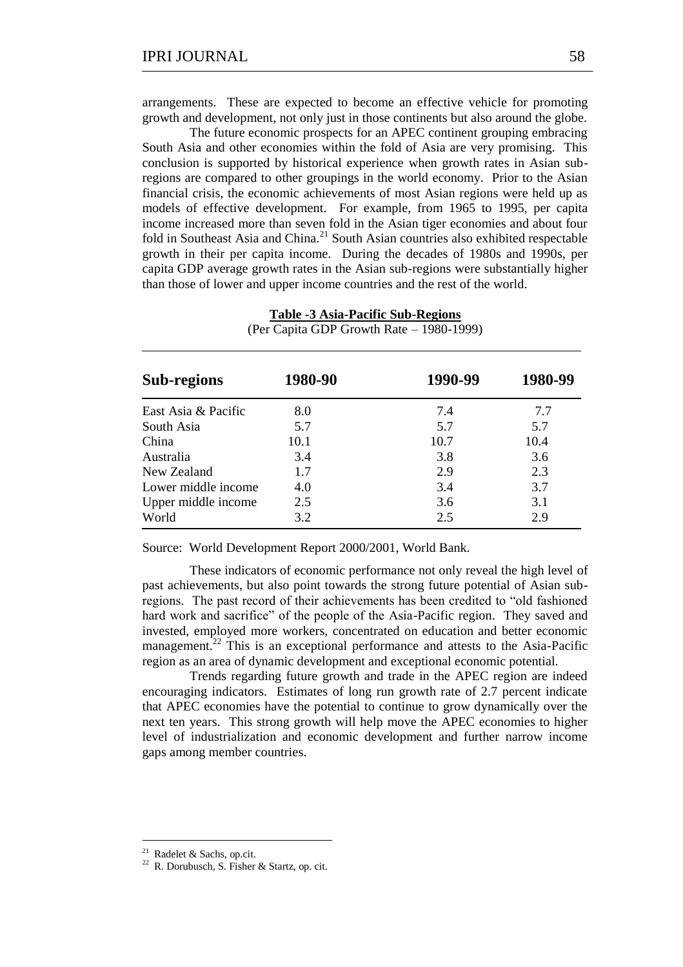arrangements. These are expected to become an effective vehicle for promoting growth and development, not only just in those continents but also around the globe.

The future economic prospects for an APEC continent grouping embracing South Asia and other economies within the fold of Asia are very promising. This conclusion is supported by historical experience when growth rates in Asian subregions are compared to other groupings in the world economy. Prior to the Asian financial crisis, the economic achievements of most Asian regions were held up as models of effective development. For example, from 1965 to 1995, per capita income increased more than seven fold in the Asian tiger economies and about four fold in Southeast Asia and China.<sup>21</sup> South Asian countries also exhibited respectable growth in their per capita income. During the decades of 1980s and 1990s, per capita GDP average growth rates in the Asian sub-regions were substantially higher than those of lower and upper income countries and the rest of the world.

| (Per Capita GDP Growth Rate - 1980-1999) |         |         |         |  |
|------------------------------------------|---------|---------|---------|--|
| Sub-regions                              | 1980-90 | 1990-99 | 1980-99 |  |
| East Asia & Pacific                      | 8.0     | 7.4     | 7.7     |  |
| South Asia                               | 5.7     | 5.7     | 5.7     |  |
| China                                    | 10.1    | 10.7    | 10.4    |  |
| Australia                                | 3.4     | 3.8     | 3.6     |  |
| New Zealand                              | 1.7     | 2.9     | 2.3     |  |
| Lower middle income                      | 4.0     | 3.4     | 3.7     |  |
| Upper middle income                      | 2.5     | 3.6     | 3.1     |  |
| World                                    | 3.2     | 2.5     | 2.9     |  |

**Table -3 Asia-Pacific Sub-Regions**

Source: World Development Report 2000/2001, World Bank.

These indicators of economic performance not only reveal the high level of past achievements, but also point towards the strong future potential of Asian subregions. The past record of their achievements has been credited to "old fashioned" hard work and sacrifice" of the people of the Asia-Pacific region. They saved and invested, employed more workers, concentrated on education and better economic management.<sup>22</sup> This is an exceptional performance and attests to the Asia-Pacific region as an area of dynamic development and exceptional economic potential.

Trends regarding future growth and trade in the APEC region are indeed encouraging indicators. Estimates of long run growth rate of 2.7 percent indicate that APEC economies have the potential to continue to grow dynamically over the next ten years. This strong growth will help move the APEC economies to higher level of industrialization and economic development and further narrow income gaps among member countries.

1

<sup>&</sup>lt;sup>21</sup> Radelet & Sachs, op.cit.

<sup>22</sup> R. Dorubusch, S. Fisher & Startz, op. cit.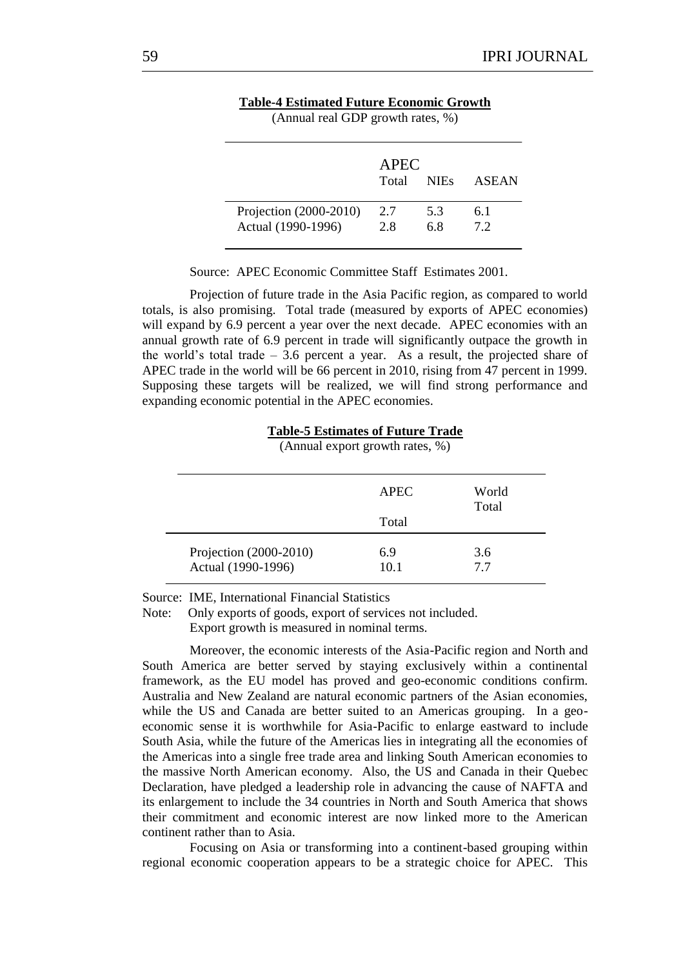|                                              | <b>APEC</b><br>Total | <b>NIEs</b> | <b>ASEAN</b> |
|----------------------------------------------|----------------------|-------------|--------------|
| Projection (2000-2010)<br>Actual (1990-1996) | 2.7<br>2.8           | 5.3<br>6.8  | 6.1<br>7.2   |

**Table-4 Estimated Future Economic Growth**

 $(A$ nnual real GDP growth rates,  $\%$ )

Source: APEC Economic Committee Staff Estimates 2001.

Projection of future trade in the Asia Pacific region, as compared to world totals, is also promising. Total trade (measured by exports of APEC economies) will expand by 6.9 percent a year over the next decade. APEC economies with an annual growth rate of 6.9 percent in trade will significantly outpace the growth in the world's total trade  $-3.6$  percent a year. As a result, the projected share of APEC trade in the world will be 66 percent in 2010, rising from 47 percent in 1999. Supposing these targets will be realized, we will find strong performance and expanding economic potential in the APEC economies.

| (Annual export growth rates, %)              |             |                |
|----------------------------------------------|-------------|----------------|
|                                              | <b>APEC</b> | World<br>Total |
|                                              | Total       |                |
| Projection (2000-2010)<br>Actual (1990-1996) | 6.9<br>10.1 | 3.6<br>77      |

**Table-5 Estimates of Future Trade**

Source: IME, International Financial Statistics

Note: Only exports of goods, export of services not included. Export growth is measured in nominal terms.

Moreover, the economic interests of the Asia-Pacific region and North and South America are better served by staying exclusively within a continental framework, as the EU model has proved and geo-economic conditions confirm. Australia and New Zealand are natural economic partners of the Asian economies, while the US and Canada are better suited to an Americas grouping. In a geoeconomic sense it is worthwhile for Asia-Pacific to enlarge eastward to include South Asia, while the future of the Americas lies in integrating all the economies of the Americas into a single free trade area and linking South American economies to the massive North American economy. Also, the US and Canada in their Quebec Declaration, have pledged a leadership role in advancing the cause of NAFTA and its enlargement to include the 34 countries in North and South America that shows their commitment and economic interest are now linked more to the American continent rather than to Asia.

Focusing on Asia or transforming into a continent-based grouping within regional economic cooperation appears to be a strategic choice for APEC. This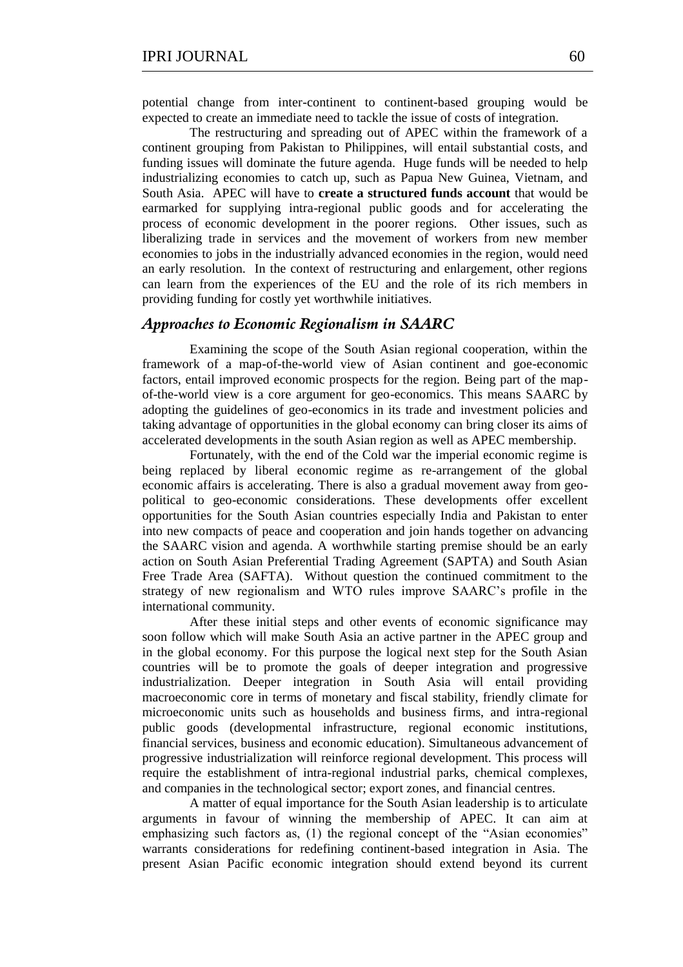The restructuring and spreading out of APEC within the framework of a continent grouping from Pakistan to Philippines, will entail substantial costs, and funding issues will dominate the future agenda. Huge funds will be needed to help industrializing economies to catch up, such as Papua New Guinea, Vietnam, and South Asia. APEC will have to **create a structured funds account** that would be earmarked for supplying intra-regional public goods and for accelerating the process of economic development in the poorer regions. Other issues, such as liberalizing trade in services and the movement of workers from new member economies to jobs in the industrially advanced economies in the region, would need an early resolution. In the context of restructuring and enlargement, other regions can learn from the experiences of the EU and the role of its rich members in providing funding for costly yet worthwhile initiatives.

### *Approaches to Economic Regionalism in SAARC*

Examining the scope of the South Asian regional cooperation, within the framework of a map-of-the-world view of Asian continent and goe-economic factors, entail improved economic prospects for the region. Being part of the mapof-the-world view is a core argument for geo-economics. This means SAARC by adopting the guidelines of geo-economics in its trade and investment policies and taking advantage of opportunities in the global economy can bring closer its aims of accelerated developments in the south Asian region as well as APEC membership.

Fortunately, with the end of the Cold war the imperial economic regime is being replaced by liberal economic regime as re-arrangement of the global economic affairs is accelerating. There is also a gradual movement away from geopolitical to geo-economic considerations. These developments offer excellent opportunities for the South Asian countries especially India and Pakistan to enter into new compacts of peace and cooperation and join hands together on advancing the SAARC vision and agenda. A worthwhile starting premise should be an early action on South Asian Preferential Trading Agreement (SAPTA) and South Asian Free Trade Area (SAFTA). Without question the continued commitment to the strategy of new regionalism and WTO rules improve SAARC's profile in the international community.

 After these initial steps and other events of economic significance may soon follow which will make South Asia an active partner in the APEC group and in the global economy. For this purpose the logical next step for the South Asian countries will be to promote the goals of deeper integration and progressive industrialization. Deeper integration in South Asia will entail providing macroeconomic core in terms of monetary and fiscal stability, friendly climate for microeconomic units such as households and business firms, and intra-regional public goods (developmental infrastructure, regional economic institutions, financial services, business and economic education). Simultaneous advancement of progressive industrialization will reinforce regional development. This process will require the establishment of intra-regional industrial parks, chemical complexes, and companies in the technological sector; export zones, and financial centres.

A matter of equal importance for the South Asian leadership is to articulate arguments in favour of winning the membership of APEC. It can aim at emphasizing such factors as,  $(1)$  the regional concept of the "Asian economies" warrants considerations for redefining continent-based integration in Asia. The present Asian Pacific economic integration should extend beyond its current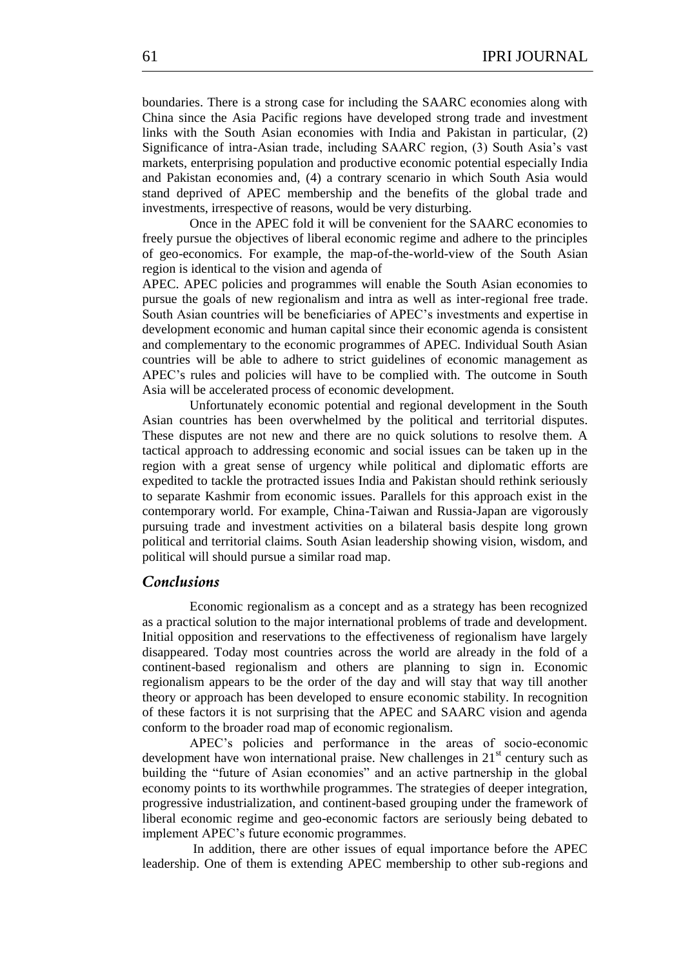boundaries. There is a strong case for including the SAARC economies along with China since the Asia Pacific regions have developed strong trade and investment links with the South Asian economies with India and Pakistan in particular, (2) Significance of intra-Asian trade, including SAARC region, (3) South Asia's vast markets, enterprising population and productive economic potential especially India and Pakistan economies and, (4) a contrary scenario in which South Asia would stand deprived of APEC membership and the benefits of the global trade and investments, irrespective of reasons, would be very disturbing.

Once in the APEC fold it will be convenient for the SAARC economies to freely pursue the objectives of liberal economic regime and adhere to the principles of geo-economics. For example, the map-of-the-world-view of the South Asian region is identical to the vision and agenda of

APEC. APEC policies and programmes will enable the South Asian economies to pursue the goals of new regionalism and intra as well as inter-regional free trade. South Asian countries will be beneficiaries of APEC's investments and expertise in development economic and human capital since their economic agenda is consistent and complementary to the economic programmes of APEC. Individual South Asian countries will be able to adhere to strict guidelines of economic management as APEC's rules and policies will have to be complied with. The outcome in South Asia will be accelerated process of economic development.

Unfortunately economic potential and regional development in the South Asian countries has been overwhelmed by the political and territorial disputes. These disputes are not new and there are no quick solutions to resolve them. A tactical approach to addressing economic and social issues can be taken up in the region with a great sense of urgency while political and diplomatic efforts are expedited to tackle the protracted issues India and Pakistan should rethink seriously to separate Kashmir from economic issues. Parallels for this approach exist in the contemporary world. For example, China-Taiwan and Russia-Japan are vigorously pursuing trade and investment activities on a bilateral basis despite long grown political and territorial claims. South Asian leadership showing vision, wisdom, and political will should pursue a similar road map.

### *Conclusions*

Economic regionalism as a concept and as a strategy has been recognized as a practical solution to the major international problems of trade and development. Initial opposition and reservations to the effectiveness of regionalism have largely disappeared. Today most countries across the world are already in the fold of a continent-based regionalism and others are planning to sign in. Economic regionalism appears to be the order of the day and will stay that way till another theory or approach has been developed to ensure economic stability. In recognition of these factors it is not surprising that the APEC and SAARC vision and agenda conform to the broader road map of economic regionalism.

APEC's policies and performance in the areas of socio-economic development have won international praise. New challenges in  $21<sup>st</sup>$  century such as building the "future of Asian economies" and an active partnership in the global economy points to its worthwhile programmes. The strategies of deeper integration, progressive industrialization, and continent-based grouping under the framework of liberal economic regime and geo-economic factors are seriously being debated to implement APEC's future economic programmes.

In addition, there are other issues of equal importance before the APEC leadership. One of them is extending APEC membership to other sub-regions and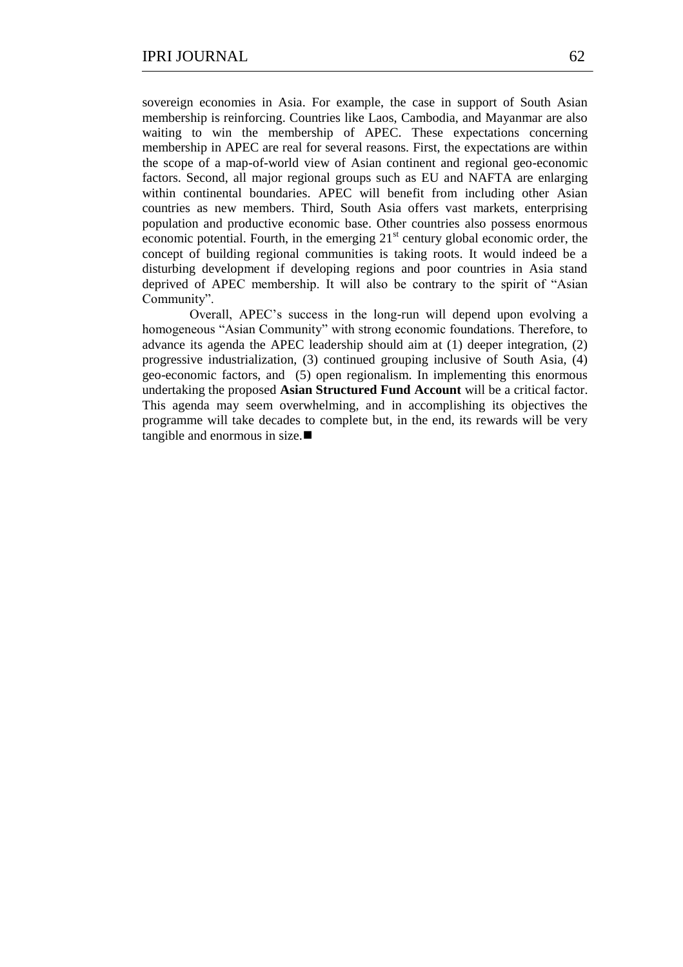sovereign economies in Asia. For example, the case in support of South Asian membership is reinforcing. Countries like Laos, Cambodia, and Mayanmar are also waiting to win the membership of APEC. These expectations concerning membership in APEC are real for several reasons. First, the expectations are within the scope of a map-of-world view of Asian continent and regional geo-economic factors. Second, all major regional groups such as EU and NAFTA are enlarging within continental boundaries. APEC will benefit from including other Asian countries as new members. Third, South Asia offers vast markets, enterprising population and productive economic base. Other countries also possess enormous economic potential. Fourth, in the emerging  $21<sup>st</sup>$  century global economic order, the concept of building regional communities is taking roots. It would indeed be a disturbing development if developing regions and poor countries in Asia stand deprived of APEC membership. It will also be contrary to the spirit of "Asian" Community".

Overall, APEC's success in the long-run will depend upon evolving a homogeneous "Asian Community" with strong economic foundations. Therefore, to advance its agenda the APEC leadership should aim at (1) deeper integration, (2) progressive industrialization, (3) continued grouping inclusive of South Asia, (4) geo-economic factors, and (5) open regionalism. In implementing this enormous undertaking the proposed **Asian Structured Fund Account** will be a critical factor. This agenda may seem overwhelming, and in accomplishing its objectives the programme will take decades to complete but, in the end, its rewards will be very tangible and enormous in size.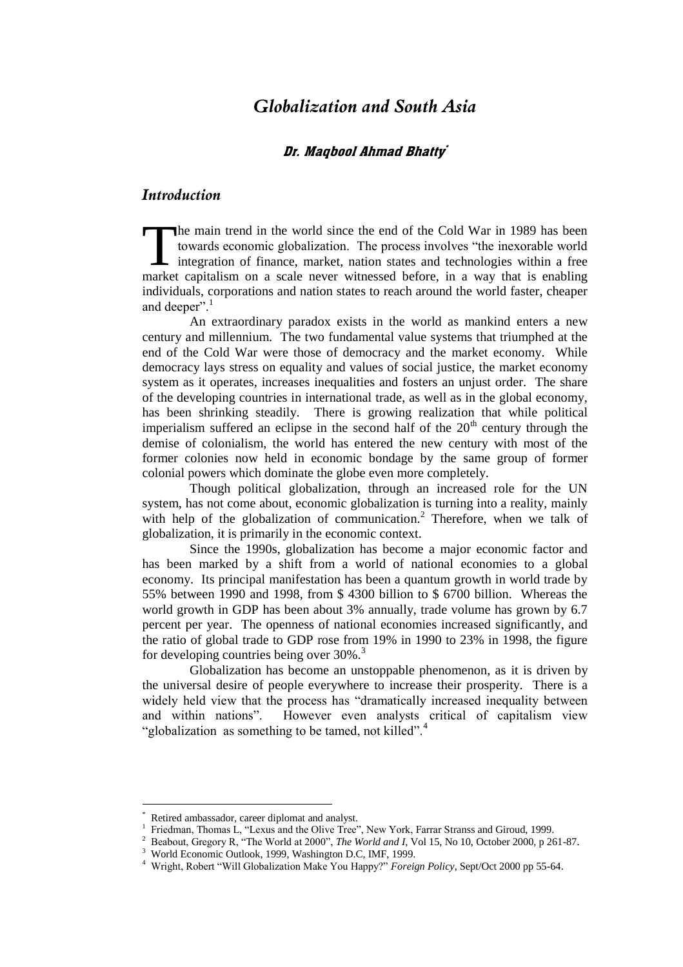## *Globalization and South Asia*

### Dr. Maqbool Ahmad Bhatty`

## *Introduction*

he main trend in the world since the end of the Cold War in 1989 has been towards economic globalization. The process involves "the inexorable world I integration of finance, market, nation states and technologies within a free The main trend in the world since the end of the Cold War in 1989 has been towards economic globalization. The process involves "the inexorable world integration of finance, market, nation states and technologies within a individuals, corporations and nation states to reach around the world faster, cheaper and deeper".

An extraordinary paradox exists in the world as mankind enters a new century and millennium. The two fundamental value systems that triumphed at the end of the Cold War were those of democracy and the market economy. While democracy lays stress on equality and values of social justice, the market economy system as it operates, increases inequalities and fosters an unjust order. The share of the developing countries in international trade, as well as in the global economy, has been shrinking steadily. There is growing realization that while political imperialism suffered an eclipse in the second half of the  $20<sup>th</sup>$  century through the demise of colonialism, the world has entered the new century with most of the former colonies now held in economic bondage by the same group of former colonial powers which dominate the globe even more completely.

Though political globalization, through an increased role for the UN system, has not come about, economic globalization is turning into a reality, mainly with help of the globalization of communication.<sup>2</sup> Therefore, when we talk of globalization, it is primarily in the economic context.

Since the 1990s, globalization has become a major economic factor and has been marked by a shift from a world of national economies to a global economy. Its principal manifestation has been a quantum growth in world trade by 55% between 1990 and 1998, from \$ 4300 billion to \$ 6700 billion. Whereas the world growth in GDP has been about 3% annually, trade volume has grown by 6.7 percent per year. The openness of national economies increased significantly, and the ratio of global trade to GDP rose from 19% in 1990 to 23% in 1998, the figure for developing countries being over  $30\%$ .<sup>3</sup>

Globalization has become an unstoppable phenomenon, as it is driven by the universal desire of people everywhere to increase their prosperity. There is a widely held view that the process has "dramatically increased inequality between and within nations". However even analysts critical of capitalism view "globalization as something to be tamed, not killed".<sup>4</sup>

<sup>\*</sup> Retired ambassador, career diplomat and analyst.

<sup>&</sup>lt;sup>1</sup> Friedman, Thomas L, "Lexus and the Olive Tree", New York, Farrar Stranss and Giroud, 1999.

<sup>&</sup>lt;sup>2</sup> Beabout, Gregory R, "The World at 2000", *The World and I*, Vol 15, No 10, October 2000, p 261-87.

<sup>3</sup> World Economic Outlook, 1999, Washington D.C, IMF, 1999.

<sup>&</sup>lt;sup>4</sup> Wright, Robert "Will Globalization Make You Happy?" *Foreign Policy*, Sept/Oct 2000 pp 55-64.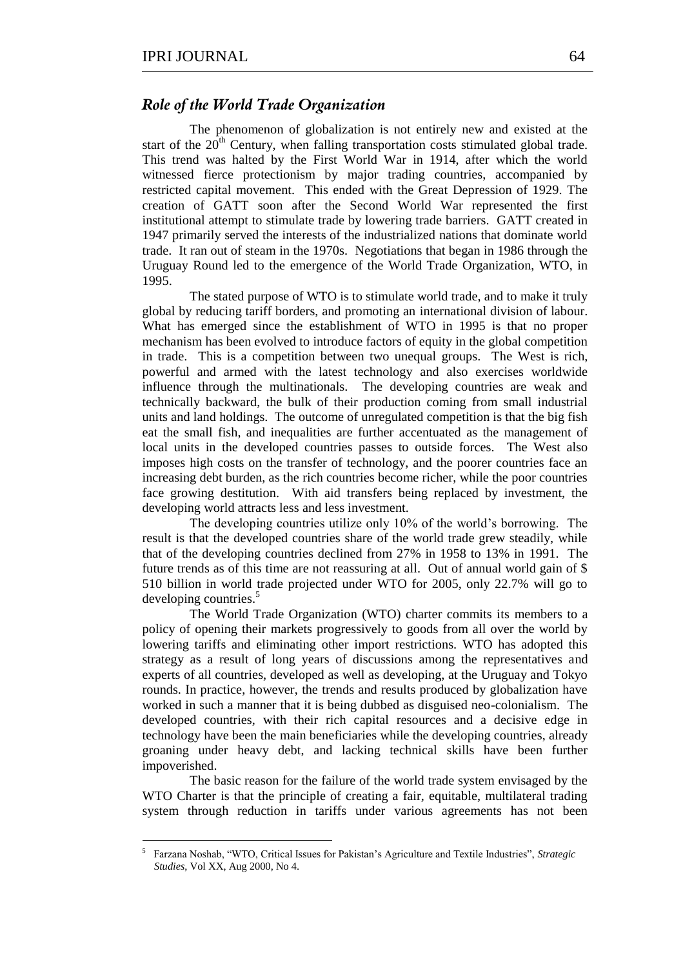1

### *Role of the World Trade Organization*

The phenomenon of globalization is not entirely new and existed at the start of the  $20<sup>th</sup>$  Century, when falling transportation costs stimulated global trade. This trend was halted by the First World War in 1914, after which the world witnessed fierce protectionism by major trading countries, accompanied by restricted capital movement. This ended with the Great Depression of 1929. The creation of GATT soon after the Second World War represented the first institutional attempt to stimulate trade by lowering trade barriers. GATT created in 1947 primarily served the interests of the industrialized nations that dominate world trade. It ran out of steam in the 1970s. Negotiations that began in 1986 through the Uruguay Round led to the emergence of the World Trade Organization, WTO, in 1995.

The stated purpose of WTO is to stimulate world trade, and to make it truly global by reducing tariff borders, and promoting an international division of labour. What has emerged since the establishment of WTO in 1995 is that no proper mechanism has been evolved to introduce factors of equity in the global competition in trade. This is a competition between two unequal groups. The West is rich, powerful and armed with the latest technology and also exercises worldwide influence through the multinationals. The developing countries are weak and technically backward, the bulk of their production coming from small industrial units and land holdings. The outcome of unregulated competition is that the big fish eat the small fish, and inequalities are further accentuated as the management of local units in the developed countries passes to outside forces. The West also imposes high costs on the transfer of technology, and the poorer countries face an increasing debt burden, as the rich countries become richer, while the poor countries face growing destitution. With aid transfers being replaced by investment, the developing world attracts less and less investment.

The developing countries utilize only 10% of the world's borrowing. The result is that the developed countries share of the world trade grew steadily, while that of the developing countries declined from 27% in 1958 to 13% in 1991. The future trends as of this time are not reassuring at all. Out of annual world gain of \$ 510 billion in world trade projected under WTO for 2005, only 22.7% will go to developing countries.<sup>5</sup>

The World Trade Organization (WTO) charter commits its members to a policy of opening their markets progressively to goods from all over the world by lowering tariffs and eliminating other import restrictions. WTO has adopted this strategy as a result of long years of discussions among the representatives and experts of all countries, developed as well as developing, at the Uruguay and Tokyo rounds. In practice, however, the trends and results produced by globalization have worked in such a manner that it is being dubbed as disguised neo-colonialism. The developed countries, with their rich capital resources and a decisive edge in technology have been the main beneficiaries while the developing countries, already groaning under heavy debt, and lacking technical skills have been further impoverished.

The basic reason for the failure of the world trade system envisaged by the WTO Charter is that the principle of creating a fair, equitable, multilateral trading system through reduction in tariffs under various agreements has not been

<sup>5</sup> Farzana Noshab, "WTO, Critical Issues for Pakistan's Agriculture and Textile Industries", *Strategic Studies*, Vol XX, Aug 2000, No 4.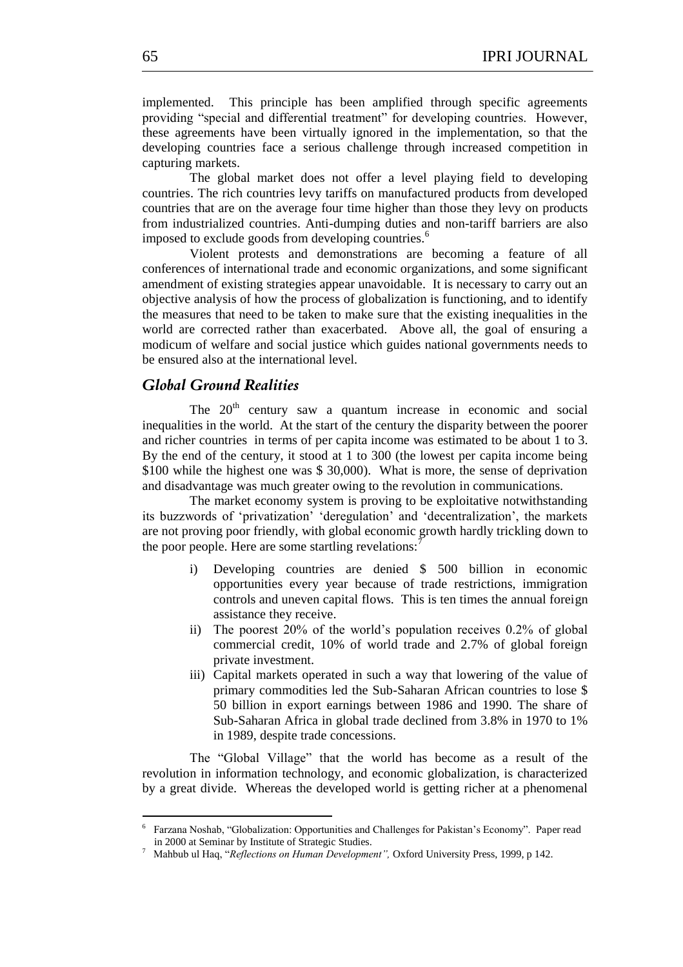implemented. This principle has been amplified through specific agreements providing "special and differential treatment" for developing countries. However, these agreements have been virtually ignored in the implementation, so that the developing countries face a serious challenge through increased competition in capturing markets.

The global market does not offer a level playing field to developing countries. The rich countries levy tariffs on manufactured products from developed countries that are on the average four time higher than those they levy on products from industrialized countries. Anti-dumping duties and non-tariff barriers are also imposed to exclude goods from developing countries.<sup>6</sup>

Violent protests and demonstrations are becoming a feature of all conferences of international trade and economic organizations, and some significant amendment of existing strategies appear unavoidable. It is necessary to carry out an objective analysis of how the process of globalization is functioning, and to identify the measures that need to be taken to make sure that the existing inequalities in the world are corrected rather than exacerbated. Above all, the goal of ensuring a modicum of welfare and social justice which guides national governments needs to be ensured also at the international level.

## *Global Ground Realities*

The  $20<sup>th</sup>$  century saw a quantum increase in economic and social inequalities in the world. At the start of the century the disparity between the poorer and richer countries in terms of per capita income was estimated to be about 1 to 3. By the end of the century, it stood at 1 to 300 (the lowest per capita income being \$100 while the highest one was \$ 30,000). What is more, the sense of deprivation and disadvantage was much greater owing to the revolution in communications.

The market economy system is proving to be exploitative notwithstanding its buzzwords of 'privatization' 'deregulation' and 'decentralization', the markets are not proving poor friendly, with global economic growth hardly trickling down to the poor people. Here are some startling revelations: $\overline{3}$ 

- i) Developing countries are denied \$ 500 billion in economic opportunities every year because of trade restrictions, immigration controls and uneven capital flows. This is ten times the annual foreign assistance they receive.
- ii) The poorest 20% of the world's population receives 0.2% of global commercial credit, 10% of world trade and 2.7% of global foreign private investment.
- iii) Capital markets operated in such a way that lowering of the value of primary commodities led the Sub-Saharan African countries to lose \$ 50 billion in export earnings between 1986 and 1990. The share of Sub-Saharan Africa in global trade declined from 3.8% in 1970 to 1% in 1989, despite trade concessions.

The "Global Village" that the world has become as a result of the revolution in information technology, and economic globalization, is characterized by a great divide. Whereas the developed world is getting richer at a phenomenal

<sup>&</sup>lt;sup>6</sup> Farzana Noshab, "Globalization: Opportunities and Challenges for Pakistan's Economy". Paper read in 2000 at Seminar by Institute of Strategic Studies.

<sup>&</sup>lt;sup>7</sup> Mahbub ul Haq, "Reflections on Human Development", Oxford University Press, 1999, p 142.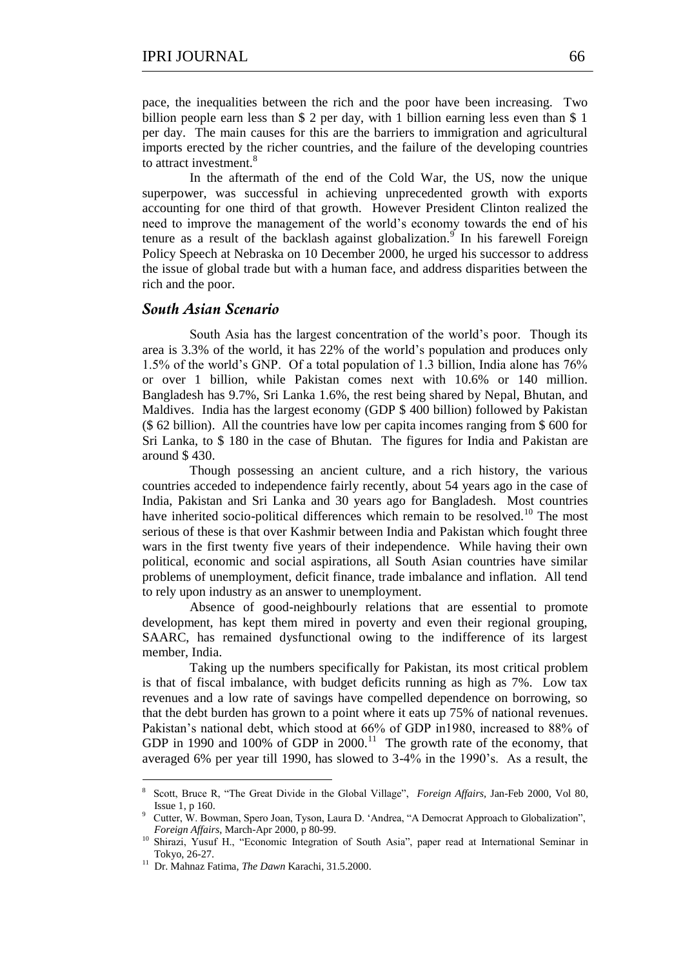pace, the inequalities between the rich and the poor have been increasing. Two billion people earn less than \$ 2 per day, with 1 billion earning less even than \$ 1 per day. The main causes for this are the barriers to immigration and agricultural imports erected by the richer countries, and the failure of the developing countries to attract investment.<sup>8</sup>

In the aftermath of the end of the Cold War, the US, now the unique superpower, was successful in achieving unprecedented growth with exports accounting for one third of that growth. However President Clinton realized the need to improve the management of the world's economy towards the end of his tenure as a result of the backlash against globalization.<sup>9</sup> In his farewell Foreign Policy Speech at Nebraska on 10 December 2000, he urged his successor to address the issue of global trade but with a human face, and address disparities between the rich and the poor.

### *South Asian Scenario*

South Asia has the largest concentration of the world's poor. Though its area is 3.3% of the world, it has 22% of the world's population and produces only 1.5% of the world's GNP. Of a total population of 1.3 billion, India alone has 76% or over 1 billion, while Pakistan comes next with 10.6% or 140 million. Bangladesh has 9.7%, Sri Lanka 1.6%, the rest being shared by Nepal, Bhutan, and Maldives. India has the largest economy (GDP \$ 400 billion) followed by Pakistan (\$ 62 billion). All the countries have low per capita incomes ranging from \$ 600 for Sri Lanka, to \$ 180 in the case of Bhutan. The figures for India and Pakistan are around \$ 430.

Though possessing an ancient culture, and a rich history, the various countries acceded to independence fairly recently, about 54 years ago in the case of India, Pakistan and Sri Lanka and 30 years ago for Bangladesh. Most countries have inherited socio-political differences which remain to be resolved.<sup>10</sup> The most serious of these is that over Kashmir between India and Pakistan which fought three wars in the first twenty five years of their independence. While having their own political, economic and social aspirations, all South Asian countries have similar problems of unemployment, deficit finance, trade imbalance and inflation. All tend to rely upon industry as an answer to unemployment.

Absence of good-neighbourly relations that are essential to promote development, has kept them mired in poverty and even their regional grouping, SAARC, has remained dysfunctional owing to the indifference of its largest member, India.

Taking up the numbers specifically for Pakistan, its most critical problem is that of fiscal imbalance, with budget deficits running as high as 7%. Low tax revenues and a low rate of savings have compelled dependence on borrowing, so that the debt burden has grown to a point where it eats up 75% of national revenues. Pakistan's national debt, which stood at 66% of GDP in1980, increased to 88% of GDP in 1990 and 100% of GDP in  $2000$ .<sup>11</sup> The growth rate of the economy, that averaged 6% per year till 1990, has slowed to 3-4% in the 1990's. As a result, the

1

<sup>8</sup> Scott, Bruce R, "The Great Divide in the Global Village", *Foreign Affairs*, Jan-Feb 2000, Vol 80, Issue 1, p 160.

<sup>&</sup>lt;sup>9</sup> Cutter, W. Bowman, Spero Joan, Tyson, Laura D. 'Andrea, "A Democrat Approach to Globalization", *Foreign Affairs*, March-Apr 2000, p 80-99.

<sup>10</sup> Shirazi, Yusuf H., "Economic Integration of South Asia", paper read at International Seminar in Tokyo, 26-27.

<sup>&</sup>lt;sup>11</sup> Dr. Mahnaz Fatima, *The Dawn* Karachi, 31.5.2000.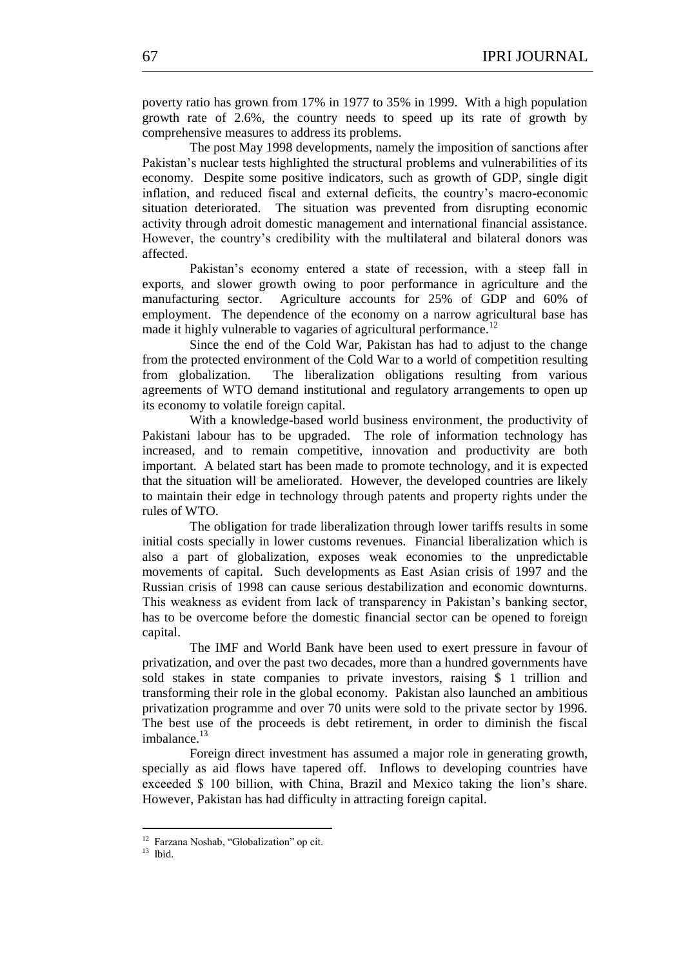poverty ratio has grown from 17% in 1977 to 35% in 1999. With a high population growth rate of 2.6%, the country needs to speed up its rate of growth by comprehensive measures to address its problems.

The post May 1998 developments, namely the imposition of sanctions after Pakistan's nuclear tests highlighted the structural problems and vulnerabilities of its economy. Despite some positive indicators, such as growth of GDP, single digit inflation, and reduced fiscal and external deficits, the country's macro-economic situation deteriorated. The situation was prevented from disrupting economic activity through adroit domestic management and international financial assistance. However, the country's credibility with the multilateral and bilateral donors was affected.

Pakistan's economy entered a state of recession, with a steep fall in exports, and slower growth owing to poor performance in agriculture and the manufacturing sector. Agriculture accounts for 25% of GDP and 60% of employment. The dependence of the economy on a narrow agricultural base has made it highly vulnerable to vagaries of agricultural performance.<sup>12</sup>

Since the end of the Cold War, Pakistan has had to adjust to the change from the protected environment of the Cold War to a world of competition resulting from globalization. The liberalization obligations resulting from various agreements of WTO demand institutional and regulatory arrangements to open up its economy to volatile foreign capital.

With a knowledge-based world business environment, the productivity of Pakistani labour has to be upgraded. The role of information technology has increased, and to remain competitive, innovation and productivity are both important. A belated start has been made to promote technology, and it is expected that the situation will be ameliorated. However, the developed countries are likely to maintain their edge in technology through patents and property rights under the rules of WTO.

The obligation for trade liberalization through lower tariffs results in some initial costs specially in lower customs revenues. Financial liberalization which is also a part of globalization, exposes weak economies to the unpredictable movements of capital. Such developments as East Asian crisis of 1997 and the Russian crisis of 1998 can cause serious destabilization and economic downturns. This weakness as evident from lack of transparency in Pakistan's banking sector, has to be overcome before the domestic financial sector can be opened to foreign capital.

The IMF and World Bank have been used to exert pressure in favour of privatization, and over the past two decades, more than a hundred governments have sold stakes in state companies to private investors, raising \$ 1 trillion and transforming their role in the global economy. Pakistan also launched an ambitious privatization programme and over 70 units were sold to the private sector by 1996. The best use of the proceeds is debt retirement, in order to diminish the fiscal imbalance. $13$ 

Foreign direct investment has assumed a major role in generating growth, specially as aid flows have tapered off. Inflows to developing countries have exceeded \$ 100 billion, with China, Brazil and Mexico taking the lion's share. However, Pakistan has had difficulty in attracting foreign capital.

<sup>12&</sup>lt;br><sup>12</sup> Farzana Noshab, "Globalization" op cit.

 $13$  Ibid.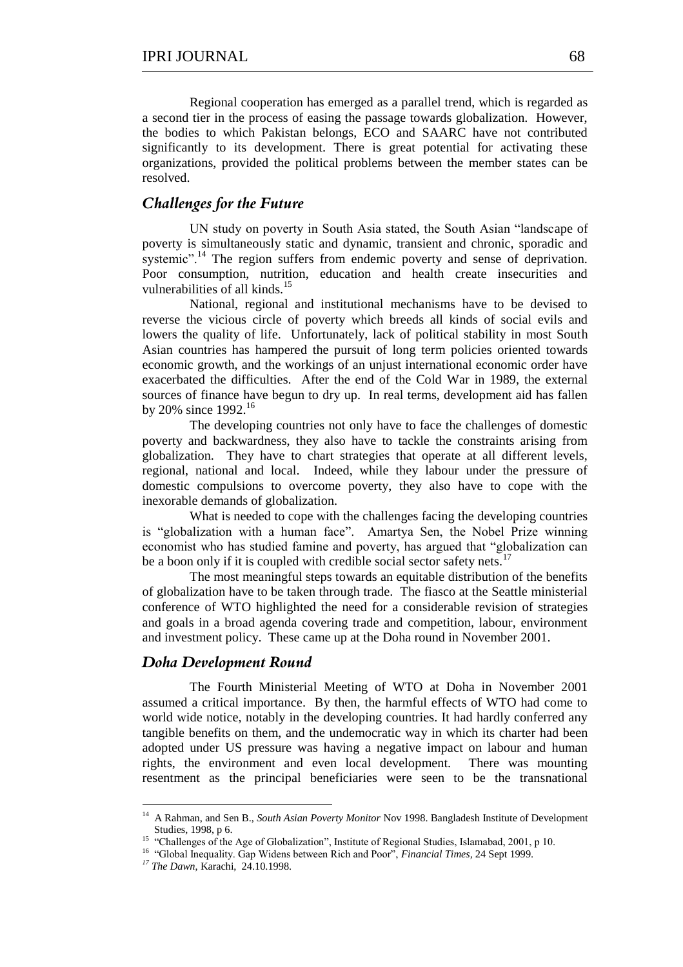Regional cooperation has emerged as a parallel trend, which is regarded as a second tier in the process of easing the passage towards globalization. However, the bodies to which Pakistan belongs, ECO and SAARC have not contributed significantly to its development. There is great potential for activating these organizations, provided the political problems between the member states can be resolved.

### *Challenges for the Future*

UN study on poverty in South Asia stated, the South Asian "landscape of poverty is simultaneously static and dynamic, transient and chronic, sporadic and systemic".<sup>14</sup> The region suffers from endemic poverty and sense of deprivation. Poor consumption, nutrition, education and health create insecurities and vulnerabilities of all kinds.<sup>15</sup>

National, regional and institutional mechanisms have to be devised to reverse the vicious circle of poverty which breeds all kinds of social evils and lowers the quality of life. Unfortunately, lack of political stability in most South Asian countries has hampered the pursuit of long term policies oriented towards economic growth, and the workings of an unjust international economic order have exacerbated the difficulties. After the end of the Cold War in 1989, the external sources of finance have begun to dry up. In real terms, development aid has fallen by 20% since  $1992.^{16}$ 

The developing countries not only have to face the challenges of domestic poverty and backwardness, they also have to tackle the constraints arising from globalization. They have to chart strategies that operate at all different levels, regional, national and local. Indeed, while they labour under the pressure of domestic compulsions to overcome poverty, they also have to cope with the inexorable demands of globalization.

What is needed to cope with the challenges facing the developing countries is "globalization with a human face". Amartya Sen, the Nobel Prize winning economist who has studied famine and poverty, has argued that "globalization can be a boon only if it is coupled with credible social sector safety nets.<sup>17</sup>

The most meaningful steps towards an equitable distribution of the benefits of globalization have to be taken through trade. The fiasco at the Seattle ministerial conference of WTO highlighted the need for a considerable revision of strategies and goals in a broad agenda covering trade and competition, labour, environment and investment policy. These came up at the Doha round in November 2001.

## *Doha Development Round*

The Fourth Ministerial Meeting of WTO at Doha in November 2001 assumed a critical importance. By then, the harmful effects of WTO had come to world wide notice, notably in the developing countries. It had hardly conferred any tangible benefits on them, and the undemocratic way in which its charter had been adopted under US pressure was having a negative impact on labour and human rights, the environment and even local development. There was mounting resentment as the principal beneficiaries were seen to be the transnational

<sup>&</sup>lt;sup>14</sup> A Rahman, and Sen B., *South Asian Poverty Monitor* Nov 1998. Bangladesh Institute of Development Studies, 1998, p 6.<br><sup>15</sup> "Challenges of the Age of Globalization", Institute of Regional Studies, Islamabad, 2001, p 10.

<sup>&</sup>lt;sup>16</sup> "Global Inequality. Gap Widens between Rich and Poor", *Financial Times*, 24 Sept 1999.

*<sup>17</sup> The Dawn*, Karachi, 24.10.1998.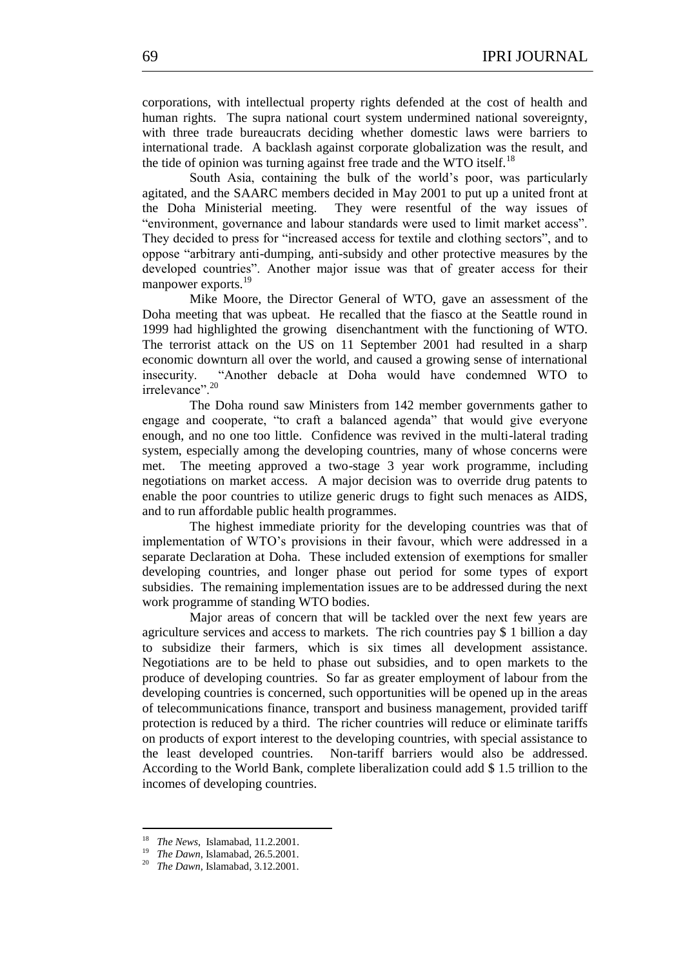corporations, with intellectual property rights defended at the cost of health and human rights. The supra national court system undermined national sovereignty, with three trade bureaucrats deciding whether domestic laws were barriers to international trade. A backlash against corporate globalization was the result, and the tide of opinion was turning against free trade and the WTO itself.<sup>18</sup>

South Asia, containing the bulk of the world's poor, was particularly agitated, and the SAARC members decided in May 2001 to put up a united front at the Doha Ministerial meeting. They were resentful of the way issues of "environment, governance and labour standards were used to limit market access". They decided to press for "increased access for textile and clothing sectors", and to oppose "arbitrary anti-dumping, anti-subsidy and other protective measures by the developed countries". Another major issue was that of greater access for their manpower exports.<sup>19</sup>

Mike Moore, the Director General of WTO, gave an assessment of the Doha meeting that was upbeat. He recalled that the fiasco at the Seattle round in 1999 had highlighted the growing disenchantment with the functioning of WTO. The terrorist attack on the US on 11 September 2001 had resulted in a sharp economic downturn all over the world, and caused a growing sense of international insecurity. "Another debacle at Doha would have condemned WTO to irrelevance".<sup>20</sup>

The Doha round saw Ministers from 142 member governments gather to engage and cooperate, "to craft a balanced agenda" that would give everyone enough, and no one too little. Confidence was revived in the multi-lateral trading system, especially among the developing countries, many of whose concerns were met. The meeting approved a two-stage 3 year work programme, including negotiations on market access. A major decision was to override drug patents to enable the poor countries to utilize generic drugs to fight such menaces as AIDS, and to run affordable public health programmes.

The highest immediate priority for the developing countries was that of implementation of WTO's provisions in their favour, which were addressed in a separate Declaration at Doha. These included extension of exemptions for smaller developing countries, and longer phase out period for some types of export subsidies. The remaining implementation issues are to be addressed during the next work programme of standing WTO bodies.

Major areas of concern that will be tackled over the next few years are agriculture services and access to markets. The rich countries pay \$ 1 billion a day to subsidize their farmers, which is six times all development assistance. Negotiations are to be held to phase out subsidies, and to open markets to the produce of developing countries. So far as greater employment of labour from the developing countries is concerned, such opportunities will be opened up in the areas of telecommunications finance, transport and business management, provided tariff protection is reduced by a third. The richer countries will reduce or eliminate tariffs on products of export interest to the developing countries, with special assistance to the least developed countries. Non-tariff barriers would also be addressed. According to the World Bank, complete liberalization could add \$ 1.5 trillion to the incomes of developing countries.

 18 *The News*, Islamabad, 11.2.2001.

<sup>19</sup> *The Dawn*, Islamabad, 26.5.2001.

<sup>20</sup> *The Dawn,* Islamabad, 3.12.2001.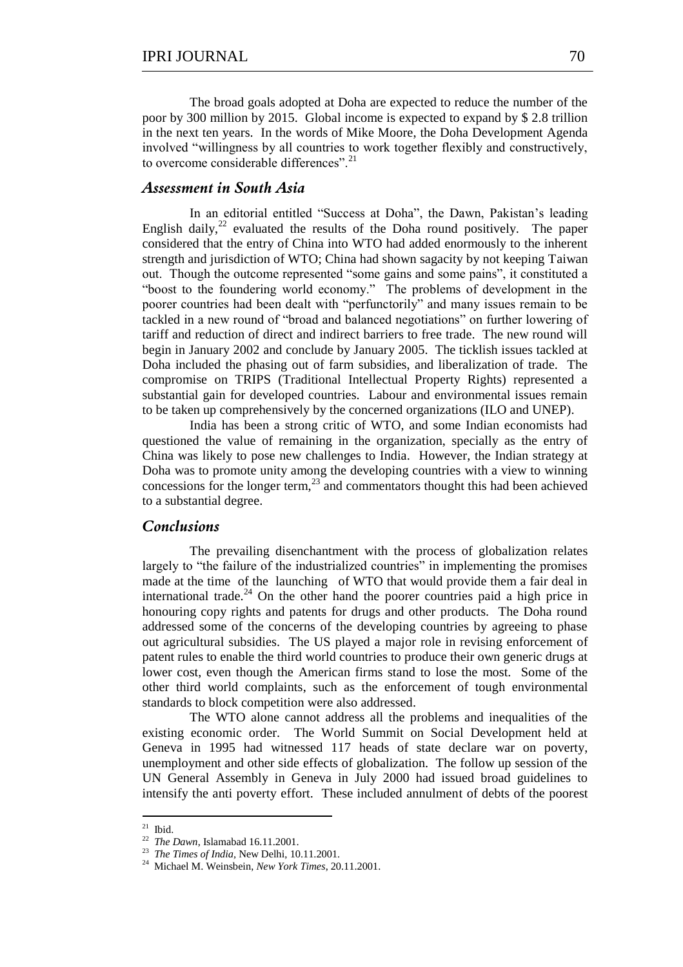The broad goals adopted at Doha are expected to reduce the number of the poor by 300 million by 2015. Global income is expected to expand by \$ 2.8 trillion in the next ten years. In the words of Mike Moore, the Doha Development Agenda involved "willingness by all countries to work together flexibly and constructively, to overcome considerable differences"<sup>21</sup>

## *Assessment in South Asia*

In an editorial entitled "Success at Doha", the Dawn, Pakistan's leading English daily, $2^2$  evaluated the results of the Doha round positively. The paper considered that the entry of China into WTO had added enormously to the inherent strength and jurisdiction of WTO; China had shown sagacity by not keeping Taiwan out. Though the outcome represented "some gains and some pains", it constituted a "boost to the foundering world economy." The problems of development in the poorer countries had been dealt with "perfunctorily" and many issues remain to be tackled in a new round of "broad and balanced negotiations" on further lowering of tariff and reduction of direct and indirect barriers to free trade. The new round will begin in January 2002 and conclude by January 2005. The ticklish issues tackled at Doha included the phasing out of farm subsidies, and liberalization of trade. The compromise on TRIPS (Traditional Intellectual Property Rights) represented a substantial gain for developed countries. Labour and environmental issues remain to be taken up comprehensively by the concerned organizations (ILO and UNEP).

India has been a strong critic of WTO, and some Indian economists had questioned the value of remaining in the organization, specially as the entry of China was likely to pose new challenges to India. However, the Indian strategy at Doha was to promote unity among the developing countries with a view to winning concessions for the longer term,<sup>23</sup> and commentators thought this had been achieved to a substantial degree.

#### *Conclusions*

The prevailing disenchantment with the process of globalization relates largely to "the failure of the industrialized countries" in implementing the promises made at the time of the launching of WTO that would provide them a fair deal in international trade.<sup>24</sup> On the other hand the poorer countries paid a high price in honouring copy rights and patents for drugs and other products. The Doha round addressed some of the concerns of the developing countries by agreeing to phase out agricultural subsidies. The US played a major role in revising enforcement of patent rules to enable the third world countries to produce their own generic drugs at lower cost, even though the American firms stand to lose the most. Some of the other third world complaints, such as the enforcement of tough environmental standards to block competition were also addressed.

The WTO alone cannot address all the problems and inequalities of the existing economic order. The World Summit on Social Development held at Geneva in 1995 had witnessed 117 heads of state declare war on poverty, unemployment and other side effects of globalization. The follow up session of the UN General Assembly in Geneva in July 2000 had issued broad guidelines to intensify the anti poverty effort. These included annulment of debts of the poorest

 $\frac{21}{21}$  Ibid.

<sup>22</sup> *The Dawn*, Islamabad 16.11.2001.

<sup>23</sup> *The Times of India,* New Delhi, 10.11.2001.

<sup>24</sup> Michael M. Weinsbein, *New York Times*, 20.11.2001.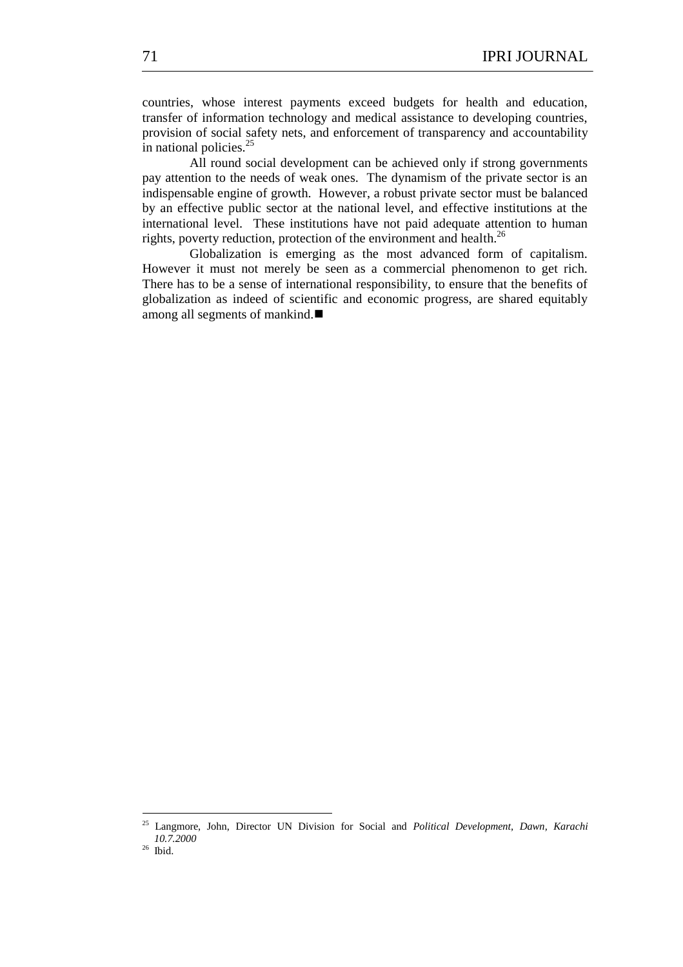countries, whose interest payments exceed budgets for health and education, transfer of information technology and medical assistance to developing countries, provision of social safety nets, and enforcement of transparency and accountability in national policies.<sup>25</sup>

All round social development can be achieved only if strong governments pay attention to the needs of weak ones. The dynamism of the private sector is an indispensable engine of growth. However, a robust private sector must be balanced by an effective public sector at the national level, and effective institutions at the international level. These institutions have not paid adequate attention to human rights, poverty reduction, protection of the environment and health.<sup>26</sup>

Globalization is emerging as the most advanced form of capitalism. However it must not merely be seen as a commercial phenomenon to get rich. There has to be a sense of international responsibility, to ensure that the benefits of globalization as indeed of scientific and economic progress, are shared equitably among all segments of mankind.

26 Ibid.

<sup>25</sup> Langmore, John, Director UN Division for Social and *Political Development, Dawn, Karachi 10.7.2000*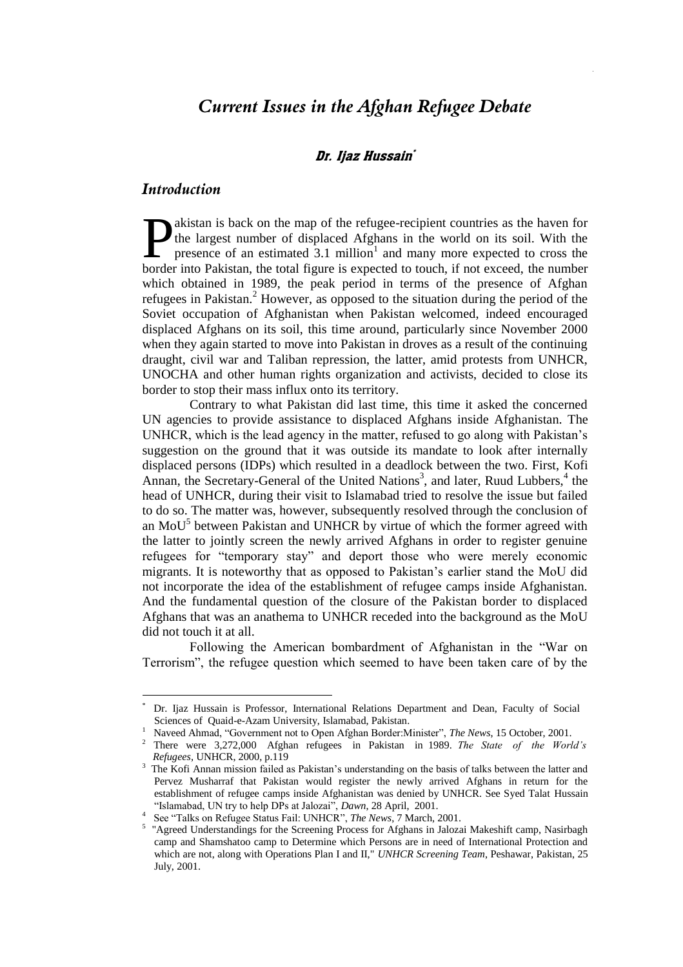# *Current Issues in the Afghan Refugee Debate*

### Dr. Ijaz Hussain`

## *Introduction*

<u>.</u>

akistan is back on the map of the refugee-recipient countries as the haven for the largest number of displaced Afghans in the world on its soil. With the presence of an estimated  $3.1$  million<sup>1</sup> and many more expected to cross the **b**akistan is back on the map of the refugee-recipient countries as the haven for the largest number of displaced Afghans in the world on its soil. With the presence of an estimated  $3.1$  million<sup>1</sup> and many more expected which obtained in 1989, the peak period in terms of the presence of Afghan refugees in Pakistan.<sup>2</sup> However, as opposed to the situation during the period of the Soviet occupation of Afghanistan when Pakistan welcomed, indeed encouraged displaced Afghans on its soil, this time around, particularly since November 2000 when they again started to move into Pakistan in droves as a result of the continuing draught, civil war and Taliban repression, the latter, amid protests from UNHCR, UNOCHA and other human rights organization and activists, decided to close its border to stop their mass influx onto its territory.

Contrary to what Pakistan did last time, this time it asked the concerned UN agencies to provide assistance to displaced Afghans inside Afghanistan. The UNHCR, which is the lead agency in the matter, refused to go along with Pakistan's suggestion on the ground that it was outside its mandate to look after internally displaced persons (IDPs) which resulted in a deadlock between the two. First, Kofi Annan, the Secretary-General of the United Nations<sup>3</sup>, and later, Ruud Lubbers,<sup>4</sup> the head of UNHCR, during their visit to Islamabad tried to resolve the issue but failed to do so. The matter was, however, subsequently resolved through the conclusion of an MoU<sup>5</sup> between Pakistan and UNHCR by virtue of which the former agreed with the latter to jointly screen the newly arrived Afghans in order to register genuine refugees for "temporary stay" and deport those who were merely economic migrants. It is noteworthy that as opposed to Pakistan's earlier stand the MoU did not incorporate the idea of the establishment of refugee camps inside Afghanistan. And the fundamental question of the closure of the Pakistan border to displaced Afghans that was an anathema to UNHCR receded into the background as the MoU did not touch it at all.

Following the American bombardment of Afghanistan in the "War on Terrorism", the refugee question which seemed to have been taken care of by the

<sup>\*</sup> Dr. Ijaz Hussain is Professor, International Relations Department and Dean, Faculty of Social Sciences of Quaid-e-Azam University, Islamabad, Pakistan.

<sup>&</sup>lt;sup>1</sup> Naveed Ahmad, "Government not to Open Afghan Border:Minister", *The News*, 15 October, 2001.

<sup>2</sup> There were 3,272,000 Afghan refugees in Pakistan in 1989. *The State of the World's Refugees,* UNHCR, 2000, p.119

<sup>&</sup>lt;sup>3</sup> The Kofi Annan mission failed as Pakistan's understanding on the basis of talks between the latter and Pervez Musharraf that Pakistan would register the newly arrived Afghans in return for the establishment of refugee camps inside Afghanistan was denied by UNHCR. See Syed Talat Hussain "Islamabad, UN try to help DPs at Jalozai", *Dawn*, 28 April, 2001.

<sup>&</sup>lt;sup>4</sup> See "Talks on Refugee Status Fail: UNHCR", *The News*, 7 March, 2001.

<sup>&</sup>lt;sup>5</sup> "Agreed Understandings for the Screening Process for Afghans in Jalozai Makeshift camp, Nasirbagh camp and Shamshatoo camp to Determine which Persons are in need of International Protection and which are not, along with Operations Plan I and II," *UNHCR Screening Team*, Peshawar, Pakistan, 25 July, 2001.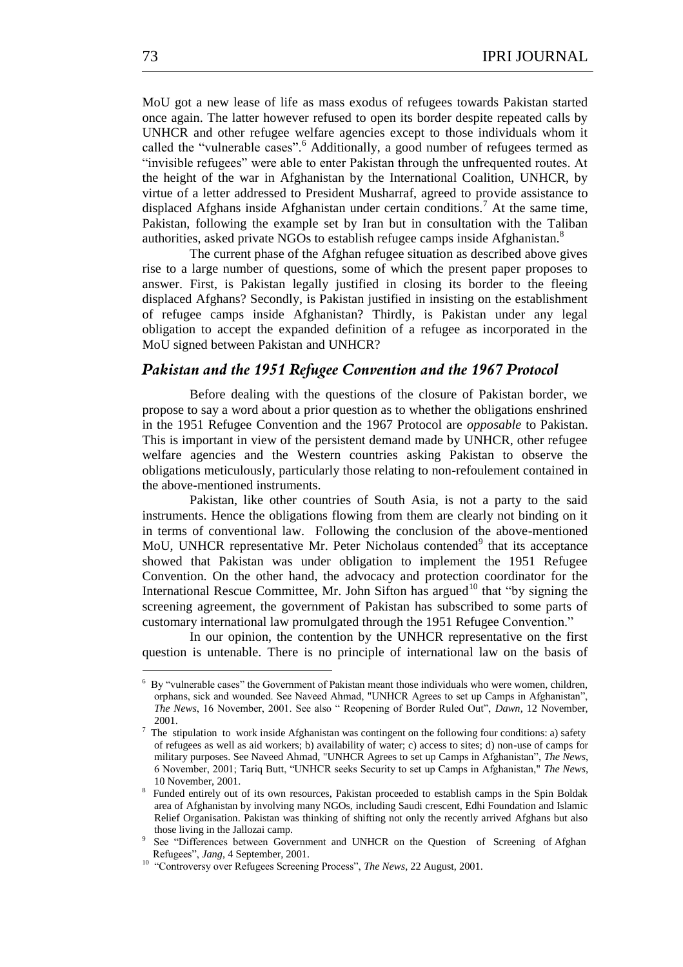MoU got a new lease of life as mass exodus of refugees towards Pakistan started once again. The latter however refused to open its border despite repeated calls by UNHCR and other refugee welfare agencies except to those individuals whom it called the "vulnerable cases".<sup>6</sup> Additionally, a good number of refugees termed as "invisible refugees" were able to enter Pakistan through the unfrequented routes. At the height of the war in Afghanistan by the International Coalition, UNHCR, by virtue of a letter addressed to President Musharraf, agreed to provide assistance to displaced Afghans inside Afghanistan under certain conditions.<sup>7</sup> At the same time, Pakistan, following the example set by Iran but in consultation with the Taliban authorities, asked private NGOs to establish refugee camps inside Afghanistan.<sup>8</sup>

The current phase of the Afghan refugee situation as described above gives rise to a large number of questions, some of which the present paper proposes to answer. First, is Pakistan legally justified in closing its border to the fleeing displaced Afghans? Secondly, is Pakistan justified in insisting on the establishment of refugee camps inside Afghanistan? Thirdly, is Pakistan under any legal obligation to accept the expanded definition of a refugee as incorporated in the MoU signed between Pakistan and UNHCR?

# *Pakistan and the 1951 Refugee Convention and the 1967 Protocol*

Before dealing with the questions of the closure of Pakistan border, we propose to say a word about a prior question as to whether the obligations enshrined in the 1951 Refugee Convention and the 1967 Protocol are *opposable* to Pakistan. This is important in view of the persistent demand made by UNHCR, other refugee welfare agencies and the Western countries asking Pakistan to observe the obligations meticulously, particularly those relating to non-refoulement contained in the above-mentioned instruments.

Pakistan, like other countries of South Asia, is not a party to the said instruments. Hence the obligations flowing from them are clearly not binding on it in terms of conventional law. Following the conclusion of the above-mentioned MoU, UNHCR representative Mr. Peter Nicholaus contended<sup>9</sup> that its acceptance showed that Pakistan was under obligation to implement the 1951 Refugee Convention. On the other hand, the advocacy and protection coordinator for the International Rescue Committee, Mr. John Sifton has argued<sup>10</sup> that "by signing the screening agreement, the government of Pakistan has subscribed to some parts of customary international law promulgated through the 1951 Refugee Convention."

In our opinion, the contention by the UNHCR representative on the first question is untenable. There is no principle of international law on the basis of

 $6\,$  By "vulnerable cases" the Government of Pakistan meant those individuals who were women, children, orphans, sick and wounded. See Naveed Ahmad, "UNHCR Agrees to set up Camps in Afghanistan", *The News*, 16 November, 2001. See also " Reopening of Border Ruled Out", *Dawn*, 12 November, 2001.

 $<sup>7</sup>$  The stipulation to work inside Afghanistan was contingent on the following four conditions: a) safety</sup> of refugees as well as aid workers; b) availability of water; c) access to sites; d) non-use of camps for military purposes. See Naveed Ahmad, "UNHCR Agrees to set up Camps in Afghanistan", *The News*, 6 November, 2001; Tariq Butt, ―UNHCR seeks Security to set up Camps in Afghanistan," *The News*, 10 November, 2001.

<sup>8</sup> Funded entirely out of its own resources, Pakistan proceeded to establish camps in the Spin Boldak area of Afghanistan by involving many NGOs, including Saudi crescent, Edhi Foundation and Islamic Relief Organisation. Pakistan was thinking of shifting not only the recently arrived Afghans but also those living in the Jallozai camp.

<sup>&</sup>lt;sup>9</sup> See "Differences between Government and UNHCR on the Question of Screening of Afghan Refugees‖, *Jang*, 4 September, 2001.

<sup>&</sup>lt;sup>10</sup> "Controversy over Refugees Screening Process", *The News*, 22 August, 2001.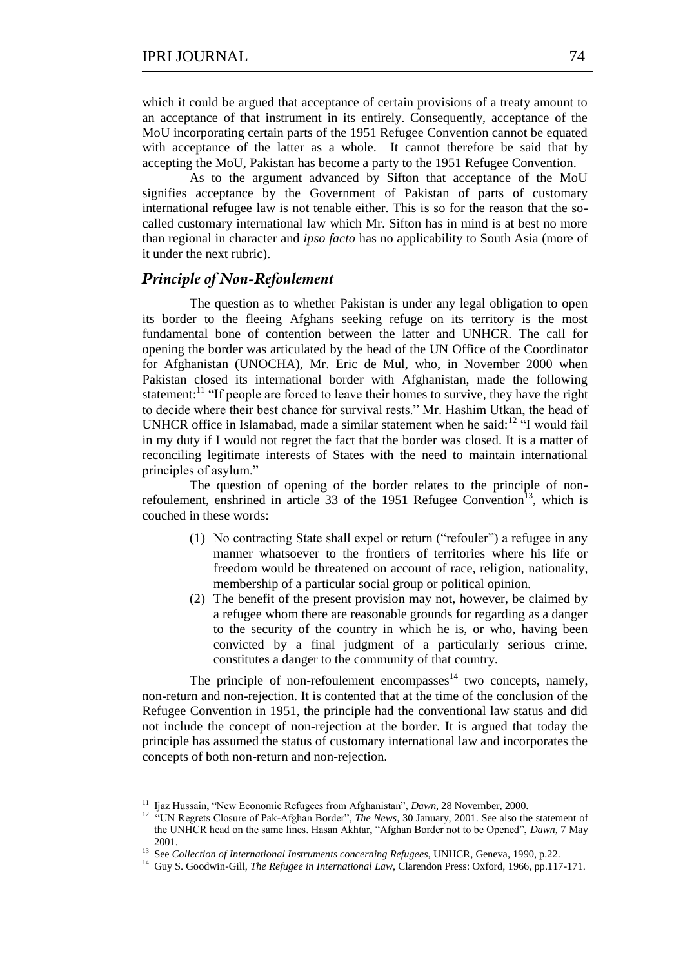which it could be argued that acceptance of certain provisions of a treaty amount to an acceptance of that instrument in its entirely. Consequently, acceptance of the MoU incorporating certain parts of the 1951 Refugee Convention cannot be equated with acceptance of the latter as a whole. It cannot therefore be said that by accepting the MoU, Pakistan has become a party to the 1951 Refugee Convention.

As to the argument advanced by Sifton that acceptance of the MoU signifies acceptance by the Government of Pakistan of parts of customary international refugee law is not tenable either. This is so for the reason that the socalled customary international law which Mr. Sifton has in mind is at best no more than regional in character and *ipso facto* has no applicability to South Asia (more of it under the next rubric).

## *Principle of Non-Refoulement*

The question as to whether Pakistan is under any legal obligation to open its border to the fleeing Afghans seeking refuge on its territory is the most fundamental bone of contention between the latter and UNHCR. The call for opening the border was articulated by the head of the UN Office of the Coordinator for Afghanistan (UNOCHA), Mr. Eric de Mul, who, in November 2000 when Pakistan closed its international border with Afghanistan, made the following statement:<sup>11</sup> "If people are forced to leave their homes to survive, they have the right to decide where their best chance for survival rests." Mr. Hashim Utkan, the head of UNHCR office in Islamabad, made a similar statement when he said: $12$  "I would fail in my duty if I would not regret the fact that the border was closed. It is a matter of reconciling legitimate interests of States with the need to maintain international principles of asylum."

The question of opening of the border relates to the principle of nonrefoulement, enshrined in article 33 of the 1951 Refugee Convention<sup>13</sup>, which is couched in these words:

- (1) No contracting State shall expel or return ("refouler") a refugee in any manner whatsoever to the frontiers of territories where his life or freedom would be threatened on account of race, religion, nationality, membership of a particular social group or political opinion.
- (2) The benefit of the present provision may not, however, be claimed by a refugee whom there are reasonable grounds for regarding as a danger to the security of the country in which he is, or who, having been convicted by a final judgment of a particularly serious crime, constitutes a danger to the community of that country.

The principle of non-refoulement encompasses $14$  two concepts, namely, non-return and non-rejection. It is contented that at the time of the conclusion of the Refugee Convention in 1951, the principle had the conventional law status and did not include the concept of non-rejection at the border. It is argued that today the principle has assumed the status of customary international law and incorporates the concepts of both non-return and non-rejection.

 11 Ijaz Hussain, ―New Economic Refugees from Afghanistan‖, *Dawn*, 28 Novernber, 2000.

<sup>&</sup>lt;sup>12</sup> "UN Regrets Closure of Pak-Afghan Border", *The News*, 30 January, 2001. See also the statement of the UNHCR head on the same lines. Hasan Akhtar, "Afghan Border not to be Opened", *Dawn*, 7 May 2001.

<sup>&</sup>lt;sup>13</sup> See *Collection of International Instruments concerning Refugees*, UNHCR, Geneva, 1990, p.22.

<sup>&</sup>lt;sup>14</sup> Guy S. Goodwin-Gill, *The Refugee in International Law*, Clarendon Press: Oxford, 1966, pp.117-171.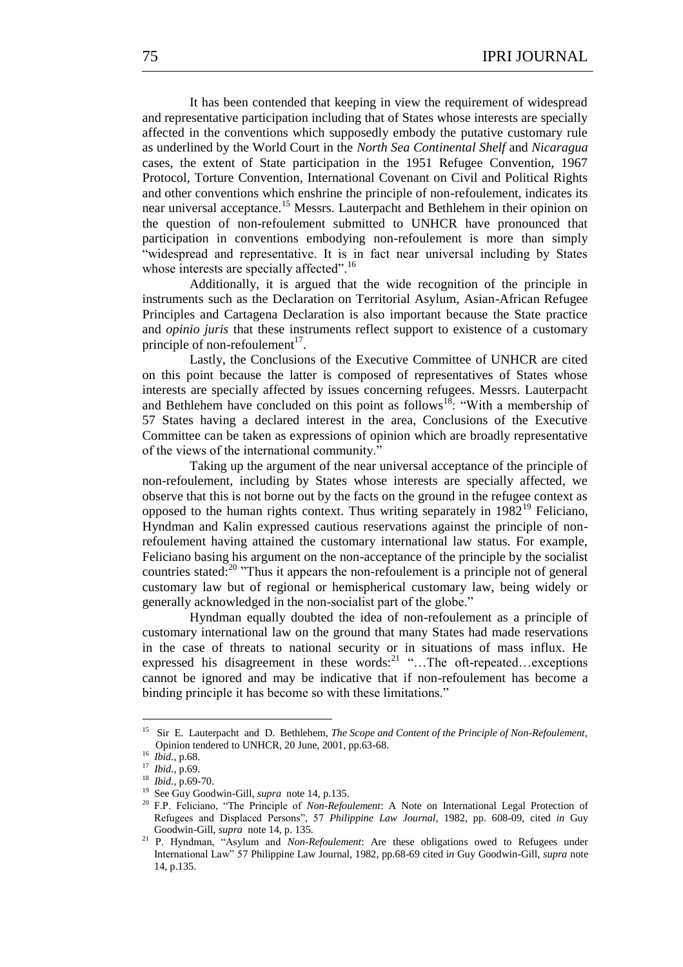It has been contended that keeping in view the requirement of widespread and representative participation including that of States whose interests are specially affected in the conventions which supposedly embody the putative customary rule as underlined by the World Court in the *North Sea Continental Shelf* and *Nicaragua* cases, the extent of State participation in the 1951 Refugee Convention, 1967 Protocol, Torture Convention, International Covenant on Civil and Political Rights and other conventions which enshrine the principle of non-refoulement, indicates its near universal acceptance.<sup>15</sup> Messrs. Lauterpacht and Bethlehem in their opinion on the question of non-refoulement submitted to UNHCR have pronounced that participation in conventions embodying non-refoulement is more than simply ―widespread and representative. It is in fact near universal including by States whose interests are specially affected".<sup>16</sup>

Additionally, it is argued that the wide recognition of the principle in instruments such as the Declaration on Territorial Asylum, Asian-African Refugee Principles and Cartagena Declaration is also important because the State practice and *opinio juris* that these instruments reflect support to existence of a customary principle of non-refoulement<sup>17</sup>.

Lastly, the Conclusions of the Executive Committee of UNHCR are cited on this point because the latter is composed of representatives of States whose interests are specially affected by issues concerning refugees. Messrs. Lauterpacht and Bethlehem have concluded on this point as follows<sup>18</sup>: "With a membership of 57 States having a declared interest in the area, Conclusions of the Executive Committee can be taken as expressions of opinion which are broadly representative of the views of the international community."

Taking up the argument of the near universal acceptance of the principle of non-refoulement, including by States whose interests are specially affected, we observe that this is not borne out by the facts on the ground in the refugee context as opposed to the human rights context. Thus writing separately in 1982<sup>19</sup> Feliciano, Hyndman and Kalin expressed cautious reservations against the principle of nonrefoulement having attained the customary international law status. For example, Feliciano basing his argument on the non-acceptance of the principle by the socialist countries stated: $^{20}$  "Thus it appears the non-refoulement is a principle not of general customary law but of regional or hemispherical customary law, being widely or generally acknowledged in the non-socialist part of the globe."

Hyndman equally doubted the idea of non-refoulement as a principle of customary international law on the ground that many States had made reservations in the case of threats to national security or in situations of mass influx. He expressed his disagreement in these words:  $2^{21}$  "...The oft-repeated... exceptions cannot be ignored and may be indicative that if non-refoulement has become a binding principle it has become so with these limitations."

<sup>15</sup> Sir E. Lauterpacht and D. Bethlehem, *The Scope and Content of the Principle of Non-Refoulement,* Opinion tendered to UNHCR, 20 June, 2001, pp.63-68.

<sup>16</sup> *Ibid.*, p.68.

<sup>17</sup> *Ibid.*, p.69.

<sup>18</sup> *Ibid.*, p.69-70.

<sup>19</sup> See Guy Goodwin-Gill, *supra* note 14, p.135. <sup>20</sup> F.P. Feliciano, "The Principle of *Non-Refoulement*: A Note on International Legal Protection of Refugees and Displaced Persons", 57 *Philippine Law Journal*, 1982, pp. 608-09, cited *in* Guy Goodwin-Gill, *supra* note 14, p. 135.

<sup>&</sup>lt;sup>21</sup> P. Hyndman, "Asylum and *Non-Refoulement*: Are these obligations owed to Refugees under International Law‖ 57 Philippine Law Journal, 1982, pp.68-69 cited i*n* Guy Goodwin-Gill, *supra* note 14, p.135.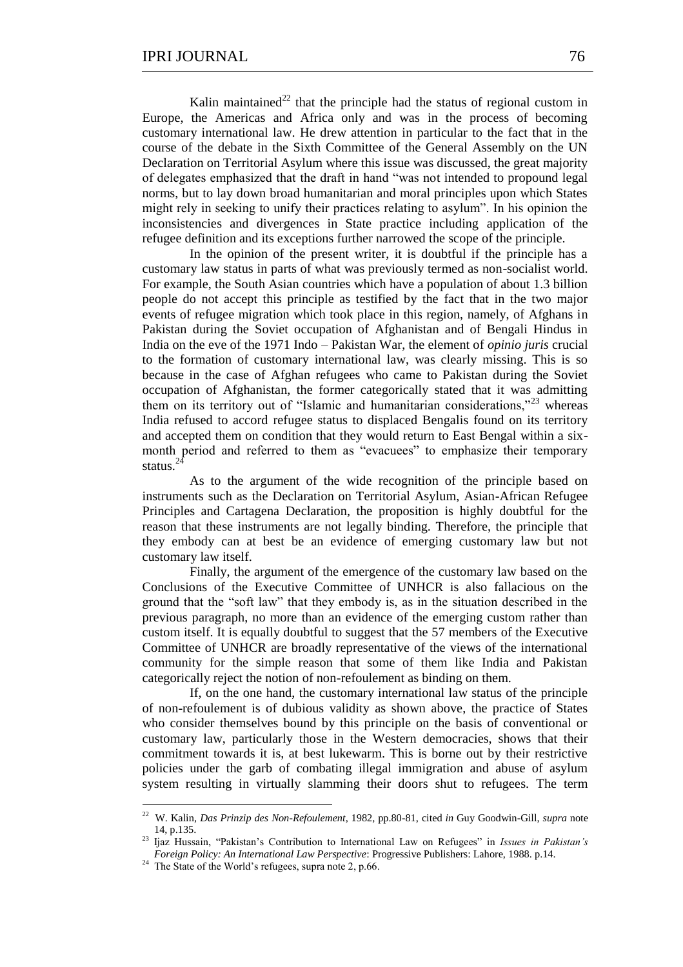Kalin maintained<sup>22</sup> that the principle had the status of regional custom in Europe, the Americas and Africa only and was in the process of becoming customary international law. He drew attention in particular to the fact that in the course of the debate in the Sixth Committee of the General Assembly on the UN Declaration on Territorial Asylum where this issue was discussed, the great majority of delegates emphasized that the draft in hand "was not intended to propound legal norms, but to lay down broad humanitarian and moral principles upon which States might rely in seeking to unify their practices relating to asylum". In his opinion the inconsistencies and divergences in State practice including application of the refugee definition and its exceptions further narrowed the scope of the principle.

In the opinion of the present writer, it is doubtful if the principle has a customary law status in parts of what was previously termed as non-socialist world. For example, the South Asian countries which have a population of about 1.3 billion people do not accept this principle as testified by the fact that in the two major events of refugee migration which took place in this region, namely, of Afghans in Pakistan during the Soviet occupation of Afghanistan and of Bengali Hindus in India on the eve of the 1971 Indo – Pakistan War, the element of *opinio juris* crucial to the formation of customary international law, was clearly missing. This is so because in the case of Afghan refugees who came to Pakistan during the Soviet occupation of Afghanistan, the former categorically stated that it was admitting them on its territory out of "Islamic and humanitarian considerations,"<sup>23</sup> whereas India refused to accord refugee status to displaced Bengalis found on its territory and accepted them on condition that they would return to East Bengal within a sixmonth period and referred to them as "evacuees" to emphasize their temporary status.<sup>2</sup>

As to the argument of the wide recognition of the principle based on instruments such as the Declaration on Territorial Asylum, Asian-African Refugee Principles and Cartagena Declaration, the proposition is highly doubtful for the reason that these instruments are not legally binding. Therefore, the principle that they embody can at best be an evidence of emerging customary law but not customary law itself.

Finally, the argument of the emergence of the customary law based on the Conclusions of the Executive Committee of UNHCR is also fallacious on the ground that the "soft law" that they embody is, as in the situation described in the previous paragraph, no more than an evidence of the emerging custom rather than custom itself. It is equally doubtful to suggest that the 57 members of the Executive Committee of UNHCR are broadly representative of the views of the international community for the simple reason that some of them like India and Pakistan categorically reject the notion of non-refoulement as binding on them.

If, on the one hand, the customary international law status of the principle of non-refoulement is of dubious validity as shown above, the practice of States who consider themselves bound by this principle on the basis of conventional or customary law, particularly those in the Western democracies, shows that their commitment towards it is, at best lukewarm. This is borne out by their restrictive policies under the garb of combating illegal immigration and abuse of asylum system resulting in virtually slamming their doors shut to refugees. The term

<sup>22</sup> W. Kalin, *Das Prinzip des Non-Refoulement*, 1982, pp.80-81, cited *in* Guy Goodwin-Gill, *supra* note 14, p.135.

<sup>&</sup>lt;sup>23</sup> Ijaz Hussain, "Pakistan's Contribution to International Law on Refugees" in *Issues in Pakistan's Foreign Policy: An International Law Perspective*: Progressive Publishers: Lahore, 1988. p.14.

<sup>&</sup>lt;sup>24</sup> The State of the World's refugees, supra note 2, p.66.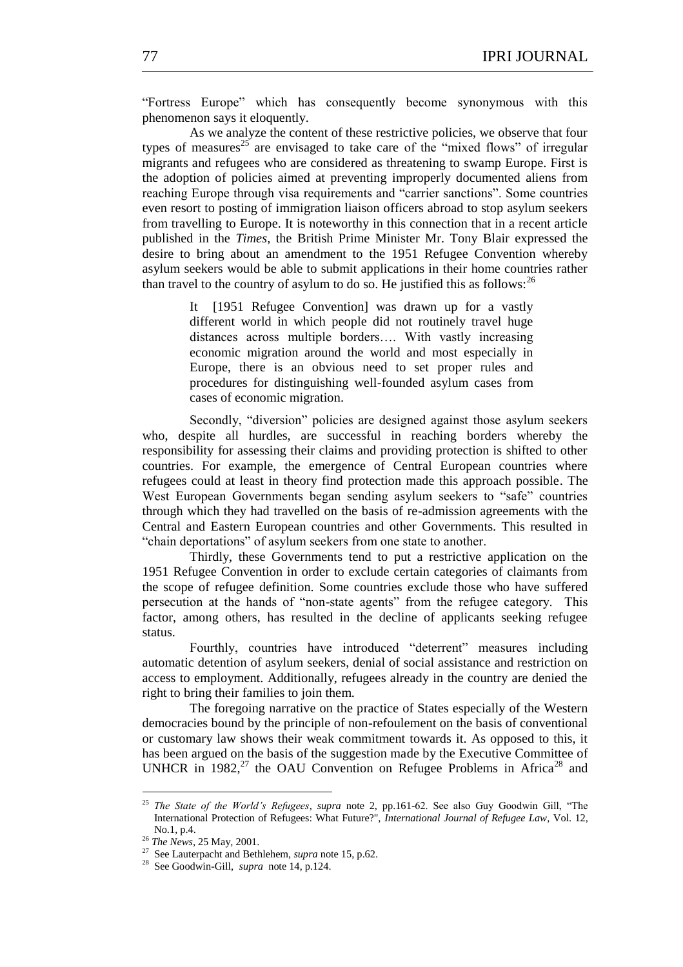"Fortress Europe" which has consequently become synonymous with this phenomenon says it eloquently.

As we analyze the content of these restrictive policies, we observe that four types of measures<sup>25</sup> are envisaged to take care of the "mixed flows" of irregular migrants and refugees who are considered as threatening to swamp Europe. First is the adoption of policies aimed at preventing improperly documented aliens from reaching Europe through visa requirements and "carrier sanctions". Some countries even resort to posting of immigration liaison officers abroad to stop asylum seekers from travelling to Europe. It is noteworthy in this connection that in a recent article published in the *Times,* the British Prime Minister Mr. Tony Blair expressed the desire to bring about an amendment to the 1951 Refugee Convention whereby asylum seekers would be able to submit applications in their home countries rather than travel to the country of asylum to do so. He justified this as follows:  $2<sup>6</sup>$ 

> It [1951 Refugee Convention] was drawn up for a vastly different world in which people did not routinely travel huge distances across multiple borders…. With vastly increasing economic migration around the world and most especially in Europe, there is an obvious need to set proper rules and procedures for distinguishing well-founded asylum cases from cases of economic migration.

Secondly, "diversion" policies are designed against those asylum seekers who, despite all hurdles, are successful in reaching borders whereby the responsibility for assessing their claims and providing protection is shifted to other countries. For example, the emergence of Central European countries where refugees could at least in theory find protection made this approach possible. The West European Governments began sending asylum seekers to "safe" countries through which they had travelled on the basis of re-admission agreements with the Central and Eastern European countries and other Governments. This resulted in "chain deportations" of asylum seekers from one state to another.

Thirdly, these Governments tend to put a restrictive application on the 1951 Refugee Convention in order to exclude certain categories of claimants from the scope of refugee definition. Some countries exclude those who have suffered persecution at the hands of "non-state agents" from the refugee category. This factor, among others, has resulted in the decline of applicants seeking refugee status.

Fourthly, countries have introduced "deterrent" measures including automatic detention of asylum seekers, denial of social assistance and restriction on access to employment. Additionally, refugees already in the country are denied the right to bring their families to join them.

The foregoing narrative on the practice of States especially of the Western democracies bound by the principle of non-refoulement on the basis of conventional or customary law shows their weak commitment towards it. As opposed to this, it has been argued on the basis of the suggestion made by the Executive Committee of UNHCR in  $1982$ <sup>27</sup> the OAU Convention on Refugee Problems in Africa<sup>28</sup> and

<sup>&</sup>lt;sup>25</sup> *The State of the World's Refugees, supra* note 2, pp.161-62. See also Guy Goodwin Gill, "The International Protection of Refugees: What Future?", *International Journal of Refugee Law*, Vol. 12, No.1, p.4.

<sup>26</sup> *The News*, 25 May, 2001.

<sup>27</sup> See Lauterpacht and Bethlehem, *supra* note 15, p.62.

<sup>28</sup> See Goodwin-Gill, *supra* note 14, p.124.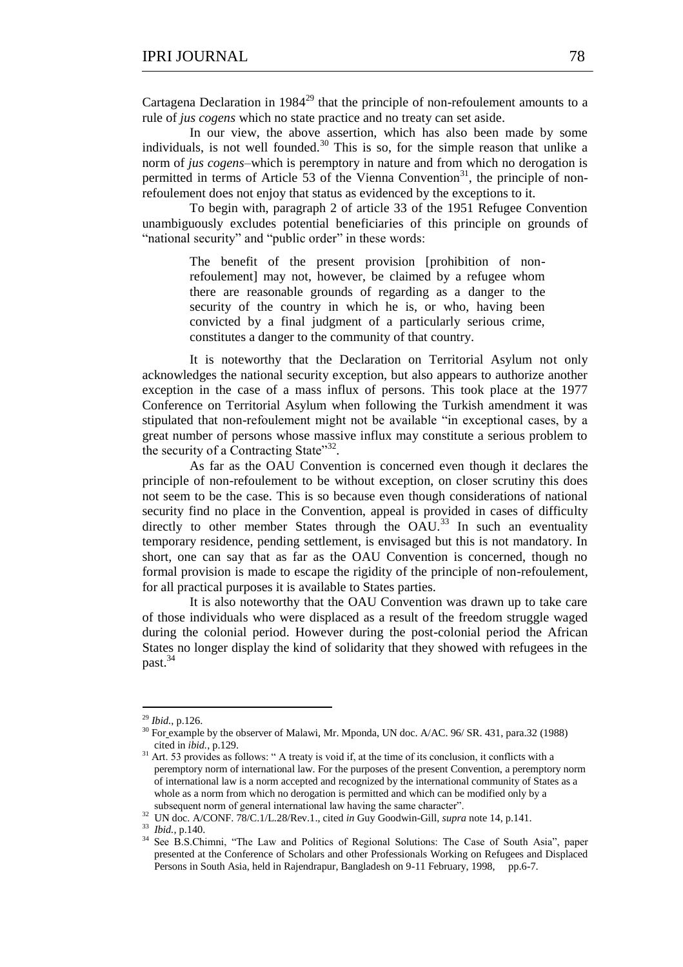Cartagena Declaration in  $1984^{29}$  that the principle of non-refoulement amounts to a rule of *jus cogens* which no state practice and no treaty can set aside.

In our view, the above assertion, which has also been made by some individuals, is not well founded. $30$  This is so, for the simple reason that unlike a norm of *jus cogens–*which is peremptory in nature and from which no derogation is permitted in terms of Article 53 of the Vienna Convention<sup>31</sup>, the principle of nonrefoulement does not enjoy that status as evidenced by the exceptions to it.

To begin with, paragraph 2 of article 33 of the 1951 Refugee Convention unambiguously excludes potential beneficiaries of this principle on grounds of "national security" and "public order" in these words:

> The benefit of the present provision [prohibition of nonrefoulement] may not, however, be claimed by a refugee whom there are reasonable grounds of regarding as a danger to the security of the country in which he is, or who, having been convicted by a final judgment of a particularly serious crime, constitutes a danger to the community of that country.

It is noteworthy that the Declaration on Territorial Asylum not only acknowledges the national security exception, but also appears to authorize another exception in the case of a mass influx of persons. This took place at the 1977 Conference on Territorial Asylum when following the Turkish amendment it was stipulated that non-refoulement might not be available "in exceptional cases, by a great number of persons whose massive influx may constitute a serious problem to the security of a Contracting State"32.

As far as the OAU Convention is concerned even though it declares the principle of non-refoulement to be without exception, on closer scrutiny this does not seem to be the case. This is so because even though considerations of national security find no place in the Convention, appeal is provided in cases of difficulty directly to other member States through the OAU.<sup>33</sup> In such an eventuality temporary residence, pending settlement, is envisaged but this is not mandatory. In short, one can say that as far as the OAU Convention is concerned, though no formal provision is made to escape the rigidity of the principle of non-refoulement, for all practical purposes it is available to States parties.

It is also noteworthy that the OAU Convention was drawn up to take care of those individuals who were displaced as a result of the freedom struggle waged during the colonial period. However during the post-colonial period the African States no longer display the kind of solidarity that they showed with refugees in the past.<sup>34</sup>

1

<sup>29</sup> *Ibid.*, p.126.

<sup>&</sup>lt;sup>30</sup> For example by the observer of Malawi, Mr. Mponda, UN doc. A/AC. 96/ SR. 431, para.32 (1988) cited in *ibid.*, p.129.

 $31$  Art. 53 provides as follows: " A treaty is void if, at the time of its conclusion, it conflicts with a peremptory norm of international law. For the purposes of the present Convention, a peremptory norm of international law is a norm accepted and recognized by the international community of States as a whole as a norm from which no derogation is permitted and which can be modified only by a subsequent norm of general international law having the same character".

<sup>32</sup> UN doc. A/CONF. 78/C.1/L.28/Rev.1., cited *in* Guy Goodwin-Gill, *supra* note 14, p.141.

<sup>33</sup> *Ibid.*, p.140.

<sup>&</sup>lt;sup>34</sup> See B.S.Chimni, "The Law and Politics of Regional Solutions: The Case of South Asia", paper presented at the Conference of Scholars and other Professionals Working on Refugees and Displaced Persons in South Asia, held in Rajendrapur, Bangladesh on 9-11 February, 1998, pp.6-7.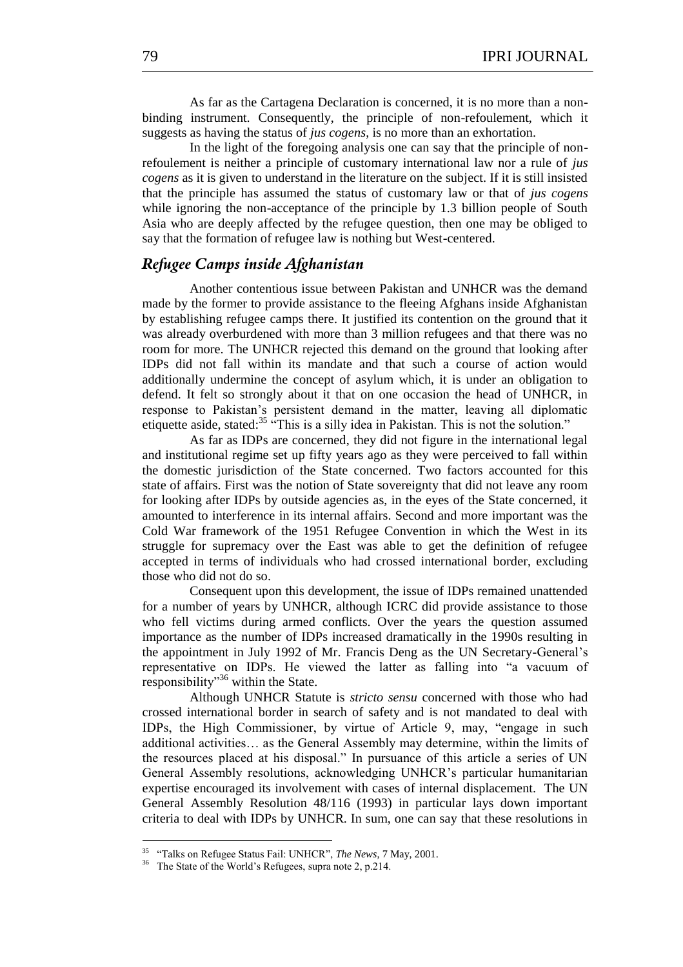As far as the Cartagena Declaration is concerned, it is no more than a nonbinding instrument. Consequently, the principle of non-refoulement, which it suggests as having the status of *jus cogens*, is no more than an exhortation.

In the light of the foregoing analysis one can say that the principle of nonrefoulement is neither a principle of customary international law nor a rule of *jus cogens* as it is given to understand in the literature on the subject. If it is still insisted that the principle has assumed the status of customary law or that of *jus cogens* while ignoring the non-acceptance of the principle by 1.3 billion people of South Asia who are deeply affected by the refugee question, then one may be obliged to say that the formation of refugee law is nothing but West-centered.

## *Refugee Camps inside Afghanistan*

Another contentious issue between Pakistan and UNHCR was the demand made by the former to provide assistance to the fleeing Afghans inside Afghanistan by establishing refugee camps there. It justified its contention on the ground that it was already overburdened with more than 3 million refugees and that there was no room for more. The UNHCR rejected this demand on the ground that looking after IDPs did not fall within its mandate and that such a course of action would additionally undermine the concept of asylum which, it is under an obligation to defend. It felt so strongly about it that on one occasion the head of UNHCR, in response to Pakistan's persistent demand in the matter, leaving all diplomatic etiquette aside, stated:<sup>35 "</sup>This is a silly idea in Pakistan. This is not the solution."

As far as IDPs are concerned, they did not figure in the international legal and institutional regime set up fifty years ago as they were perceived to fall within the domestic jurisdiction of the State concerned. Two factors accounted for this state of affairs. First was the notion of State sovereignty that did not leave any room for looking after IDPs by outside agencies as, in the eyes of the State concerned, it amounted to interference in its internal affairs. Second and more important was the Cold War framework of the 1951 Refugee Convention in which the West in its struggle for supremacy over the East was able to get the definition of refugee accepted in terms of individuals who had crossed international border, excluding those who did not do so.

Consequent upon this development, the issue of IDPs remained unattended for a number of years by UNHCR, although ICRC did provide assistance to those who fell victims during armed conflicts. Over the years the question assumed importance as the number of IDPs increased dramatically in the 1990s resulting in the appointment in July 1992 of Mr. Francis Deng as the UN Secretary-General's representative on IDPs. He viewed the latter as falling into "a vacuum of responsibility"<sup>36</sup> within the State.

Although UNHCR Statute is *stricto sensu* concerned with those who had crossed international border in search of safety and is not mandated to deal with IDPs, the High Commissioner, by virtue of Article 9, may, "engage in such additional activities… as the General Assembly may determine, within the limits of the resources placed at his disposal." In pursuance of this article a series of UN General Assembly resolutions, acknowledging UNHCR's particular humanitarian expertise encouraged its involvement with cases of internal displacement. The UN General Assembly Resolution 48/116 (1993) in particular lays down important criteria to deal with IDPs by UNHCR. In sum, one can say that these resolutions in

1

<sup>&</sup>lt;sup>35</sup> "Talks on Refugee Status Fail: UNHCR", *The News*, 7 May, 2001.

<sup>&</sup>lt;sup>36</sup> The State of the World's Refugees, supra note 2, p.214.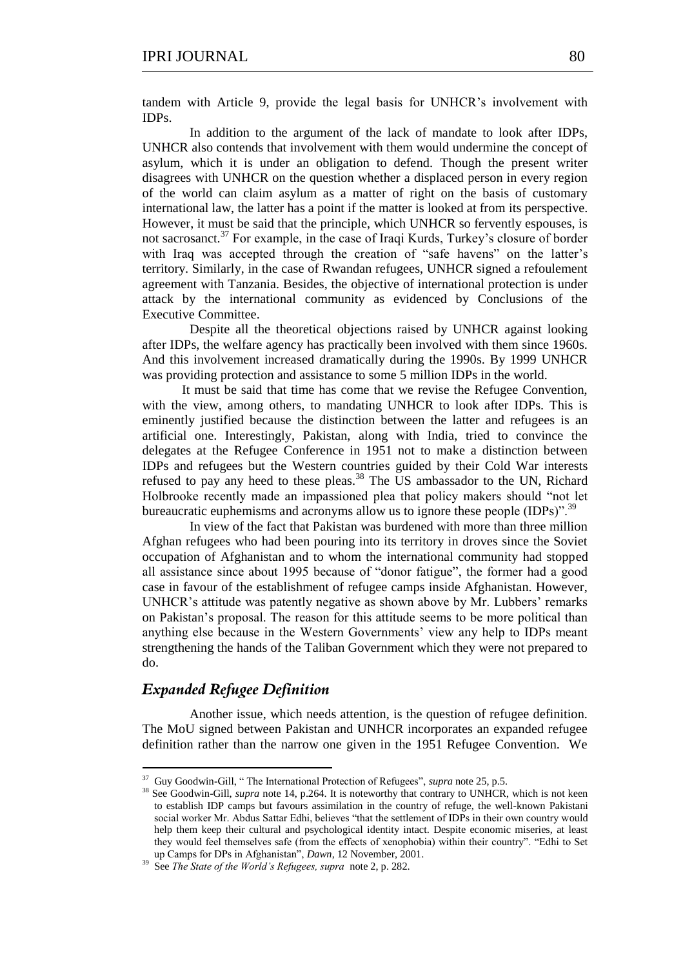tandem with Article 9, provide the legal basis for UNHCR's involvement with IDPs.

In addition to the argument of the lack of mandate to look after IDPs, UNHCR also contends that involvement with them would undermine the concept of asylum, which it is under an obligation to defend. Though the present writer disagrees with UNHCR on the question whether a displaced person in every region of the world can claim asylum as a matter of right on the basis of customary international law, the latter has a point if the matter is looked at from its perspective. However, it must be said that the principle, which UNHCR so fervently espouses, is not sacrosanct.<sup>37</sup> For example, in the case of Iraqi Kurds, Turkey's closure of border with Iraq was accepted through the creation of "safe havens" on the latter's territory. Similarly, in the case of Rwandan refugees, UNHCR signed a refoulement agreement with Tanzania. Besides, the objective of international protection is under attack by the international community as evidenced by Conclusions of the Executive Committee.

Despite all the theoretical objections raised by UNHCR against looking after IDPs, the welfare agency has practically been involved with them since 1960s. And this involvement increased dramatically during the 1990s. By 1999 UNHCR was providing protection and assistance to some 5 million IDPs in the world.

 It must be said that time has come that we revise the Refugee Convention, with the view, among others, to mandating UNHCR to look after IDPs. This is eminently justified because the distinction between the latter and refugees is an artificial one. Interestingly, Pakistan, along with India, tried to convince the delegates at the Refugee Conference in 1951 not to make a distinction between IDPs and refugees but the Western countries guided by their Cold War interests refused to pay any heed to these pleas.<sup>38</sup> The US ambassador to the UN, Richard Holbrooke recently made an impassioned plea that policy makers should "not let bureaucratic euphemisms and acronyms allow us to ignore these people (IDPs)".<sup>39</sup>

In view of the fact that Pakistan was burdened with more than three million Afghan refugees who had been pouring into its territory in droves since the Soviet occupation of Afghanistan and to whom the international community had stopped all assistance since about 1995 because of "donor fatigue", the former had a good case in favour of the establishment of refugee camps inside Afghanistan. However, UNHCR's attitude was patently negative as shown above by Mr. Lubbers' remarks on Pakistan's proposal. The reason for this attitude seems to be more political than anything else because in the Western Governments' view any help to IDPs meant strengthening the hands of the Taliban Government which they were not prepared to do.

## *Expanded Refugee Definition*

Another issue, which needs attention, is the question of refugee definition. The MoU signed between Pakistan and UNHCR incorporates an expanded refugee definition rather than the narrow one given in the 1951 Refugee Convention. We

<sup>&</sup>lt;u><sup>37</sup> Guy Goodwin-Gill,</u> "The International Protection of Refugees", *supra* note 25, p.5.

<sup>&</sup>lt;sup>38</sup> See Goodwin-Gill, *supra* note 14, p.264. It is noteworthy that contrary to UNHCR, which is not keen to establish IDP camps but favours assimilation in the country of refuge, the well-known Pakistani social worker Mr. Abdus Sattar Edhi, believes "that the settlement of IDPs in their own country would help them keep their cultural and psychological identity intact. Despite economic miseries, at least they would feel themselves safe (from the effects of xenophobia) within their country". "Edhi to Set up Camps for DPs in Afghanistan", *Dawn*, 12 November, 2001.

<sup>39</sup> See *The State of the World's Refugees, supra* note 2, p. 282.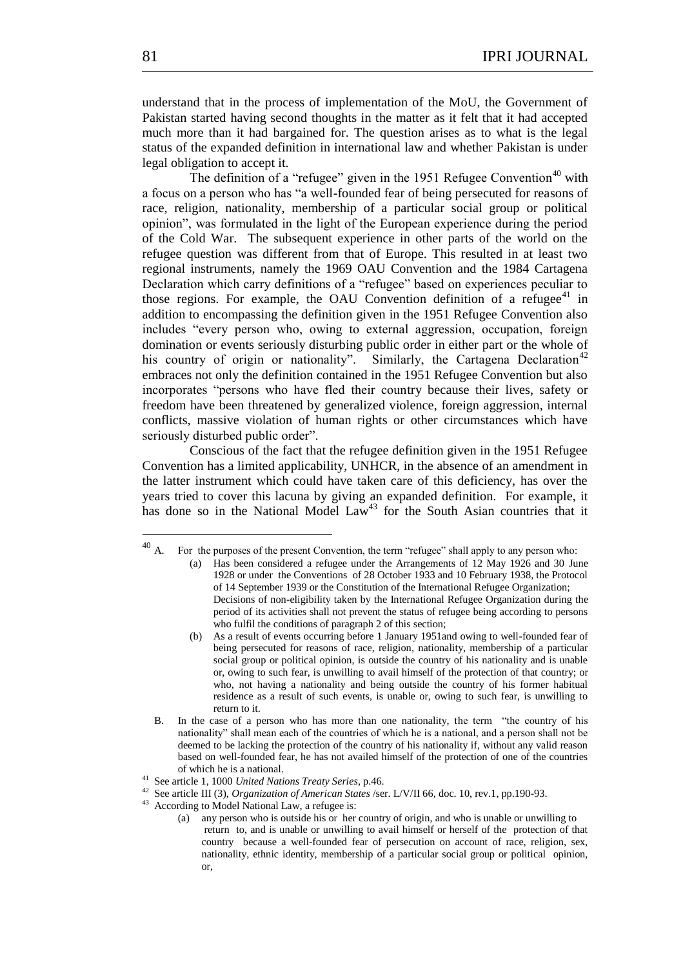understand that in the process of implementation of the MoU, the Government of Pakistan started having second thoughts in the matter as it felt that it had accepted much more than it had bargained for. The question arises as to what is the legal status of the expanded definition in international law and whether Pakistan is under legal obligation to accept it.

The definition of a "refugee" given in the 1951 Refugee Convention<sup>40</sup> with a focus on a person who has "a well-founded fear of being persecuted for reasons of race, religion, nationality, membership of a particular social group or political opinion‖, was formulated in the light of the European experience during the period of the Cold War. The subsequent experience in other parts of the world on the refugee question was different from that of Europe. This resulted in at least two regional instruments, namely the 1969 OAU Convention and the 1984 Cartagena Declaration which carry definitions of a "refugee" based on experiences peculiar to those regions. For example, the OAU Convention definition of a refugee<sup>41</sup> in addition to encompassing the definition given in the 1951 Refugee Convention also includes "every person who, owing to external aggression, occupation, foreign domination or events seriously disturbing public order in either part or the whole of his country of origin or nationality". Similarly, the Cartagena Declaration<sup>42</sup> embraces not only the definition contained in the 1951 Refugee Convention but also incorporates "persons who have fled their country because their lives, safety or freedom have been threatened by generalized violence, foreign aggression, internal conflicts, massive violation of human rights or other circumstances which have seriously disturbed public order".

Conscious of the fact that the refugee definition given in the 1951 Refugee Convention has a limited applicability, UNHCR, in the absence of an amendment in the latter instrument which could have taken care of this deficiency, has over the years tried to cover this lacuna by giving an expanded definition. For example, it has done so in the National Model Law<sup>43</sup> for the South Asian countries that it

 $^{40}$  A. For the purposes of the present Convention, the term "refugee" shall apply to any person who:

<sup>(</sup>a) Has been considered a refugee under the Arrangements of 12 May 1926 and 30 June 1928 or under the Conventions of 28 October 1933 and 10 February 1938, the Protocol of 14 September 1939 or the Constitution of the International Refugee Organization; Decisions of non-eligibility taken by the International Refugee Organization during the period of its activities shall not prevent the status of refugee being according to persons who fulfil the conditions of paragraph 2 of this section;

<sup>(</sup>b) As a result of events occurring before 1 January 1951and owing to well-founded fear of being persecuted for reasons of race, religion, nationality, membership of a particular social group or political opinion, is outside the country of his nationality and is unable or, owing to such fear, is unwilling to avail himself of the protection of that country; or who, not having a nationality and being outside the country of his former habitual residence as a result of such events, is unable or, owing to such fear, is unwilling to return to it.

B. In the case of a person who has more than one nationality, the term "the country of his nationality" shall mean each of the countries of which he is a national, and a person shall not be deemed to be lacking the protection of the country of his nationality if, without any valid reason based on well-founded fear, he has not availed himself of the protection of one of the countries of which he is a national.

<sup>41</sup> See article 1, 1000 *United Nations Treaty Series*, p.46.

<sup>42</sup> See article III (3), *Organization of American States* /ser. L/V/II 66, doc. 10, rev.1, pp.190-93.

<sup>&</sup>lt;sup>43</sup> According to Model National Law, a refugee is:

<sup>(</sup>a) any person who is outside his or her country of origin, and who is unable or unwilling to return to, and is unable or unwilling to avail himself or herself of the protection of that country because a well-founded fear of persecution on account of race, religion, sex, nationality, ethnic identity, membership of a particular social group or political opinion, or,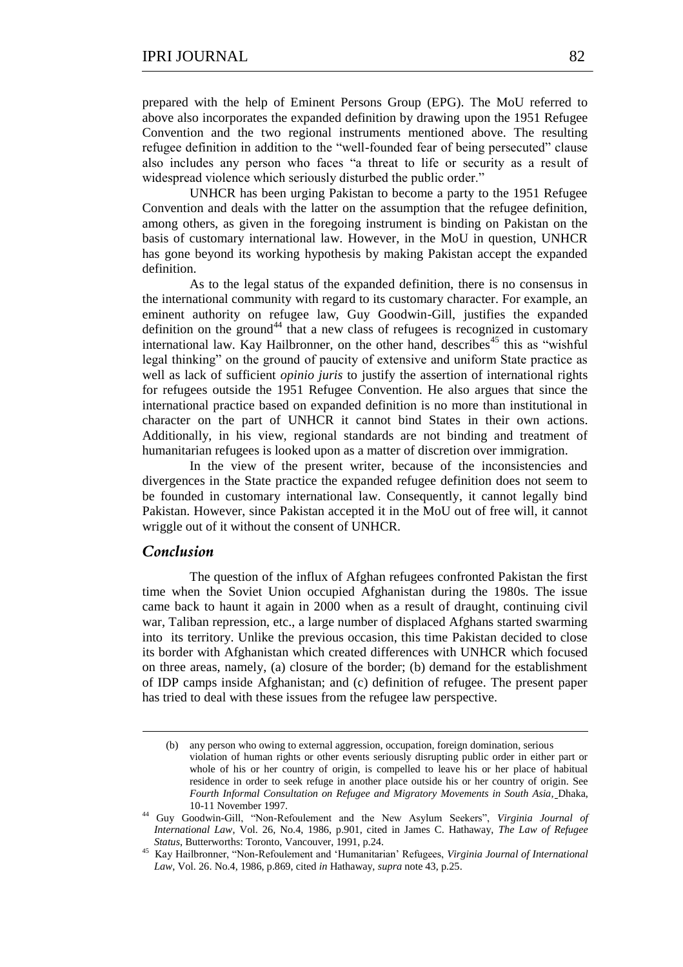prepared with the help of Eminent Persons Group (EPG). The MoU referred to above also incorporates the expanded definition by drawing upon the 1951 Refugee Convention and the two regional instruments mentioned above. The resulting refugee definition in addition to the "well-founded fear of being persecuted" clause also includes any person who faces "a threat to life or security as a result of widespread violence which seriously disturbed the public order."

UNHCR has been urging Pakistan to become a party to the 1951 Refugee Convention and deals with the latter on the assumption that the refugee definition, among others, as given in the foregoing instrument is binding on Pakistan on the basis of customary international law. However, in the MoU in question, UNHCR has gone beyond its working hypothesis by making Pakistan accept the expanded definition.

As to the legal status of the expanded definition, there is no consensus in the international community with regard to its customary character. For example, an eminent authority on refugee law, Guy Goodwin-Gill, justifies the expanded definition on the ground<sup>44</sup> that a new class of refugees is recognized in customary international law. Kay Hailbronner, on the other hand, describes<sup>45</sup> this as "wishful" legal thinking" on the ground of paucity of extensive and uniform State practice as well as lack of sufficient *opinio juris* to justify the assertion of international rights for refugees outside the 1951 Refugee Convention. He also argues that since the international practice based on expanded definition is no more than institutional in character on the part of UNHCR it cannot bind States in their own actions. Additionally, in his view, regional standards are not binding and treatment of humanitarian refugees is looked upon as a matter of discretion over immigration.

In the view of the present writer, because of the inconsistencies and divergences in the State practice the expanded refugee definition does not seem to be founded in customary international law. Consequently, it cannot legally bind Pakistan. However, since Pakistan accepted it in the MoU out of free will, it cannot wriggle out of it without the consent of UNHCR.

# *Conclusion*

-

The question of the influx of Afghan refugees confronted Pakistan the first time when the Soviet Union occupied Afghanistan during the 1980s. The issue came back to haunt it again in 2000 when as a result of draught, continuing civil war, Taliban repression, etc., a large number of displaced Afghans started swarming into its territory. Unlike the previous occasion, this time Pakistan decided to close its border with Afghanistan which created differences with UNHCR which focused on three areas, namely, (a) closure of the border; (b) demand for the establishment of IDP camps inside Afghanistan; and (c) definition of refugee. The present paper has tried to deal with these issues from the refugee law perspective.

<sup>(</sup>b) any person who owing to external aggression, occupation, foreign domination, serious violation of human rights or other events seriously disrupting public order in either part or whole of his or her country of origin, is compelled to leave his or her place of habitual residence in order to seek refuge in another place outside his or her country of origin. See *Fourth Informal Consultation on Refugee and Migratory Movements in South Asia,* Dhaka, 10-11 November 1997.

<sup>&</sup>lt;sup>44</sup> Guy Goodwin-Gill, "Non-Refoulement and the New Asylum Seekers", *Virginia Journal of International Law*, Vol. 26, No.4, 1986, p.901, cited in James C. Hathaway, *The Law of Refugee Status*, Butterworths: Toronto, Vancouver, 1991, p.24.

<sup>&</sup>lt;sup>45</sup> Kay Hailbronner, "Non-Refoulement and 'Humanitarian' Refugees, *Virginia Journal of International Law*, Vol. 26. No.4, 1986, p.869, cited *in* Hathaway, *supra* note 43, p.25.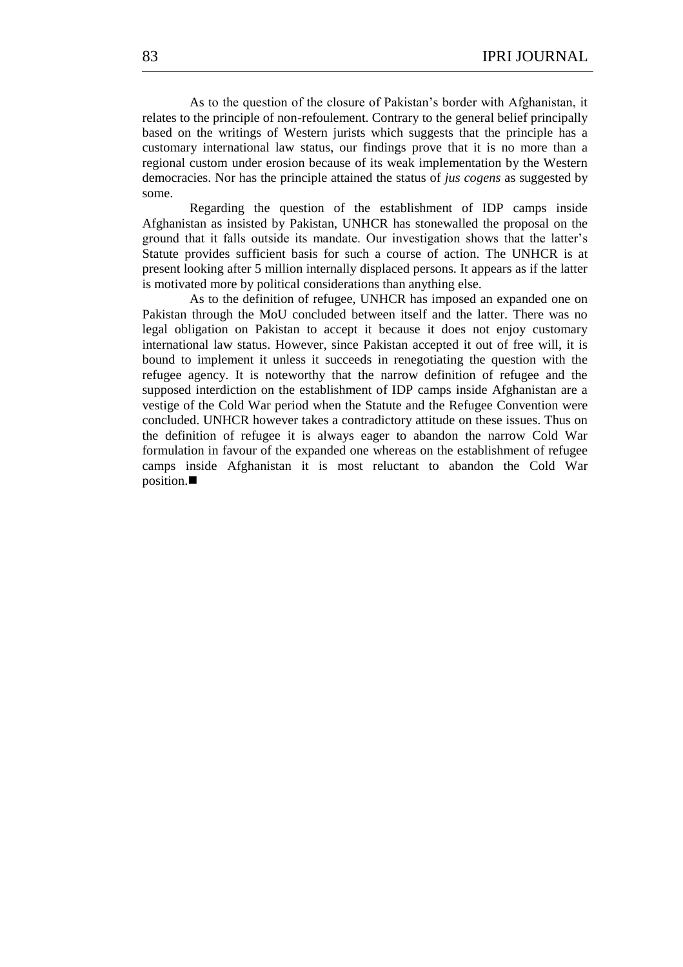As to the question of the closure of Pakistan's border with Afghanistan, it relates to the principle of non-refoulement. Contrary to the general belief principally based on the writings of Western jurists which suggests that the principle has a customary international law status, our findings prove that it is no more than a regional custom under erosion because of its weak implementation by the Western democracies. Nor has the principle attained the status of *jus cogens* as suggested by some.

Regarding the question of the establishment of IDP camps inside Afghanistan as insisted by Pakistan, UNHCR has stonewalled the proposal on the ground that it falls outside its mandate. Our investigation shows that the latter's Statute provides sufficient basis for such a course of action. The UNHCR is at present looking after 5 million internally displaced persons. It appears as if the latter is motivated more by political considerations than anything else.

As to the definition of refugee, UNHCR has imposed an expanded one on Pakistan through the MoU concluded between itself and the latter. There was no legal obligation on Pakistan to accept it because it does not enjoy customary international law status. However, since Pakistan accepted it out of free will, it is bound to implement it unless it succeeds in renegotiating the question with the refugee agency. It is noteworthy that the narrow definition of refugee and the supposed interdiction on the establishment of IDP camps inside Afghanistan are a vestige of the Cold War period when the Statute and the Refugee Convention were concluded. UNHCR however takes a contradictory attitude on these issues. Thus on the definition of refugee it is always eager to abandon the narrow Cold War formulation in favour of the expanded one whereas on the establishment of refugee camps inside Afghanistan it is most reluctant to abandon the Cold War position.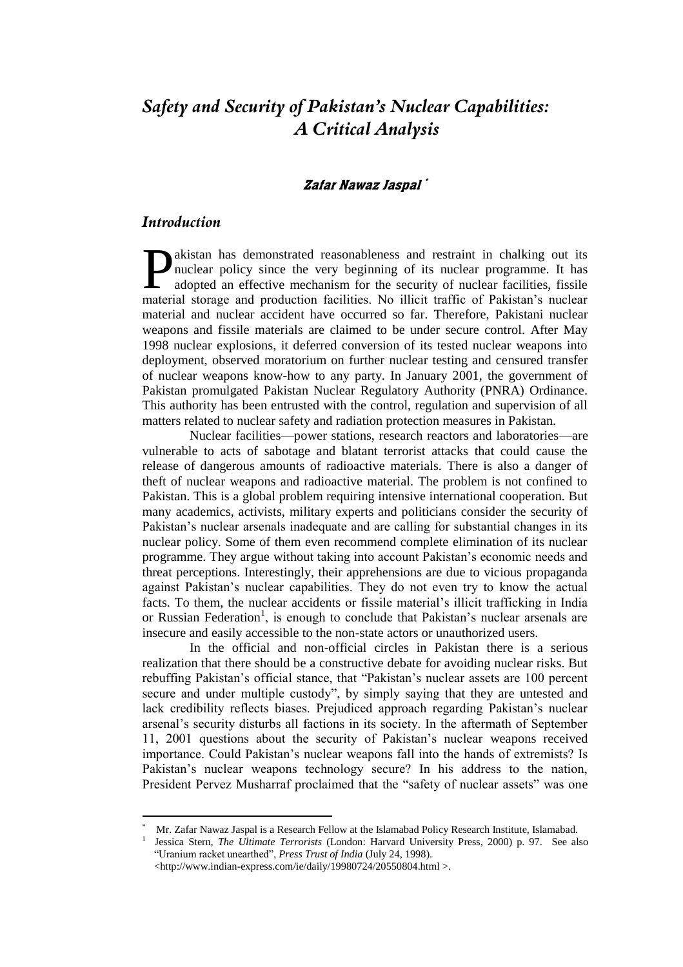# *Safety and Security of Pakistan's Nuclear Capabilities: A Critical Analysis*

## Zafar Nawaz Jaspal \*

# *Introduction*

<u>.</u>

akistan has demonstrated reasonableness and restraint in chalking out its nuclear policy since the very beginning of its nuclear programme. It has adopted an effective mechanism for the security of nuclear facilities, fissile **T**akistan has demonstrated reasonableness and restraint in chalking out its nuclear policy since the very beginning of its nuclear programme. It has adopted an effective mechanism for the security of nuclear facilities, f material and nuclear accident have occurred so far. Therefore, Pakistani nuclear weapons and fissile materials are claimed to be under secure control. After May 1998 nuclear explosions, it deferred conversion of its tested nuclear weapons into deployment, observed moratorium on further nuclear testing and censured transfer of nuclear weapons know-how to any party. In January 2001, the government of Pakistan promulgated Pakistan Nuclear Regulatory Authority (PNRA) Ordinance. This authority has been entrusted with the control, regulation and supervision of all matters related to nuclear safety and radiation protection measures in Pakistan.

Nuclear facilities—power stations, research reactors and laboratories—are vulnerable to acts of sabotage and blatant terrorist attacks that could cause the release of dangerous amounts of radioactive materials. There is also a danger of theft of nuclear weapons and radioactive material. The problem is not confined to Pakistan. This is a global problem requiring intensive international cooperation. But many academics, activists, military experts and politicians consider the security of Pakistan's nuclear arsenals inadequate and are calling for substantial changes in its nuclear policy. Some of them even recommend complete elimination of its nuclear programme. They argue without taking into account Pakistan's economic needs and threat perceptions. Interestingly, their apprehensions are due to vicious propaganda against Pakistan's nuclear capabilities. They do not even try to know the actual facts. To them, the nuclear accidents or fissile material's illicit trafficking in India or Russian Federation<sup>1</sup>, is enough to conclude that Pakistan's nuclear arsenals are insecure and easily accessible to the non-state actors or unauthorized users.

In the official and non-official circles in Pakistan there is a serious realization that there should be a constructive debate for avoiding nuclear risks. But rebuffing Pakistan's official stance, that "Pakistan's nuclear assets are 100 percent secure and under multiple custody", by simply saying that they are untested and lack credibility reflects biases. Prejudiced approach regarding Pakistan's nuclear arsenal's security disturbs all factions in its society. In the aftermath of September 11, 2001 questions about the security of Pakistan's nuclear weapons received importance. Could Pakistan's nuclear weapons fall into the hands of extremists? Is Pakistan's nuclear weapons technology secure? In his address to the nation, President Pervez Musharraf proclaimed that the "safety of nuclear assets" was one

<sup>\*</sup> Mr. Zafar Nawaz Jaspal is a Research Fellow at the Islamabad Policy Research Institute, Islamabad. 1

Jessica Stern, *The Ultimate Terrorists* (London: Harvard University Press, 2000) p. 97. See also ―Uranium racket unearthed‖, *Press Trust of India* (July 24, 1998).

<sup>&</sup>lt;http://www.indian-express.com/ie/daily/19980724/20550804.html >.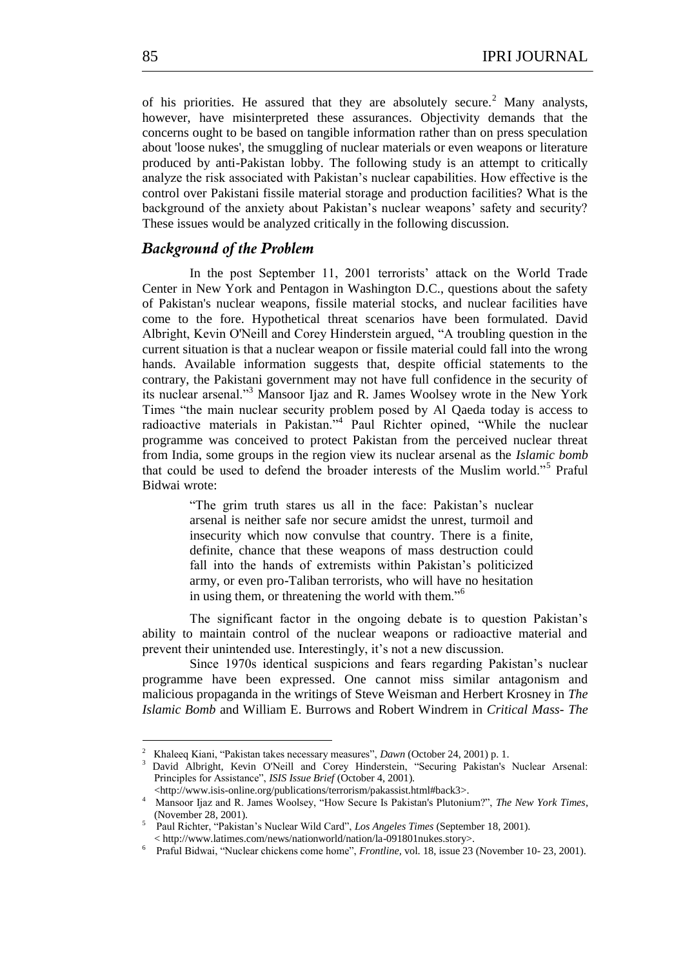of his priorities. He assured that they are absolutely secure.<sup>2</sup> Many analysts, however, have misinterpreted these assurances. Objectivity demands that the concerns ought to be based on tangible information rather than on press speculation about 'loose nukes', the smuggling of nuclear materials or even weapons or literature produced by anti-Pakistan lobby. The following study is an attempt to critically analyze the risk associated with Pakistan's nuclear capabilities. How effective is the control over Pakistani fissile material storage and production facilities? What is the background of the anxiety about Pakistan's nuclear weapons' safety and security? These issues would be analyzed critically in the following discussion.

# *Background of the Problem*

In the post September 11, 2001 terrorists' attack on the World Trade Center in New York and Pentagon in Washington D.C., questions about the safety of Pakistan's nuclear weapons, fissile material stocks, and nuclear facilities have come to the fore. Hypothetical threat scenarios have been formulated. David Albright, Kevin O'Neill and Corey Hinderstein argued, "A troubling question in the current situation is that a nuclear weapon or fissile material could fall into the wrong hands. Available information suggests that, despite official statements to the contrary, the Pakistani government may not have full confidence in the security of its nuclear arsenal."<sup>3</sup> Mansoor Ijaz and R. James Woolsey wrote in the New York Times "the main nuclear security problem posed by Al Qaeda today is access to radioactive materials in Pakistan."<sup>4</sup> Paul Richter opined, "While the nuclear programme was conceived to protect Pakistan from the perceived nuclear threat from India, some groups in the region view its nuclear arsenal as the *Islamic bomb* that could be used to defend the broader interests of the Muslim world."<sup>5</sup> Praful Bidwai wrote:

> ―The grim truth stares us all in the face: Pakistan's nuclear arsenal is neither safe nor secure amidst the unrest, turmoil and insecurity which now convulse that country. There is a finite, definite, chance that these weapons of mass destruction could fall into the hands of extremists within Pakistan's politicized army, or even pro-Taliban terrorists, who will have no hesitation in using them, or threatening the world with them."<sup>6</sup>

The significant factor in the ongoing debate is to question Pakistan's ability to maintain control of the nuclear weapons or radioactive material and prevent their unintended use. Interestingly, it's not a new discussion.

Since 1970s identical suspicions and fears regarding Pakistan's nuclear programme have been expressed. One cannot miss similar antagonism and malicious propaganda in the writings of Steve Weisman and Herbert Krosney in *The Islamic Bomb* and William E. Burrows and Robert Windrem in *Critical Mass- The* 

<sup>2</sup> <sup>2</sup> Khaleeq Kiani, "Pakistan takes necessary measures", *Dawn* (October 24, 2001) p. 1.

David Albright, Kevin O'Neill and Corey Hinderstein, "Securing Pakistan's Nuclear Arsenal: Principles for Assistance", *ISIS Issue Brief* (October 4, 2001).

<sup>&</sup>lt;http://www.isis-online.org/publications/terrorism/pakassist.html#back3>. <sup>4</sup> Mansoor Ijaz and R. James Woolsey, "How Secure Is Pakistan's Plutonium?", *The New York Times*, (November 28, 2001).

<sup>5</sup> Paul Richter, "Pakistan's Nuclear Wild Card", *Los Angeles Times* (September 18, 2001). < http://www.latimes.com/news/nationworld/nation/la-091801nukes.story>.

<sup>6</sup> Praful Bidwai, "Nuclear chickens come home", *Frontline*, vol. 18, issue 23 (November 10- 23, 2001).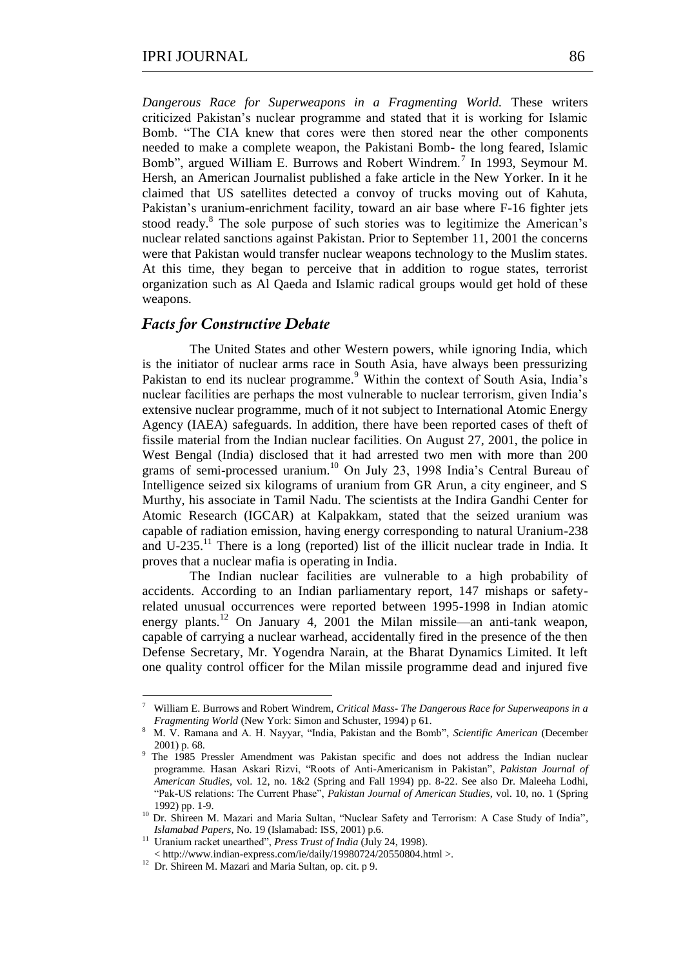*Dangerous Race for Superweapons in a Fragmenting World.* These writers criticized Pakistan's nuclear programme and stated that it is working for Islamic Bomb. "The CIA knew that cores were then stored near the other components needed to make a complete weapon, the Pakistani Bomb- the long feared, Islamic Bomb", argued William E. Burrows and Robert Windrem.<sup>7</sup> In 1993, Seymour M. Hersh, an American Journalist published a fake article in the New Yorker. In it he claimed that US satellites detected a convoy of trucks moving out of Kahuta, Pakistan's uranium-enrichment facility, toward an air base where F-16 fighter jets stood ready.<sup>8</sup> The sole purpose of such stories was to legitimize the American's nuclear related sanctions against Pakistan. Prior to September 11, 2001 the concerns were that Pakistan would transfer nuclear weapons technology to the Muslim states. At this time, they began to perceive that in addition to rogue states, terrorist organization such as Al Qaeda and Islamic radical groups would get hold of these weapons.

#### *Facts for Constructive Debate*

The United States and other Western powers, while ignoring India, which is the initiator of nuclear arms race in South Asia, have always been pressurizing Pakistan to end its nuclear programme.<sup>9</sup> Within the context of South Asia, India's nuclear facilities are perhaps the most vulnerable to nuclear terrorism, given India's extensive nuclear programme, much of it not subject to International Atomic Energy Agency (IAEA) safeguards. In addition, there have been reported cases of theft of fissile material from the Indian nuclear facilities. On August 27, 2001, the police in West Bengal (India) disclosed that it had arrested two men with more than 200 grams of semi-processed uranium.<sup>10</sup> On July 23, 1998 India's Central Bureau of Intelligence seized six kilograms of uranium from GR Arun, a city engineer, and S Murthy, his associate in Tamil Nadu. The scientists at the Indira Gandhi Center for Atomic Research (IGCAR) at Kalpakkam, stated that the seized uranium was capable of radiation emission, having energy corresponding to natural Uranium-238 and U-235.<sup>11</sup> There is a long (reported) list of the illicit nuclear trade in India. It proves that a nuclear mafia is operating in India.

The Indian nuclear facilities are vulnerable to a high probability of accidents. According to an Indian parliamentary report, 147 mishaps or safetyrelated unusual occurrences were reported between 1995-1998 in Indian atomic energy plants.<sup>12</sup> On January 4, 2001 the Milan missile—an anti-tank weapon, capable of carrying a nuclear warhead, accidentally fired in the presence of the then Defense Secretary, Mr. Yogendra Narain, at the Bharat Dynamics Limited. It left one quality control officer for the Milan missile programme dead and injured five

<sup>7</sup> William E. Burrows and Robert Windrem, *Critical Mass- The Dangerous Race for Superweapons in a Fragmenting World* (New York: Simon and Schuster, 1994) p 61.

<sup>8</sup> M. V. Ramana and A. H. Nayyar, "India, Pakistan and the Bomb", *Scientific American* (December 2001) p. 68.

<sup>&</sup>lt;sup>9</sup> The 1985 Pressler Amendment was Pakistan specific and does not address the Indian nuclear programme. Hasan Askari Rizvi, "Roots of Anti-Americanism in Pakistan", *Pakistan Journal of American Studies,* vol. 12, no. 1&2 (Spring and Fall 1994) pp. 8-22. See also Dr. Maleeha Lodhi, ―Pak-US relations: The Current Phase‖, *Pakistan Journal of American Studies*, vol. 10, no. 1 (Spring 1992) pp. 1-9.

<sup>&</sup>lt;sup>10</sup> Dr. Shireen M. Mazari and Maria Sultan, "Nuclear Safety and Terrorism: A Case Study of India", *Islamabad Papers,* No. 19 (Islamabad: ISS, 2001) p.6.

<sup>&</sup>lt;sup>11</sup> Uranium racket unearthed", *Press Trust of India* (July 24, 1998).

<sup>&</sup>lt; http://www.indian-express.com/ie/daily/19980724/20550804.html >.

<sup>&</sup>lt;sup>12</sup> Dr. Shireen M. Mazari and Maria Sultan, op. cit. p 9.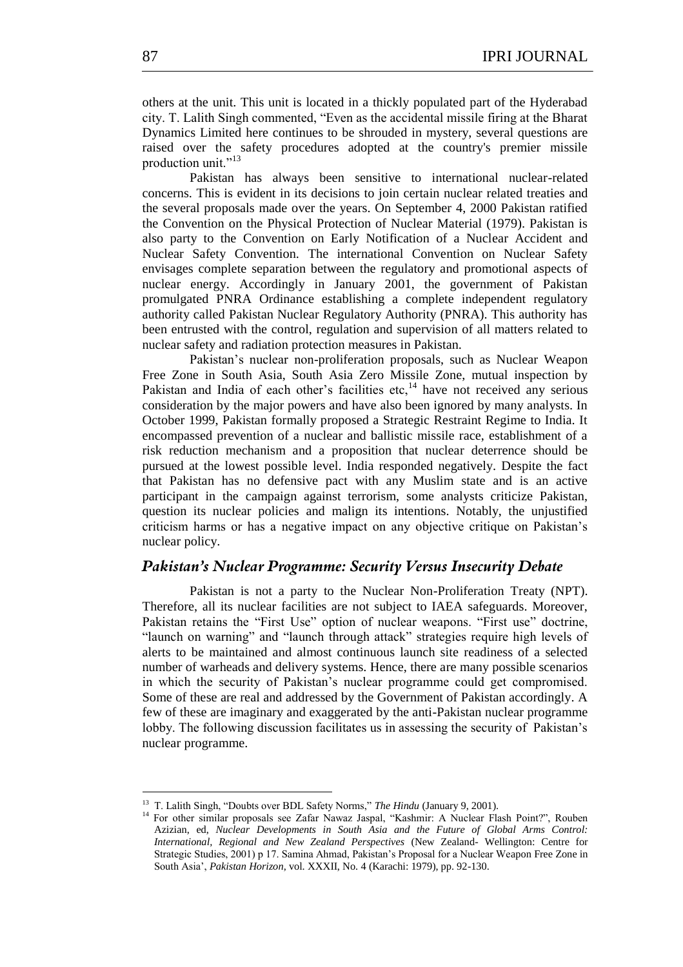others at the unit. This unit is located in a thickly populated part of the Hyderabad city. T. Lalith Singh commented, "Even as the accidental missile firing at the Bharat Dynamics Limited here continues to be shrouded in mystery, several questions are raised over the safety procedures adopted at the country's premier missile production unit."<sup>13</sup>

Pakistan has always been sensitive to international nuclear-related concerns. This is evident in its decisions to join certain nuclear related treaties and the several proposals made over the years. On September 4, 2000 Pakistan ratified the Convention on the Physical Protection of Nuclear Material (1979). Pakistan is also party to the Convention on Early Notification of a Nuclear Accident and Nuclear Safety Convention. The international Convention on Nuclear Safety envisages complete separation between the regulatory and promotional aspects of nuclear energy. Accordingly in January 2001, the government of Pakistan promulgated PNRA Ordinance establishing a complete independent regulatory authority called Pakistan Nuclear Regulatory Authority (PNRA). This authority has been entrusted with the control, regulation and supervision of all matters related to nuclear safety and radiation protection measures in Pakistan.

Pakistan's nuclear non-proliferation proposals, such as Nuclear Weapon Free Zone in South Asia, South Asia Zero Missile Zone, mutual inspection by Pakistan and India of each other's facilities etc.<sup>14</sup> have not received any serious consideration by the major powers and have also been ignored by many analysts. In October 1999, Pakistan formally proposed a Strategic Restraint Regime to India. It encompassed prevention of a nuclear and ballistic missile race, establishment of a risk reduction mechanism and a proposition that nuclear deterrence should be pursued at the lowest possible level. India responded negatively. Despite the fact that Pakistan has no defensive pact with any Muslim state and is an active participant in the campaign against terrorism, some analysts criticize Pakistan, question its nuclear policies and malign its intentions. Notably, the unjustified criticism harms or has a negative impact on any objective critique on Pakistan's nuclear policy.

## *Pakistan's Nuclear Programme: Security Versus Insecurity Debate*

Pakistan is not a party to the Nuclear Non-Proliferation Treaty (NPT). Therefore, all its nuclear facilities are not subject to IAEA safeguards. Moreover, Pakistan retains the "First Use" option of nuclear weapons. "First use" doctrine, "launch on warning" and "launch through attack" strategies require high levels of alerts to be maintained and almost continuous launch site readiness of a selected number of warheads and delivery systems. Hence, there are many possible scenarios in which the security of Pakistan's nuclear programme could get compromised. Some of these are real and addressed by the Government of Pakistan accordingly. A few of these are imaginary and exaggerated by the anti-Pakistan nuclear programme lobby. The following discussion facilitates us in assessing the security of Pakistan's nuclear programme.

**<sup>13</sup>** T. Lalith Singh, "Doubts over BDL Safety Norms," The Hindu (January 9, 2001).

<sup>&</sup>lt;sup>14</sup> For other similar proposals see Zafar Nawaz Jaspal, "Kashmir: A Nuclear Flash Point?", Rouben Azizian, ed, *Nuclear Developments in South Asia and the Future of Global Arms Control: International, Regional and New Zealand Perspectives* (New Zealand- Wellington: Centre for Strategic Studies, 2001) p 17. Samina Ahmad, Pakistan's Proposal for a Nuclear Weapon Free Zone in South Asia', *Pakistan Horizon*, vol. XXXII, No. 4 (Karachi: 1979), pp. 92-130.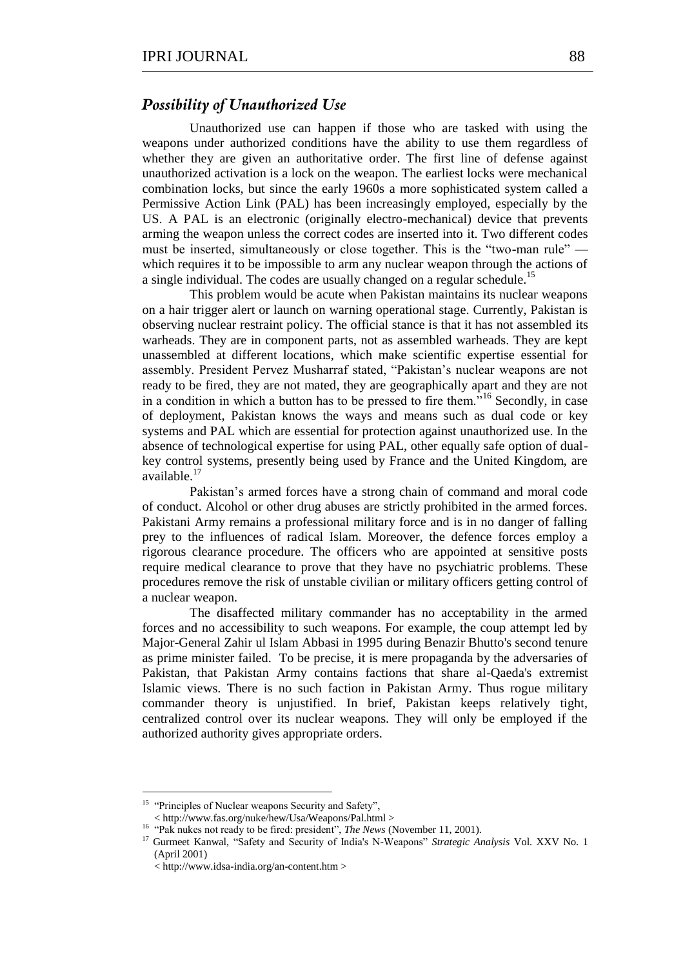# *Possibility of Unauthorized Use*

Unauthorized use can happen if those who are tasked with using the weapons under authorized conditions have the ability to use them regardless of whether they are given an authoritative order. The first line of defense against unauthorized activation is a lock on the weapon. The earliest locks were mechanical combination locks, but since the early 1960s a more sophisticated system called a Permissive Action Link (PAL) has been increasingly employed, especially by the US. A PAL is an electronic (originally electro-mechanical) device that prevents arming the weapon unless the correct codes are inserted into it. Two different codes must be inserted, simultaneously or close together. This is the "two-man rule" which requires it to be impossible to arm any nuclear weapon through the actions of a single individual. The codes are usually changed on a regular schedule.<sup>15</sup>

This problem would be acute when Pakistan maintains its nuclear weapons on a hair trigger alert or launch on warning operational stage. Currently, Pakistan is observing nuclear restraint policy. The official stance is that it has not assembled its warheads. They are in component parts, not as assembled warheads. They are kept unassembled at different locations, which make scientific expertise essential for assembly. President Pervez Musharraf stated, "Pakistan's nuclear weapons are not ready to be fired, they are not mated, they are geographically apart and they are not in a condition in which a button has to be pressed to fire them.<sup>516</sup> Secondly, in case of deployment, Pakistan knows the ways and means such as dual code or key systems and PAL which are essential for protection against unauthorized use. In the absence of technological expertise for using PAL, other equally safe option of dualkey control systems, presently being used by France and the United Kingdom, are available.<sup>17</sup>

Pakistan's armed forces have a strong chain of command and moral code of conduct. Alcohol or other drug abuses are strictly prohibited in the armed forces. Pakistani Army remains a professional military force and is in no danger of falling prey to the influences of radical Islam. Moreover, the defence forces employ a rigorous clearance procedure. The officers who are appointed at sensitive posts require medical clearance to prove that they have no psychiatric problems. These procedures remove the risk of unstable civilian or military officers getting control of a nuclear weapon.

The disaffected military commander has no acceptability in the armed forces and no accessibility to such weapons. For example, the coup attempt led by Major-General Zahir ul Islam Abbasi in 1995 during Benazir Bhutto's second tenure as prime minister failed. To be precise, it is mere propaganda by the adversaries of Pakistan, that Pakistan Army contains factions that share al-Qaeda's extremist Islamic views. There is no such faction in Pakistan Army. Thus rogue military commander theory is unjustified. In brief, Pakistan keeps relatively tight, centralized control over its nuclear weapons. They will only be employed if the authorized authority gives appropriate orders.

The Correction of Nuclear weapons Security and Safety", the "Principles of Nuclear weapons Security and Safety",

<sup>&</sup>lt; http://www.fas.org/nuke/hew/Usa/Weapons/Pal.html >

<sup>&</sup>lt;sup>16</sup> "Pak nukes not ready to be fired: president", *The News* (November 11, 2001).

<sup>&</sup>lt;sup>17</sup> Gurmeet Kanwal, "Safety and Security of India's N-Weapons" Strategic Analysis Vol. XXV No. 1 (April 2001)

<sup>&</sup>lt; http://www.idsa-india.org/an-content.htm >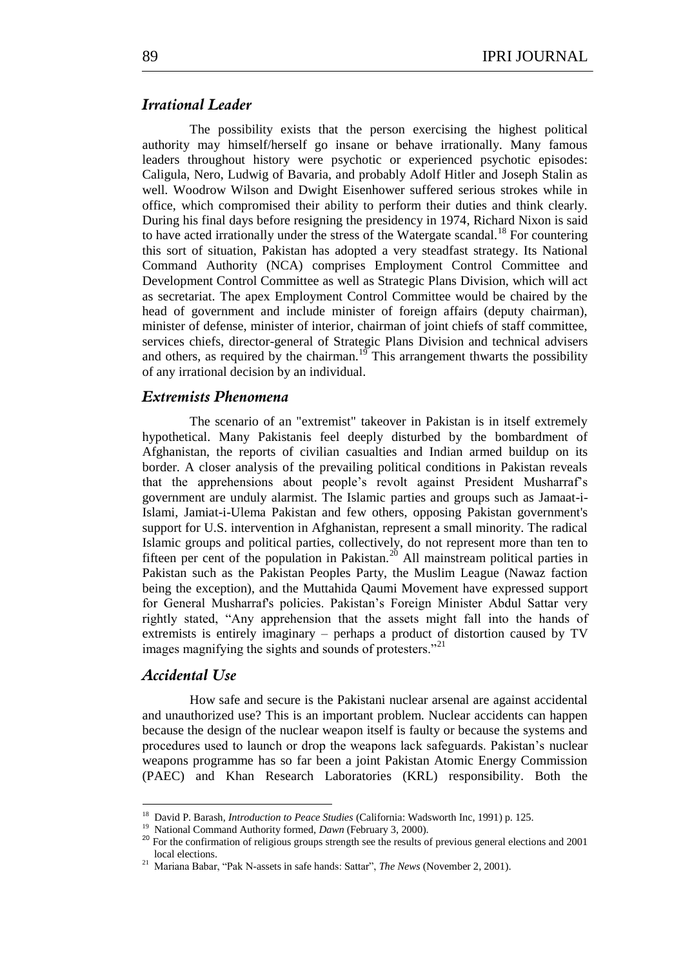## *Irrational Leader*

The possibility exists that the person exercising the highest political authority may himself/herself go insane or behave irrationally. Many famous leaders throughout history were psychotic or experienced psychotic episodes: Caligula, Nero, Ludwig of Bavaria, and probably Adolf Hitler and Joseph Stalin as well. Woodrow Wilson and Dwight Eisenhower suffered serious strokes while in office, which compromised their ability to perform their duties and think clearly. During his final days before resigning the presidency in 1974, Richard Nixon is said to have acted irrationally under the stress of the Watergate scandal.<sup>18</sup> For countering this sort of situation, Pakistan has adopted a very steadfast strategy. Its National Command Authority (NCA) comprises Employment Control Committee and Development Control Committee as well as Strategic Plans Division, which will act as secretariat. The apex Employment Control Committee would be chaired by the head of government and include minister of foreign affairs (deputy chairman), minister of defense, minister of interior, chairman of joint chiefs of staff committee, services chiefs, director-general of Strategic Plans Division and technical advisers and others, as required by the chairman.<sup>19</sup> This arrangement thwarts the possibility of any irrational decision by an individual.

#### *Extremists Phenomena*

The scenario of an "extremist" takeover in Pakistan is in itself extremely hypothetical. Many Pakistanis feel deeply disturbed by the bombardment of Afghanistan, the reports of civilian casualties and Indian armed buildup on its border. A closer analysis of the prevailing political conditions in Pakistan reveals that the apprehensions about people's revolt against President Musharraf's government are unduly alarmist. The Islamic parties and groups such as Jamaat-i-Islami, Jamiat-i-Ulema Pakistan and few others, opposing Pakistan government's support for U.S. intervention in Afghanistan, represent a small minority. The radical Islamic groups and political parties, collectively, do not represent more than ten to fifteen per cent of the population in Pakistan.<sup>20</sup> All mainstream political parties in Pakistan such as the Pakistan Peoples Party, the Muslim League (Nawaz faction being the exception), and the Muttahida Qaumi Movement have expressed support for General Musharraf's policies. Pakistan's Foreign Minister Abdul Sattar very rightly stated, "Any apprehension that the assets might fall into the hands of extremists is entirely imaginary – perhaps a product of distortion caused by TV images magnifying the sights and sounds of protesters. $^{221}$ 

# *Accidental Use*

1

How safe and secure is the Pakistani nuclear arsenal are against accidental and unauthorized use? This is an important problem. Nuclear accidents can happen because the design of the nuclear weapon itself is faulty or because the systems and procedures used to launch or drop the weapons lack safeguards. Pakistan's nuclear weapons programme has so far been a joint Pakistan Atomic Energy Commission (PAEC) and Khan Research Laboratories (KRL) responsibility. Both the

<sup>&</sup>lt;sup>18</sup> David P. Barash, *Introduction to Peace Studies* (California: Wadsworth Inc, 1991) p. 125.

<sup>&</sup>lt;sup>19</sup> National Command Authority formed, *Dawn* (February 3, 2000).

<sup>&</sup>lt;sup>20</sup> For the confirmation of religious groups strength see the results of previous general elections and 2001 local elections.

<sup>&</sup>lt;sup>21</sup> Mariana Babar, "Pak N-assets in safe hands: Sattar", *The News* (November 2, 2001).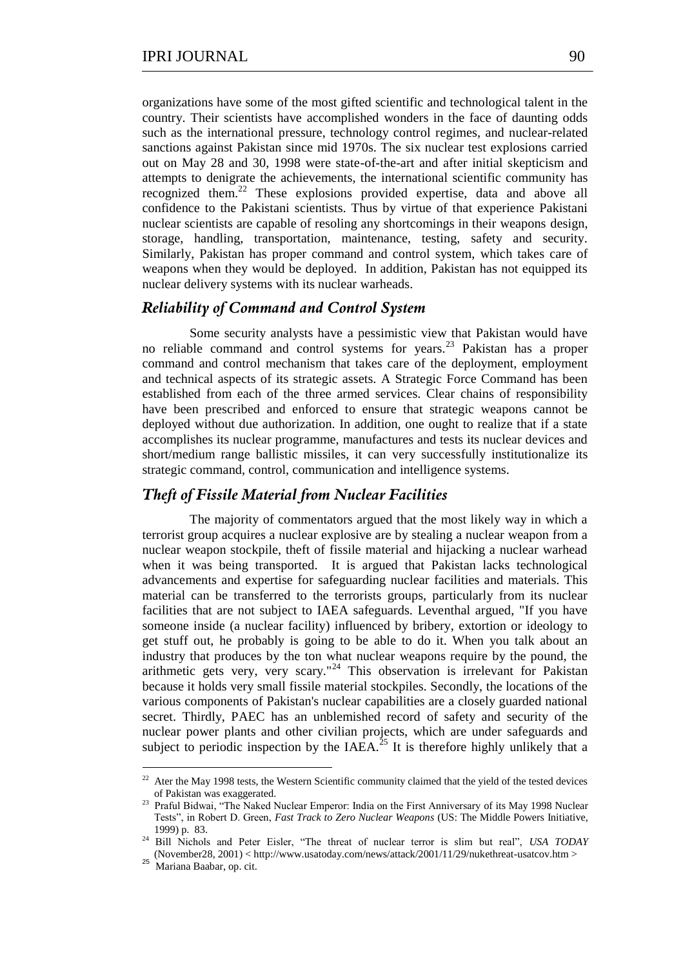organizations have some of the most gifted scientific and technological talent in the country. Their scientists have accomplished wonders in the face of daunting odds such as the international pressure, technology control regimes, and nuclear-related sanctions against Pakistan since mid 1970s. The six nuclear test explosions carried out on May 28 and 30, 1998 were state-of-the-art and after initial skepticism and attempts to denigrate the achievements, the international scientific community has recognized them.<sup>22</sup> These explosions provided expertise, data and above all confidence to the Pakistani scientists. Thus by virtue of that experience Pakistani nuclear scientists are capable of resoling any shortcomings in their weapons design, storage, handling, transportation, maintenance, testing, safety and security. Similarly, Pakistan has proper command and control system, which takes care of weapons when they would be deployed. In addition, Pakistan has not equipped its nuclear delivery systems with its nuclear warheads.

## *Reliability of Command and Control System*

Some security analysts have a pessimistic view that Pakistan would have no reliable command and control systems for years.<sup>23</sup> Pakistan has a proper command and control mechanism that takes care of the deployment, employment and technical aspects of its strategic assets. A Strategic Force Command has been established from each of the three armed services. Clear chains of responsibility have been prescribed and enforced to ensure that strategic weapons cannot be deployed without due authorization. In addition, one ought to realize that if a state accomplishes its nuclear programme, manufactures and tests its nuclear devices and short/medium range ballistic missiles, it can very successfully institutionalize its strategic command, control, communication and intelligence systems.

## *Theft of Fissile Material from Nuclear Facilities*

The majority of commentators argued that the most likely way in which a terrorist group acquires a nuclear explosive are by stealing a nuclear weapon from a nuclear weapon stockpile, theft of fissile material and hijacking a nuclear warhead when it was being transported. It is argued that Pakistan lacks technological advancements and expertise for safeguarding nuclear facilities and materials. This material can be transferred to the terrorists groups, particularly from its nuclear facilities that are not subject to IAEA safeguards. Leventhal argued, "If you have someone inside (a nuclear facility) influenced by bribery, extortion or ideology to get stuff out, he probably is going to be able to do it. When you talk about an industry that produces by the ton what nuclear weapons require by the pound, the arithmetic gets very, very scary."<sup>24</sup> This observation is irrelevant for Pakistan because it holds very small fissile material stockpiles. Secondly, the locations of the various components of Pakistan's nuclear capabilities are a closely guarded national secret. Thirdly, PAEC has an unblemished record of safety and security of the nuclear power plants and other civilian projects, which are under safeguards and subject to periodic inspection by the IAEA. $^{25}$  It is therefore highly unlikely that a

 $22$  Ater the May 1998 tests, the Western Scientific community claimed that the yield of the tested devices of Pakistan was exaggerated.

<sup>&</sup>lt;sup>23</sup> Praful Bidwai, "The Naked Nuclear Emperor: India on the First Anniversary of its May 1998 Nuclear Tests‖, in Robert D. Green, *Fast Track to Zero Nuclear Weapons* (US: The Middle Powers Initiative, 1999) p. 83.

<sup>&</sup>lt;sup>24</sup> Bill Nichols and Peter Eisler, "The threat of nuclear terror is slim but real", *USA TODAY* (November28, 2001) < http://www.usatoday.com/news/attack/2001/11/29/nukethreat-usatcov.htm >

<sup>&</sup>lt;sup>25</sup> Mariana Baabar, op. cit.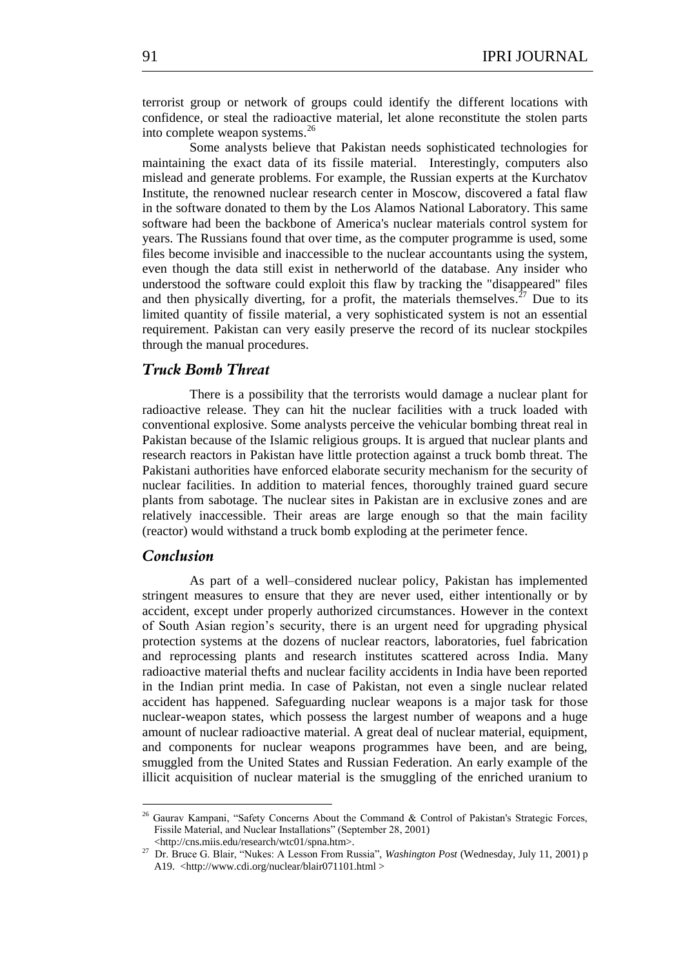terrorist group or network of groups could identify the different locations with confidence, or steal the radioactive material, let alone reconstitute the stolen parts into complete weapon systems.<sup>26</sup>

Some analysts believe that Pakistan needs sophisticated technologies for maintaining the exact data of its fissile material. Interestingly, computers also mislead and generate problems. For example, the Russian experts at the Kurchatov Institute, the renowned nuclear research center in Moscow, discovered a fatal flaw in the software donated to them by the Los Alamos National Laboratory. This same software had been the backbone of America's nuclear materials control system for years. The Russians found that over time, as the computer programme is used, some files become invisible and inaccessible to the nuclear accountants using the system, even though the data still exist in netherworld of the database. Any insider who understood the software could exploit this flaw by tracking the "disappeared" files and then physically diverting, for a profit, the materials themselves. $27$  Due to its limited quantity of fissile material, a very sophisticated system is not an essential requirement. Pakistan can very easily preserve the record of its nuclear stockpiles through the manual procedures.

# *Truck Bomb Threat*

There is a possibility that the terrorists would damage a nuclear plant for radioactive release. They can hit the nuclear facilities with a truck loaded with conventional explosive. Some analysts perceive the vehicular bombing threat real in Pakistan because of the Islamic religious groups. It is argued that nuclear plants and research reactors in Pakistan have little protection against a truck bomb threat. The Pakistani authorities have enforced elaborate security mechanism for the security of nuclear facilities. In addition to material fences, thoroughly trained guard secure plants from sabotage. The nuclear sites in Pakistan are in exclusive zones and are relatively inaccessible. Their areas are large enough so that the main facility (reactor) would withstand a truck bomb exploding at the perimeter fence.

## *Conclusion*

<u>.</u>

As part of a well–considered nuclear policy, Pakistan has implemented stringent measures to ensure that they are never used, either intentionally or by accident, except under properly authorized circumstances. However in the context of South Asian region's security, there is an urgent need for upgrading physical protection systems at the dozens of nuclear reactors, laboratories, fuel fabrication and reprocessing plants and research institutes scattered across India. Many radioactive material thefts and nuclear facility accidents in India have been reported in the Indian print media. In case of Pakistan, not even a single nuclear related accident has happened. Safeguarding nuclear weapons is a major task for those nuclear-weapon states, which possess the largest number of weapons and a huge amount of nuclear radioactive material. A great deal of nuclear material, equipment, and components for nuclear weapons programmes have been, and are being, smuggled from the United States and Russian Federation. An early example of the illicit acquisition of nuclear material is the smuggling of the enriched uranium to

 $26$  Gaurav Kampani, "Safety Concerns About the Command & Control of Pakistan's Strategic Forces, Fissile Material, and Nuclear Installations" (September 28, 2001) <http://cns.miis.edu/research/wtc01/spna.htm>.

<sup>&</sup>lt;sup>27</sup> Dr. Bruce G. Blair, "Nukes: A Lesson From Russia", *Washington Post* (Wednesday, July 11, 2001) p A19. <http://www.cdi.org/nuclear/blair071101.html >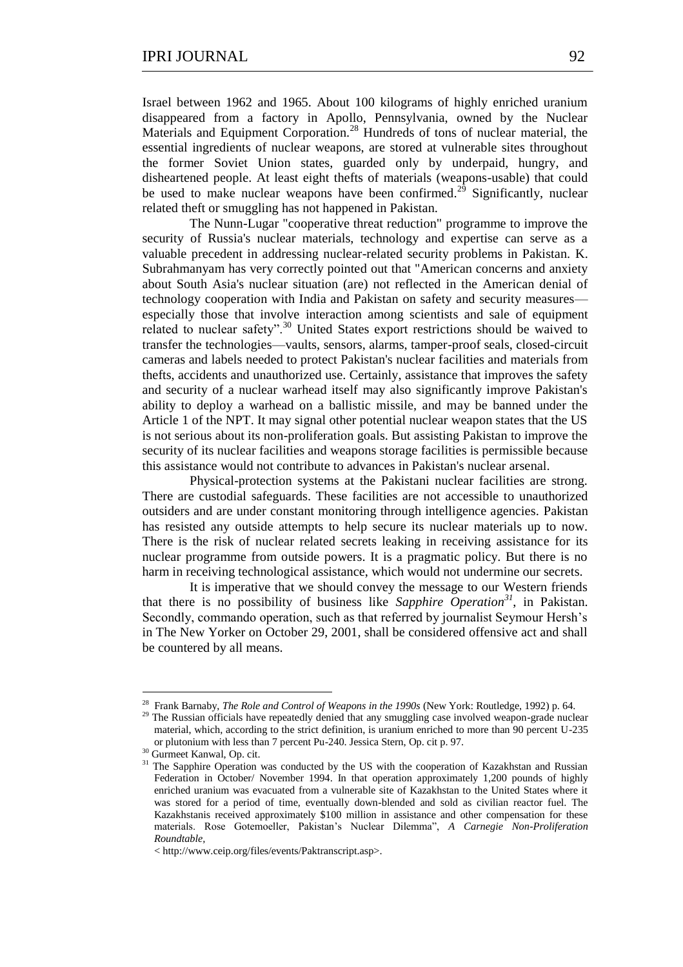Israel between 1962 and 1965. About 100 kilograms of highly enriched uranium disappeared from a factory in Apollo, Pennsylvania, owned by the Nuclear Materials and Equipment Corporation.<sup>28</sup> Hundreds of tons of nuclear material, the essential ingredients of nuclear weapons, are stored at vulnerable sites throughout the former Soviet Union states, guarded only by underpaid, hungry, and disheartened people. At least eight thefts of materials (weapons-usable) that could be used to make nuclear weapons have been confirmed.<sup>29</sup> Significantly, nuclear related theft or smuggling has not happened in Pakistan.

The Nunn-Lugar "cooperative threat reduction" programme to improve the security of Russia's nuclear materials, technology and expertise can serve as a valuable precedent in addressing nuclear-related security problems in Pakistan. K. Subrahmanyam has very correctly pointed out that "American concerns and anxiety about South Asia's nuclear situation (are) not reflected in the American denial of technology cooperation with India and Pakistan on safety and security measures especially those that involve interaction among scientists and sale of equipment related to nuclear safety".<sup>30</sup> United States export restrictions should be waived to transfer the technologies—vaults, sensors, alarms, tamper-proof seals, closed-circuit cameras and labels needed to protect Pakistan's nuclear facilities and materials from thefts, accidents and unauthorized use. Certainly, assistance that improves the safety and security of a nuclear warhead itself may also significantly improve Pakistan's ability to deploy a warhead on a ballistic missile, and may be banned under the Article 1 of the NPT. It may signal other potential nuclear weapon states that the US is not serious about its non-proliferation goals. But assisting Pakistan to improve the security of its nuclear facilities and weapons storage facilities is permissible because this assistance would not contribute to advances in Pakistan's nuclear arsenal.

Physical-protection systems at the Pakistani nuclear facilities are strong. There are custodial safeguards. These facilities are not accessible to unauthorized outsiders and are under constant monitoring through intelligence agencies. Pakistan has resisted any outside attempts to help secure its nuclear materials up to now. There is the risk of nuclear related secrets leaking in receiving assistance for its nuclear programme from outside powers. It is a pragmatic policy. But there is no harm in receiving technological assistance, which would not undermine our secrets.

It is imperative that we should convey the message to our Western friends that there is no possibility of business like *Sapphire Operation<sup>31</sup>*, in Pakistan. Secondly, commando operation, such as that referred by journalist Seymour Hersh's in The New Yorker on October 29, 2001, shall be considered offensive act and shall be countered by all means.

<sup>28</sup> Frank Barnaby, *The Role and Control of Weapons in the 1990s* (New York: Routledge, 1992) p. 64.

<sup>&</sup>lt;sup>29</sup> The Russian officials have repeatedly denied that any smuggling case involved weapon-grade nuclear material, which, according to the strict definition, is uranium enriched to more than 90 percent U-235 or plutonium with less than 7 percent Pu-240. Jessica Stern, Op. cit p. 97.

<sup>&</sup>lt;sup>30</sup> Gurmeet Kanwal, Op. cit.

<sup>&</sup>lt;sup>31</sup> The Sapphire Operation was conducted by the US with the cooperation of Kazakhstan and Russian Federation in October/ November 1994. In that operation approximately 1,200 pounds of highly enriched uranium was evacuated from a vulnerable site of Kazakhstan to the United States where it was stored for a period of time, eventually down-blended and sold as civilian reactor fuel. The Kazakhstanis received approximately \$100 million in assistance and other compensation for these materials. Rose Gotemoeller, Pakistan's Nuclear Dilemma", *A Carnegie Non-Proliferation Roundtable,* 

<sup>&</sup>lt; http://www.ceip.org/files/events/Paktranscript.asp>.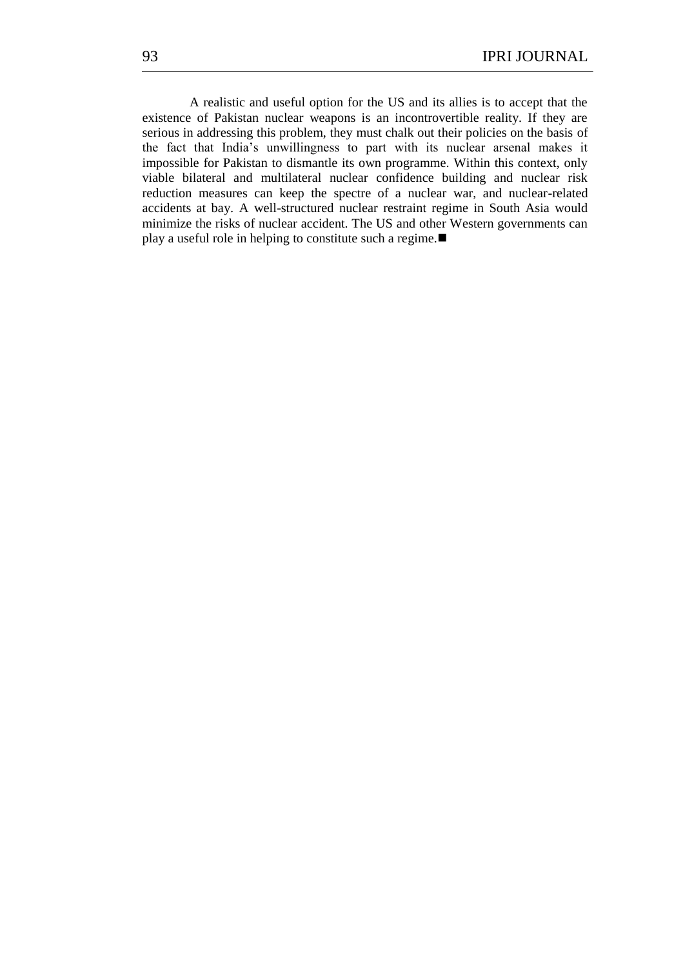A realistic and useful option for the US and its allies is to accept that the existence of Pakistan nuclear weapons is an incontrovertible reality. If they are serious in addressing this problem, they must chalk out their policies on the basis of the fact that India's unwillingness to part with its nuclear arsenal makes it impossible for Pakistan to dismantle its own programme. Within this context, only viable bilateral and multilateral nuclear confidence building and nuclear risk reduction measures can keep the spectre of a nuclear war, and nuclear-related accidents at bay. A well-structured nuclear restraint regime in South Asia would minimize the risks of nuclear accident. The US and other Western governments can play a useful role in helping to constitute such a regime.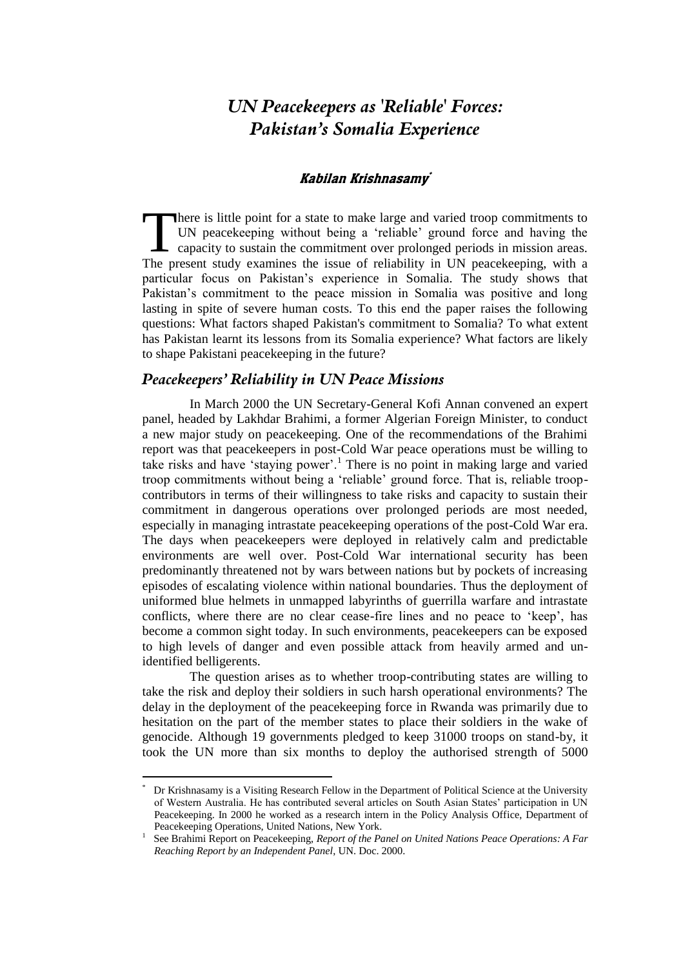# *UN Peacekeepers as 'Reliable' Forces: Pakistan's Somalia Experience*

#### Kabilan Krishnasamy<sup>\*</sup>

here is little point for a state to make large and varied troop commitments to UN peacekeeping without being a 'reliable' ground force and having the There is little point for a state to make large and varied troop commitments to<br>UN peacekeeping without being a 'reliable' ground force and having the<br>capacity to sustain the commitment over prolonged periods in mission ar The present study examines the issue of reliability in UN peacekeeping, with a particular focus on Pakistan's experience in Somalia. The study shows that Pakistan's commitment to the peace mission in Somalia was positive and long lasting in spite of severe human costs. To this end the paper raises the following questions: What factors shaped Pakistan's commitment to Somalia? To what extent has Pakistan learnt its lessons from its Somalia experience? What factors are likely to shape Pakistani peacekeeping in the future?

# *Peacekeepers' Reliability in UN Peace Missions*

1

In March 2000 the UN Secretary-General Kofi Annan convened an expert panel, headed by Lakhdar Brahimi, a former Algerian Foreign Minister, to conduct a new major study on peacekeeping. One of the recommendations of the Brahimi report was that peacekeepers in post-Cold War peace operations must be willing to take risks and have 'staying power'.<sup>1</sup> There is no point in making large and varied troop commitments without being a 'reliable' ground force. That is, reliable troopcontributors in terms of their willingness to take risks and capacity to sustain their commitment in dangerous operations over prolonged periods are most needed, especially in managing intrastate peacekeeping operations of the post-Cold War era. The days when peacekeepers were deployed in relatively calm and predictable environments are well over. Post-Cold War international security has been predominantly threatened not by wars between nations but by pockets of increasing episodes of escalating violence within national boundaries. Thus the deployment of uniformed blue helmets in unmapped labyrinths of guerrilla warfare and intrastate conflicts, where there are no clear cease-fire lines and no peace to 'keep', has become a common sight today. In such environments, peacekeepers can be exposed to high levels of danger and even possible attack from heavily armed and unidentified belligerents.

The question arises as to whether troop-contributing states are willing to take the risk and deploy their soldiers in such harsh operational environments? The delay in the deployment of the peacekeeping force in Rwanda was primarily due to hesitation on the part of the member states to place their soldiers in the wake of genocide. Although 19 governments pledged to keep 31000 troops on stand-by, it took the UN more than six months to deploy the authorised strength of 5000

<sup>\*</sup> Dr Krishnasamy is a Visiting Research Fellow in the Department of Political Science at the University of Western Australia. He has contributed several articles on South Asian States' participation in UN Peacekeeping. In 2000 he worked as a research intern in the Policy Analysis Office, Department of Peacekeeping Operations, United Nations, New York.

<sup>1</sup> See Brahimi Report on Peacekeeping, *Report of the Panel on United Nations Peace Operations: A Far Reaching Report by an Independent Panel*, UN. Doc. 2000.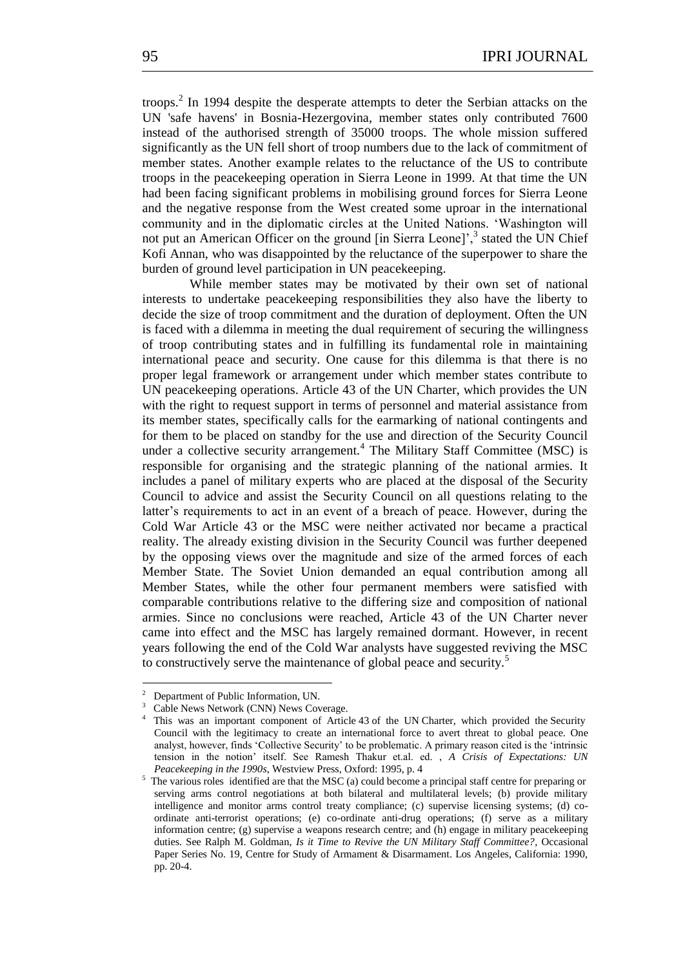troops.<sup>2</sup> In 1994 despite the desperate attempts to deter the Serbian attacks on the UN 'safe havens' in Bosnia-Hezergovina, member states only contributed 7600 instead of the authorised strength of 35000 troops. The whole mission suffered significantly as the UN fell short of troop numbers due to the lack of commitment of member states. Another example relates to the reluctance of the US to contribute troops in the peacekeeping operation in Sierra Leone in 1999. At that time the UN had been facing significant problems in mobilising ground forces for Sierra Leone and the negative response from the West created some uproar in the international community and in the diplomatic circles at the United Nations. ‗Washington will not put an American Officer on the ground [in Sierra Leone]',<sup>3</sup> stated the UN Chief Kofi Annan, who was disappointed by the reluctance of the superpower to share the burden of ground level participation in UN peacekeeping.

While member states may be motivated by their own set of national interests to undertake peacekeeping responsibilities they also have the liberty to decide the size of troop commitment and the duration of deployment. Often the UN is faced with a dilemma in meeting the dual requirement of securing the willingness of troop contributing states and in fulfilling its fundamental role in maintaining international peace and security. One cause for this dilemma is that there is no proper legal framework or arrangement under which member states contribute to UN peacekeeping operations. Article 43 of the UN Charter, which provides the UN with the right to request support in terms of personnel and material assistance from its member states, specifically calls for the earmarking of national contingents and for them to be placed on standby for the use and direction of the Security Council under a collective security arrangement.<sup>4</sup> The Military Staff Committee (MSC) is responsible for organising and the strategic planning of the national armies. It includes a panel of military experts who are placed at the disposal of the Security Council to advice and assist the Security Council on all questions relating to the latter's requirements to act in an event of a breach of peace. However, during the Cold War Article 43 or the MSC were neither activated nor became a practical reality. The already existing division in the Security Council was further deepened by the opposing views over the magnitude and size of the armed forces of each Member State. The Soviet Union demanded an equal contribution among all Member States, while the other four permanent members were satisfied with comparable contributions relative to the differing size and composition of national armies. Since no conclusions were reached, Article 43 of the UN Charter never came into effect and the MSC has largely remained dormant. However, in recent years following the end of the Cold War analysts have suggested reviving the MSC to constructively serve the maintenance of global peace and security.<sup>5</sup>

1

<sup>2</sup> Department of Public Information, UN.

<sup>&</sup>lt;sup>3</sup> Cable News Network (CNN) News Coverage.

<sup>4</sup> This was an important component of Article 43 of the UN Charter, which provided the Security Council with the legitimacy to create an international force to avert threat to global peace. One analyst, however, finds 'Collective Security' to be problematic. A primary reason cited is the 'intrinsic tension in the notion' itself. See Ramesh Thakur et.al. ed. , *A Crisis of Expectations: UN Peacekeeping in the 1990s*, Westview Press, Oxford: 1995, p. 4

<sup>&</sup>lt;sup>5</sup> The various roles identified are that the MSC (a) could become a principal staff centre for preparing or serving arms control negotiations at both bilateral and multilateral levels; (b) provide military intelligence and monitor arms control treaty compliance; (c) supervise licensing systems; (d) coordinate anti-terrorist operations; (e) co-ordinate anti-drug operations; (f) serve as a military information centre; (g) supervise a weapons research centre; and (h) engage in military peacekeeping duties. See Ralph M. Goldman, *Is it Time to Revive the UN Military Staff Committee?*, Occasional Paper Series No. 19, Centre for Study of Armament & Disarmament. Los Angeles, California: 1990, pp. 20-4.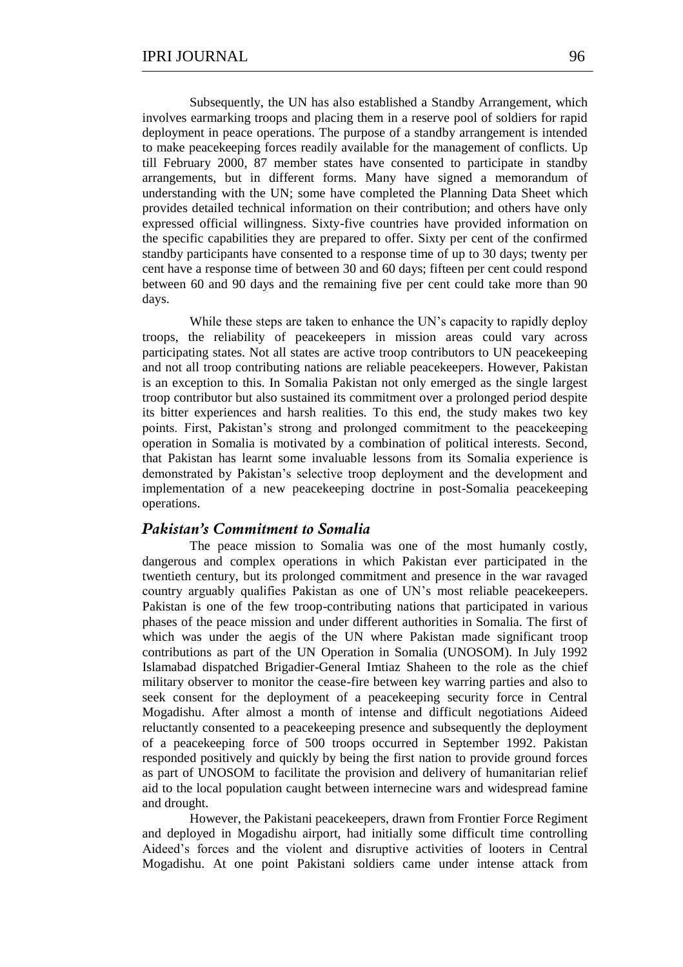Subsequently, the UN has also established a Standby Arrangement, which involves earmarking troops and placing them in a reserve pool of soldiers for rapid deployment in peace operations. The purpose of a standby arrangement is intended to make peacekeeping forces readily available for the management of conflicts. Up till February 2000, 87 member states have consented to participate in standby arrangements, but in different forms. Many have signed a memorandum of understanding with the UN; some have completed the Planning Data Sheet which provides detailed technical information on their contribution; and others have only expressed official willingness. Sixty-five countries have provided information on the specific capabilities they are prepared to offer. Sixty per cent of the confirmed standby participants have consented to a response time of up to 30 days; twenty per cent have a response time of between 30 and 60 days; fifteen per cent could respond between 60 and 90 days and the remaining five per cent could take more than 90 days.

While these steps are taken to enhance the UN's capacity to rapidly deploy troops, the reliability of peacekeepers in mission areas could vary across participating states. Not all states are active troop contributors to UN peacekeeping and not all troop contributing nations are reliable peacekeepers. However, Pakistan is an exception to this. In Somalia Pakistan not only emerged as the single largest troop contributor but also sustained its commitment over a prolonged period despite its bitter experiences and harsh realities. To this end, the study makes two key points. First, Pakistan's strong and prolonged commitment to the peacekeeping operation in Somalia is motivated by a combination of political interests. Second, that Pakistan has learnt some invaluable lessons from its Somalia experience is demonstrated by Pakistan's selective troop deployment and the development and implementation of a new peacekeeping doctrine in post-Somalia peacekeeping operations.

#### *Pakistan's Commitment to Somalia*

The peace mission to Somalia was one of the most humanly costly, dangerous and complex operations in which Pakistan ever participated in the twentieth century, but its prolonged commitment and presence in the war ravaged country arguably qualifies Pakistan as one of UN's most reliable peacekeepers. Pakistan is one of the few troop-contributing nations that participated in various phases of the peace mission and under different authorities in Somalia. The first of which was under the aegis of the UN where Pakistan made significant troop contributions as part of the UN Operation in Somalia (UNOSOM). In July 1992 Islamabad dispatched Brigadier-General Imtiaz Shaheen to the role as the chief military observer to monitor the cease-fire between key warring parties and also to seek consent for the deployment of a peacekeeping security force in Central Mogadishu. After almost a month of intense and difficult negotiations Aideed reluctantly consented to a peacekeeping presence and subsequently the deployment of a peacekeeping force of 500 troops occurred in September 1992. Pakistan responded positively and quickly by being the first nation to provide ground forces as part of UNOSOM to facilitate the provision and delivery of humanitarian relief aid to the local population caught between internecine wars and widespread famine and drought.

However, the Pakistani peacekeepers, drawn from Frontier Force Regiment and deployed in Mogadishu airport, had initially some difficult time controlling Aideed's forces and the violent and disruptive activities of looters in Central Mogadishu. At one point Pakistani soldiers came under intense attack from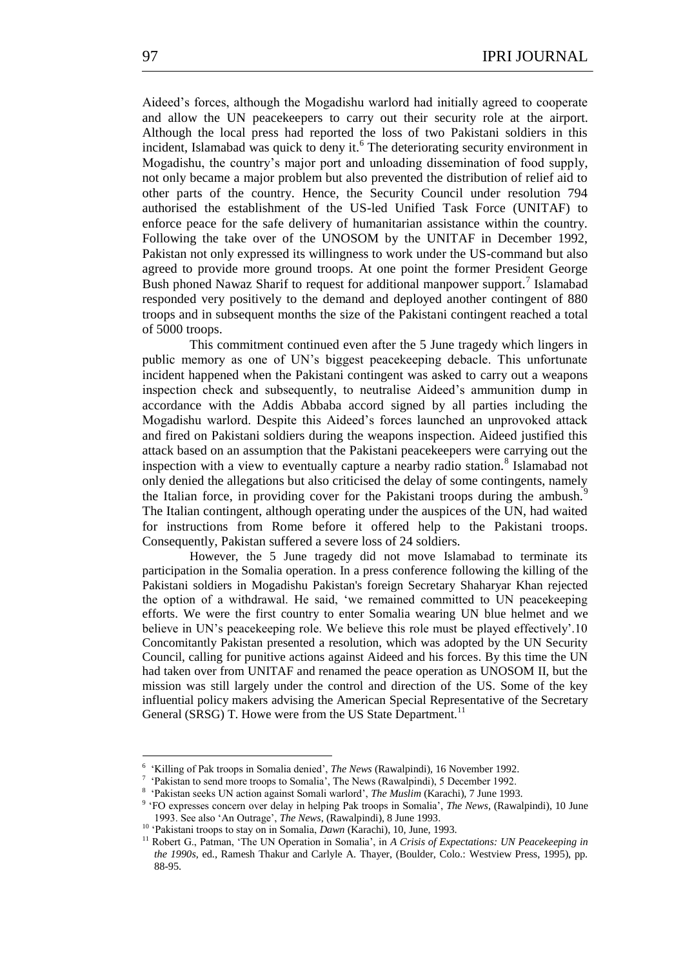Aideed's forces, although the Mogadishu warlord had initially agreed to cooperate and allow the UN peacekeepers to carry out their security role at the airport. Although the local press had reported the loss of two Pakistani soldiers in this incident, Islamabad was quick to deny it.<sup>6</sup> The deteriorating security environment in Mogadishu, the country's major port and unloading dissemination of food supply, not only became a major problem but also prevented the distribution of relief aid to other parts of the country. Hence, the Security Council under resolution 794 authorised the establishment of the US-led Unified Task Force (UNITAF) to enforce peace for the safe delivery of humanitarian assistance within the country. Following the take over of the UNOSOM by the UNITAF in December 1992, Pakistan not only expressed its willingness to work under the US-command but also agreed to provide more ground troops. At one point the former President George Bush phoned Nawaz Sharif to request for additional manpower support.<sup>7</sup> Islamabad responded very positively to the demand and deployed another contingent of 880 troops and in subsequent months the size of the Pakistani contingent reached a total of 5000 troops.

This commitment continued even after the 5 June tragedy which lingers in public memory as one of UN's biggest peacekeeping debacle. This unfortunate incident happened when the Pakistani contingent was asked to carry out a weapons inspection check and subsequently, to neutralise Aideed's ammunition dump in accordance with the Addis Abbaba accord signed by all parties including the Mogadishu warlord. Despite this Aideed's forces launched an unprovoked attack and fired on Pakistani soldiers during the weapons inspection. Aideed justified this attack based on an assumption that the Pakistani peacekeepers were carrying out the inspection with a view to eventually capture a nearby radio station.<sup>8</sup> Islamabad not only denied the allegations but also criticised the delay of some contingents, namely the Italian force, in providing cover for the Pakistani troops during the ambush. $\dot{\ }$ The Italian contingent, although operating under the auspices of the UN, had waited for instructions from Rome before it offered help to the Pakistani troops. Consequently, Pakistan suffered a severe loss of 24 soldiers.

However, the 5 June tragedy did not move Islamabad to terminate its participation in the Somalia operation. In a press conference following the killing of the Pakistani soldiers in Mogadishu Pakistan's foreign Secretary Shaharyar Khan rejected the option of a withdrawal. He said, 'we remained committed to UN peacekeeping efforts. We were the first country to enter Somalia wearing UN blue helmet and we believe in UN's peacekeeping role. We believe this role must be played effectively'.10 Concomitantly Pakistan presented a resolution, which was adopted by the UN Security Council, calling for punitive actions against Aideed and his forces. By this time the UN had taken over from UNITAF and renamed the peace operation as UNOSOM II, but the mission was still largely under the control and direction of the US. Some of the key influential policy makers advising the American Special Representative of the Secretary General (SRSG) T. Howe were from the US State Department.<sup>11</sup>

1

<sup>&</sup>lt;sup>6</sup> 'Killing of Pak troops in Somalia denied', *The News* (Rawalpindi), 16 November 1992.

<sup>7</sup> ‗Pakistan to send more troops to Somalia', The News (Rawalpindi), 5 December 1992.

<sup>8</sup> ‗Pakistan seeks UN action against Somali warlord', *The Muslim* (Karachi), 7 June 1993.

<sup>&</sup>lt;sup>9</sup> 'FO expresses concern over delay in helping Pak troops in Somalia', *The News*, (Rawalpindi), 10 June 1993. See also ‗An Outrage', *The News*, (Rawalpindi), 8 June 1993.

<sup>&</sup>lt;sup>10</sup> Pakistani troops to stay on in Somalia, *Dawn* (Karachi), 10, June, 1993.

<sup>&</sup>lt;sup>11</sup> Robert G., Patman, 'The UN Operation in Somalia', in *A Crisis of Expectations: UN Peacekeeping in the 1990s*, ed., Ramesh Thakur and Carlyle A. Thayer, (Boulder, Colo.: Westview Press, 1995), pp. 88-95.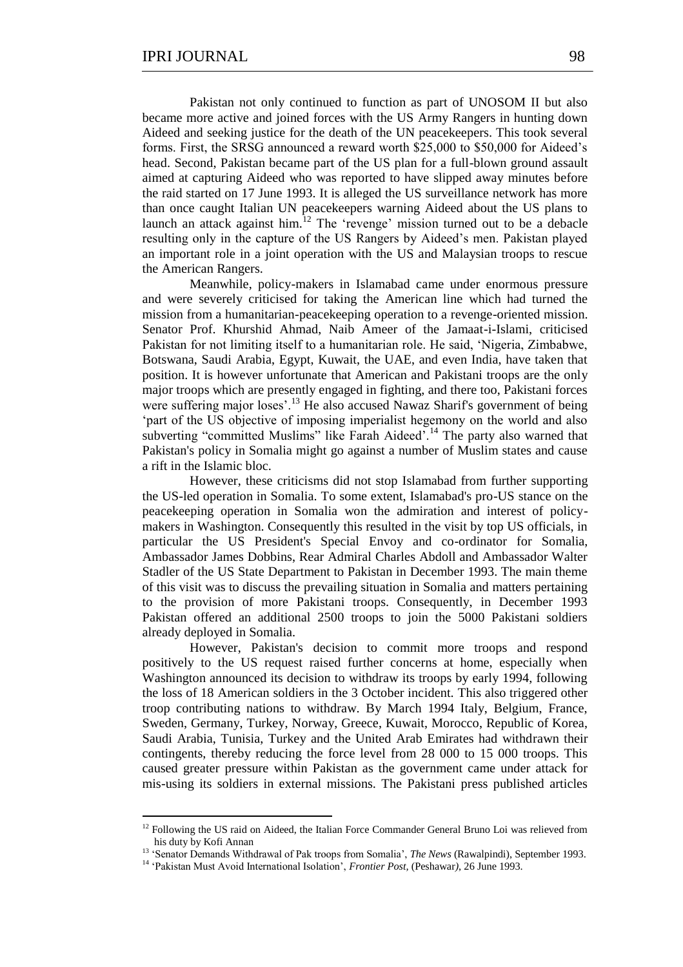Pakistan not only continued to function as part of UNOSOM II but also became more active and joined forces with the US Army Rangers in hunting down Aideed and seeking justice for the death of the UN peacekeepers. This took several forms. First, the SRSG announced a reward worth \$25,000 to \$50,000 for Aideed's head. Second, Pakistan became part of the US plan for a full-blown ground assault aimed at capturing Aideed who was reported to have slipped away minutes before the raid started on 17 June 1993. It is alleged the US surveillance network has more than once caught Italian UN peacekeepers warning Aideed about the US plans to launch an attack against him.<sup>12</sup> The 'revenge' mission turned out to be a debacle resulting only in the capture of the US Rangers by Aideed's men. Pakistan played an important role in a joint operation with the US and Malaysian troops to rescue the American Rangers.

Meanwhile, policy-makers in Islamabad came under enormous pressure and were severely criticised for taking the American line which had turned the mission from a humanitarian-peacekeeping operation to a revenge-oriented mission. Senator Prof. Khurshid Ahmad, Naib Ameer of the Jamaat-i-Islami, criticised Pakistan for not limiting itself to a humanitarian role. He said, 'Nigeria, Zimbabwe, Botswana, Saudi Arabia, Egypt, Kuwait, the UAE, and even India, have taken that position. It is however unfortunate that American and Pakistani troops are the only major troops which are presently engaged in fighting, and there too, Pakistani forces were suffering major loses'.<sup>13</sup> He also accused Nawaz Sharif's government of being ‗part of the US objective of imposing imperialist hegemony on the world and also subverting "committed Muslims" like Farah Aideed'.<sup>14</sup> The party also warned that Pakistan's policy in Somalia might go against a number of Muslim states and cause a rift in the Islamic bloc.

However, these criticisms did not stop Islamabad from further supporting the US-led operation in Somalia. To some extent, Islamabad's pro-US stance on the peacekeeping operation in Somalia won the admiration and interest of policymakers in Washington. Consequently this resulted in the visit by top US officials, in particular the US President's Special Envoy and co-ordinator for Somalia, Ambassador James Dobbins, Rear Admiral Charles Abdoll and Ambassador Walter Stadler of the US State Department to Pakistan in December 1993. The main theme of this visit was to discuss the prevailing situation in Somalia and matters pertaining to the provision of more Pakistani troops. Consequently, in December 1993 Pakistan offered an additional 2500 troops to join the 5000 Pakistani soldiers already deployed in Somalia.

However, Pakistan's decision to commit more troops and respond positively to the US request raised further concerns at home, especially when Washington announced its decision to withdraw its troops by early 1994, following the loss of 18 American soldiers in the 3 October incident. This also triggered other troop contributing nations to withdraw. By March 1994 Italy, Belgium, France, Sweden, Germany, Turkey, Norway, Greece, Kuwait, Morocco, Republic of Korea, Saudi Arabia, Tunisia, Turkey and the United Arab Emirates had withdrawn their contingents, thereby reducing the force level from 28 000 to 15 000 troops. This caused greater pressure within Pakistan as the government came under attack for mis-using its soldiers in external missions. The Pakistani press published articles

<sup>&</sup>lt;sup>12</sup> Following the US raid on Aideed, the Italian Force Commander General Bruno Loi was relieved from his duty by Kofi Annan

<sup>&</sup>lt;sup>13</sup> 'Senator Demands Withdrawal of Pak troops from Somalia', *The News* (Rawalpindi), September 1993.

<sup>&</sup>lt;sup>14</sup> 'Pakistan Must Avoid International Isolation', *Frontier Post*, (Peshawar), 26 June 1993.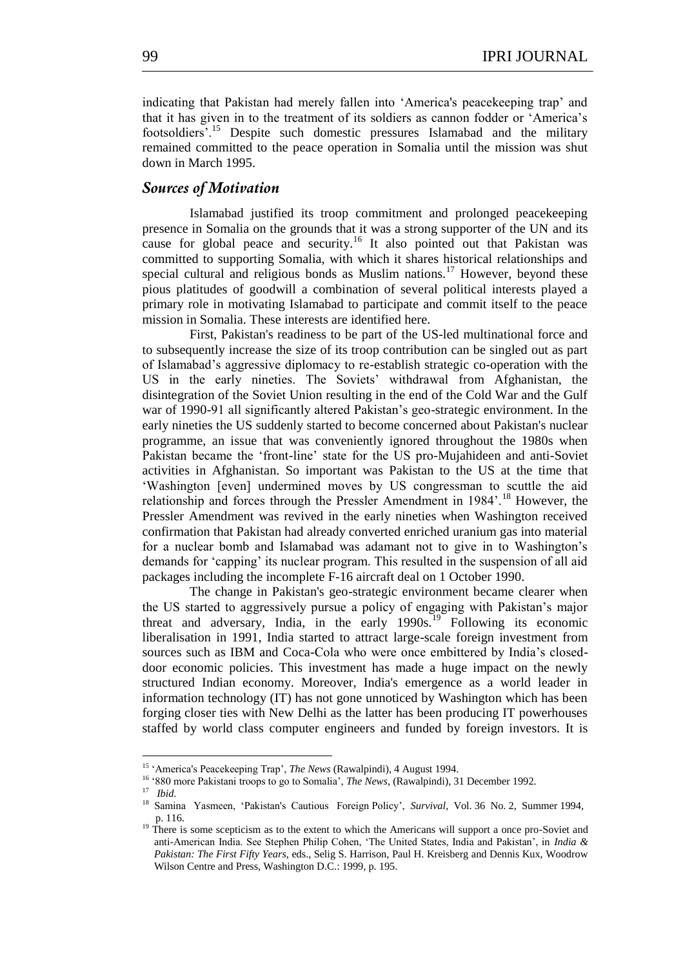indicating that Pakistan had merely fallen into ‗America's peacekeeping trap' and that it has given in to the treatment of its soldiers as cannon fodder or ‗America's footsoldiers'.<sup>15</sup> Despite such domestic pressures Islamabad and the military remained committed to the peace operation in Somalia until the mission was shut down in March 1995.

## *Sources of Motivation*

Islamabad justified its troop commitment and prolonged peacekeeping presence in Somalia on the grounds that it was a strong supporter of the UN and its cause for global peace and security.<sup>16</sup> It also pointed out that Pakistan was committed to supporting Somalia, with which it shares historical relationships and special cultural and religious bonds as Muslim nations.<sup>17</sup> However, beyond these pious platitudes of goodwill a combination of several political interests played a primary role in motivating Islamabad to participate and commit itself to the peace mission in Somalia. These interests are identified here.

First, Pakistan's readiness to be part of the US-led multinational force and to subsequently increase the size of its troop contribution can be singled out as part of Islamabad's aggressive diplomacy to re-establish strategic co-operation with the US in the early nineties. The Soviets' withdrawal from Afghanistan, the disintegration of the Soviet Union resulting in the end of the Cold War and the Gulf war of 1990-91 all significantly altered Pakistan's geo-strategic environment. In the early nineties the US suddenly started to become concerned about Pakistan's nuclear programme, an issue that was conveniently ignored throughout the 1980s when Pakistan became the ‗front-line' state for the US pro-Mujahideen and anti-Soviet activities in Afghanistan. So important was Pakistan to the US at the time that ‗Washington [even] undermined moves by US congressman to scuttle the aid relationship and forces through the Pressler Amendment in 1984'.<sup>18</sup> However, the Pressler Amendment was revived in the early nineties when Washington received confirmation that Pakistan had already converted enriched uranium gas into material for a nuclear bomb and Islamabad was adamant not to give in to Washington's demands for ‗capping' its nuclear program. This resulted in the suspension of all aid packages including the incomplete F-16 aircraft deal on 1 October 1990.

The change in Pakistan's geo-strategic environment became clearer when the US started to aggressively pursue a policy of engaging with Pakistan's major threat and adversary, India, in the early 1990s.<sup>19</sup> Following its economic liberalisation in 1991, India started to attract large-scale foreign investment from sources such as IBM and Coca-Cola who were once embittered by India's closeddoor economic policies. This investment has made a huge impact on the newly structured Indian economy. Moreover, India's emergence as a world leader in information technology (IT) has not gone unnoticed by Washington which has been forging closer ties with New Delhi as the latter has been producing IT powerhouses staffed by world class computer engineers and funded by foreign investors. It is

1

<sup>&</sup>lt;sup>15</sup> 'America's Peacekeeping Trap', *The News* (Rawalpindi), 4 August 1994.

<sup>&</sup>lt;sup>16</sup> '880 more Pakistani troops to go to Somalia', *The News*, (Rawalpindi), 31 December 1992.

<sup>17</sup> *Ibid.*

<sup>&</sup>lt;sup>18</sup> Samina Yasmeen, 'Pakistan's Cautious Foreign Policy', *Survival*, Vol. 36 No. 2, Summer 1994, p. 116.

<sup>&</sup>lt;sup>19</sup> There is some scepticism as to the extent to which the Americans will support a once pro-Soviet and anti-American India. See Stephen Philip Cohen, 'The United States, India and Pakistan', in *India & Pakistan: The First Fifty Years*, eds., Selig S. Harrison, Paul H. Kreisberg and Dennis Kux, Woodrow Wilson Centre and Press, Washington D.C.: 1999, p. 195.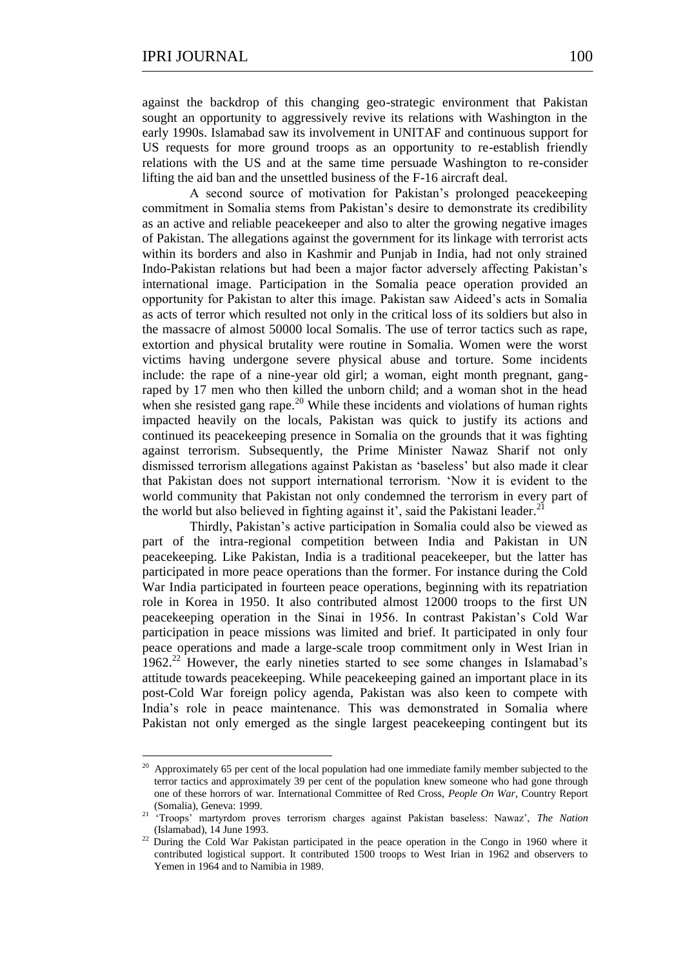1

against the backdrop of this changing geo-strategic environment that Pakistan sought an opportunity to aggressively revive its relations with Washington in the early 1990s. Islamabad saw its involvement in UNITAF and continuous support for US requests for more ground troops as an opportunity to re-establish friendly relations with the US and at the same time persuade Washington to re-consider lifting the aid ban and the unsettled business of the F-16 aircraft deal.

A second source of motivation for Pakistan's prolonged peacekeeping commitment in Somalia stems from Pakistan's desire to demonstrate its credibility as an active and reliable peacekeeper and also to alter the growing negative images of Pakistan. The allegations against the government for its linkage with terrorist acts within its borders and also in Kashmir and Punjab in India, had not only strained Indo-Pakistan relations but had been a major factor adversely affecting Pakistan's international image. Participation in the Somalia peace operation provided an opportunity for Pakistan to alter this image. Pakistan saw Aideed's acts in Somalia as acts of terror which resulted not only in the critical loss of its soldiers but also in the massacre of almost 50000 local Somalis. The use of terror tactics such as rape, extortion and physical brutality were routine in Somalia. Women were the worst victims having undergone severe physical abuse and torture. Some incidents include: the rape of a nine-year old girl; a woman, eight month pregnant, gangraped by 17 men who then killed the unborn child; and a woman shot in the head when she resisted gang rape.<sup>20</sup> While these incidents and violations of human rights impacted heavily on the locals, Pakistan was quick to justify its actions and continued its peacekeeping presence in Somalia on the grounds that it was fighting against terrorism. Subsequently, the Prime Minister Nawaz Sharif not only dismissed terrorism allegations against Pakistan as ‗baseless' but also made it clear that Pakistan does not support international terrorism. 'Now it is evident to the world community that Pakistan not only condemned the terrorism in every part of the world but also believed in fighting against it', said the Pakistani leader.<sup>2</sup>

Thirdly, Pakistan's active participation in Somalia could also be viewed as part of the intra-regional competition between India and Pakistan in UN peacekeeping. Like Pakistan, India is a traditional peacekeeper, but the latter has participated in more peace operations than the former. For instance during the Cold War India participated in fourteen peace operations, beginning with its repatriation role in Korea in 1950. It also contributed almost 12000 troops to the first UN peacekeeping operation in the Sinai in 1956. In contrast Pakistan's Cold War participation in peace missions was limited and brief. It participated in only four peace operations and made a large-scale troop commitment only in West Irian in  $1962<sup>22</sup>$  However, the early nineties started to see some changes in Islamabad's attitude towards peacekeeping. While peacekeeping gained an important place in its post-Cold War foreign policy agenda, Pakistan was also keen to compete with India's role in peace maintenance. This was demonstrated in Somalia where Pakistan not only emerged as the single largest peacekeeping contingent but its

<sup>&</sup>lt;sup>20</sup> Approximately 65 per cent of the local population had one immediate family member subjected to the terror tactics and approximately 39 per cent of the population knew someone who had gone through one of these horrors of war. International Committee of Red Cross, *People On War*, Country Report (Somalia), Geneva: 1999.

<sup>21</sup> ‗Troops' martyrdom proves terrorism charges against Pakistan baseless: Nawaz', *The Nation* (Islamabad), 14 June 1993.

<sup>&</sup>lt;sup>22</sup> During the Cold War Pakistan participated in the peace operation in the Congo in 1960 where it contributed logistical support. It contributed 1500 troops to West Irian in 1962 and observers to Yemen in 1964 and to Namibia in 1989.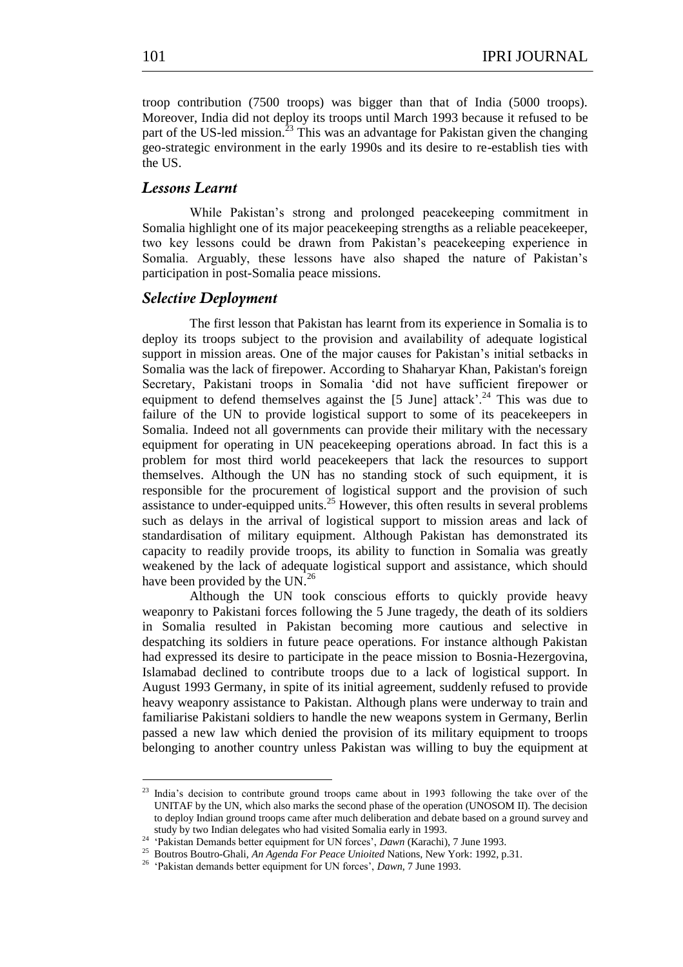troop contribution (7500 troops) was bigger than that of India (5000 troops). Moreover, India did not deploy its troops until March 1993 because it refused to be part of the US-led mission.<sup>23</sup> This was an advantage for Pakistan given the changing geo-strategic environment in the early 1990s and its desire to re-establish ties with the US.

# *Lessons Learnt*

While Pakistan's strong and prolonged peacekeeping commitment in Somalia highlight one of its major peacekeeping strengths as a reliable peacekeeper, two key lessons could be drawn from Pakistan's peacekeeping experience in Somalia. Arguably, these lessons have also shaped the nature of Pakistan's participation in post-Somalia peace missions.

## *Selective Deployment*

The first lesson that Pakistan has learnt from its experience in Somalia is to deploy its troops subject to the provision and availability of adequate logistical support in mission areas. One of the major causes for Pakistan's initial setbacks in Somalia was the lack of firepower. According to Shaharyar Khan, Pakistan's foreign Secretary, Pakistani troops in Somalia 'did not have sufficient firepower or equipment to defend themselves against the  $[5 \text{ June}]$  attack'.<sup>24</sup> This was due to failure of the UN to provide logistical support to some of its peacekeepers in Somalia. Indeed not all governments can provide their military with the necessary equipment for operating in UN peacekeeping operations abroad. In fact this is a problem for most third world peacekeepers that lack the resources to support themselves. Although the UN has no standing stock of such equipment, it is responsible for the procurement of logistical support and the provision of such assistance to under-equipped units.<sup>25</sup> However, this often results in several problems such as delays in the arrival of logistical support to mission areas and lack of standardisation of military equipment. Although Pakistan has demonstrated its capacity to readily provide troops, its ability to function in Somalia was greatly weakened by the lack of adequate logistical support and assistance, which should have been provided by the UN.<sup>26</sup>

Although the UN took conscious efforts to quickly provide heavy weaponry to Pakistani forces following the 5 June tragedy, the death of its soldiers in Somalia resulted in Pakistan becoming more cautious and selective in despatching its soldiers in future peace operations. For instance although Pakistan had expressed its desire to participate in the peace mission to Bosnia-Hezergovina, Islamabad declined to contribute troops due to a lack of logistical support. In August 1993 Germany, in spite of its initial agreement, suddenly refused to provide heavy weaponry assistance to Pakistan. Although plans were underway to train and familiarise Pakistani soldiers to handle the new weapons system in Germany, Berlin passed a new law which denied the provision of its military equipment to troops belonging to another country unless Pakistan was willing to buy the equipment at

1

<sup>&</sup>lt;sup>23</sup> India's decision to contribute ground troops came about in 1993 following the take over of the UNITAF by the UN, which also marks the second phase of the operation (UNOSOM II). The decision to deploy Indian ground troops came after much deliberation and debate based on a ground survey and

study by two Indian delegates who had visited Somalia early in 1993.<br><sup>24</sup> 'Pakistan Demands better equipment for UN forces', *Dawn* (Karachi), 7 June 1993.

<sup>25</sup> Boutros Boutro-Ghali, *An Agenda For Peace Unioited* Nations, New York: 1992, p.31.

<sup>&</sup>lt;sup>26</sup> 'Pakistan demands better equipment for UN forces', *Dawn*, 7 June 1993.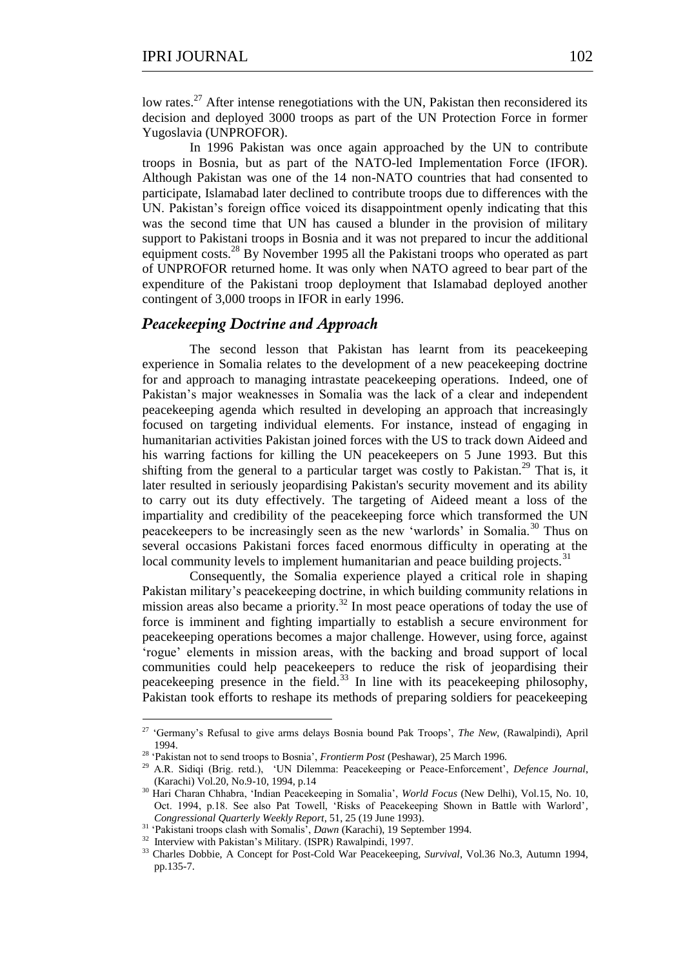low rates.<sup>27</sup> After intense renegotiations with the UN, Pakistan then reconsidered its decision and deployed 3000 troops as part of the UN Protection Force in former Yugoslavia (UNPROFOR).

In 1996 Pakistan was once again approached by the UN to contribute troops in Bosnia, but as part of the NATO-led Implementation Force (IFOR). Although Pakistan was one of the 14 non-NATO countries that had consented to participate, Islamabad later declined to contribute troops due to differences with the UN. Pakistan's foreign office voiced its disappointment openly indicating that this was the second time that UN has caused a blunder in the provision of military support to Pakistani troops in Bosnia and it was not prepared to incur the additional equipment costs.<sup>28</sup> By November 1995 all the Pakistani troops who operated as part of UNPROFOR returned home. It was only when NATO agreed to bear part of the expenditure of the Pakistani troop deployment that Islamabad deployed another contingent of 3,000 troops in IFOR in early 1996.

#### *Peacekeeping Doctrine and Approach*

The second lesson that Pakistan has learnt from its peacekeeping experience in Somalia relates to the development of a new peacekeeping doctrine for and approach to managing intrastate peacekeeping operations. Indeed, one of Pakistan's major weaknesses in Somalia was the lack of a clear and independent peacekeeping agenda which resulted in developing an approach that increasingly focused on targeting individual elements. For instance, instead of engaging in humanitarian activities Pakistan joined forces with the US to track down Aideed and his warring factions for killing the UN peacekeepers on 5 June 1993. But this shifting from the general to a particular target was costly to Pakistan.<sup>29</sup> That is, it later resulted in seriously jeopardising Pakistan's security movement and its ability to carry out its duty effectively. The targeting of Aideed meant a loss of the impartiality and credibility of the peacekeeping force which transformed the UN peacekeepers to be increasingly seen as the new 'warlords' in Somalia.<sup>30</sup> Thus on several occasions Pakistani forces faced enormous difficulty in operating at the local community levels to implement humanitarian and peace building projects.<sup>31</sup>

Consequently, the Somalia experience played a critical role in shaping Pakistan military's peacekeeping doctrine, in which building community relations in mission areas also became a priority.<sup>32</sup> In most peace operations of today the use of force is imminent and fighting impartially to establish a secure environment for peacekeeping operations becomes a major challenge. However, using force, against ‗rogue' elements in mission areas, with the backing and broad support of local communities could help peacekeepers to reduce the risk of jeopardising their peacekeeping presence in the field.<sup>33</sup> In line with its peacekeeping philosophy, Pakistan took efforts to reshape its methods of preparing soldiers for peacekeeping

<sup>&</sup>lt;sup>27</sup> 'Germany's Refusal to give arms delays Bosnia bound Pak Troops', *The New*, (Rawalpindi), April 1994.

<sup>28</sup> ‗Pakistan not to send troops to Bosnia', *Frontierm Post* (Peshawar), 25 March 1996.

<sup>&</sup>lt;sup>29</sup> A.R. Sidiqi (Brig. retd.), 'UN Dilemma: Peacekeeping or Peace-Enforcement', Defence Journal, (Karachi) Vol.20, No.9-10, 1994, p.14

<sup>&</sup>lt;sup>30</sup> Hari Charan Chhabra, 'Indian Peacekeeping in Somalia', *World Focus* (New Delhi), Vol.15, No. 10, Oct. 1994, p.18. See also Pat Towell, 'Risks of Peacekeeping Shown in Battle with Warlord', *Congressional Quarterly Weekly Report*, 51, 25 (19 June 1993).

<sup>31</sup> ‗Pakistani troops clash with Somalis', *Dawn* (Karachi), 19 September 1994.

<sup>&</sup>lt;sup>32</sup> Interview with Pakistan's Military. (ISPR) Rawalpindi, 1997.

<sup>33</sup> Charles Dobbie, A Concept for Post-Cold War Peacekeeping, *Survival*, Vol.36 No.3, Autumn 1994, pp.135-7.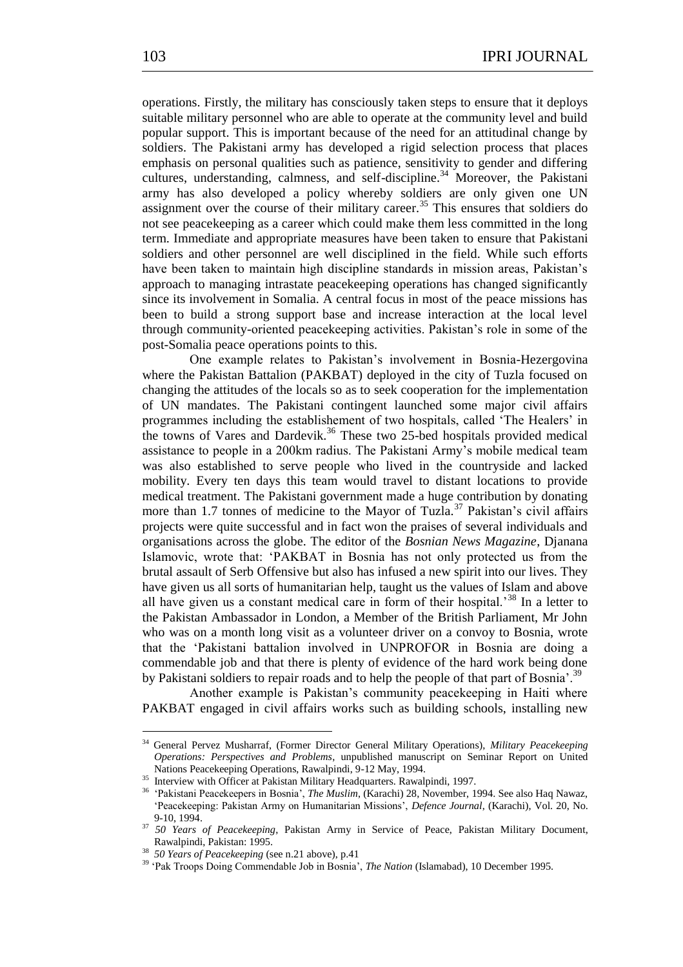operations. Firstly, the military has consciously taken steps to ensure that it deploys suitable military personnel who are able to operate at the community level and build popular support. This is important because of the need for an attitudinal change by soldiers. The Pakistani army has developed a rigid selection process that places emphasis on personal qualities such as patience, sensitivity to gender and differing cultures, understanding, calmness, and self-discipline.<sup>34</sup> Moreover, the Pakistani army has also developed a policy whereby soldiers are only given one UN assignment over the course of their military career.<sup>35</sup> This ensures that soldiers do not see peacekeeping as a career which could make them less committed in the long term. Immediate and appropriate measures have been taken to ensure that Pakistani soldiers and other personnel are well disciplined in the field. While such efforts have been taken to maintain high discipline standards in mission areas, Pakistan's approach to managing intrastate peacekeeping operations has changed significantly since its involvement in Somalia. A central focus in most of the peace missions has been to build a strong support base and increase interaction at the local level through community-oriented peacekeeping activities. Pakistan's role in some of the post-Somalia peace operations points to this.

One example relates to Pakistan's involvement in Bosnia-Hezergovina where the Pakistan Battalion (PAKBAT) deployed in the city of Tuzla focused on changing the attitudes of the locals so as to seek cooperation for the implementation of UN mandates. The Pakistani contingent launched some major civil affairs programmes including the establishement of two hospitals, called 'The Healers' in the towns of Vares and Dardevik.<sup>36</sup> These two 25-bed hospitals provided medical assistance to people in a 200km radius. The Pakistani Army's mobile medical team was also established to serve people who lived in the countryside and lacked mobility. Every ten days this team would travel to distant locations to provide medical treatment. The Pakistani government made a huge contribution by donating more than 1.7 tonnes of medicine to the Mayor of Tuzla.<sup>37</sup> Pakistan's civil affairs projects were quite successful and in fact won the praises of several individuals and organisations across the globe. The editor of the *Bosnian News Magazine*, Djanana Islamovic, wrote that: ‗PAKBAT in Bosnia has not only protected us from the brutal assault of Serb Offensive but also has infused a new spirit into our lives. They have given us all sorts of humanitarian help, taught us the values of Islam and above all have given us a constant medical care in form of their hospital.<sup>38</sup> In a letter to the Pakistan Ambassador in London, a Member of the British Parliament, Mr John who was on a month long visit as a volunteer driver on a convoy to Bosnia, wrote that the ‗Pakistani battalion involved in UNPROFOR in Bosnia are doing a commendable job and that there is plenty of evidence of the hard work being done by Pakistani soldiers to repair roads and to help the people of that part of Bosnia'.<sup>39</sup>

Another example is Pakistan's community peacekeeping in Haiti where PAKBAT engaged in civil affairs works such as building schools, installing new

-

<sup>34</sup> General Pervez Musharraf, (Former Director General Military Operations), *Military Peacekeeping Operations: Perspectives and Problems*, unpublished manuscript on Seminar Report on United Nations Peacekeeping Operations, Rawalpindi, 9-12 May, 1994.

<sup>&</sup>lt;sup>35</sup> Interview with Officer at Pakistan Military Headquarters. Rawalpindi, 1997.

<sup>&</sup>lt;sup>36</sup> 'Pakistani Peacekeepers in Bosnia', *The Muslim*, (Karachi) 28, November, 1994. See also Haq Nawaz, ‗Peacekeeping: Pakistan Army on Humanitarian Missions', *Defence Journal*, (Karachi), Vol. 20, No. 9-10, 1994.

<sup>37</sup> *50 Years of Peacekeeping*, Pakistan Army in Service of Peace, Pakistan Military Document, Rawalpindi, Pakistan: 1995.

<sup>38</sup> *50 Years of Peacekeeping* (see n.21 above), p.41

<sup>&</sup>lt;sup>39</sup> 'Pak Troops Doing Commendable Job in Bosnia', *The Nation* (Islamabad), 10 December 1995.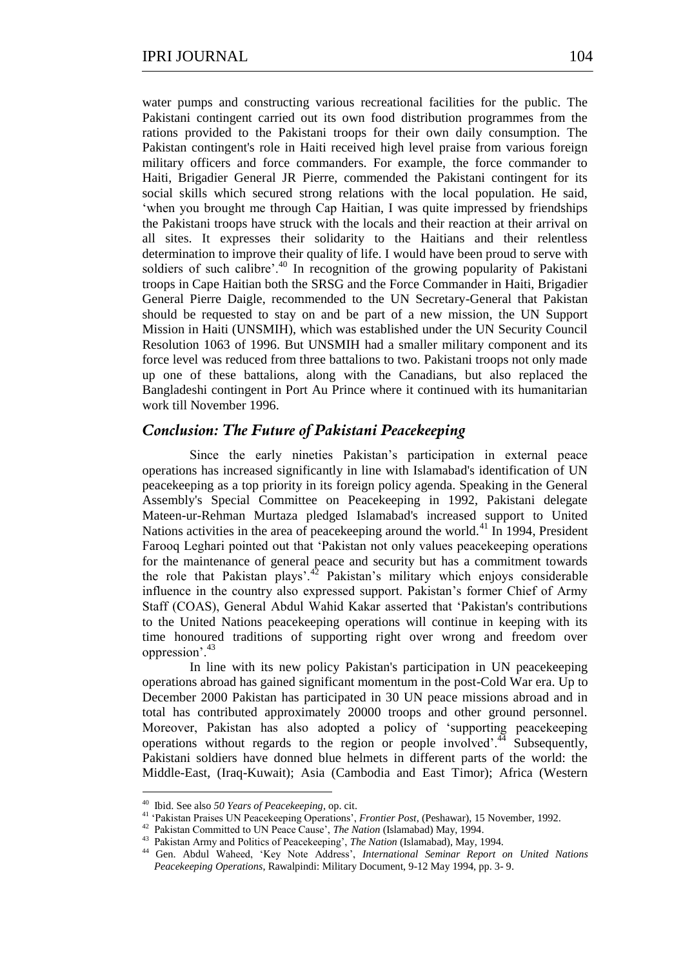water pumps and constructing various recreational facilities for the public. The Pakistani contingent carried out its own food distribution programmes from the rations provided to the Pakistani troops for their own daily consumption. The Pakistan contingent's role in Haiti received high level praise from various foreign military officers and force commanders. For example, the force commander to Haiti, Brigadier General JR Pierre, commended the Pakistani contingent for its social skills which secured strong relations with the local population. He said, ‗when you brought me through Cap Haitian, I was quite impressed by friendships the Pakistani troops have struck with the locals and their reaction at their arrival on all sites. It expresses their solidarity to the Haitians and their relentless determination to improve their quality of life. I would have been proud to serve with soldiers of such calibre'.<sup>40</sup> In recognition of the growing popularity of Pakistani troops in Cape Haitian both the SRSG and the Force Commander in Haiti, Brigadier General Pierre Daigle, recommended to the UN Secretary-General that Pakistan should be requested to stay on and be part of a new mission, the UN Support Mission in Haiti (UNSMIH), which was established under the UN Security Council Resolution 1063 of 1996. But UNSMIH had a smaller military component and its force level was reduced from three battalions to two. Pakistani troops not only made up one of these battalions, along with the Canadians, but also replaced the Bangladeshi contingent in Port Au Prince where it continued with its humanitarian work till November 1996.

# *Conclusion: The Future of Pakistani Peacekeeping*

Since the early nineties Pakistan's participation in external peace operations has increased significantly in line with Islamabad's identification of UN peacekeeping as a top priority in its foreign policy agenda. Speaking in the General Assembly's Special Committee on Peacekeeping in 1992, Pakistani delegate Mateen-ur-Rehman Murtaza pledged Islamabad's increased support to United Nations activities in the area of peace keeping around the world.<sup>41</sup> In 1994, President Farooq Leghari pointed out that 'Pakistan not only values peacekeeping operations for the maintenance of general peace and security but has a commitment towards the role that Pakistan plays'.<sup>42</sup> Pakistan's military which enjoys considerable influence in the country also expressed support. Pakistan's former Chief of Army Staff (COAS), General Abdul Wahid Kakar asserted that ‗Pakistan's contributions to the United Nations peacekeeping operations will continue in keeping with its time honoured traditions of supporting right over wrong and freedom over oppression'.<sup>43</sup>

In line with its new policy Pakistan's participation in UN peacekeeping operations abroad has gained significant momentum in the post-Cold War era. Up to December 2000 Pakistan has participated in 30 UN peace missions abroad and in total has contributed approximately 20000 troops and other ground personnel. Moreover, Pakistan has also adopted a policy of 'supporting peacekeeping operations without regards to the region or people involved'.<sup>44</sup> Subsequently, Pakistani soldiers have donned blue helmets in different parts of the world: the Middle-East, (Iraq-Kuwait); Asia (Cambodia and East Timor); Africa (Western

 40 Ibid. See also *50 Years of Peacekeeping*, op. cit.

<sup>41</sup> ‗Pakistan Praises UN Peacekeeping Operations', *Frontier Post*, (Peshawar), 15 November, 1992.

<sup>42</sup> Pakistan Committed to UN Peace Cause', *The Nation* (Islamabad) May, 1994.

<sup>43</sup> Pakistan Army and Politics of Peacekeeping', *The Nation* (Islamabad), May, 1994.

<sup>&</sup>lt;sup>44</sup> Gen. Abdul Waheed, 'Key Note Address', *International Seminar Report on United Nations Peacekeeping Operations*, Rawalpindi: Military Document, 9-12 May 1994, pp. 3- 9.